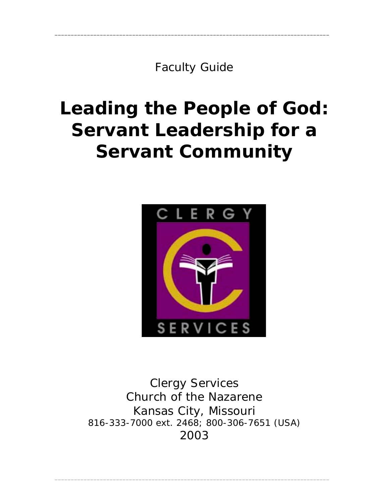Faculty Guide

\_\_\_\_\_\_\_\_\_\_\_\_\_\_\_\_\_\_\_\_\_\_\_\_\_\_\_\_\_\_\_\_\_\_\_\_\_\_\_\_\_\_\_\_\_\_\_\_\_\_\_\_\_\_\_\_\_\_\_\_\_\_\_\_\_\_\_\_\_\_\_\_\_\_\_\_\_\_\_\_\_\_\_\_\_

# **Leading the People of God: Servant Leadership for a Servant Community**



Clergy Services Church of the Nazarene Kansas City, Missouri 816-333-7000 ext. 2468; 800-306-7651 (USA) 2003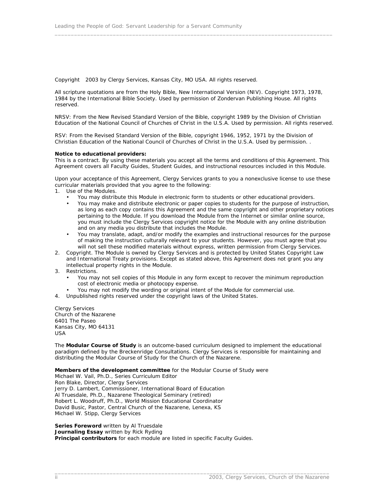Copyright 2003 by Clergy Services, Kansas City, MO USA. All rights reserved.

All scripture quotations are from the *Holy Bible, New International Version* (NIV). Copyright 1973, 1978, 1984 by the International Bible Society. Used by permission of Zondervan Publishing House. All rights reserved.

NRSV: From the *New Revised Standard Version* of the Bible, copyright 1989 by the Division of Christian Education of the National Council of Churches of Christ in the U.S.A. Used by permission. All rights reserved.

 $\_$  ,  $\_$  ,  $\_$  ,  $\_$  ,  $\_$  ,  $\_$  ,  $\_$  ,  $\_$  ,  $\_$  ,  $\_$  ,  $\_$  ,  $\_$  ,  $\_$  ,  $\_$  ,  $\_$  ,  $\_$  ,  $\_$  ,  $\_$  ,  $\_$  ,  $\_$  ,  $\_$  ,  $\_$  ,  $\_$  ,  $\_$  ,  $\_$  ,  $\_$  ,  $\_$  ,  $\_$  ,  $\_$  ,  $\_$  ,  $\_$  ,  $\_$  ,  $\_$  ,  $\_$  ,  $\_$  ,  $\_$  ,  $\_$  ,

RSV: From the *Revised Standard Version* of the Bible, copyright 1946, 1952, 1971 by the Division of Christian Education of the National Council of Churches of Christ in the U.S.A. Used by permission. .

#### **Notice to educational providers:**

This is a contract. By using these materials you accept all the terms and conditions of this Agreement. This Agreement covers all Faculty Guides, Student Guides, and instructional resources included in this Module.

Upon your acceptance of this Agreement, Clergy Services grants to you a nonexclusive license to use these curricular materials provided that you agree to the following:

- 1. Use of the Modules.
	- You may distribute this Module in electronic form to students or other educational providers.
	- You may make and distribute electronic or paper copies to students for the purpose of instruction, as long as each copy contains this Agreement and the same copyright and other proprietary notices pertaining to the Module. If you download the Module from the Internet or similar online source, you must include the Clergy Services copyright notice for the Module with any online distribution and on any media you distribute that includes the Module.
	- You may translate, adapt, and/or modify the examples and instructional resources for the purpose of making the instruction culturally relevant to your students. However, you must agree that you will not sell these modified materials without express, written permission from Clergy Services.
- 2. Copyright. The Module is owned by Clergy Services and is protected by United States Copyright Law and International Treaty provisions. Except as stated above, this Agreement does not grant you any intellectual property rights in the Module.
- 3. Restrictions.
	- You may not sell copies of this Module in any form except to recover the minimum reproduction cost of electronic media or photocopy expense.
	- You may not modify the wording or original intent of the Module for commercial use.
- 4. Unpublished rights reserved under the copyright laws of the United States.

Clergy Services Church of the Nazarene 6401 The Paseo Kansas City, MO 64131 USA

The **Modular Course of Study** is an outcome-based curriculum designed to implement the educational paradigm defined by the Breckenridge Consultations. Clergy Services is responsible for maintaining and distributing the Modular Course of Study for the Church of the Nazarene.

 $\_$  ,  $\_$  ,  $\_$  ,  $\_$  ,  $\_$  ,  $\_$  ,  $\_$  ,  $\_$  ,  $\_$  ,  $\_$  ,  $\_$  ,  $\_$  ,  $\_$  ,  $\_$  ,  $\_$  ,  $\_$  ,  $\_$  ,  $\_$  ,  $\_$  ,  $\_$ 

**Members of the development committee** for the Modular Course of Study were

Michael W. Vail, Ph.D., Series Curriculum Editor Ron Blake, Director, Clergy Services Jerry D. Lambert, Commissioner, International Board of Education Al Truesdale, Ph.D., Nazarene Theological Seminary (retired) Robert L. Woodruff, Ph.D., World Mission Educational Coordinator David Busic, Pastor, Central Church of the Nazarene, Lenexa, KS Michael W. Stipp, Clergy Services

**Series Foreword** written by Al Truesdale **Journaling Essay** written by Rick Ryding **Principal contributors** for each module are listed in specific Faculty Guides.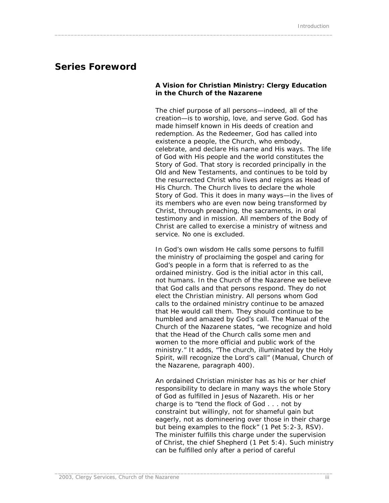### **Series Foreword**

#### **A Vision for Christian Ministry: Clergy Education in the Church of the Nazarene**

 $\_$  ,  $\_$  ,  $\_$  ,  $\_$  ,  $\_$  ,  $\_$  ,  $\_$  ,  $\_$  ,  $\_$  ,  $\_$  ,  $\_$  ,  $\_$  ,  $\_$  ,  $\_$  ,  $\_$  ,  $\_$  ,  $\_$  ,  $\_$  ,  $\_$  ,  $\_$  ,  $\_$  ,  $\_$  ,  $\_$  ,  $\_$  ,  $\_$  ,  $\_$  ,  $\_$  ,  $\_$  ,  $\_$  ,  $\_$  ,  $\_$  ,  $\_$  ,  $\_$  ,  $\_$  ,  $\_$  ,  $\_$  ,  $\_$  ,

The chief purpose of all persons—indeed, all of the creation—is to worship, love, and serve God. God has made himself known in His deeds of creation and redemption. As the Redeemer, God has called into existence a people, the Church, who embody, celebrate, and declare His name and His ways. The life of God with His people and the world constitutes the Story of God. That story is recorded principally in the Old and New Testaments, and continues to be told by the resurrected Christ who lives and reigns as Head of His Church. The Church lives to declare the whole Story of God. This it does in many ways—in the lives of its members who are even now being transformed by Christ, through preaching, the sacraments, in oral testimony and in mission. All members of the Body of Christ are called to exercise a ministry of witness and service. No one is excluded.

In God's own wisdom He calls some persons to fulfill the ministry of proclaiming the gospel and caring for God's people in a form that is referred to as the ordained ministry. God is the initial actor in this call, not humans. In the Church of the Nazarene we believe that God calls and that persons respond. They do not elect the Christian ministry. All persons whom God calls to the ordained ministry continue to be amazed that He would call them. They should continue to be humbled and amazed by God's call. The *Manual* of the Church of the Nazarene states, "we recognize and hold that the Head of the Church calls some men and women to the more official and public work of the ministry." It adds, "The church, illuminated by the Holy Spirit, will recognize the Lord's call" (*Manual,* Church of the Nazarene, paragraph 400).

An ordained Christian minister has as his or her chief responsibility to declare in many ways the whole Story of God as fulfilled in Jesus of Nazareth. His or her charge is to "tend the flock of God . . . not by constraint but willingly, not for shameful gain but eagerly, not as domineering over those in their charge but being examples to the flock" (1 Pet 5:2-3, RSV). The minister fulfills this charge under the supervision of Christ, the chief Shepherd (1 Pet 5:4). Such ministry can be fulfilled only after a period of careful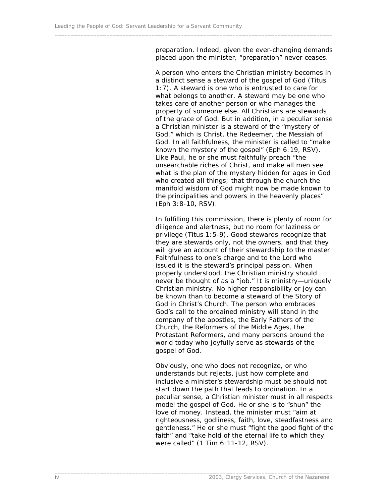preparation. Indeed, given the ever-changing demands placed upon the minister, "preparation" never ceases.

A person who enters the Christian ministry becomes in a distinct sense a steward of the gospel of God (Titus 1:7). A steward is one who is entrusted to care for what belongs to another. A steward may be one who takes care of another person or who manages the property of someone else. All Christians are stewards of the grace of God. But in addition, in a peculiar sense a Christian minister is a steward of the "mystery of God," which is Christ, the Redeemer, the Messiah of God. In all faithfulness, the minister is called to "make known the mystery of the gospel" (Eph 6:19, RSV). Like Paul, he or she must faithfully preach "the unsearchable riches of Christ, and make all men see what is the plan of the mystery hidden for ages in God who created all things; that through the church the manifold wisdom of God might now be made known to the principalities and powers in the heavenly places" (Eph 3:8-10, RSV).

In fulfilling this commission, there is plenty of room for diligence and alertness, but no room for laziness or privilege (Titus 1:5-9). Good stewards recognize that they are stewards only, not the owners, and that they will give an account of their stewardship to the master. Faithfulness to one's charge and to the Lord who issued it is the steward's principal passion. When properly understood, the Christian ministry should never be thought of as a "job." It is ministry—uniquely Christian ministry. No higher responsibility or joy can be known than to become a steward of the Story of God in Christ's Church. The person who embraces God's call to the ordained ministry will stand in the company of the apostles, the Early Fathers of the Church, the Reformers of the Middle Ages, the Protestant Reformers, and many persons around the world today who joyfully serve as stewards of the gospel of God.

Obviously, one who does not recognize, or who understands but rejects, just how complete and inclusive a minister's stewardship must be should not start down the path that leads to ordination. In a peculiar sense, a Christian minister must in all respects model the gospel of God. He or she is to "shun" the love of money. Instead, the minister must "aim at righteousness, godliness, faith, love, steadfastness and gentleness." He or she must "fight the good fight of the faith" and "take hold of the eternal life to which they were called" (1 Tim 6:11-12, RSV).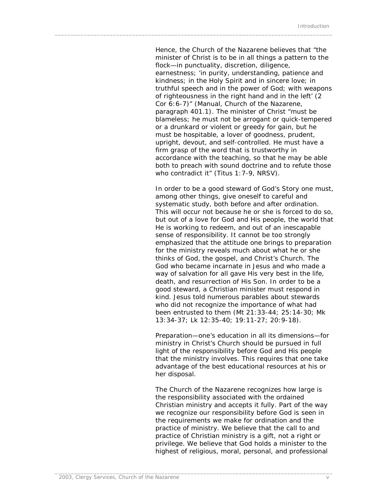Hence, the Church of the Nazarene believes that "the minister of Christ is to be in all things a pattern to the flock—in punctuality, discretion, diligence, earnestness; 'in purity, understanding, patience and kindness; in the Holy Spirit and in sincere love; in truthful speech and in the power of God; with weapons of righteousness in the right hand and in the left' (2 Cor 6:6-7)" (*Manual*, Church of the Nazarene, paragraph 401.1). The minister of Christ "must be blameless; he must not be arrogant or quick-tempered or a drunkard or violent or greedy for gain, but he must be hospitable, a lover of goodness, prudent, upright, devout, and self-controlled. He must have a firm grasp of the word that is trustworthy in accordance with the teaching, so that he may be able both to preach with sound doctrine and to refute those who contradict it" (Titus 1:7-9, NRSV).

 $\_$  ,  $\_$  ,  $\_$  ,  $\_$  ,  $\_$  ,  $\_$  ,  $\_$  ,  $\_$  ,  $\_$  ,  $\_$  ,  $\_$  ,  $\_$  ,  $\_$  ,  $\_$  ,  $\_$  ,  $\_$  ,  $\_$  ,  $\_$  ,  $\_$  ,  $\_$  ,  $\_$  ,  $\_$  ,  $\_$  ,  $\_$  ,  $\_$  ,  $\_$  ,  $\_$  ,  $\_$  ,  $\_$  ,  $\_$  ,  $\_$  ,  $\_$  ,  $\_$  ,  $\_$  ,  $\_$  ,  $\_$  ,  $\_$  ,

In order to be a good steward of God's Story one must, among other things, give oneself to careful and systematic study, both before and after ordination. This will occur not because he or she is forced to do so, but out of a love for God and His people, the world that He is working to redeem, and out of an inescapable sense of responsibility. It cannot be too strongly emphasized that the attitude one brings to preparation for the ministry reveals much about what he or she thinks of God, the gospel, and Christ's Church. The God who became incarnate in Jesus and who made a way of salvation for all gave His very best in the life, death, and resurrection of His Son. In order to be a good steward, a Christian minister must respond in kind. Jesus told numerous parables about stewards who did not recognize the importance of what had been entrusted to them (Mt 21:33-44; 25:14-30; Mk 13:34-37; Lk 12:35-40; 19:11-27; 20:9-18).

Preparation—one's education in all its dimensions—for ministry in Christ's Church should be pursued in full light of the responsibility before God and His people that the ministry involves. This requires that one take advantage of the best educational resources at his or her disposal.

The Church of the Nazarene recognizes how large is the responsibility associated with the ordained Christian ministry and accepts it fully. Part of the way we recognize our responsibility before God is seen in the requirements we make for ordination and the practice of ministry. We believe that the call to and practice of Christian ministry is a gift, not a right or privilege. We believe that God holds a minister to the highest of religious, moral, personal, and professional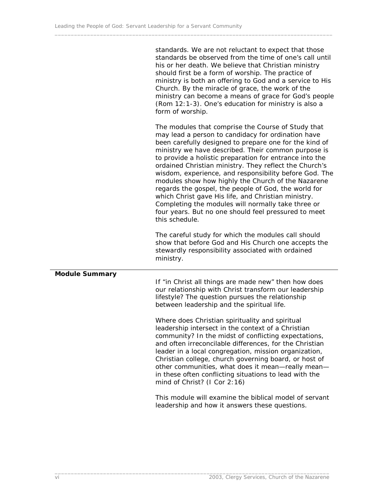standards. We are not reluctant to expect that those standards be observed from the time of one's call until his or her death. We believe that Christian ministry should first be a form of worship. The practice of ministry is both an offering to God and a service to His Church. By the miracle of grace, the work of the ministry can become a means of grace for God's people (Rom 12:1-3). One's education for ministry is also a form of worship.

The modules that comprise the Course of Study that may lead a person to candidacy for ordination have been carefully designed to prepare one for the kind of ministry we have described. Their common purpose is to provide a holistic preparation for entrance into the ordained Christian ministry. They reflect the Church's wisdom, experience, and responsibility before God. The modules show how highly the Church of the Nazarene regards the gospel, the people of God, the world for which Christ gave His life, and Christian ministry. Completing the modules will normally take three or four years. But no one should feel pressured to meet this schedule.

The careful study for which the modules call should show that before God and His Church one accepts the stewardly responsibility associated with ordained ministry.

#### **Module Summary**

If "in Christ all things are made new" then how does our relationship with Christ transform our leadership lifestyle? The question pursues the relationship between leadership and the spiritual life.

Where does Christian spirituality and spiritual leadership intersect in the context of a Christian community? In the midst of conflicting expectations, and often irreconcilable differences, for the Christian leader in a local congregation, mission organization, Christian college, church governing board, or host of other communities, what does it mean—really mean in these often conflicting situations to lead with the mind of Christ? (I Cor 2:16)

This module will examine the biblical model of servant leadership and how it answers these questions.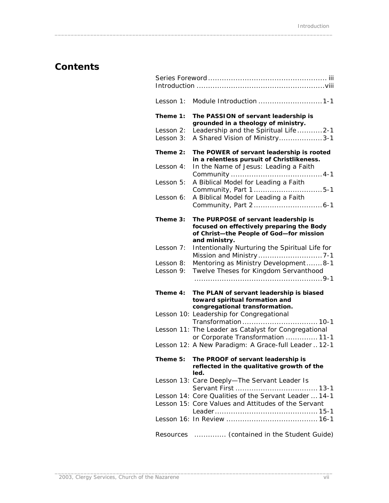### **Contents**

| The PASSION of servant leadership is<br>grounded in a theology of ministry.                                                                   |
|-----------------------------------------------------------------------------------------------------------------------------------------------|
| Leadership and the Spiritual Life 2-1<br>A Shared Vision of Ministry3-1                                                                       |
| The POWER of servant leadership is rooted<br>in a relentless pursuit of Christlikeness.                                                       |
| In the Name of Jesus: Leading a Faith                                                                                                         |
| A Biblical Model for Leading a Faith                                                                                                          |
| A Biblical Model for Leading a Faith                                                                                                          |
| The PURPOSE of servant leadership is<br>focused on effectively preparing the Body<br>of Christ-the People of God-for mission<br>and ministry. |
| Intentionally Nurturing the Spiritual Life for                                                                                                |
| Mentoring as Ministry Development8-1<br>Twelve Theses for Kingdom Servanthood                                                                 |
| The PLAN of servant leadership is biased<br>toward spiritual formation and<br>congregational transformation.                                  |
| Lesson 10: Leadership for Congregational                                                                                                      |
| Lesson 11: The Leader as Catalyst for Congregational<br>or Corporate Transformation  11-1                                                     |
| Lesson 12: A New Paradigm: A Grace-full Leader  12-1                                                                                          |
| Theme 5: The PROOF of servant leadership is<br>reflected in the qualitative growth of the<br>led.                                             |
| Lesson 13: Care Deeply-The Servant Leader Is                                                                                                  |
| Lesson 14: Core Qualities of the Servant Leader  14-1<br>Lesson 15: Core Values and Attitudes of the Servant                                  |
| Resources  (contained in the Student Guide)                                                                                                   |
|                                                                                                                                               |

 $\_$  ,  $\_$  ,  $\_$  ,  $\_$  ,  $\_$  ,  $\_$  ,  $\_$  ,  $\_$  ,  $\_$  ,  $\_$  ,  $\_$  ,  $\_$  ,  $\_$  ,  $\_$  ,  $\_$  ,  $\_$  ,  $\_$  ,  $\_$  ,  $\_$  ,  $\_$  ,  $\_$  ,  $\_$  ,  $\_$  ,  $\_$  ,  $\_$  ,  $\_$  ,  $\_$  ,  $\_$  ,  $\_$  ,  $\_$  ,  $\_$  ,  $\_$  ,  $\_$  ,  $\_$  ,  $\_$  ,  $\_$  ,  $\_$  ,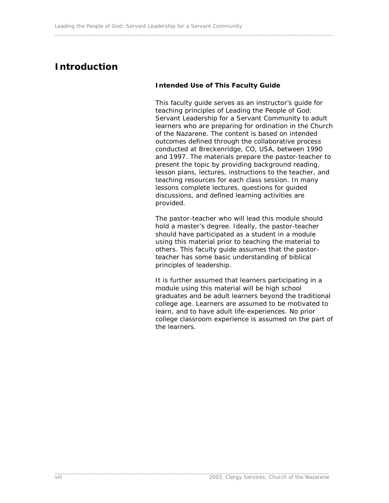### **Introduction**

#### **Intended Use of This Faculty Guide**

 $\_$  ,  $\_$  ,  $\_$  ,  $\_$  ,  $\_$  ,  $\_$  ,  $\_$  ,  $\_$  ,  $\_$  ,  $\_$  ,  $\_$  ,  $\_$  ,  $\_$  ,  $\_$  ,  $\_$  ,  $\_$  ,  $\_$  ,  $\_$  ,  $\_$  ,  $\_$  ,  $\_$  ,  $\_$  ,  $\_$  ,  $\_$  ,  $\_$  ,  $\_$  ,  $\_$  ,  $\_$  ,  $\_$  ,  $\_$  ,  $\_$  ,  $\_$  ,  $\_$  ,  $\_$  ,  $\_$  ,  $\_$  ,  $\_$  ,

This faculty guide serves as an instructor's guide for teaching principles of *Leading the People of God: Servant Leadership for a Servant Community* to adult learners who are preparing for ordination in the Church of the Nazarene. The content is based on intended outcomes defined through the collaborative process conducted at Breckenridge, CO, USA, between 1990 and 1997. The materials prepare the pastor-teacher to present the topic by providing background reading, lesson plans, lectures, instructions to the teacher, and teaching resources for each class session. In many lessons complete lectures, questions for guided discussions, and defined learning activities are provided.

The pastor-teacher who will lead this module should hold a master's degree. Ideally, the pastor-teacher should have participated as a student in a module using this material prior to teaching the material to others. This faculty guide assumes that the pastorteacher has some basic understanding of biblical principles of leadership.

It is further assumed that learners participating in a module using this material will be high school graduates and be adult learners beyond the traditional college age. Learners are assumed to be motivated to learn, and to have adult life-experiences. No prior college classroom experience is assumed on the part of the learners.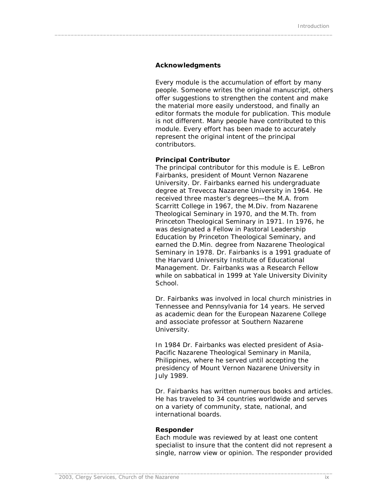#### **Acknowledgments**

 $\_$  ,  $\_$  ,  $\_$  ,  $\_$  ,  $\_$  ,  $\_$  ,  $\_$  ,  $\_$  ,  $\_$  ,  $\_$  ,  $\_$  ,  $\_$  ,  $\_$  ,  $\_$  ,  $\_$  ,  $\_$  ,  $\_$  ,  $\_$  ,  $\_$  ,  $\_$  ,  $\_$  ,  $\_$  ,  $\_$  ,  $\_$  ,  $\_$  ,  $\_$  ,  $\_$  ,  $\_$  ,  $\_$  ,  $\_$  ,  $\_$  ,  $\_$  ,  $\_$  ,  $\_$  ,  $\_$  ,  $\_$  ,  $\_$  ,

Every module is the accumulation of effort by many people. Someone writes the original manuscript, others offer suggestions to strengthen the content and make the material more easily understood, and finally an editor formats the module for publication. This module is not different. Many people have contributed to this module. Every effort has been made to accurately represent the original intent of the principal contributors.

#### **Principal Contributor**

The principal contributor for this module is E. LeBron Fairbanks, president of Mount Vernon Nazarene University. Dr. Fairbanks earned his undergraduate degree at Trevecca Nazarene University in 1964. He received three master's degrees—the M.A. from Scarritt College in 1967, the M.Div. from Nazarene Theological Seminary in 1970, and the M.Th. from Princeton Theological Seminary in 1971. In 1976, he was designated a Fellow in Pastoral Leadership Education by Princeton Theological Seminary, and earned the D.Min. degree from Nazarene Theological Seminary in 1978. Dr. Fairbanks is a 1991 graduate of the Harvard University Institute of Educational Management. Dr. Fairbanks was a Research Fellow while on sabbatical in 1999 at Yale University Divinity School.

Dr. Fairbanks was involved in local church ministries in Tennessee and Pennsylvania for 14 years. He served as academic dean for the European Nazarene College and associate professor at Southern Nazarene University.

In 1984 Dr. Fairbanks was elected president of Asia-Pacific Nazarene Theological Seminary in Manila, Philippines, where he served until accepting the presidency of Mount Vernon Nazarene University in July 1989.

Dr. Fairbanks has written numerous books and articles. He has traveled to 34 countries worldwide and serves on a variety of community, state, national, and international boards.

#### **Responder**

 $\_$  ,  $\_$  ,  $\_$  ,  $\_$  ,  $\_$  ,  $\_$  ,  $\_$  ,  $\_$  ,  $\_$  ,  $\_$  ,  $\_$  ,  $\_$  ,  $\_$  ,  $\_$  ,  $\_$  ,  $\_$  ,  $\_$  ,  $\_$  ,  $\_$  ,  $\_$  ,  $\_$  ,  $\_$  ,  $\_$  ,  $\_$  ,  $\_$  ,  $\_$  ,  $\_$  ,  $\_$  ,  $\_$  ,  $\_$  ,  $\_$  ,  $\_$  ,  $\_$  ,  $\_$  ,  $\_$  ,  $\_$  ,  $\_$  ,

Each module was reviewed by at least one content specialist to insure that the content did not represent a single, narrow view or opinion. The responder provided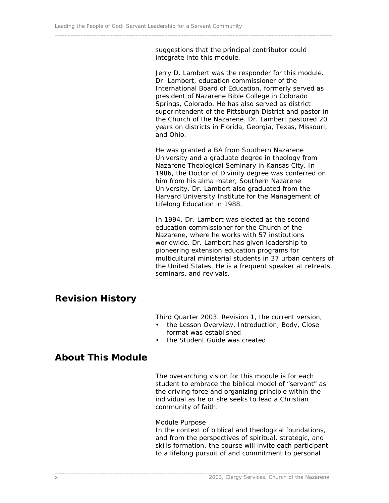suggestions that the principal contributor could integrate into this module.

 $\_$  ,  $\_$  ,  $\_$  ,  $\_$  ,  $\_$  ,  $\_$  ,  $\_$  ,  $\_$  ,  $\_$  ,  $\_$  ,  $\_$  ,  $\_$  ,  $\_$  ,  $\_$  ,  $\_$  ,  $\_$  ,  $\_$  ,  $\_$  ,  $\_$  ,  $\_$  ,  $\_$  ,  $\_$  ,  $\_$  ,  $\_$  ,  $\_$  ,  $\_$  ,  $\_$  ,  $\_$  ,  $\_$  ,  $\_$  ,  $\_$  ,  $\_$  ,  $\_$  ,  $\_$  ,  $\_$  ,  $\_$  ,  $\_$  ,

Jerry D. Lambert was the responder for this module. Dr. Lambert, education commissioner of the International Board of Education, formerly served as president of Nazarene Bible College in Colorado Springs, Colorado. He has also served as district superintendent of the Pittsburgh District and pastor in the Church of the Nazarene. Dr. Lambert pastored 20 years on districts in Florida, Georgia, Texas, Missouri, and Ohio.

He was granted a BA from Southern Nazarene University and a graduate degree in theology from Nazarene Theological Seminary in Kansas City. In 1986, the Doctor of Divinity degree was conferred on him from his alma mater, Southern Nazarene University. Dr. Lambert also graduated from the Harvard University Institute for the Management of Lifelong Education in 1988.

In 1994, Dr. Lambert was elected as the second education commissioner for the Church of the Nazarene, where he works with 57 institutions worldwide. Dr. Lambert has given leadership to pioneering extension education programs for multicultural ministerial students in 37 urban centers of the United States. He is a frequent speaker at retreats, seminars, and revivals.

### **Revision History**

*Third Quarter 2003*. Revision 1, the current version,

- the Lesson Overview, Introduction, Body, Close format was established
- the Student Guide was created

### **About This Module**

The overarching vision for this module is for each student to embrace the biblical model of "servant" as the driving force and organizing principle within the individual as he or she seeks to lead a Christian community of faith.

#### Module Purpose

 $\_$  ,  $\_$  ,  $\_$  ,  $\_$  ,  $\_$  ,  $\_$  ,  $\_$  ,  $\_$  ,  $\_$  ,  $\_$  ,  $\_$  ,  $\_$  ,  $\_$  ,  $\_$  ,  $\_$  ,  $\_$  ,  $\_$  ,  $\_$  ,  $\_$  ,  $\_$ 

In the context of biblical and theological foundations, and from the perspectives of spiritual, strategic, and skills formation, the course will invite each participant to a lifelong pursuit of and commitment to personal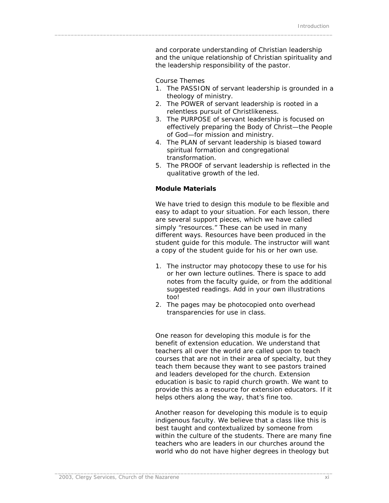and corporate understanding of Christian leadership and the unique relationship of Christian spirituality and the leadership responsibility of the pastor.

Course Themes

 $\_$  ,  $\_$  ,  $\_$  ,  $\_$  ,  $\_$  ,  $\_$  ,  $\_$  ,  $\_$  ,  $\_$  ,  $\_$  ,  $\_$  ,  $\_$  ,  $\_$  ,  $\_$  ,  $\_$  ,  $\_$  ,  $\_$  ,  $\_$  ,  $\_$  ,  $\_$  ,  $\_$  ,  $\_$  ,  $\_$  ,  $\_$  ,  $\_$  ,  $\_$  ,  $\_$  ,  $\_$  ,  $\_$  ,  $\_$  ,  $\_$  ,  $\_$  ,  $\_$  ,  $\_$  ,  $\_$  ,  $\_$  ,  $\_$  ,

- 1. The PASSION of servant leadership is grounded in a theology of ministry.
- 2. The POWER of servant leadership is rooted in a relentless pursuit of Christlikeness.
- 3. The PURPOSE of servant leadership is focused on effectively preparing the Body of Christ—the People of God—for mission and ministry.
- 4. The PLAN of servant leadership is biased toward spiritual formation and congregational transformation.
- 5. The PROOF of servant leadership is reflected in the qualitative growth of the led.

#### **Module Materials**

We have tried to design this module to be flexible and easy to adapt to your situation. For each lesson, there are several support pieces, which we have called simply "resources." These can be used in many different ways. Resources have been produced in the student guide for this module. The instructor will want a copy of the student guide for his or her own use.

- 1. The instructor may photocopy these to use for his or her own lecture outlines. There is space to add notes from the faculty guide, or from the additional suggested readings. Add in your own illustrations too!
- 2. The pages may be photocopied onto overhead transparencies for use in class.

One reason for developing this module is for the benefit of extension education. We understand that teachers all over the world are called upon to teach courses that are not in their area of specialty, but they teach them because they want to see pastors trained and leaders developed for the church. Extension education is basic to rapid church growth. We want to provide this as a resource for extension educators. If it helps others along the way, that's fine too.

Another reason for developing this module is to equip indigenous faculty. We believe that a class like this is best taught and contextualized by someone from within the culture of the students. There are many fine teachers who are leaders in our churches around the world who do not have higher degrees in theology but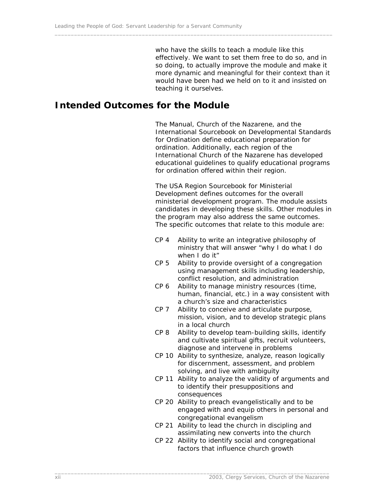who have the skills to teach a module like this effectively. We want to set them free to do so, and in so doing, to actually improve the module and make it more dynamic and meaningful for their context than it would have been had we held on to it and insisted on teaching it ourselves.

### **Intended Outcomes for the Module**

The *Manual,* Church of the Nazarene, and the *International Sourcebook on Developmental Standards for Ordination* define educational preparation for ordination. Additionally, each region of the International Church of the Nazarene has developed educational guidelines to qualify educational programs for ordination offered within their region.

The USA Region *Sourcebook for Ministerial Development* defines outcomes for the overall ministerial development program. The module assists candidates in developing these skills. Other modules in the program may also address the same outcomes. The specific outcomes that relate to this module are:

- CP 4 Ability to write an integrative philosophy of ministry that will answer "why I do what I do when I do it"
- CP 5 Ability to provide oversight of a congregation using management skills including leadership, conflict resolution, and administration
- CP 6 Ability to manage ministry resources (time, human, financial, etc.) in a way consistent with a church's size and characteristics
- CP 7 Ability to conceive and articulate purpose, mission, vision, and to develop strategic plans in a local church
- CP 8 Ability to develop team-building skills, identify and cultivate spiritual gifts, recruit volunteers, diagnose and intervene in problems
- CP 10 Ability to synthesize, analyze, reason logically for discernment, assessment, and problem solving, and live with ambiguity
- CP 11 Ability to analyze the validity of arguments and to identify their presuppositions and consequences
- CP 20 Ability to preach evangelistically and to be engaged with and equip others in personal and congregational evangelism
- CP 21 Ability to lead the church in discipling and assimilating new converts into the church
- CP 22 Ability to identify social and congregational factors that influence church growth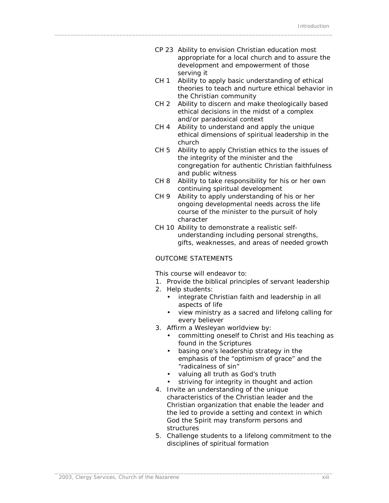- CP 23 Ability to envision Christian education most appropriate for a local church and to assure the development and empowerment of those serving it
- CH 1 Ability to apply basic understanding of ethical theories to teach and nurture ethical behavior in the Christian community
- CH 2 Ability to discern and make theologically based ethical decisions in the midst of a complex and/or paradoxical context
- CH 4 Ability to understand and apply the unique ethical dimensions of spiritual leadership in the church
- CH 5 Ability to apply Christian ethics to the issues of the integrity of the minister and the congregation for authentic Christian faithfulness and public witness
- CH 8 Ability to take responsibility for his or her own continuing spiritual development
- CH 9 Ability to apply understanding of his or her ongoing developmental needs across the life course of the minister to the pursuit of holy character
- CH 10 Ability to demonstrate a realistic selfunderstanding including personal strengths, gifts, weaknesses, and areas of needed growth

#### OUTCOME STATEMENTS

 $\_$  ,  $\_$  ,  $\_$  ,  $\_$  ,  $\_$  ,  $\_$  ,  $\_$  ,  $\_$  ,  $\_$  ,  $\_$  ,  $\_$  ,  $\_$  ,  $\_$  ,  $\_$  ,  $\_$  ,  $\_$  ,  $\_$  ,  $\_$  ,  $\_$  ,  $\_$  ,  $\_$  ,  $\_$  ,  $\_$  ,  $\_$  ,  $\_$  ,  $\_$  ,  $\_$  ,  $\_$  ,  $\_$  ,  $\_$  ,  $\_$  ,  $\_$  ,  $\_$  ,  $\_$  ,  $\_$  ,  $\_$  ,  $\_$  ,

 $\_$  ,  $\_$  ,  $\_$  ,  $\_$  ,  $\_$  ,  $\_$  ,  $\_$  ,  $\_$  ,  $\_$  ,  $\_$  ,  $\_$  ,  $\_$  ,  $\_$  ,  $\_$  ,  $\_$  ,  $\_$  ,  $\_$  ,  $\_$  ,  $\_$  ,  $\_$  ,  $\_$  ,  $\_$  ,  $\_$  ,  $\_$  ,  $\_$  ,  $\_$  ,  $\_$  ,  $\_$  ,  $\_$  ,  $\_$  ,  $\_$  ,  $\_$  ,  $\_$  ,  $\_$  ,  $\_$  ,  $\_$  ,  $\_$  ,

This course will endeavor to:

- 1. Provide the biblical principles of servant leadership
- 2. Help students:
	- integrate Christian faith and leadership in all aspects of life
	- view ministry as a sacred and lifelong calling for every believer
- 3. Affirm a Wesleyan worldview by:
	- committing oneself to Christ and His teaching as found in the Scriptures
	- basing one's leadership strategy in the emphasis of the "optimism of grace" and the "radicalness of sin"
	- valuing all truth as God's truth
	- striving for integrity in thought and action
- 4. Invite an understanding of the unique characteristics of the Christian leader and the Christian organization that enable the leader and the led to provide a setting and context in which God the Spirit may transform persons and structures
- 5. Challenge students to a lifelong commitment to the disciplines of spiritual formation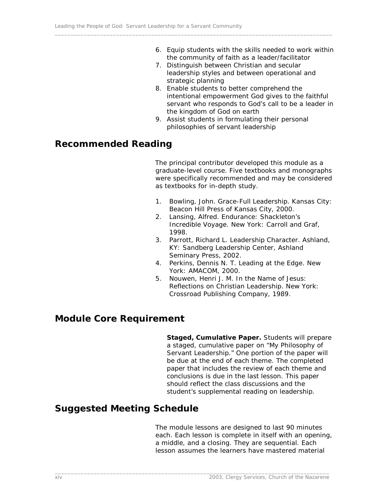- 6. Equip students with the skills needed to work within the community of faith as a leader/facilitator
- 7. Distinguish between Christian and secular leadership styles and between operational and strategic planning
- 8. Enable students to better comprehend the intentional empowerment God gives to the faithful servant who responds to God's call to be a leader in the kingdom of God on earth
- 9. Assist students in formulating their personal philosophies of servant leadership

### **Recommended Reading**

The principal contributor developed this module as a graduate-level course. Five textbooks and monographs were specifically recommended and may be considered as textbooks for in-depth study.

- 1. Bowling, John. *Grace-Full Leadership.* Kansas City: Beacon Hill Press of Kansas City, 2000.
- 2. Lansing, Alfred. *Endurance: Shackleton's Incredible Voyage.* New York: Carroll and Graf, 1998.
- 3. Parrott, Richard L. *Leadership Character.* Ashland, KY: Sandberg Leadership Center, Ashland Seminary Press, 2002.
- 4. Perkins, Dennis N. T. *Leading at the Edge.* New York: AMACOM, 2000.
- 5. Nouwen, Henri J. M. *In the Name of Jesus: Reflections on Christian Leadership.* New York: Crossroad Publishing Company, 1989.

### **Module Core Requirement**

**Staged, Cumulative Paper.** Students will prepare a staged, cumulative paper on "My Philosophy of Servant Leadership." One portion of the paper will be due at the end of each theme. The completed paper that includes the review of each theme and conclusions is due in the last lesson. This paper should reflect the class discussions and the student's supplemental reading on leadership.

### **Suggested Meeting Schedule**

The module lessons are designed to last 90 minutes each. Each lesson is complete in itself with an opening, a middle, and a closing. They are sequential. Each lesson assumes the learners have mastered material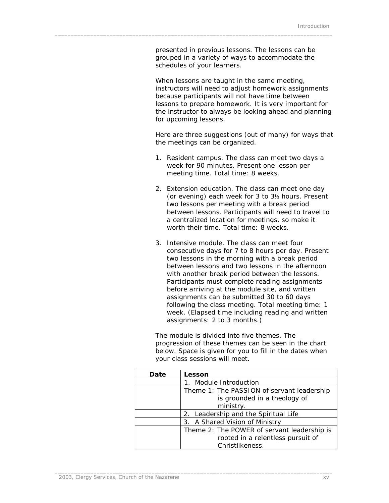presented in previous lessons. The lessons can be grouped in a variety of ways to accommodate the schedules of your learners.

 $\_$  ,  $\_$  ,  $\_$  ,  $\_$  ,  $\_$  ,  $\_$  ,  $\_$  ,  $\_$  ,  $\_$  ,  $\_$  ,  $\_$  ,  $\_$  ,  $\_$  ,  $\_$  ,  $\_$  ,  $\_$  ,  $\_$  ,  $\_$  ,  $\_$  ,  $\_$  ,  $\_$  ,  $\_$  ,  $\_$  ,  $\_$  ,  $\_$  ,  $\_$  ,  $\_$  ,  $\_$  ,  $\_$  ,  $\_$  ,  $\_$  ,  $\_$  ,  $\_$  ,  $\_$  ,  $\_$  ,  $\_$  ,  $\_$  ,

When lessons are taught in the same meeting, instructors will need to adjust homework assignments because participants will not have time between lessons to prepare homework. It is very important for the instructor to always be looking ahead and planning for upcoming lessons.

Here are three suggestions (out of many) for ways that the meetings can be organized.

- 1. Resident campus. The class can meet two days a week for 90 minutes. Present one lesson per meeting time. Total time: 8 weeks.
- 2. Extension education. The class can meet one day (or evening) each week for 3 to 3½ hours. Present two lessons per meeting with a break period between lessons. Participants will need to travel to a centralized location for meetings, so make it worth their time. Total time: 8 weeks.
- 3. Intensive module. The class can meet four consecutive days for 7 to 8 hours per day. Present two lessons in the morning with a break period between lessons and two lessons in the afternoon with another break period between the lessons. Participants must complete reading assignments before arriving at the module site, and written assignments can be submitted 30 to 60 days following the class meeting. Total meeting time: 1 week. (Elapsed time including reading and written assignments: 2 to 3 months.)

The module is divided into five themes. The progression of these themes can be seen in the chart below. Space is given for you to fill in the dates when your class sessions will meet.

| Date | Lesson                                      |
|------|---------------------------------------------|
|      | 1. Module Introduction                      |
|      | Theme 1: The PASSION of servant leadership  |
|      | is grounded in a theology of                |
|      | ministry.                                   |
|      | 2. Leadership and the Spiritual Life        |
|      | 3. A Shared Vision of Ministry              |
|      | Theme 2: The POWER of servant leadership is |
|      | rooted in a relentless pursuit of           |
|      | Christlikeness.                             |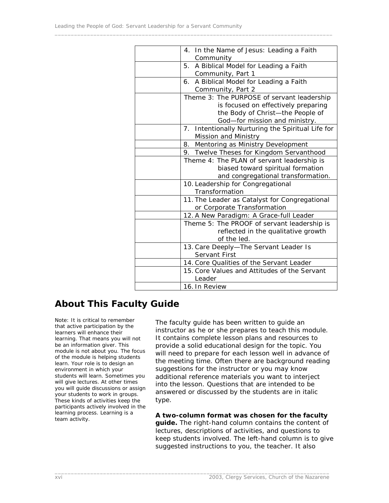| 4. In the Name of Jesus: Leading a Faith             |
|------------------------------------------------------|
| Community                                            |
| A Biblical Model for Leading a Faith<br>5.           |
| Community, Part 1                                    |
| A Biblical Model for Leading a Faith<br>6.           |
| Community, Part 2                                    |
| Theme 3: The PURPOSE of servant leadership           |
| is focused on effectively preparing                  |
| the Body of Christ-the People of                     |
| God-for mission and ministry.                        |
| Intentionally Nurturing the Spiritual Life for<br>7. |
| Mission and Ministry                                 |
| Mentoring as Ministry Development<br>8.              |
| 9. Twelve Theses for Kingdom Servanthood             |
| Theme 4: The PLAN of servant leadership is           |
| biased toward spiritual formation                    |
| and congregational transformation.                   |
| 10. Leadership for Congregational                    |
| Transformation                                       |
| 11. The Leader as Catalyst for Congregational        |
| or Corporate Transformation                          |
| 12. A New Paradigm: A Grace-full Leader              |
| Theme 5: The PROOF of servant leadership is          |
| reflected in the qualitative growth                  |
| of the led.                                          |
| 13. Care Deeply-The Servant Leader Is                |
| Servant First                                        |
| 14. Core Qualities of the Servant Leader             |
| 15. Core Values and Attitudes of the Servant         |
| Leader                                               |
| 16. In Review                                        |

### **About This Faculty Guide**

*Note: It is critical to remember that active participation by the learners will enhance their learning. That means you will not be an information giver. This module is not about you. The focus of the module is helping students learn. Your role is to design an environment in which your students will learn. Sometimes you will give lectures. At other times you will guide discussions or assign your students to work in groups. These kinds of activities keep the participants actively involved in the learning process. Learning is a team activity.*

The faculty guide has been written to guide an instructor as he or she prepares to teach this module. It contains complete lesson plans and resources to provide a solid educational design for the topic. You will need to prepare for each lesson well in advance of the meeting time. Often there are background reading suggestions for the instructor or you may know additional reference materials you want to interject into the lesson. Questions that are intended to be answered or discussed by the students are in italic type.

**A two-column format was chosen for the faculty guide.** The right-hand column contains the content of lectures, descriptions of activities, and questions to keep students involved. The left-hand column is to give suggested instructions to you, the teacher. It also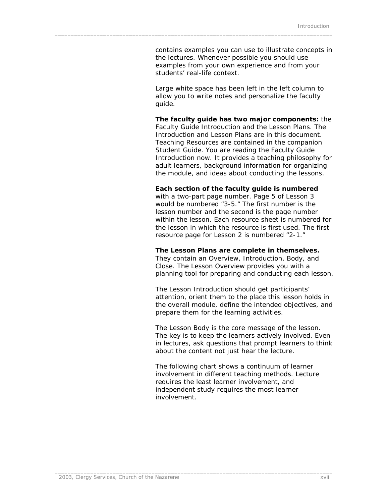contains examples you can use to illustrate concepts in the lectures. Whenever possible you should use examples from your own experience and from your students' real-life context.

 $\_$  ,  $\_$  ,  $\_$  ,  $\_$  ,  $\_$  ,  $\_$  ,  $\_$  ,  $\_$  ,  $\_$  ,  $\_$  ,  $\_$  ,  $\_$  ,  $\_$  ,  $\_$  ,  $\_$  ,  $\_$  ,  $\_$  ,  $\_$  ,  $\_$  ,  $\_$  ,  $\_$  ,  $\_$  ,  $\_$  ,  $\_$  ,  $\_$  ,  $\_$  ,  $\_$  ,  $\_$  ,  $\_$  ,  $\_$  ,  $\_$  ,  $\_$  ,  $\_$  ,  $\_$  ,  $\_$  ,  $\_$  ,  $\_$  ,

Large white space has been left in the left column to allow you to write notes and personalize the faculty guide.

**The faculty guide has two major components:** the Faculty Guide Introduction and the Lesson Plans. The Introduction and Lesson Plans are in this document. Teaching Resources are contained in the companion Student Guide. You are reading the Faculty Guide Introduction now. It provides a teaching philosophy for adult learners, background information for organizing the module, and ideas about conducting the lessons.

**Each section of the faculty guide is numbered** with a two-part page number. Page 5 of Lesson 3 would be numbered "3-5." The first number is the lesson number and the second is the page number within the lesson. Each resource sheet is numbered for the lesson in which the resource is first used. The first resource page for Lesson 2 is numbered "2-1."

#### **The Lesson Plans are complete in themselves.**

They contain an Overview, Introduction, Body, and Close. The Lesson Overview provides you with a planning tool for preparing and conducting each lesson.

*The Lesson Introduction* should get participants' attention, orient them to the place this lesson holds in the overall module, define the intended objectives, and prepare them for the learning activities.

*The Lesson Body* is the core message of the lesson. The key is to keep the learners actively involved. Even in lectures, ask questions that prompt learners to think about the content not just hear the lecture.

The following chart shows a continuum of learner involvement in different teaching methods. Lecture requires the least learner involvement, and independent study requires the most learner involvement.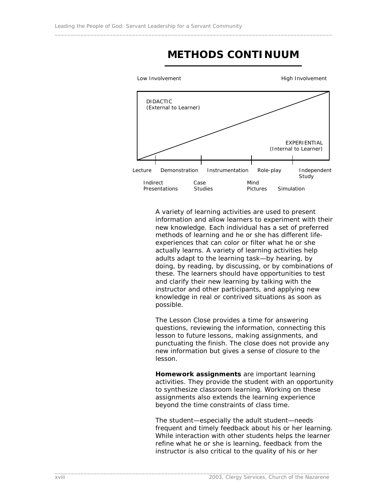### **METHODS CONTINUUM**

 $\_$  ,  $\_$  ,  $\_$  ,  $\_$  ,  $\_$  ,  $\_$  ,  $\_$  ,  $\_$  ,  $\_$  ,  $\_$  ,  $\_$  ,  $\_$  ,  $\_$  ,  $\_$  ,  $\_$  ,  $\_$  ,  $\_$  ,  $\_$  ,  $\_$  ,  $\_$  ,  $\_$  ,  $\_$  ,  $\_$  ,  $\_$  ,  $\_$  ,  $\_$  ,  $\_$  ,  $\_$  ,  $\_$  ,  $\_$  ,  $\_$  ,  $\_$  ,  $\_$  ,  $\_$  ,  $\_$  ,  $\_$  ,  $\_$  ,



A variety of learning activities are used to present information and allow learners to experiment with their new knowledge. Each individual has a set of preferred methods of learning and he or she has different lifeexperiences that can color or filter what he or she actually learns. A variety of learning activities help adults adapt to the learning task—by hearing, by doing, by reading, by discussing, or by combinations of these. The learners should have opportunities to test and clarify their new learning by talking with the instructor and other participants, and applying new knowledge in real or contrived situations as soon as possible.

*The Lesson Close* provides a time for answering questions, reviewing the information, connecting this lesson to future lessons, making assignments, and punctuating the finish. The close does not provide any new information but gives a sense of closure to the lesson.

**Homework assignments** are important learning activities. They provide the student with an opportunity to synthesize classroom learning. Working on these assignments also extends the learning experience beyond the time constraints of class time.

The student—especially the adult student—needs frequent and timely feedback about his or her learning. While interaction with other students helps the learner refine what he or she is learning, feedback from the instructor is also critical to the quality of his or her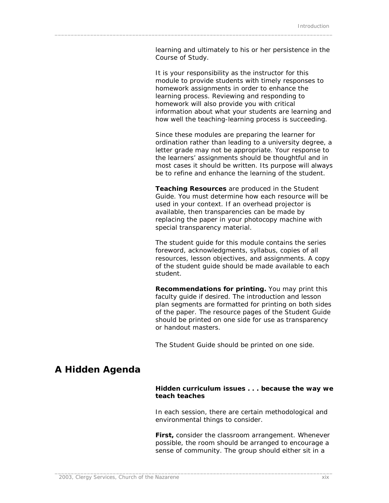learning and ultimately to his or her persistence in the Course of Study.

 $\_$  ,  $\_$  ,  $\_$  ,  $\_$  ,  $\_$  ,  $\_$  ,  $\_$  ,  $\_$  ,  $\_$  ,  $\_$  ,  $\_$  ,  $\_$  ,  $\_$  ,  $\_$  ,  $\_$  ,  $\_$  ,  $\_$  ,  $\_$  ,  $\_$  ,  $\_$  ,  $\_$  ,  $\_$  ,  $\_$  ,  $\_$  ,  $\_$  ,  $\_$  ,  $\_$  ,  $\_$  ,  $\_$  ,  $\_$  ,  $\_$  ,  $\_$  ,  $\_$  ,  $\_$  ,  $\_$  ,  $\_$  ,  $\_$  ,

It is your responsibility as the instructor for this module to provide students with timely responses to homework assignments in order to enhance the learning process. Reviewing and responding to homework will also provide you with critical information about what your students are learning and how well the teaching-learning process is succeeding.

Since these modules are preparing the learner for ordination rather than leading to a university degree, a letter grade may not be appropriate. Your response to the learners' assignments should be thoughtful and in most cases it should be written. Its purpose will always be to refine and enhance the learning of the student.

**Teaching Resources** are produced in the Student Guide. You must determine how each resource will be used in your context. If an overhead projector is available, then transparencies can be made by replacing the paper in your photocopy machine with special transparency material.

The student guide for this module contains the series foreword, acknowledgments, syllabus, copies of all resources, lesson objectives, and assignments. A copy of the student guide should be made available to each student.

**Recommendations for printing.** You may print this faculty guide if desired. The introduction and lesson plan segments are formatted for printing on both sides of the paper. The resource pages of the Student Guide should be printed on one side for use as transparency or handout masters.

The Student Guide should be printed on one side.

#### **A Hidden Agenda**

#### **Hidden curriculum issues . . . because the way we teach teaches**

In each session, there are certain methodological and environmental things to consider.

**First,** consider the classroom arrangement. Whenever possible, the room should be arranged to encourage a sense of community. The group should either sit in a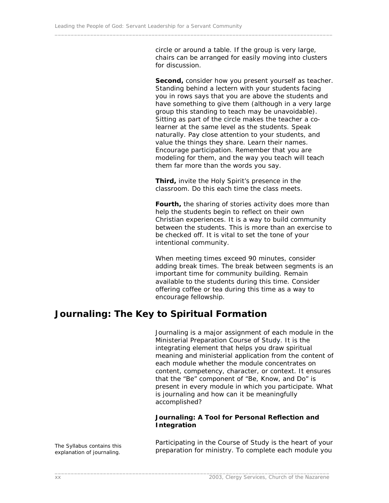circle or around a table. If the group is very large, chairs can be arranged for easily moving into clusters for discussion.

Second, consider how you present yourself as teacher. Standing behind a lectern with your students facing you in rows says that you are above the students and have something to give them (although in a very large group this standing to teach may be unavoidable). Sitting as part of the circle makes the teacher a colearner at the same level as the students. Speak naturally. Pay close attention to your students, and value the things they share. Learn their names. Encourage participation. Remember that you are modeling for them, and the way you teach will teach them far more than the words you say.

**Third,** invite the Holy Spirit's presence in the classroom. Do this each time the class meets.

**Fourth,** the sharing of stories activity does more than help the students begin to reflect on their own Christian experiences. It is a way to build community between the students. This is more than an exercise to be checked off. It is vital to set the tone of your intentional community.

When meeting times exceed 90 minutes, consider adding break times. The break between segments is an important time for community building. Remain available to the students during this time. Consider offering coffee or tea during this time as a way to encourage fellowship.

### **Journaling: The Key to Spiritual Formation**

Journaling is a major assignment of each module in the Ministerial Preparation Course of Study. It is the integrating element that helps you draw spiritual meaning and ministerial application from the content of each module whether the module concentrates on content, competency, character, or context. It ensures that the "Be" component of "Be, Know, and Do" is present in every module in which you participate. What is journaling and how can it be meaningfully accomplished?

#### **Journaling: A Tool for Personal Reflection and Integration**

 $\_$  ,  $\_$  ,  $\_$  ,  $\_$  ,  $\_$  ,  $\_$  ,  $\_$  ,  $\_$  ,  $\_$  ,  $\_$  ,  $\_$  ,  $\_$  ,  $\_$  ,  $\_$  ,  $\_$  ,  $\_$  ,  $\_$  ,  $\_$  ,  $\_$  ,  $\_$ 

Participating in the Course of Study is the heart of your preparation for ministry. To complete each module you

*The Syllabus contains this explanation of journaling.*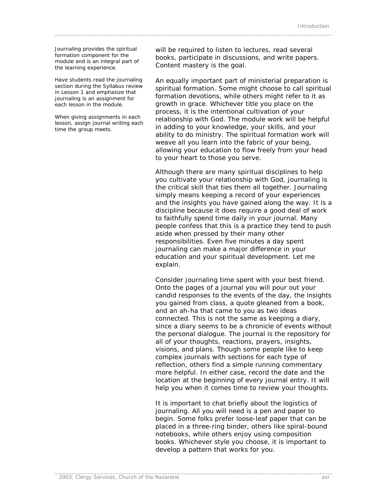*Journaling provides the spiritual formation component for the module and is an integral part of the learning experience.*

*Have students read the journaling section during the Syllabus review in Lesson 1 and emphasize that journaling is an assignment for each lesson in the module.*

*When giving assignments in each lesson, assign journal writing each time the group meets.*

will be required to listen to lectures, read several books, participate in discussions, and write papers. Content mastery is the goal.

 $\_$  ,  $\_$  ,  $\_$  ,  $\_$  ,  $\_$  ,  $\_$  ,  $\_$  ,  $\_$  ,  $\_$  ,  $\_$  ,  $\_$  ,  $\_$  ,  $\_$  ,  $\_$  ,  $\_$  ,  $\_$  ,  $\_$  ,  $\_$  ,  $\_$  ,  $\_$  ,  $\_$  ,  $\_$  ,  $\_$  ,  $\_$  ,  $\_$  ,  $\_$  ,  $\_$  ,  $\_$  ,  $\_$  ,  $\_$  ,  $\_$  ,  $\_$  ,  $\_$  ,  $\_$  ,  $\_$  ,  $\_$  ,  $\_$  ,

An equally important part of ministerial preparation is spiritual formation. Some might choose to call spiritual formation devotions, while others might refer to it as growth in grace. Whichever title you place on the process, it is the intentional cultivation of your relationship with God. The module work will be helpful in adding to your knowledge, your skills, and your ability to do ministry. The spiritual formation work will weave all you learn into the fabric of your being, allowing your education to flow freely from your head to your heart to those you serve.

Although there are many spiritual disciplines to help you cultivate your relationship with God, journaling is the critical skill that ties them all together. Journaling simply means keeping a record of your experiences and the insights you have gained along the way. It is a discipline because it does require a good deal of work to faithfully spend time daily in your journal. Many people confess that this is a practice they tend to push aside when pressed by their many other responsibilities. Even five minutes a day spent journaling can make a major difference in your education and your spiritual development. Let me explain.

Consider journaling time spent with your best friend. Onto the pages of a journal you will pour out your candid responses to the events of the day, the insights you gained from class, a quote gleaned from a book, and an ah-ha that came to you as two ideas connected. This is not the same as keeping a diary, since a diary seems to be a chronicle of events without the personal dialogue. The journal is the repository for all of your thoughts, reactions, prayers, insights, visions, and plans. Though some people like to keep complex journals with sections for each type of reflection, others find a simple running commentary more helpful. In either case, record the date and the location at the beginning of every journal entry. It will help you when it comes time to review your thoughts.

It is important to chat briefly about the logistics of journaling. All you will need is a pen and paper to begin. Some folks prefer loose-leaf paper that can be placed in a three-ring binder, others like spiral-bound notebooks, while others enjoy using composition books. Whichever style you choose, it is important to develop a pattern that works for you.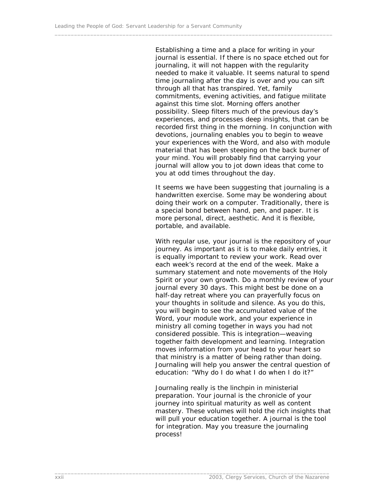Establishing a time and a place for writing in your journal is essential. If there is no space etched out for journaling, it will not happen with the regularity needed to make it valuable. It seems natural to spend time journaling after the day is over and you can sift through all that has transpired. Yet, family commitments, evening activities, and fatigue militate against this time slot. Morning offers another possibility. Sleep filters much of the previous day's experiences, and processes deep insights, that can be recorded first thing in the morning. In conjunction with devotions, journaling enables you to begin to weave your experiences with the Word, and also with module material that has been steeping on the back burner of your mind. You will probably find that carrying your journal will allow you to jot down ideas that come to you at odd times throughout the day.

It seems we have been suggesting that journaling is a handwritten exercise. Some may be wondering about doing their work on a computer. Traditionally, there is a special bond between hand, pen, and paper. It is more personal, direct, aesthetic. And it is flexible, portable, and available.

With regular use, your journal is the repository of your journey. As important as it is to make daily entries, it is equally important to review your work. Read over each week's record at the end of the week. Make a summary statement and note movements of the Holy Spirit or your own growth. Do a monthly review of your journal every 30 days. This might best be done on a half-day retreat where you can prayerfully focus on your thoughts in solitude and silence. As you do this, you will begin to see the accumulated value of the Word, your module work, and your experience in ministry all coming together in ways you had not considered possible. This is integration—weaving together faith development and learning. Integration moves information from your head to your heart so that ministry is a matter of being rather than doing. Journaling will help you answer the central question of education: "Why do I do what I do when I do it?"

Journaling really is the linchpin in ministerial preparation. Your journal is the chronicle of your journey into spiritual maturity as well as content mastery. These volumes will hold the rich insights that will pull your education together. A journal is the tool for integration. May you treasure the journaling process!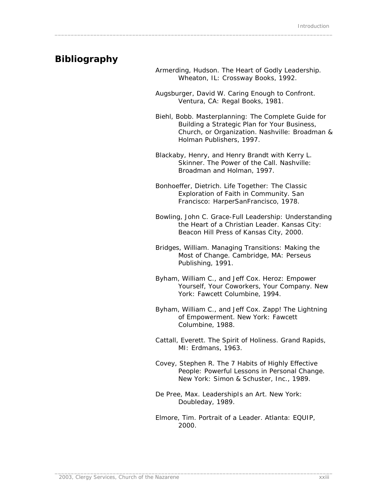### **Bibliography**

Armerding, Hudson. *The Heart of Godly Leadership*. Wheaton, IL: Crossway Books, 1992.

 $\_$  ,  $\_$  ,  $\_$  ,  $\_$  ,  $\_$  ,  $\_$  ,  $\_$  ,  $\_$  ,  $\_$  ,  $\_$  ,  $\_$  ,  $\_$  ,  $\_$  ,  $\_$  ,  $\_$  ,  $\_$  ,  $\_$  ,  $\_$  ,  $\_$  ,  $\_$  ,  $\_$  ,  $\_$  ,  $\_$  ,  $\_$  ,  $\_$  ,  $\_$  ,  $\_$  ,  $\_$  ,  $\_$  ,  $\_$  ,  $\_$  ,  $\_$  ,  $\_$  ,  $\_$  ,  $\_$  ,  $\_$  ,  $\_$  ,

- Augsburger, David W. *Caring Enough to Confront*. Ventura, CA: Regal Books, 1981.
- Biehl, Bobb. *Masterplanning: The Complete Guide for Building a Strategic Plan for Your Business, Church, or Organization.* Nashville: Broadman & Holman Publishers, 1997.
- Blackaby, Henry, and Henry Brandt with Kerry L. Skinner. *The Power of the Call.* Nashville: Broadman and Holman, 1997.
- Bonhoeffer, Dietrich. *Life Together: The Classic Exploration of Faith in Community*. San Francisco: HarperSanFrancisco, 1978.
- Bowling, John C. *Grace-Full Leadership: Understanding the Heart of a Christian Leader.* Kansas City: Beacon Hill Press of Kansas City, 2000.
- Bridges, William. *Managing Transitions: Making the Most of Change*. Cambridge, MA: Perseus Publishing, 1991.
- Byham, William C., and Jeff Cox. *Heroz: Empower Yourself, Your Coworkers, Your Company.* New York: Fawcett Columbine, 1994.
- Byham, William C., and Jeff Cox. *Zapp! The Lightning of Empowerment.* New York: Fawcett Columbine, 1988.
- Cattall, Everett. *The Spirit of Holiness.* Grand Rapids, MI: Erdmans, 1963.
- Covey, Stephen R. *The 7 Habits of Highly Effective People: Powerful Lessons in Personal Change.* New York: Simon & Schuster, Inc., 1989.
- De Pree, Max. *LeadershipIs an Art.* New York: Doubleday, 1989.

 $\_$  ,  $\_$  ,  $\_$  ,  $\_$  ,  $\_$  ,  $\_$  ,  $\_$  ,  $\_$  ,  $\_$  ,  $\_$  ,  $\_$  ,  $\_$  ,  $\_$  ,  $\_$  ,  $\_$  ,  $\_$  ,  $\_$  ,  $\_$  ,  $\_$  ,  $\_$  ,  $\_$  ,  $\_$  ,  $\_$  ,  $\_$  ,  $\_$  ,  $\_$  ,  $\_$  ,  $\_$  ,  $\_$  ,  $\_$  ,  $\_$  ,  $\_$  ,  $\_$  ,  $\_$  ,  $\_$  ,  $\_$  ,  $\_$  ,

Elmore, Tim. *Portrait of a Leader.* Atlanta: EQUIP, 2000.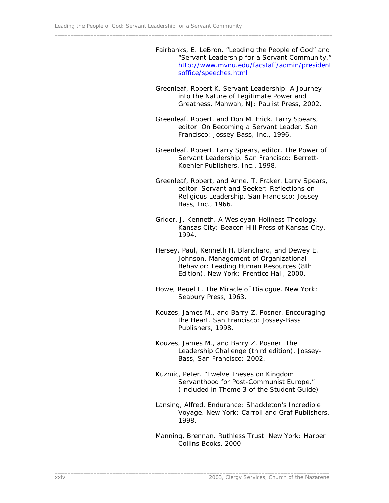Fairbanks, E. LeBron. *"Leading the People of God" and "Servant Leadership for a Servant Community."* http://www.mvnu.edu/facstaff/admin/president soffice/speeches.html

Greenleaf, Robert K. *Servant Leadership: A Journey into the Nature of Legitimate Power and Greatness.* Mahwah, NJ: Paulist Press, 2002.

Greenleaf, Robert, and Don M. Frick. Larry Spears, editor. *On Becoming a Servant Leader*. San Francisco: Jossey-Bass, Inc., 1996.

Greenleaf, Robert. Larry Spears, editor. *The Power of Servant Leadership*. San Francisco: Berrett-Koehler Publishers, Inc., 1998.

Greenleaf, Robert, and Anne. T. Fraker. Larry Spears, editor. *Servant and Seeker: Reflections on Religious Leadership*. San Francisco: Jossey-Bass, Inc., 1966.

Grider, J. Kenneth. *A Wesleyan-Holiness Theology*. Kansas City: Beacon Hill Press of Kansas City, 1994.

Hersey, Paul, Kenneth H. Blanchard, and Dewey E. Johnson. *Management of Organizational Behavior: Leading Human Resources* (8th Edition)*.* New York: Prentice Hall, 2000.

- Howe, Reuel L. *The Miracle of Dialogue.* New York: Seabury Press, 1963.
- Kouzes, James M., and Barry Z. Posner. *Encouraging the Heart*. San Francisco: Jossey-Bass Publishers, 1998.

Kouzes, James M., and Barry Z. Posner. *The Leadership Challenge* (third edition). Jossey-Bass, San Francisco: 2002.

Kuzmic, Peter. *"Twelve Theses on Kingdom Servanthood for Post-Communist Europe." (Included in Theme 3 of the Student Guide)*

Lansing, Alfred. *Endurance: Shackleton's Incredible Voyage.* New York: Carroll and Graf Publishers, 1998.

Manning, Brennan. *Ruthless Trust.* New York: Harper Collins Books, 2000.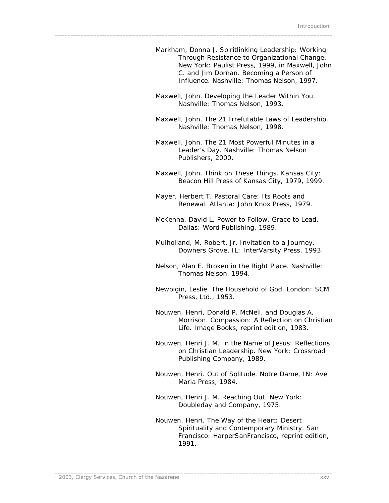Markham, Donna J. *Spiritlinking Leadership: Working Through Resistance to Organizational Change.* New York: Paulist Press, 1999, in Maxwell, John C. and Jim Dornan. *Becoming a Person of Influence*. Nashville: Thomas Nelson, 1997.

Maxwell, John. *Developing the Leader Within You.* Nashville: Thomas Nelson, 1993.

 $\_$  ,  $\_$  ,  $\_$  ,  $\_$  ,  $\_$  ,  $\_$  ,  $\_$  ,  $\_$  ,  $\_$  ,  $\_$  ,  $\_$  ,  $\_$  ,  $\_$  ,  $\_$  ,  $\_$  ,  $\_$  ,  $\_$  ,  $\_$  ,  $\_$  ,  $\_$  ,  $\_$  ,  $\_$  ,  $\_$  ,  $\_$  ,  $\_$  ,  $\_$  ,  $\_$  ,  $\_$  ,  $\_$  ,  $\_$  ,  $\_$  ,  $\_$  ,  $\_$  ,  $\_$  ,  $\_$  ,  $\_$  ,  $\_$  ,

Maxwell, John. *The 21 Irrefutable Laws of Leadership.* Nashville: Thomas Nelson, 1998.

Maxwell, John. *The 21 Most Powerful Minutes in a Leader's Day.* Nashville: Thomas Nelson Publishers, 2000.

Maxwell, John. *Think on These Things.* Kansas City: Beacon Hill Press of Kansas City, 1979, 1999.

Mayer, Herbert T. *Pastoral Care: Its Roots and Renewal.* Atlanta: John Knox Press, 1979.

McKenna, David L. *Power to Follow, Grace to Lead.* Dallas: Word Publishing, 1989.

Mulholland, M. Robert, Jr. *Invitation to a Journey.* Downers Grove, IL: InterVarsity Press, 1993.

Nelson, Alan E. *Broken in the Right Place.* Nashville: Thomas Nelson, 1994.

Newbigin, Leslie. *The Household of God.* London: SCM Press, Ltd., 1953.

Nouwen, Henri, Donald P. McNeil, and Douglas A. Morrison. *Compassion: A Reflection on Christian Life.* Image Books, reprint edition, 1983.

Nouwen, Henri J. M. *In the Name of Jesus: Reflections on Christian Leadership.* New York: Crossroad Publishing Company, 1989.

Nouwen, Henri. *Out of Solitude*. Notre Dame, IN: Ave Maria Press, 1984.

Nouwen, Henri J. M. *Reaching Out.* New York: Doubleday and Company, 1975.

 $\_$  ,  $\_$  ,  $\_$  ,  $\_$  ,  $\_$  ,  $\_$  ,  $\_$  ,  $\_$  ,  $\_$  ,  $\_$  ,  $\_$  ,  $\_$  ,  $\_$  ,  $\_$  ,  $\_$  ,  $\_$  ,  $\_$  ,  $\_$  ,  $\_$  ,  $\_$  ,  $\_$  ,  $\_$  ,  $\_$  ,  $\_$  ,  $\_$  ,  $\_$  ,  $\_$  ,  $\_$  ,  $\_$  ,  $\_$  ,  $\_$  ,  $\_$  ,  $\_$  ,  $\_$  ,  $\_$  ,  $\_$  ,  $\_$  ,

Nouwen, Henri. *The Way of the Heart: Desert Spirituality and Contemporary Ministry*. San Francisco: HarperSanFrancisco, reprint edition, 1991.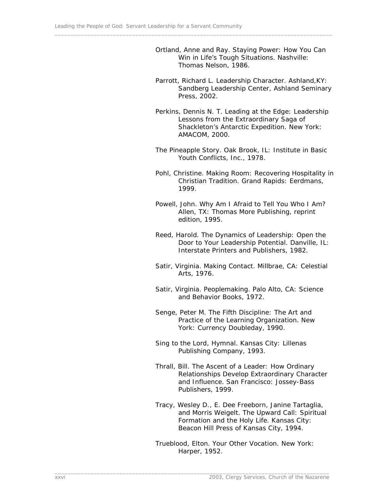Ortland, Anne and Ray. *Staying Power: How You Can Win in Life's Tough Situations.* Nashville: Thomas Nelson, 1986*.*

Parrott, Richard L. *Leadership Character.* Ashland,KY: Sandberg Leadership Center, Ashland Seminary Press, 2002.

Perkins, Dennis N. T. *Leading at the Edge: Leadership Lessons from the Extraordinary Saga of Shackleton's Antarctic Expedition.* New York: AMACOM, 2000.

- *The Pineapple Story.* Oak Brook, IL: Institute in Basic Youth Conflicts, Inc., 1978.
- Pohl, Christine. *Making Room: Recovering Hospitality in Christian Tradition.* Grand Rapids: Eerdmans, 1999.
- Powell, John. *Why Am I Afraid to Tell You Who I Am?* Allen, TX: Thomas More Publishing, reprint edition, 1995.
- Reed, Harold. *The Dynamics of Leadership: Open the Door to Your Leadership Potential.* Danville, IL: Interstate Printers and Publishers, 1982.
- Satir, Virginia. *Making Contact.* Millbrae, CA: Celestial Arts, 1976.
- Satir, Virginia. *Peoplemaking.* Palo Alto, CA: Science and Behavior Books, 1972.
- Senge, Peter M. *The Fifth Discipline: The Art and Practice of the Learning Organization.* New York: Currency Doubleday, 1990.
- *Sing to the Lord, Hymnal.* Kansas City: Lillenas Publishing Company, 1993.
- Thrall, Bill. *The Ascent of a Leader: How Ordinary Relationships Develop Extraordinary Character and Influence.* San Francisco: Jossey-Bass Publishers, 1999.
- Tracy, Wesley D., E. Dee Freeborn, Janine Tartaglia, and Morris Weigelt*. The Upward Call: Spiritual Formation and the Holy Life*. Kansas City: Beacon Hill Press of Kansas City, 1994.
- Trueblood, Elton. *Your Other Vocation.* New York: Harper, 1952.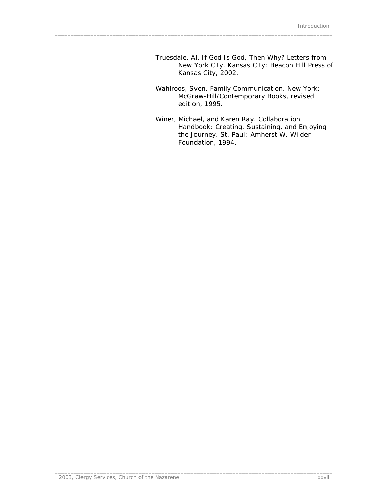- Truesdale, Al. *If God Is God, Then Why? Letters from New York City.* Kansas City: Beacon Hill Press of Kansas City, 2002.
- Wahlroos, Sven. *Family Communication*. New York: McGraw-Hill/Contemporary Books, revised edition, 1995.

Winer, Michael, and Karen Ray. *Collaboration Handbook*: *Creating, Sustaining, and Enjoying the Journey.* St. Paul: Amherst W. Wilder Foundation, 1994.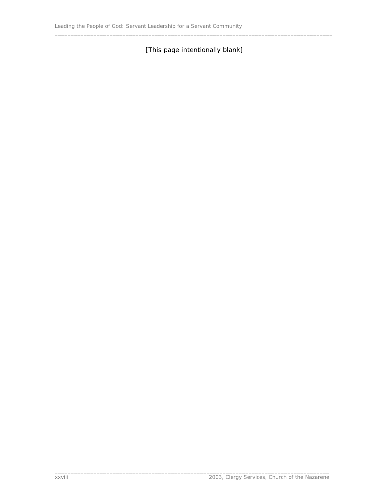[This page intentionally blank]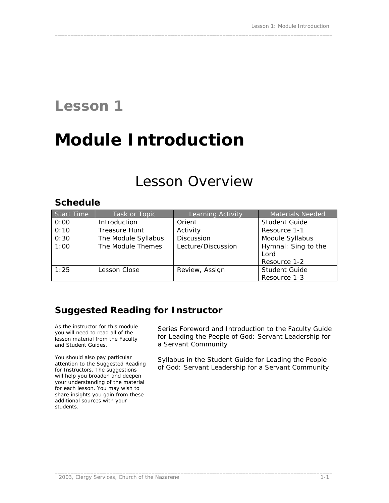## *Lesson 1*

# **Module Introduction**

## *Lesson Overview*

 $\_$  ,  $\_$  ,  $\_$  ,  $\_$  ,  $\_$  ,  $\_$  ,  $\_$  ,  $\_$  ,  $\_$  ,  $\_$  ,  $\_$  ,  $\_$  ,  $\_$  ,  $\_$  ,  $\_$  ,  $\_$  ,  $\_$  ,  $\_$  ,  $\_$  ,  $\_$  ,  $\_$  ,  $\_$  ,  $\_$  ,  $\_$  ,  $\_$  ,  $\_$  ,  $\_$  ,  $\_$  ,  $\_$  ,  $\_$  ,  $\_$  ,  $\_$  ,  $\_$  ,  $\_$  ,  $\_$  ,  $\_$  ,  $\_$  ,

### **Schedule**

| <b>Start Time</b> | Task or Topic        | Learning Activity  | <b>Materials Needed</b>                     |
|-------------------|----------------------|--------------------|---------------------------------------------|
| 0:00              | Introduction         | Orient             | Student Guide                               |
| 0:10              | <b>Treasure Hunt</b> | Activity           | Resource 1-1                                |
| 0:30              | The Module Syllabus  | Discussion         | Module Syllabus                             |
| 1:00              | The Module Themes    | Lecture/Discussion | Hymnal: Sing to the<br>Lord<br>Resource 1-2 |
| 1:25              | Lesson Close         | Review, Assign     | Student Guide<br>Resource 1-3               |

### **Suggested Reading for Instructor**

*As the instructor for this module you will need to read all of the lesson material from the Faculty and Student Guides.*

*You should also pay particular attention to the* Suggested Reading for Instructors. *The suggestions will help you broaden and deepen your understanding of the material for each lesson. You may wish to share insights you gain from these additional sources with your students.*

Series Foreword and Introduction to the Faculty Guide for *Leading the People of God: Servant Leadership for a Servant Community*

Syllabus in the Student Guide for *Leading the People of God: Servant Leadership for a Servant Community*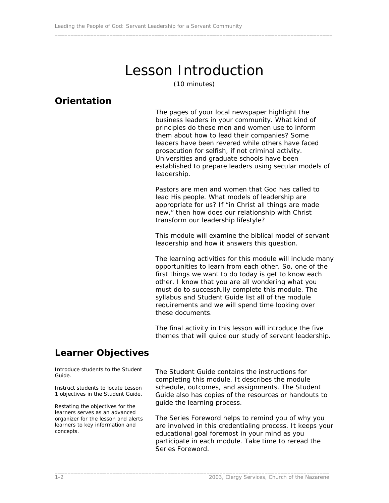# *Lesson Introduction*

 $\_$  ,  $\_$  ,  $\_$  ,  $\_$  ,  $\_$  ,  $\_$  ,  $\_$  ,  $\_$  ,  $\_$  ,  $\_$  ,  $\_$  ,  $\_$  ,  $\_$  ,  $\_$  ,  $\_$  ,  $\_$  ,  $\_$  ,  $\_$  ,  $\_$  ,  $\_$  ,  $\_$  ,  $\_$  ,  $\_$  ,  $\_$  ,  $\_$  ,  $\_$  ,  $\_$  ,  $\_$  ,  $\_$  ,  $\_$  ,  $\_$  ,  $\_$  ,  $\_$  ,  $\_$  ,  $\_$  ,  $\_$  ,  $\_$  ,

(10 minutes)

### **Orientation**

The pages of your local newspaper highlight the business leaders in your community. What kind of principles do these men and women use to inform them about how to lead their companies? Some leaders have been revered while others have faced prosecution for selfish, if not criminal activity. Universities and graduate schools have been established to prepare leaders using secular models of leadership.

Pastors are men and women that God has called to lead His people. What models of leadership are appropriate for us? If "in Christ all things are made new," then how does our relationship with Christ transform our leadership lifestyle?

This module will examine the biblical model of servant leadership and how it answers this question.

The learning activities for this module will include many opportunities to learn from each other. So, one of the first things we want to do today is get to know each other. I know that you are all wondering what you must do to successfully complete this module. The syllabus and Student Guide list all of the module requirements and we will spend time looking over these documents.

The final activity in this lesson will introduce the five themes that will guide our study of servant leadership.

### **Learner Objectives**

*Introduce students to the Student Guide.*

*Instruct students to locate Lesson 1 objectives in the Student Guide.*

*Restating the objectives for the learners serves as an advanced organizer for the lesson and alerts learners to key information and concepts.*

The Student Guide contains the instructions for completing this module. It describes the module schedule, outcomes, and assignments. The Student Guide also has copies of the resources or handouts to guide the learning process.

The Series Foreword helps to remind you of why you are involved in this credentialing process. It keeps your educational goal foremost in your mind as you participate in each module. Take time to reread the Series Foreword.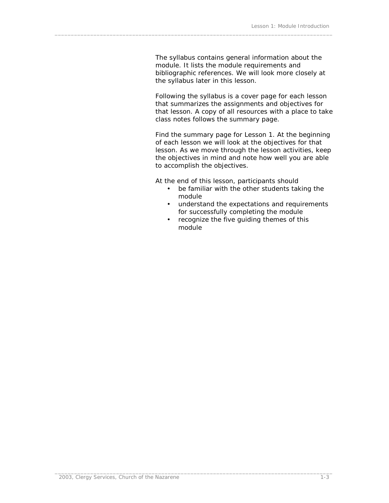The syllabus contains general information about the module. It lists the module requirements and bibliographic references. We will look more closely at the syllabus later in this lesson.

 $\_$  ,  $\_$  ,  $\_$  ,  $\_$  ,  $\_$  ,  $\_$  ,  $\_$  ,  $\_$  ,  $\_$  ,  $\_$  ,  $\_$  ,  $\_$  ,  $\_$  ,  $\_$  ,  $\_$  ,  $\_$  ,  $\_$  ,  $\_$  ,  $\_$  ,  $\_$  ,  $\_$  ,  $\_$  ,  $\_$  ,  $\_$  ,  $\_$  ,  $\_$  ,  $\_$  ,  $\_$  ,  $\_$  ,  $\_$  ,  $\_$  ,  $\_$  ,  $\_$  ,  $\_$  ,  $\_$  ,  $\_$  ,  $\_$  ,

Following the syllabus is a cover page for each lesson that summarizes the assignments and objectives for that lesson. A copy of all resources with a place to take class notes follows the summary page.

Find the summary page for Lesson 1. At the beginning of each lesson we will look at the objectives for that lesson. As we move through the lesson activities, keep the objectives in mind and note how well you are able to accomplish the objectives.

At the end of this lesson, participants should

- be familiar with the other students taking the module
- understand the expectations and requirements for successfully completing the module
- recognize the five guiding themes of this module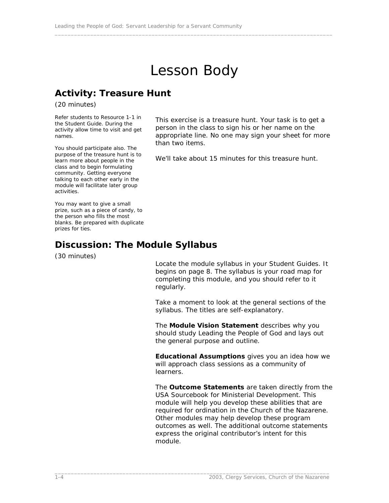## *Lesson Body*

 $\_$  ,  $\_$  ,  $\_$  ,  $\_$  ,  $\_$  ,  $\_$  ,  $\_$  ,  $\_$  ,  $\_$  ,  $\_$  ,  $\_$  ,  $\_$  ,  $\_$  ,  $\_$  ,  $\_$  ,  $\_$  ,  $\_$  ,  $\_$  ,  $\_$  ,  $\_$  ,  $\_$  ,  $\_$  ,  $\_$  ,  $\_$  ,  $\_$  ,  $\_$  ,  $\_$  ,  $\_$  ,  $\_$  ,  $\_$  ,  $\_$  ,  $\_$  ,  $\_$  ,  $\_$  ,  $\_$  ,  $\_$  ,  $\_$  ,

### **Activity: Treasure Hunt**

(20 minutes)

*Refer students to Resource 1-1 in the Student Guide. During the activity allow time to visit and get names.*

*You should participate also. The purpose of the treasure hunt is to learn more about people in the class and to begin formulating community. Getting everyone talking to each other early in the module will facilitate later group activities.*

*You may want to give a small prize, such as a piece of candy, to the person who fills the most blanks. Be prepared with duplicate prizes for ties.*

than two items. We'll take about 15 minutes for this treasure hunt.

This exercise is a treasure hunt. Your task is to get a person in the class to sign his or her name on the appropriate line. No one may sign your sheet for more

### **Discussion: The Module Syllabus**

(30 minutes)

Locate the module syllabus in your Student Guides. It begins on page 8. The syllabus is your road map for completing this module, and you should refer to it regularly.

Take a moment to look at the general sections of the syllabus. The titles are self-explanatory.

The **Module Vision Statement** describes why you should study *Leading the People of God* and lays out the general purpose and outline.

**Educational Assumptions** gives you an idea how we will approach class sessions as a community of learners.

The **Outcome Statements** are taken directly from the *USA Sourcebook for Ministerial Development.* This module will help you develop these abilities that are required for ordination in the Church of the Nazarene. Other modules may help develop these program outcomes as well. The additional outcome statements express the original contributor's intent for this module.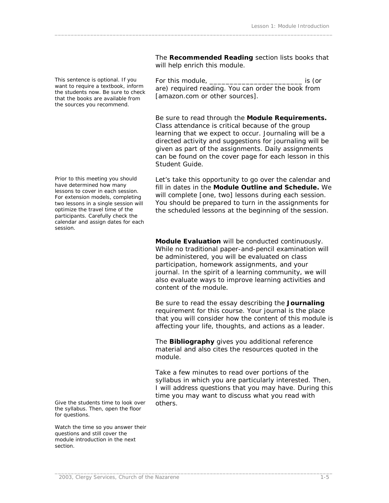The **Recommended Reading** section lists books that will help enrich this module.

 $\_$  ,  $\_$  ,  $\_$  ,  $\_$  ,  $\_$  ,  $\_$  ,  $\_$  ,  $\_$  ,  $\_$  ,  $\_$  ,  $\_$  ,  $\_$  ,  $\_$  ,  $\_$  ,  $\_$  ,  $\_$  ,  $\_$  ,  $\_$  ,  $\_$  ,  $\_$  ,  $\_$  ,  $\_$  ,  $\_$  ,  $\_$  ,  $\_$  ,  $\_$  ,  $\_$  ,  $\_$  ,  $\_$  ,  $\_$  ,  $\_$  ,  $\_$  ,  $\_$  ,  $\_$  ,  $\_$  ,  $\_$  ,  $\_$  ,

*This sentence is optional. If you want to require a textbook, inform the students now. Be sure to check that the books are available from the sources you recommend.*

For this module, \_\_\_\_\_\_\_\_\_\_\_\_\_\_\_\_\_\_\_\_\_\_\_ is (or are) required reading. You can order the book from [amazon.com or other sources].

Be sure to read through the **Module Requirements.** Class attendance is critical because of the group learning that we expect to occur. Journaling will be a directed activity and suggestions for journaling will be given as part of the assignments. Daily assignments can be found on the cover page for each lesson in this Student Guide.

*Prior to this meeting you should have determined how many lessons to cover in each session. For extension models, completing two lessons in a single session will optimize the travel time of the participants. Carefully check the calendar and assign dates for each session.*

Let's take this opportunity to go over the calendar and fill in dates in the **Module Outline and Schedule.** We will complete [one, two] lessons during each session. You should be prepared to turn in the assignments for the scheduled lessons at the beginning of the session.

**Module Evaluation** will be conducted continuously. While no traditional paper-and-pencil examination will be administered, you will be evaluated on class participation, homework assignments, and your journal. In the spirit of a learning community, we will also evaluate ways to improve learning activities and content of the module.

Be sure to read the essay describing the **Journaling** requirement for this course. Your journal is the place that you will consider how the content of this module is affecting your life, thoughts, and actions as a leader.

The **Bibliography** gives you additional reference material and also cites the resources quoted in the module.

Take a few minutes to read over portions of the syllabus in which you are particularly interested. Then, I will address questions that you may have. During this time you may want to discuss what you read with others.

 $\_$  ,  $\_$  ,  $\_$  ,  $\_$  ,  $\_$  ,  $\_$  ,  $\_$  ,  $\_$  ,  $\_$  ,  $\_$  ,  $\_$  ,  $\_$  ,  $\_$  ,  $\_$  ,  $\_$  ,  $\_$  ,  $\_$  ,  $\_$  ,  $\_$  ,  $\_$  ,  $\_$  ,  $\_$  ,  $\_$  ,  $\_$  ,  $\_$  ,  $\_$  ,  $\_$  ,  $\_$  ,  $\_$  ,  $\_$  ,  $\_$  ,  $\_$  ,  $\_$  ,  $\_$  ,  $\_$  ,  $\_$  ,  $\_$  ,

*Give the students time to look over the syllabus. Then, open the floor for questions.*

*Watch the time so you answer their questions and still cover the module introduction in the next section.*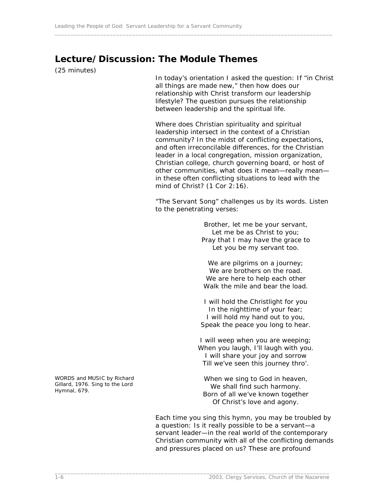### **Lecture/Discussion: The Module Themes**

 $\_$  ,  $\_$  ,  $\_$  ,  $\_$  ,  $\_$  ,  $\_$  ,  $\_$  ,  $\_$  ,  $\_$  ,  $\_$  ,  $\_$  ,  $\_$  ,  $\_$  ,  $\_$  ,  $\_$  ,  $\_$  ,  $\_$  ,  $\_$  ,  $\_$  ,  $\_$  ,  $\_$  ,  $\_$  ,  $\_$  ,  $\_$  ,  $\_$  ,  $\_$  ,  $\_$  ,  $\_$  ,  $\_$  ,  $\_$  ,  $\_$  ,  $\_$  ,  $\_$  ,  $\_$  ,  $\_$  ,  $\_$  ,  $\_$  ,

(25 minutes)

In today's orientation I asked the question: *If "in Christ all things are made new," then how does our relationship with Christ transform our leadership lifestyle?* The question pursues the relationship between leadership and the spiritual life.

Where does Christian spirituality and spiritual leadership intersect in the context of a Christian community? In the midst of conflicting expectations, and often irreconcilable differences, for the Christian leader in a local congregation, mission organization, Christian college, church governing board, or host of other communities, what does it mean—really mean in these often conflicting situations to *lead with the mind of Christ?* (1 Cor 2:16).

"The Servant Song" challenges us by its words. Listen to the penetrating verses:

> *Brother, let me be your servant, Let me be as Christ to you; Pray that I may have the grace to Let you be my servant too.*

*We are pilgrims on a journey; We are brothers on the road. We are here to help each other Walk the mile and bear the load.*

*I will hold the Christlight for you In the nighttime of your fear; I will hold my hand out to you, Speak the peace you long to hear.*

*I will weep when you are weeping; When you laugh, I'll laugh with you. I will share your joy and sorrow Till we've seen this journey thro'.*

*When we sing to God in heaven, We shall find such harmony. Born of all we've known together Of Christ's love and agony.*

Each time you sing this hymn, you may be troubled by a question: Is it really possible to be a servant—a servant leader—in the real world of the contemporary Christian community with all of the conflicting demands and pressures placed on us? These are profound

 $\_$  ,  $\_$  ,  $\_$  ,  $\_$  ,  $\_$  ,  $\_$  ,  $\_$  ,  $\_$  ,  $\_$  ,  $\_$  ,  $\_$  ,  $\_$  ,  $\_$  ,  $\_$  ,  $\_$  ,  $\_$  ,  $\_$  ,  $\_$  ,  $\_$  ,  $\_$ 

*WORDS and MUSIC by Richard Gillard, 1976.* Sing to the Lord Hymnal, *679.*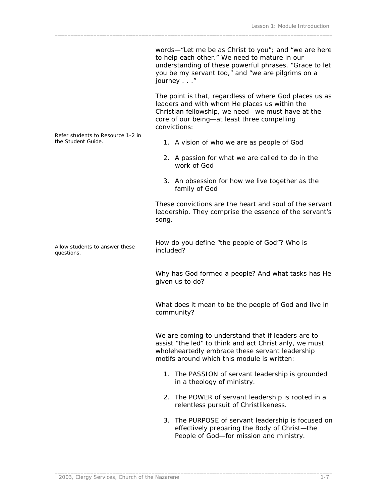|                                                         | words-'Let me be as Christ to you"; and "we are here<br>to help each other." We need to mature in our<br>understanding of these powerful phrases, "Grace to let<br>you be my servant too," and "we are pilgrims on a<br>journey" |  |  |  |
|---------------------------------------------------------|----------------------------------------------------------------------------------------------------------------------------------------------------------------------------------------------------------------------------------|--|--|--|
|                                                         | The point is that, regardless of where God places us as<br>leaders and with whom He places us within the<br>Christian fellowship, we need—we must have at the<br>core of our being-at least three compelling<br>convictions:     |  |  |  |
| Refer students to Resource 1-2 in<br>the Student Guide. | 1. A vision of who we are as people of God                                                                                                                                                                                       |  |  |  |
|                                                         | 2. A passion for what we are called to do in the<br>work of God                                                                                                                                                                  |  |  |  |
|                                                         | 3. An <i>obsession</i> for how we live together as the<br>family of God                                                                                                                                                          |  |  |  |
|                                                         | These convictions are the heart and soul of the servant<br>leadership. They comprise the essence of the servant's<br>song.                                                                                                       |  |  |  |
| Allow students to answer these<br>questions.            | How do you define "the people of God"? Who is<br>included?                                                                                                                                                                       |  |  |  |
|                                                         | Why has God formed a people? And what tasks has He<br>given us to do?                                                                                                                                                            |  |  |  |
|                                                         | What does it mean to be the people of God and live in<br>community?                                                                                                                                                              |  |  |  |
|                                                         | We are coming to understand that if leaders are to<br>assist "the led" to think and act Christianly, we must<br>wholeheartedly embrace these servant leadership<br>motifs around which this module is written:                   |  |  |  |
|                                                         | 1. The PASSION of servant leadership is grounded<br>in a theology of ministry.                                                                                                                                                   |  |  |  |
|                                                         | 2. The POWER of servant leadership is rooted in a<br>relentless pursuit of Christlikeness.                                                                                                                                       |  |  |  |
|                                                         | 3. The PURPOSE of servant leadership is focused on<br>effectively preparing the Body of Christ-the<br>People of God-for mission and ministry.                                                                                    |  |  |  |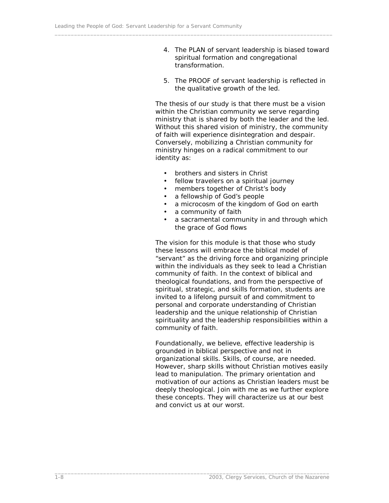- 4. The PLAN of servant leadership is biased toward spiritual formation and congregational transformation.
- 5. The PROOF of servant leadership is reflected in the qualitative growth of the led.

The thesis of our study is that there must be a vision within the Christian community we serve regarding ministry that is shared by both the leader and the led. Without this shared vision of ministry, the community of faith will experience disintegration and despair. Conversely, mobilizing a Christian community for ministry hinges on a radical commitment to our identity as:

- brothers and sisters in Christ
- fellow travelers on a spiritual journey
- members together of Christ's body
- a fellowship of God's people
- a microcosm of the kingdom of God on earth
- a community of faith

 $\_$  ,  $\_$  ,  $\_$  ,  $\_$  ,  $\_$  ,  $\_$  ,  $\_$  ,  $\_$  ,  $\_$  ,  $\_$  ,  $\_$  ,  $\_$  ,  $\_$  ,  $\_$  ,  $\_$  ,  $\_$  ,  $\_$  ,  $\_$  ,  $\_$  ,  $\_$  ,  $\_$  ,  $\_$  ,  $\_$  ,  $\_$  ,  $\_$  ,  $\_$  ,  $\_$  ,  $\_$  ,  $\_$  ,  $\_$  ,  $\_$  ,  $\_$  ,  $\_$  ,  $\_$  ,  $\_$  ,  $\_$  ,  $\_$  ,

a sacramental community in and through which the grace of God flows

The vision for this module is that those who study these lessons will embrace the biblical model of "servant" as the driving force and organizing principle within the individuals as they seek to lead a Christian community of faith. In the context of biblical and theological foundations, and from the perspective of spiritual, strategic, and skills formation, students are invited to a lifelong pursuit of and commitment to personal and corporate understanding of Christian leadership and the unique relationship of Christian spirituality and the leadership responsibilities within a community of faith.

Foundationally, we believe, effective leadership is grounded in biblical perspective and not in organizational skills. Skills, of course, are needed. However, sharp skills without Christian motives easily lead to manipulation. The primary orientation and motivation of our actions as Christian leaders must be deeply theological. Join with me as we further explore these concepts. They will characterize us at our best and convict us at our worst.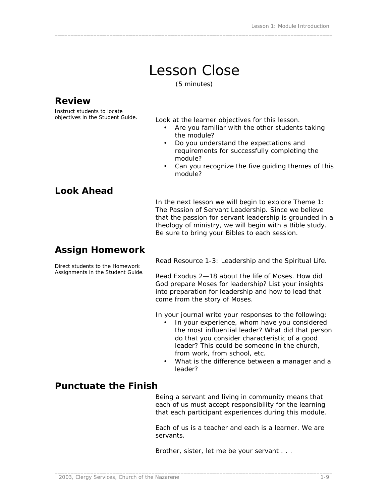# *Lesson Close*

 $\_$  ,  $\_$  ,  $\_$  ,  $\_$  ,  $\_$  ,  $\_$  ,  $\_$  ,  $\_$  ,  $\_$  ,  $\_$  ,  $\_$  ,  $\_$  ,  $\_$  ,  $\_$  ,  $\_$  ,  $\_$  ,  $\_$  ,  $\_$  ,  $\_$  ,  $\_$  ,  $\_$  ,  $\_$  ,  $\_$  ,  $\_$  ,  $\_$  ,  $\_$  ,  $\_$  ,  $\_$  ,  $\_$  ,  $\_$  ,  $\_$  ,  $\_$  ,  $\_$  ,  $\_$  ,  $\_$  ,  $\_$  ,  $\_$  ,

(5 minutes)

### **Review**

*Instruct students to locate*

*objectives in the Student Guide.* Look at the learner objectives for this lesson.

- Are you familiar with the other students taking the module?
- Do you understand the expectations and requirements for successfully completing the module?
- Can you recognize the five guiding themes of this module?

### **Look Ahead**

In the next lesson we will begin to explore Theme 1: The *Passion* of Servant Leadership. Since we believe that the passion for servant leadership is grounded in a theology of ministry, we will begin with a Bible study. Be sure to bring your Bibles to each session.

### **Assign Homework**

*Direct students to the Homework Assignments in the Student Guide.* Read Resource 1-3: Leadership and the Spiritual Life.

Read Exodus 2—18 about the life of Moses. How did God prepare Moses for leadership? List your insights into preparation for leadership and how to lead that come from the story of Moses.

In your journal write your responses to the following:

- In your experience, whom have you considered the most influential leader? What did that person do that you consider characteristic of a good leader? This could be someone in the church, from work, from school, etc.
- What is the difference between a manager and a leader?

### **Punctuate the Finish**

Being a servant and living in community means that each of us must accept responsibility for the learning that each participant experiences during this module.

Each of us is a teacher and each is a learner. We are servants.

Brother, sister, let me be your servant . . .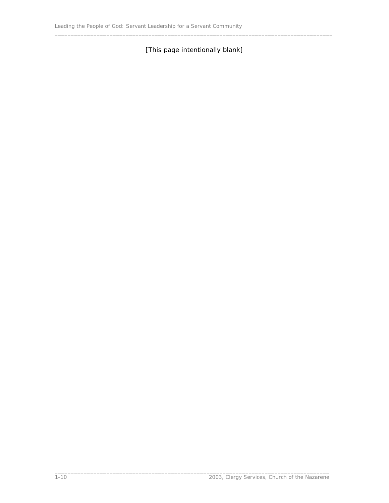[This page intentionally blank]

 $\_$  ,  $\_$  ,  $\_$  ,  $\_$  ,  $\_$  ,  $\_$  ,  $\_$  ,  $\_$  ,  $\_$  ,  $\_$  ,  $\_$  ,  $\_$  ,  $\_$  ,  $\_$  ,  $\_$  ,  $\_$  ,  $\_$  ,  $\_$  ,  $\_$  ,  $\_$  ,  $\_$  ,  $\_$  ,  $\_$  ,  $\_$  ,  $\_$  ,  $\_$  ,  $\_$  ,  $\_$  ,  $\_$  ,  $\_$  ,  $\_$  ,  $\_$  ,  $\_$  ,  $\_$  ,  $\_$  ,  $\_$  ,  $\_$  ,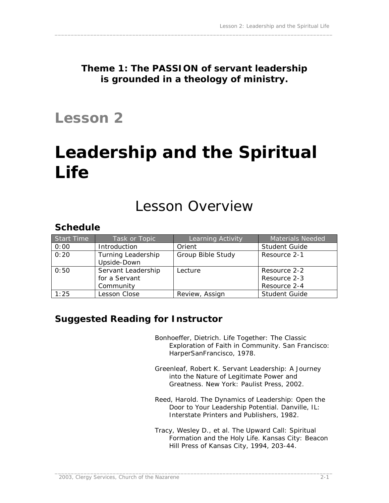## *Theme 1: The PASSION of servant leadership is grounded in a theology of ministry.*

 $\_$  ,  $\_$  ,  $\_$  ,  $\_$  ,  $\_$  ,  $\_$  ,  $\_$  ,  $\_$  ,  $\_$  ,  $\_$  ,  $\_$  ,  $\_$  ,  $\_$  ,  $\_$  ,  $\_$  ,  $\_$  ,  $\_$  ,  $\_$  ,  $\_$  ,  $\_$  ,  $\_$  ,  $\_$  ,  $\_$  ,  $\_$  ,  $\_$  ,  $\_$  ,  $\_$  ,  $\_$  ,  $\_$  ,  $\_$  ,  $\_$  ,  $\_$  ,  $\_$  ,  $\_$  ,  $\_$  ,  $\_$  ,  $\_$  ,

## *Lesson 2*

# **Leadership and the Spiritual Life**

## *Lesson Overview*

### **Schedule**

| Start Time | Task or Topic                                    | Learning Activity | <b>Materials Needed</b>                      |
|------------|--------------------------------------------------|-------------------|----------------------------------------------|
| 0:00       | Introduction                                     | Orient            | Student Guide                                |
| 0:20       | <b>Turning Leadership</b><br>Upside-Down         | Group Bible Study | Resource 2-1                                 |
| 0:50       | Servant Leadership<br>for a Servant<br>Community | Lecture           | Resource 2-2<br>Resource 2-3<br>Resource 2-4 |
| 1:25       | Lesson Close                                     | Review, Assign    | Student Guide                                |

## **Suggested Reading for Instructor**

Bonhoeffer, Dietrich. *Life Together: The Classic Exploration of Faith in Community.* San Francisco: HarperSanFrancisco, 1978.

- Greenleaf, Robert K. *Servant Leadership: A Journey into the Nature of Legitimate Power and Greatness.* New York: Paulist Press, 2002.
- Reed, Harold. *The Dynamics of Leadership: Open the Door to Your Leadership Potential.* Danville, IL: Interstate Printers and Publishers, 1982.
- Tracy, Wesley D., et al*. The Upward Call: Spiritual Formation and the Holy Life*. Kansas City: Beacon Hill Press of Kansas City, 1994, 203-44.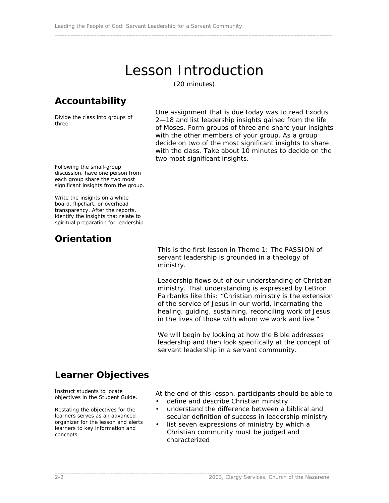# *Lesson Introduction*

 $\_$  ,  $\_$  ,  $\_$  ,  $\_$  ,  $\_$  ,  $\_$  ,  $\_$  ,  $\_$  ,  $\_$  ,  $\_$  ,  $\_$  ,  $\_$  ,  $\_$  ,  $\_$  ,  $\_$  ,  $\_$  ,  $\_$  ,  $\_$  ,  $\_$  ,  $\_$  ,  $\_$  ,  $\_$  ,  $\_$  ,  $\_$  ,  $\_$  ,  $\_$  ,  $\_$  ,  $\_$  ,  $\_$  ,  $\_$  ,  $\_$  ,  $\_$  ,  $\_$  ,  $\_$  ,  $\_$  ,  $\_$  ,  $\_$  ,

(20 minutes)

### **Accountability**

*Divide the class into groups of three.*

One assignment that is due today was to read Exodus 2—18 and list leadership insights gained from the life of Moses. Form groups of three and share your insights with the other members of your group. As a group decide on two of the most significant insights to share with the class. Take about 10 minutes to decide on the two most significant insights.

*Following the small-group discussion, have one person from each group share the two most significant insights from the group.*

*Write the insights on a white board, flipchart, or overhead transparency. After the reports, identify the insights that relate to spiritual preparation for leadership.*

### **Orientation**

This is the first lesson in Theme 1: The PASSION of servant leadership is grounded in a theology of ministry.

Leadership flows out of our understanding of Christian ministry. That understanding is expressed by LeBron Fairbanks like this: "Christian ministry is the extension of the service of Jesus in our world, incarnating the healing, guiding, sustaining, reconciling work of Jesus in the lives of those with whom we work and live."

We will begin by looking at how the Bible addresses leadership and then look specifically at the concept of servant leadership in a servant community.

### **Learner Objectives**

*Instruct students to locate objectives in the Student Guide.*

*Restating the objectives for the learners serves as an advanced organizer for the lesson and alerts learners to key information and concepts.*

At the end of this lesson, participants should be able to

define and describe Christian ministry

 $\_$  ,  $\_$  ,  $\_$  ,  $\_$  ,  $\_$  ,  $\_$  ,  $\_$  ,  $\_$  ,  $\_$  ,  $\_$  ,  $\_$  ,  $\_$  ,  $\_$  ,  $\_$  ,  $\_$  ,  $\_$  ,  $\_$  ,  $\_$  ,  $\_$  ,  $\_$ 

- understand the difference between a biblical and secular definition of success in leadership ministry
- list seven expressions of ministry by which a Christian community must be judged and characterized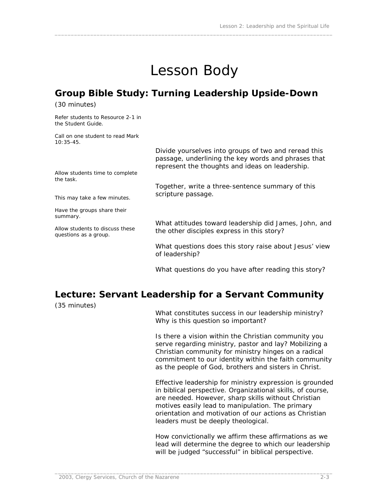## *Lesson Body*

 $\_$  ,  $\_$  ,  $\_$  ,  $\_$  ,  $\_$  ,  $\_$  ,  $\_$  ,  $\_$  ,  $\_$  ,  $\_$  ,  $\_$  ,  $\_$  ,  $\_$  ,  $\_$  ,  $\_$  ,  $\_$  ,  $\_$  ,  $\_$  ,  $\_$  ,  $\_$  ,  $\_$  ,  $\_$  ,  $\_$  ,  $\_$  ,  $\_$  ,  $\_$  ,  $\_$  ,  $\_$  ,  $\_$  ,  $\_$  ,  $\_$  ,  $\_$  ,  $\_$  ,  $\_$  ,  $\_$  ,  $\_$  ,  $\_$  ,

### **Group Bible Study: Turning Leadership Upside-Down**

(30 minutes)

*Refer students to Resource 2-1 in the Student Guide.*

*Call on one student to read Mark 10:35-45.*

|                                                          | passage, underlining the key words and phrases that<br>represent the thoughts and ideas on leadership. |
|----------------------------------------------------------|--------------------------------------------------------------------------------------------------------|
| Allow students time to complete<br>the task.             |                                                                                                        |
|                                                          | Together, write a three-sentence summary of this<br>scripture passage.                                 |
| This may take a few minutes.                             |                                                                                                        |
| Have the groups share their<br>summary.                  |                                                                                                        |
| Allow students to discuss these<br>questions as a group. | What attitudes toward leadership did James, John, and<br>the other disciples express in this story?    |
|                                                          | What questions does this story raise about Jesus' view<br>of leadership?                               |
|                                                          |                                                                                                        |

*What questions do you have after reading this story?*

Divide yourselves into groups of two and reread this

### **Lecture: Servant Leadership for a Servant Community**

 $\_$  ,  $\_$  ,  $\_$  ,  $\_$  ,  $\_$  ,  $\_$  ,  $\_$  ,  $\_$  ,  $\_$  ,  $\_$  ,  $\_$  ,  $\_$  ,  $\_$  ,  $\_$  ,  $\_$  ,  $\_$  ,  $\_$  ,  $\_$  ,  $\_$  ,  $\_$  ,  $\_$  ,  $\_$  ,  $\_$  ,  $\_$  ,  $\_$  ,  $\_$  ,  $\_$  ,  $\_$  ,  $\_$  ,  $\_$  ,  $\_$  ,  $\_$  ,  $\_$  ,  $\_$  ,  $\_$  ,  $\_$  ,  $\_$  ,

(35 minutes)

What constitutes success in our leadership ministry? Why is this question so important?

Is there a vision within the Christian community you serve regarding ministry, pastor and lay? Mobilizing a Christian community for ministry hinges on a radical commitment to our identity within the faith community as the people of God, brothers and sisters in Christ.

Effective leadership for ministry expression is grounded in biblical perspective. Organizational skills, of course, are needed. However, sharp skills without Christian motives easily lead to manipulation. The primary orientation and motivation of our actions as Christian leaders must be deeply theological.

How convictionally we affirm these affirmations as we lead will determine the degree to which our leadership will be judged "successful" in biblical perspective.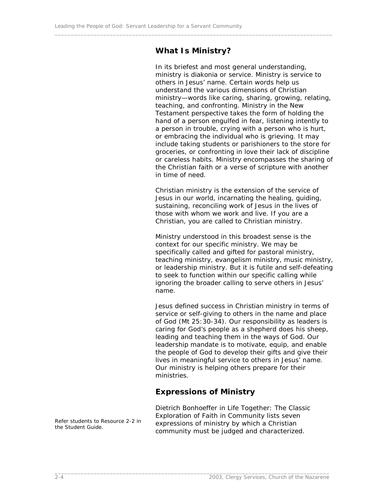### **What Is Ministry?**

 $\_$  ,  $\_$  ,  $\_$  ,  $\_$  ,  $\_$  ,  $\_$  ,  $\_$  ,  $\_$  ,  $\_$  ,  $\_$  ,  $\_$  ,  $\_$  ,  $\_$  ,  $\_$  ,  $\_$  ,  $\_$  ,  $\_$  ,  $\_$  ,  $\_$  ,  $\_$  ,  $\_$  ,  $\_$  ,  $\_$  ,  $\_$  ,  $\_$  ,  $\_$  ,  $\_$  ,  $\_$  ,  $\_$  ,  $\_$  ,  $\_$  ,  $\_$  ,  $\_$  ,  $\_$  ,  $\_$  ,  $\_$  ,  $\_$  ,

In its briefest and most general understanding, ministry is *diakonia* or service. Ministry is service to others in Jesus' name. Certain words help us understand the various dimensions of Christian ministry—words like caring, sharing, growing, relating, teaching, and confronting. Ministry in the New Testament perspective takes the form of holding the hand of a person engulfed in fear, listening intently to a person in trouble, crying with a person who is hurt, or embracing the individual who is grieving. It may include taking students or parishioners to the store for groceries, or confronting in love their lack of discipline or careless habits. Ministry encompasses the sharing of the Christian faith or a verse of scripture with another in time of need.

Christian ministry is the extension of the service of Jesus in our world, incarnating the healing, guiding, sustaining, reconciling work of Jesus in the lives of those with whom we work and live. If you are a Christian, you are called to Christian ministry.

Ministry understood in this broadest sense is the context for our specific ministry. We may be specifically called and gifted for pastoral ministry, teaching ministry, evangelism ministry, music ministry, or leadership ministry. But it is futile and self-defeating to seek to function within our specific calling while ignoring the broader calling to serve others in Jesus' name.

Jesus defined success in Christian ministry in terms of service or self-giving to others in the name and place of God (Mt 25:30-34). Our responsibility as leaders is caring for God's people as a shepherd does his sheep, leading and teaching them in the ways of God. Our leadership mandate is to motivate, equip, and enable the people of God to develop their gifts and give their lives in meaningful service to others in Jesus' name. Our ministry is helping others prepare for their ministries.

### **Expressions of Ministry**

Dietrich Bonhoeffer in *Life Together: The Classic Exploration of Faith in Community* lists seven expressions of ministry by which a Christian community must be judged and characterized.

*Refer students to Resource 2-2 in the Student Guide.*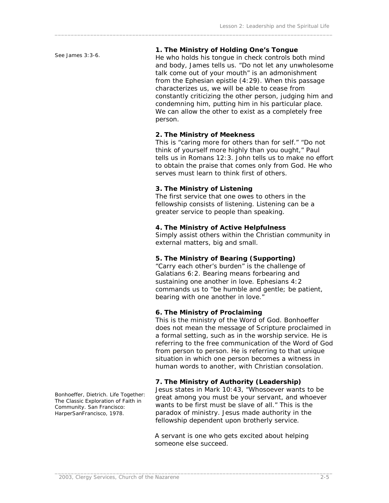### **1. The Ministry of Holding One's Tongue**

He who holds his tongue in check controls both mind and body, James tells us. "Do not let any unwholesome talk come out of your mouth" is an admonishment from the Ephesian epistle (4:29). When this passage characterizes us, we will be able to cease from constantly criticizing the other person, judging him and condemning him, putting him in his particular place. We can allow the other to exist as a completely free person.

### **2. The Ministry of Meekness**

 $\_$  ,  $\_$  ,  $\_$  ,  $\_$  ,  $\_$  ,  $\_$  ,  $\_$  ,  $\_$  ,  $\_$  ,  $\_$  ,  $\_$  ,  $\_$  ,  $\_$  ,  $\_$  ,  $\_$  ,  $\_$  ,  $\_$  ,  $\_$  ,  $\_$  ,  $\_$  ,  $\_$  ,  $\_$  ,  $\_$  ,  $\_$  ,  $\_$  ,  $\_$  ,  $\_$  ,  $\_$  ,  $\_$  ,  $\_$  ,  $\_$  ,  $\_$  ,  $\_$  ,  $\_$  ,  $\_$  ,  $\_$  ,  $\_$  ,

This is "caring more for others than for self." "Do not think of yourself more highly than you ought," Paul tells us in Romans 12:3. John tells us to make no effort to obtain the praise that comes only from God. He who serves must learn to think first of others.

### **3. The Ministry of Listening**

The first service that one owes to others in the fellowship consists of listening. Listening can be a greater service to people than speaking.

### **4. The Ministry of Active Helpfulness**

Simply assist others within the Christian community in external matters, big and small.

#### **5. The Ministry of Bearing (Supporting)**

"Carry each other's burden" is the challenge of Galatians 6:2. Bearing means forbearing and sustaining one another in love. Ephesians 4:2 commands us to "be humble and gentle; be patient, bearing with one another in love."

#### **6. The Ministry of Proclaiming**

This is the ministry of the Word of God. Bonhoeffer does not mean the message of Scripture proclaimed in a formal setting, such as in the worship service. He is referring to the free communication of the Word of God from person to person. He is referring to that unique situation in which one person becomes a witness in human words to another, with Christian consolation.

#### **7. The Ministry of Authority (Leadership)**

Jesus states in Mark 10:43, "Whosoever wants to be great among you must be your servant, and whoever wants to be first must be slave of all." This is the paradox of ministry. Jesus made authority in the fellowship dependent upon brotherly service.

A servant is one who gets excited about helping someone else succeed.

 $\_$  ,  $\_$  ,  $\_$  ,  $\_$  ,  $\_$  ,  $\_$  ,  $\_$  ,  $\_$  ,  $\_$  ,  $\_$  ,  $\_$  ,  $\_$  ,  $\_$  ,  $\_$  ,  $\_$  ,  $\_$  ,  $\_$  ,  $\_$  ,  $\_$  ,  $\_$  ,  $\_$  ,  $\_$  ,  $\_$  ,  $\_$  ,  $\_$  ,  $\_$  ,  $\_$  ,  $\_$  ,  $\_$  ,  $\_$  ,  $\_$  ,  $\_$  ,  $\_$  ,  $\_$  ,  $\_$  ,  $\_$  ,  $\_$  ,

*Bonhoeffer, Dietrich.* Life Together: The Classic Exploration of Faith in Community. *San Francisco: HarperSanFrancisco, 1978.*

*See James 3:3-6.*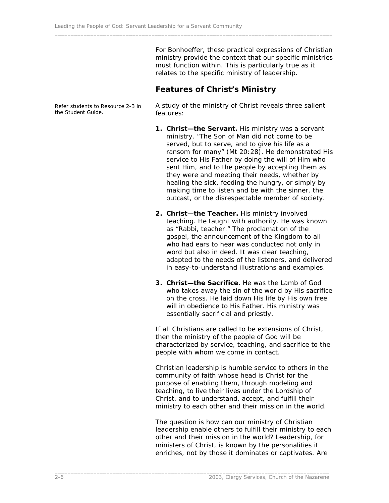For Bonhoeffer, these practical expressions of Christian ministry provide the *context* that our specific ministries must function within. This is particularly true as it relates to the specific ministry of leadership.

### **Features of Christ's Ministry**

 $\_$  ,  $\_$  ,  $\_$  ,  $\_$  ,  $\_$  ,  $\_$  ,  $\_$  ,  $\_$  ,  $\_$  ,  $\_$  ,  $\_$  ,  $\_$  ,  $\_$  ,  $\_$  ,  $\_$  ,  $\_$  ,  $\_$  ,  $\_$  ,  $\_$  ,  $\_$  ,  $\_$  ,  $\_$  ,  $\_$  ,  $\_$  ,  $\_$  ,  $\_$  ,  $\_$  ,  $\_$  ,  $\_$  ,  $\_$  ,  $\_$  ,  $\_$  ,  $\_$  ,  $\_$  ,  $\_$  ,  $\_$  ,  $\_$  ,

*Refer students to Resource 2-3 in the Student Guide.*

A study of the ministry of Christ reveals three salient features:

- **1. Christ—the Servant.** His ministry was a servant ministry. "The Son of Man did not come to be served, but to serve, and to give his life as a ransom for many" (Mt 20:28). He demonstrated His service to His Father by doing the will of Him who sent Him, and to the people by accepting them as they were and meeting their needs, whether by healing the sick, feeding the hungry, or simply by making time to listen and be with the sinner, the outcast, or the disrespectable member of society.
- **2. Christ—the Teacher.** His ministry involved teaching. He taught with authority. He was known as "Rabbi, teacher." The proclamation of the gospel, the announcement of the Kingdom to all who had ears to hear was conducted not only in word but also in deed. It was clear teaching, adapted to the needs of the listeners, and delivered in easy-to-understand illustrations and examples.
- **3. Christ—the Sacrifice.** He was the Lamb of God who takes away the sin of the world by His sacrifice on the cross. He laid down His life by His own free will in obedience to His Father. *His ministry was essentially sacrificial and priestly.*

If all Christians are called to be extensions of Christ, then the ministry of the people of God will be characterized by service, teaching, and sacrifice to the people with whom we come in contact.

Christian leadership is humble service to others in the community of faith whose head is Christ for the purpose of enabling them, through modeling and teaching, to live their lives under the Lordship of Christ, and to understand, accept, and fulfill their ministry to each other and their mission in the world.

The question is how can *our* ministry of Christian leadership enable *others* to fulfill *their* ministry to each other and *their* mission in the world? Leadership, for ministers of Christ, is known by the personalities it enriches, not by those it dominates or captivates. Are

 $\_$  ,  $\_$  ,  $\_$  ,  $\_$  ,  $\_$  ,  $\_$  ,  $\_$  ,  $\_$  ,  $\_$  ,  $\_$  ,  $\_$  ,  $\_$  ,  $\_$  ,  $\_$  ,  $\_$  ,  $\_$  ,  $\_$  ,  $\_$  ,  $\_$  ,  $\_$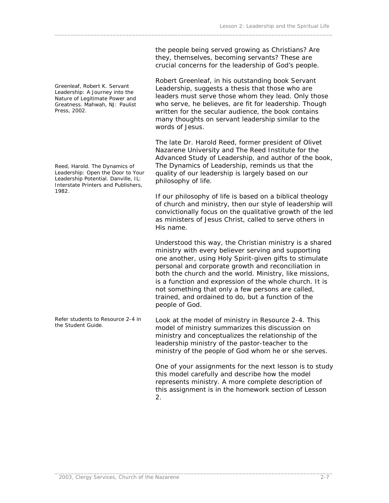the people being served *growing* as Christians? Are they, themselves, becoming servants? These are crucial concerns for the leadership of God's people.

 $\_$  ,  $\_$  ,  $\_$  ,  $\_$  ,  $\_$  ,  $\_$  ,  $\_$  ,  $\_$  ,  $\_$  ,  $\_$  ,  $\_$  ,  $\_$  ,  $\_$  ,  $\_$  ,  $\_$  ,  $\_$  ,  $\_$  ,  $\_$  ,  $\_$  ,  $\_$  ,  $\_$  ,  $\_$  ,  $\_$  ,  $\_$  ,  $\_$  ,  $\_$  ,  $\_$  ,  $\_$  ,  $\_$  ,  $\_$  ,  $\_$  ,  $\_$  ,  $\_$  ,  $\_$  ,  $\_$  ,  $\_$  ,  $\_$  ,

Robert Greenleaf, in his outstanding book *Servant Leadership,* suggests a thesis that those who are leaders must serve those whom they lead. Only those who serve, he believes, are fit for leadership. Though written for the secular audience, the book contains many thoughts on servant leadership similar to the words of Jesus.

The late Dr. Harold Reed, former president of Olivet Nazarene University and The Reed Institute for the Advanced Study of Leadership, and author of the book, *The Dynamics of Leadership*, reminds us that the quality of our leadership is largely based on our philosophy of life.

If our philosophy of life is based on a biblical theology of church and ministry, then our style of leadership will convictionally focus on the qualitative growth of the led as ministers of Jesus Christ, called to serve others in His name.

Understood this way, the Christian ministry is a *shared ministry* with every believer serving and supporting one another, using Holy Spirit-given gifts to stimulate personal and corporate growth and reconciliation in both the church and the world. Ministry, like missions, is a function and expression of the whole church. It is not something that only a few persons are called, trained, and ordained to do, but a function of the people of God.

*Refer students to Resource 2-4 in* Look at the model of ministry in Resource 2-4. This the Student Guide. model of ministry summarizes this discussion on ministry and conceptualizes the relationship of the leadership ministry of the pastor-teacher to the ministry of the people of God whom he or she serves.

 $\_$  ,  $\_$  ,  $\_$  ,  $\_$  ,  $\_$  ,  $\_$  ,  $\_$  ,  $\_$  ,  $\_$  ,  $\_$  ,  $\_$  ,  $\_$  ,  $\_$  ,  $\_$  ,  $\_$  ,  $\_$  ,  $\_$  ,  $\_$  ,  $\_$  ,  $\_$  ,  $\_$  ,  $\_$  ,  $\_$  ,  $\_$  ,  $\_$  ,  $\_$  ,  $\_$  ,  $\_$  ,  $\_$  ,  $\_$  ,  $\_$  ,  $\_$  ,  $\_$  ,  $\_$  ,  $\_$  ,  $\_$  ,  $\_$  ,

One of your assignments for the next lesson is to study this model carefully and describe how the model represents ministry. A more complete description of this assignment is in the homework section of Lesson 2.

*Greenleaf, Robert K.* Servant Leadership: A Journey into the Nature of Legitimate Power and Greatness. *Mahwah, NJ: Paulist Press, 2002.*

*Reed, Harold.* The Dynamics of Leadership: Open the Door to Your Leadership Potential. *Danville, IL: Interstate Printers and Publishers, 1982.*

*Refer students to Resource 2-4 in*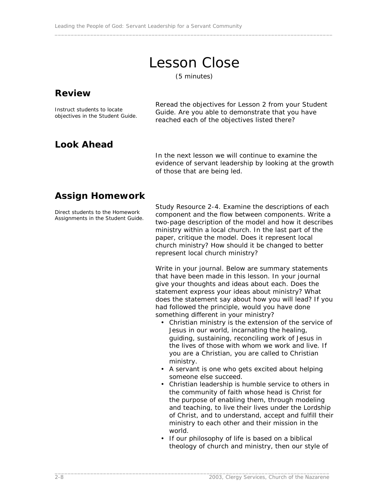## *Lesson Close*

 $\_$  ,  $\_$  ,  $\_$  ,  $\_$  ,  $\_$  ,  $\_$  ,  $\_$  ,  $\_$  ,  $\_$  ,  $\_$  ,  $\_$  ,  $\_$  ,  $\_$  ,  $\_$  ,  $\_$  ,  $\_$  ,  $\_$  ,  $\_$  ,  $\_$  ,  $\_$  ,  $\_$  ,  $\_$  ,  $\_$  ,  $\_$  ,  $\_$  ,  $\_$  ,  $\_$  ,  $\_$  ,  $\_$  ,  $\_$  ,  $\_$  ,  $\_$  ,  $\_$  ,  $\_$  ,  $\_$  ,  $\_$  ,  $\_$  ,

(5 minutes)

### **Review**

*Instruct students to locate objectives in the Student Guide.* Reread the objectives for Lesson 2 from your Student Guide. Are you able to demonstrate that you have reached each of the objectives listed there?

## **Look Ahead**

In the next lesson we will continue to examine the evidence of servant leadership by looking at the growth of those that are being led.

### **Assign Homework**

*Direct students to the Homework Assignments in the Student Guide.* Study Resource 2-4. Examine the descriptions of each component and the flow between components. Write a two-page description of the model and how it describes ministry within a local church. In the last part of the paper, critique the model. Does it represent local church ministry? How should it be changed to better represent local church ministry?

Write in your journal. Below are summary statements that have been made in this lesson. In your journal give your thoughts and ideas about each. Does the statement express your ideas about ministry? What does the statement say about how you will lead? If you had followed the principle, would you have done something different in your ministry?

- Christian ministry is the extension of the service of Jesus in our world, incarnating the healing, guiding, sustaining, reconciling work of Jesus in the lives of those with whom we work and live. If you are a Christian, you are called to Christian ministry.
- A servant is one who gets excited about helping someone else succeed.
- Christian leadership is humble service to others in the community of faith whose head is Christ for the purpose of enabling them, through modeling and teaching, to live their lives under the Lordship of Christ, and to understand, accept and fulfill their ministry to each other and their mission in the world.
- If our philosophy of life is based on a biblical theology of church and ministry, then our style of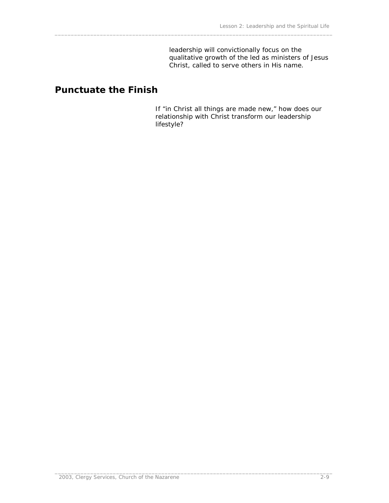leadership will convictionally focus on the qualitative growth of the led as ministers of Jesus Christ, called to serve others in His name.

 $\_$  ,  $\_$  ,  $\_$  ,  $\_$  ,  $\_$  ,  $\_$  ,  $\_$  ,  $\_$  ,  $\_$  ,  $\_$  ,  $\_$  ,  $\_$  ,  $\_$  ,  $\_$  ,  $\_$  ,  $\_$  ,  $\_$  ,  $\_$  ,  $\_$  ,  $\_$  ,  $\_$  ,  $\_$  ,  $\_$  ,  $\_$  ,  $\_$  ,  $\_$  ,  $\_$  ,  $\_$  ,  $\_$  ,  $\_$  ,  $\_$  ,  $\_$  ,  $\_$  ,  $\_$  ,  $\_$  ,  $\_$  ,  $\_$  ,

### **Punctuate the Finish**

If "in Christ all things are made new," how does our relationship with Christ transform our leadership lifestyle?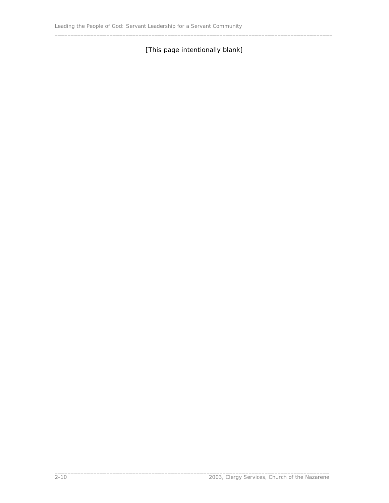[This page intentionally blank]

 $\_$  ,  $\_$  ,  $\_$  ,  $\_$  ,  $\_$  ,  $\_$  ,  $\_$  ,  $\_$  ,  $\_$  ,  $\_$  ,  $\_$  ,  $\_$  ,  $\_$  ,  $\_$  ,  $\_$  ,  $\_$  ,  $\_$  ,  $\_$  ,  $\_$  ,  $\_$  ,  $\_$  ,  $\_$  ,  $\_$  ,  $\_$  ,  $\_$  ,  $\_$  ,  $\_$  ,  $\_$  ,  $\_$  ,  $\_$  ,  $\_$  ,  $\_$  ,  $\_$  ,  $\_$  ,  $\_$  ,  $\_$  ,  $\_$  ,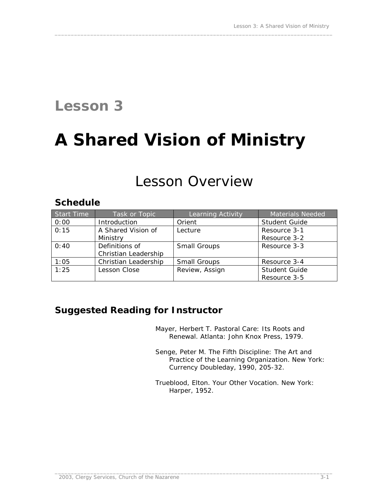## *Lesson 3*

# **A Shared Vision of Ministry**

## *Lesson Overview*

 $\_$  ,  $\_$  ,  $\_$  ,  $\_$  ,  $\_$  ,  $\_$  ,  $\_$  ,  $\_$  ,  $\_$  ,  $\_$  ,  $\_$  ,  $\_$  ,  $\_$  ,  $\_$  ,  $\_$  ,  $\_$  ,  $\_$  ,  $\_$  ,  $\_$  ,  $\_$  ,  $\_$  ,  $\_$  ,  $\_$  ,  $\_$  ,  $\_$  ,  $\_$  ,  $\_$  ,  $\_$  ,  $\_$  ,  $\_$  ,  $\_$  ,  $\_$  ,  $\_$  ,  $\_$  ,  $\_$  ,  $\_$  ,  $\_$  ,

### **Schedule**

| Start Time | Task or Topic        | Learning Activity | <b>Materials Needed</b> |
|------------|----------------------|-------------------|-------------------------|
| 0:00       | Introduction         | Orient            | Student Guide           |
| 0:15       | A Shared Vision of   | Lecture           | Resource 3-1            |
|            | Ministry             |                   | Resource 3-2            |
| 0:40       | Definitions of       | Small Groups      | Resource 3-3            |
|            | Christian Leadership |                   |                         |
| 1:05       | Christian Leadership | Small Groups      | Resource 3-4            |
| 1:25       | Lesson Close         | Review, Assign    | Student Guide           |
|            |                      |                   | Resource 3-5            |

### **Suggested Reading for Instructor**

Mayer, Herbert T. *Pastoral Care: Its Roots and Renewal.* Atlanta: John Knox Press, 1979.

Senge, Peter M. *The Fifth Discipline: The Art and Practice of the Learning Organization.* New York: Currency Doubleday, 1990, 205-32.

Trueblood, Elton. *Your Other Vocation.* New York: Harper, 1952.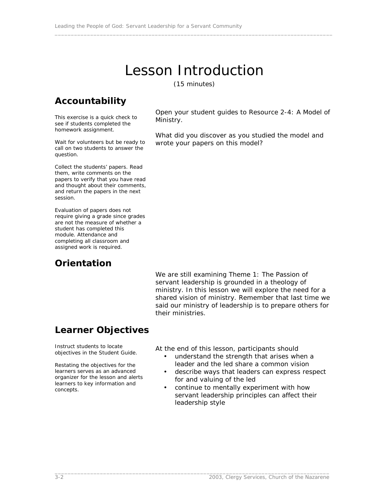# *Lesson Introduction*

 $\_$  ,  $\_$  ,  $\_$  ,  $\_$  ,  $\_$  ,  $\_$  ,  $\_$  ,  $\_$  ,  $\_$  ,  $\_$  ,  $\_$  ,  $\_$  ,  $\_$  ,  $\_$  ,  $\_$  ,  $\_$  ,  $\_$  ,  $\_$  ,  $\_$  ,  $\_$  ,  $\_$  ,  $\_$  ,  $\_$  ,  $\_$  ,  $\_$  ,  $\_$  ,  $\_$  ,  $\_$  ,  $\_$  ,  $\_$  ,  $\_$  ,  $\_$  ,  $\_$  ,  $\_$  ,  $\_$  ,  $\_$  ,  $\_$  ,

(15 minutes)

### **Accountability**

*This exercise is a quick check to see if students completed the homework assignment.*

*Wait for volunteers but be ready to call on two students to answer the question.*

*Collect the students' papers. Read them, write comments on the papers to verify that you have read and thought about their comments, and return the papers in the next session.*

*Evaluation of papers does not require giving a grade since grades are not the measure of whether a student has completed this module. Attendance and completing all classroom and assigned work is required.*

### **Orientation**

Open your student guides to Resource 2-4: A Model of Ministry.

*What did you discover as you studied the model and wrote your papers on this model?*

We are still examining Theme 1: The *Passion* of servant leadership is grounded in a theology of ministry. In this lesson we will explore the need for a shared vision of ministry. Remember that last time we said our ministry of leadership is to prepare others for their ministries.

### **Learner Objectives**

*Instruct students to locate objectives in the Student Guide.*

*Restating the objectives for the learners serves as an advanced organizer for the lesson and alerts learners to key information and concepts.*

At the end of this lesson, participants should

 $\_$  ,  $\_$  ,  $\_$  ,  $\_$  ,  $\_$  ,  $\_$  ,  $\_$  ,  $\_$  ,  $\_$  ,  $\_$  ,  $\_$  ,  $\_$  ,  $\_$  ,  $\_$  ,  $\_$  ,  $\_$  ,  $\_$  ,  $\_$  ,  $\_$  ,  $\_$ 

- understand the strength that arises when a leader and the led share a common vision
- describe ways that leaders can express respect for and valuing of the led
- continue to mentally experiment with how servant leadership principles can affect their leadership style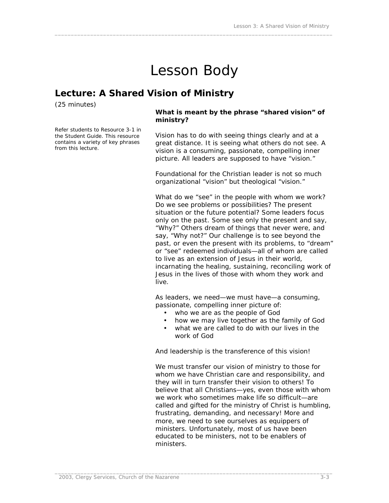## *Lesson Body*

 $\_$  ,  $\_$  ,  $\_$  ,  $\_$  ,  $\_$  ,  $\_$  ,  $\_$  ,  $\_$  ,  $\_$  ,  $\_$  ,  $\_$  ,  $\_$  ,  $\_$  ,  $\_$  ,  $\_$  ,  $\_$  ,  $\_$  ,  $\_$  ,  $\_$  ,  $\_$  ,  $\_$  ,  $\_$  ,  $\_$  ,  $\_$  ,  $\_$  ,  $\_$  ,  $\_$  ,  $\_$  ,  $\_$  ,  $\_$  ,  $\_$  ,  $\_$  ,  $\_$  ,  $\_$  ,  $\_$  ,  $\_$  ,  $\_$  ,

### **Lecture: A Shared Vision of Ministry**

(25 minutes)

*Refer students to Resource 3-1 in the Student Guide. This resource contains a variety of key phrases from this lecture.*

#### **What is meant by the phrase "shared vision" of ministry?**

Vision has to do with seeing things clearly and at a great distance. It is seeing what others do not see. A vision is a consuming, passionate, compelling inner picture. All leaders are supposed to have "vision."

Foundational for the Christian leader is not so much organizational "vision" but theological "vision."

What do we "see" in the people with whom we work? Do we see problems or possibilities? The present situation or the future potential? Some leaders focus only on the past. Some see only the present and say, "Why?" Others dream of things that never were, and say, "Why not?" Our challenge is to see beyond the past, or even the present with its problems, to "dream" or "see" redeemed individuals—all of whom are called to live as an extension of Jesus in their world, incarnating the healing, sustaining, reconciling work of Jesus in the lives of those with whom they work and live.

As leaders, we need—we must have—a consuming, passionate, compelling inner picture of:

who we are as the people of God

 $\_$  ,  $\_$  ,  $\_$  ,  $\_$  ,  $\_$  ,  $\_$  ,  $\_$  ,  $\_$  ,  $\_$  ,  $\_$  ,  $\_$  ,  $\_$  ,  $\_$  ,  $\_$  ,  $\_$  ,  $\_$  ,  $\_$  ,  $\_$  ,  $\_$  ,  $\_$  ,  $\_$  ,  $\_$  ,  $\_$  ,  $\_$  ,  $\_$  ,  $\_$  ,  $\_$  ,  $\_$  ,  $\_$  ,  $\_$  ,  $\_$  ,  $\_$  ,  $\_$  ,  $\_$  ,  $\_$  ,  $\_$  ,  $\_$  ,

- *how* we may live together as the family of God
- *what* we are called to do with our lives in the work of God

And leadership is the *transference* of this vision!

We must transfer our vision of ministry to those for whom we have Christian care and responsibility, and they will in turn transfer their vision to others! To believe that all Christians—yes, even those with whom we work who sometimes make life so difficult—are *called* and gifted for the ministry of Christ is humbling, frustrating, demanding, and necessary! More and more, we need to see ourselves as *equippers* of ministers. Unfortunately, most of us have been educated to be ministers, not to be enablers of ministers.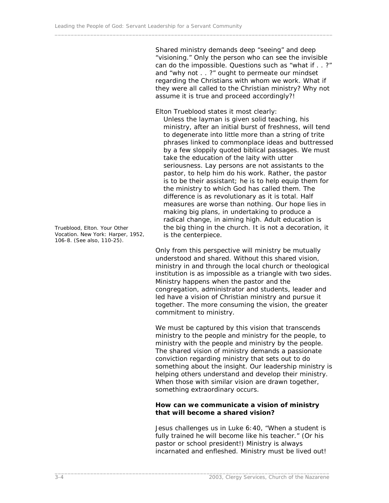Shared ministry demands deep "seeing" and deep "visioning." Only the person who can see the invisible can do the impossible. Questions such as "what if . . ?" and "why not . . ?" ought to permeate our mindset regarding the Christians with whom we work. What if they were all called to the Christian ministry? Why not assume it is true and proceed accordingly?!

Elton Trueblood states it most clearly:

 $\_$  ,  $\_$  ,  $\_$  ,  $\_$  ,  $\_$  ,  $\_$  ,  $\_$  ,  $\_$  ,  $\_$  ,  $\_$  ,  $\_$  ,  $\_$  ,  $\_$  ,  $\_$  ,  $\_$  ,  $\_$  ,  $\_$  ,  $\_$  ,  $\_$  ,  $\_$  ,  $\_$  ,  $\_$  ,  $\_$  ,  $\_$  ,  $\_$  ,  $\_$  ,  $\_$  ,  $\_$  ,  $\_$  ,  $\_$  ,  $\_$  ,  $\_$  ,  $\_$  ,  $\_$  ,  $\_$  ,  $\_$  ,  $\_$  ,

Unless the layman is given solid teaching, his ministry, after an initial burst of freshness, will tend to degenerate into little more than a string of trite phrases linked to commonplace ideas and buttressed by a few sloppily quoted biblical passages. We must take the education of the laity with utter seriousness. Lay persons are not assistants to the pastor, to help him do his work. Rather, the pastor is to be their assistant; he is to help equip them for the ministry to which God has called them. The difference is as revolutionary as it is total. Half measures are worse than nothing. Our hope lies in making big plans, in undertaking to produce a radical change, in aiming high. Adult education is the big thing in the church. It is not a decoration, it is the centerpiece.

Only from this perspective will ministry be mutually understood and shared. Without this shared vision, ministry in and through the local church or theological institution is as impossible as a triangle with two sides. Ministry happens when the pastor and the congregation, administrator and students, leader and led have a vision of Christian ministry and pursue it together. The more consuming the vision, the greater commitment to ministry.

We must be captured by this vision that transcends ministry *to* the people and ministry *for* the people, to ministry *with* the people and ministry *by* the people. The shared vision of ministry demands a *passionate conviction* regarding ministry that sets out to do something about the insight. Our leadership ministry is helping others understand and develop their ministry. When those with similar vision are drawn together, something extraordinary occurs.

### **How can we communicate a vision of ministry that will become a shared vision?**

Jesus challenges us in Luke 6:40, "When a student is fully trained he will become like his teacher." (Or his pastor or school president!) Ministry is always incarnated and enfleshed. Ministry must be lived out!

*Trueblood, Elton.* Your Other Vocation. *New York: Harper, 1952, 106-8. (See also, 110-25).*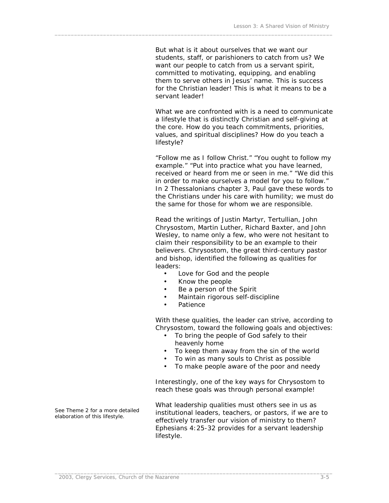But what is it about ourselves that we want our students, staff, or parishioners to catch from us? We want our people to catch from us a servant spirit, committed to *motivating*, *equipping,* and *enabling them to serve others in Jesus' name*. This is success for the Christian leader! This is what it means to be a servant leader!

What we are confronted with is a need to communicate a lifestyle that is distinctly Christian and self-giving at the core. How do you teach commitments, priorities, values, and spiritual disciplines? How do you teach a lifestyle?

"Follow me as I follow Christ." "You ought to follow my example." "Put into practice what you have learned, received or heard from me or seen in me." "We did this in order to make ourselves a model for you to follow." In 2 Thessalonians chapter 3, Paul gave these words to the Christians under his care with humility; we must do the same for those for whom we are responsible.

Read the writings of Justin Martyr, Tertullian, John Chrysostom, Martin Luther, Richard Baxter, and John Wesley, to name only a few, who were not hesitant to claim their responsibility to be an example to their believers. Chrysostom, the great third-century pastor and bishop, identified the following as qualities for leaders:

- Love for God and the people
- Know the people

 $\_$  ,  $\_$  ,  $\_$  ,  $\_$  ,  $\_$  ,  $\_$  ,  $\_$  ,  $\_$  ,  $\_$  ,  $\_$  ,  $\_$  ,  $\_$  ,  $\_$  ,  $\_$  ,  $\_$  ,  $\_$  ,  $\_$  ,  $\_$  ,  $\_$  ,  $\_$  ,  $\_$  ,  $\_$  ,  $\_$  ,  $\_$  ,  $\_$  ,  $\_$  ,  $\_$  ,  $\_$  ,  $\_$  ,  $\_$  ,  $\_$  ,  $\_$  ,  $\_$  ,  $\_$  ,  $\_$  ,  $\_$  ,  $\_$  ,

 $\_$  ,  $\_$  ,  $\_$  ,  $\_$  ,  $\_$  ,  $\_$  ,  $\_$  ,  $\_$  ,  $\_$  ,  $\_$  ,  $\_$  ,  $\_$  ,  $\_$  ,  $\_$  ,  $\_$  ,  $\_$  ,  $\_$  ,  $\_$  ,  $\_$  ,  $\_$  ,  $\_$  ,  $\_$  ,  $\_$  ,  $\_$  ,  $\_$  ,  $\_$  ,  $\_$  ,  $\_$  ,  $\_$  ,  $\_$  ,  $\_$  ,  $\_$  ,  $\_$  ,  $\_$  ,  $\_$  ,  $\_$  ,  $\_$  ,

- Be a person of the Spirit
- Maintain rigorous self-discipline
- Patience

With these qualities, the leader can strive, according to Chrysostom, toward the following goals and objectives:

- To bring the people of God safely to their heavenly home
- To keep them away from the sin of the world
- To win as many souls to Christ as possible
- To make people aware of the poor and needy

Interestingly, one of the key ways for Chrysostom to reach these goals was through personal example!

*See Theme 2 for a more detailed elaboration of this lifestyle.*

What leadership qualities must others see in us as institutional leaders, teachers, or pastors, if we are to effectively transfer our vision of ministry to them? Ephesians 4:25-32 provides for a servant leadership lifestyle.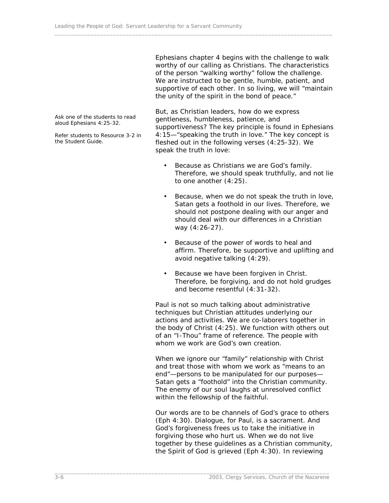$\_$  ,  $\_$  ,  $\_$  ,  $\_$  ,  $\_$  ,  $\_$  ,  $\_$  ,  $\_$  ,  $\_$  ,  $\_$  ,  $\_$  ,  $\_$  ,  $\_$  ,  $\_$  ,  $\_$  ,  $\_$  ,  $\_$  ,  $\_$  ,  $\_$  ,  $\_$  ,  $\_$  ,  $\_$  ,  $\_$  ,  $\_$  ,  $\_$  ,  $\_$  ,  $\_$  ,  $\_$  ,  $\_$  ,  $\_$  ,  $\_$  ,  $\_$  ,  $\_$  ,  $\_$  ,  $\_$  ,  $\_$  ,  $\_$  ,

Ephesians chapter 4 begins with the challenge to walk worthy of our calling as Christians. The characteristics of the person "walking worthy" follow the challenge. We are instructed to be gentle, humble, patient, and supportive of each other. In so living, we will "maintain the unity of the spirit in the bond of peace."

*Ask one of the students to read aloud Ephesians 4:25-32.*

*Refer students to Resource 3-2 in the Student Guide.*

But, as Christian *leaders,* how do we express gentleness, humbleness, patience, and supportiveness? The key principle is found in Ephesians 4:15—"speaking the truth in love." The key concept is fleshed out in the following verses (4:25-32). We speak the truth in love:

- Because as Christians *we are God's family.* Therefore, we should speak truthfully, and not lie to one another (4:25).
- Because, when we do not speak the truth in love, *Satan gets a foothold in our lives.* Therefore, we should not postpone dealing with our anger and should deal with our differences in a Christian way (4:26-27).
- Because of the *power of words to heal and affirm.* Therefore, be supportive and uplifting and avoid negative talking (4:29).
- Because *we have been forgiven in Christ.* Therefore, be forgiving, and do not hold grudges and become resentful (4:31-32).

Paul is not so much talking about administrative techniques but Christian attitudes underlying our actions and activities. We are co-laborers together in the body of Christ (4:25). We function with others out of an "I-Thou" frame of reference. The people with whom we work are God's own creation.

When we ignore our "family" relationship with Christ and treat those with whom we work as "means to an end"—persons to be manipulated for our purposes— Satan gets a "foothold" into the Christian community. The enemy of our soul laughs at unresolved conflict within the fellowship of the faithful.

Our words are to be channels of God's grace to others (Eph 4:30). Dialogue, for Paul, is a sacrament. And God's forgiveness frees us to take the initiative in forgiving those who hurt us. When we do not live together by these guidelines as a Christian community, the Spirit of God is grieved (Eph 4:30). In reviewing

 $\_$  ,  $\_$  ,  $\_$  ,  $\_$  ,  $\_$  ,  $\_$  ,  $\_$  ,  $\_$  ,  $\_$  ,  $\_$  ,  $\_$  ,  $\_$  ,  $\_$  ,  $\_$  ,  $\_$  ,  $\_$  ,  $\_$  ,  $\_$  ,  $\_$  ,  $\_$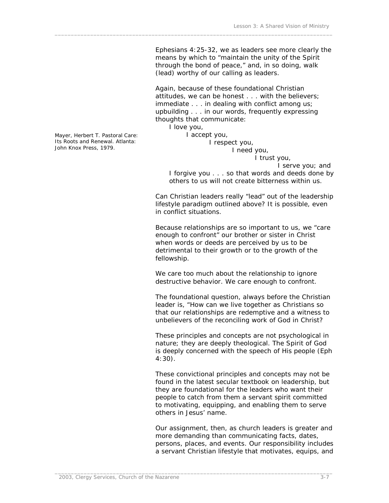Ephesians 4:25-32, we as leaders see more clearly the means by which to "maintain the unity of the Spirit through the bond of peace," and, in so doing, walk (lead) worthy of our calling as leaders.

Again, because of these foundational Christian attitudes, we can *be honest* . . . with the believers; *immediate* . . . in dealing with conflict among us; *upbuilding* . . . in our words, frequently expressing thoughts that communicate:

I love you,

 $\_$  ,  $\_$  ,  $\_$  ,  $\_$  ,  $\_$  ,  $\_$  ,  $\_$  ,  $\_$  ,  $\_$  ,  $\_$  ,  $\_$  ,  $\_$  ,  $\_$  ,  $\_$  ,  $\_$  ,  $\_$  ,  $\_$  ,  $\_$  ,  $\_$  ,  $\_$  ,  $\_$  ,  $\_$  ,  $\_$  ,  $\_$  ,  $\_$  ,  $\_$  ,  $\_$  ,  $\_$  ,  $\_$  ,  $\_$  ,  $\_$  ,  $\_$  ,  $\_$  ,  $\_$  ,  $\_$  ,  $\_$  ,  $\_$  ,

I accept you,

I respect you,

I need you, I trust you,

I serve you; and

I *forgive* you . . . so that words and deeds done by others to us will not create bitterness within us.

Can Christian leaders really "lead" out of the leadership lifestyle paradigm outlined above? It is possible, even in conflict situations.

Because relationships are so important to us, we "care enough to confront" our brother or sister in Christ when words or deeds are perceived by us to be detrimental to their growth or to the growth of the fellowship.

We care too much about the relationship to ignore destructive behavior. We care enough to confront.

The foundational question, always before the Christian leader is, "How can we live together as Christians so that our relationships are redemptive and a witness to unbelievers of the reconciling work of God in Christ?

These principles and concepts are not psychological in nature; they are deeply theological. The Spirit of God is deeply concerned with the speech of His people (Eph 4:30).

These convictional principles and concepts may not be found in the latest secular textbook on leadership, but they are foundational for the leaders who want their people to catch from them a servant spirit committed to motivating, equipping, and enabling them to serve others in Jesus' name.

Our assignment, then, as church leaders is greater and more demanding than communicating facts, dates, persons, places, and events. Our responsibility includes a servant Christian lifestyle that motivates, equips, and

 $\_$  ,  $\_$  ,  $\_$  ,  $\_$  ,  $\_$  ,  $\_$  ,  $\_$  ,  $\_$  ,  $\_$  ,  $\_$  ,  $\_$  ,  $\_$  ,  $\_$  ,  $\_$  ,  $\_$  ,  $\_$  ,  $\_$  ,  $\_$  ,  $\_$  ,  $\_$  ,  $\_$  ,  $\_$  ,  $\_$  ,  $\_$  ,  $\_$  ,  $\_$  ,  $\_$  ,  $\_$  ,  $\_$  ,  $\_$  ,  $\_$  ,  $\_$  ,  $\_$  ,  $\_$  ,  $\_$  ,  $\_$  ,  $\_$  ,

*Mayer, Herbert T.* Pastoral Care: Its Roots and Renewal. *Atlanta: John Knox Press, 1979.*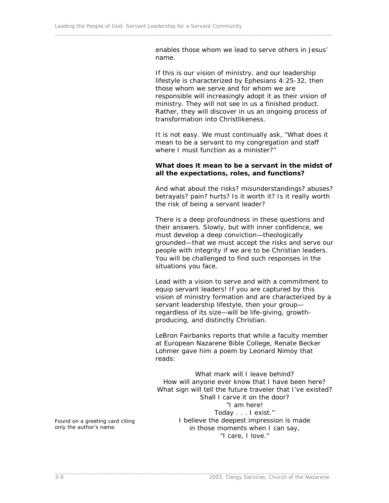$\_$  ,  $\_$  ,  $\_$  ,  $\_$  ,  $\_$  ,  $\_$  ,  $\_$  ,  $\_$  ,  $\_$  ,  $\_$  ,  $\_$  ,  $\_$  ,  $\_$  ,  $\_$  ,  $\_$  ,  $\_$  ,  $\_$  ,  $\_$  ,  $\_$  ,  $\_$  ,  $\_$  ,  $\_$  ,  $\_$  ,  $\_$  ,  $\_$  ,  $\_$  ,  $\_$  ,  $\_$  ,  $\_$  ,  $\_$  ,  $\_$  ,  $\_$  ,  $\_$  ,  $\_$  ,  $\_$  ,  $\_$  ,  $\_$  ,

enables those whom we lead to *serve others in Jesus' name.*

If this is our vision of ministry, and our leadership lifestyle is characterized by Ephesians 4:25-32, then those whom we serve and for whom we are responsible will increasingly adopt it as their vision of ministry. They will not see in us a finished product. Rather, they will discover in us an ongoing process of transformation into Christlikeness.

It is not easy. We must continually ask, "What does it mean to be a servant to my congregation and staff where I must function as a minister?"

### **What does it mean to be a servant in the midst of** *all* **the expectations, roles, and functions?**

And what about the risks? misunderstandings? abuses? betrayals? pain? hurts? Is it worth it? Is it really worth the risk of being a servant leader?

There is a deep profoundness in these questions and their answers. Slowly, but with inner confidence, we must develop a deep conviction—theologically grounded—that we must accept the risks and serve our people with integrity if we are to be Christian leaders. You will be challenged to find such responses in the situations you face.

Lead with a *vision to serve* and with a commitment to equip servant leaders! If you are captured by this vision of ministry formation and are characterized by a servant leadership lifestyle, then your group regardless of its size—will be life-giving, growthproducing, and *distinctly Christian*.

LeBron Fairbanks reports that while a faculty member at European Nazarene Bible College, Renate Becker Lohmer gave him a poem by Leonard Nimoy that reads:

*What mark will I leave behind? How will anyone ever know that I have been here? What sign will tell the future traveler that I've existed? Shall I carve it on the door? "I am here! Today . . . I exist." I believe the deepest impression is made in those moments when I can say, "I care, I love."*

 $\_$  ,  $\_$  ,  $\_$  ,  $\_$  ,  $\_$  ,  $\_$  ,  $\_$  ,  $\_$  ,  $\_$  ,  $\_$  ,  $\_$  ,  $\_$  ,  $\_$  ,  $\_$  ,  $\_$  ,  $\_$  ,  $\_$  ,  $\_$  ,  $\_$  ,  $\_$ 

*Found on a greeting card citing only the author's name.*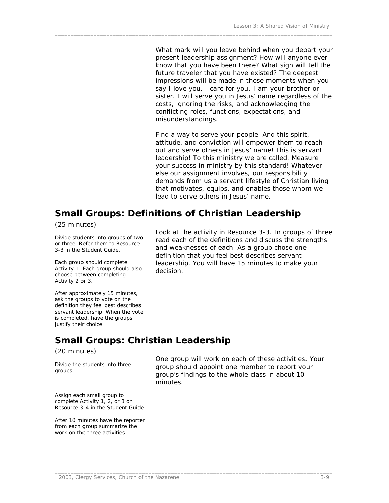What mark will you leave behind when you depart your present leadership assignment? How will anyone ever know that you have been there? What sign will tell the future traveler that you have existed? The deepest impressions will be made in those moments when you say I love you, I care for you, I am your brother or sister. I will serve you in Jesus' name regardless of the costs, ignoring the risks, and acknowledging the conflicting roles, functions, expectations, and misunderstandings.

Find a way to serve your people. And this spirit, attitude, and conviction will empower them to reach out and serve others in Jesus' name! *This* is servant leadership! To *this* ministry we are called. Measure your success in ministry by *this* standard! Whatever else our assignment involves, our responsibility demands from us a servant lifestyle of Christian living that motivates, equips, and enables those whom we lead to serve others in Jesus' name.

### **Small Groups: Definitions of Christian Leadership**

 $\_$  ,  $\_$  ,  $\_$  ,  $\_$  ,  $\_$  ,  $\_$  ,  $\_$  ,  $\_$  ,  $\_$  ,  $\_$  ,  $\_$  ,  $\_$  ,  $\_$  ,  $\_$  ,  $\_$  ,  $\_$  ,  $\_$  ,  $\_$  ,  $\_$  ,  $\_$  ,  $\_$  ,  $\_$  ,  $\_$  ,  $\_$  ,  $\_$  ,  $\_$  ,  $\_$  ,  $\_$  ,  $\_$  ,  $\_$  ,  $\_$  ,  $\_$  ,  $\_$  ,  $\_$  ,  $\_$  ,  $\_$  ,  $\_$  ,

(25 minutes)

*Divide students into groups of two or three. Refer them to Resource 3-3 in the Student Guide.*

*Each group should complete Activity 1. Each group should also choose between completing Activity 2 or 3.*

*After approximately 15 minutes, ask the groups to vote on the definition they feel best describes servant leadership. When the vote is completed, have the groups justify their choice.*

Look at the activity in Resource 3-3. In groups of three read each of the definitions and discuss the strengths and weaknesses of each. As a group chose one definition that you feel best describes servant leadership. You will have 15 minutes to make your decision.

### **Small Groups: Christian Leadership**

#### (20 minutes)

*Divide the students into three groups.*

One group will work on each of these activities. Your group should appoint one member to report your group's findings to the whole class in about 10 minutes.

 $\_$  ,  $\_$  ,  $\_$  ,  $\_$  ,  $\_$  ,  $\_$  ,  $\_$  ,  $\_$  ,  $\_$  ,  $\_$  ,  $\_$  ,  $\_$  ,  $\_$  ,  $\_$  ,  $\_$  ,  $\_$  ,  $\_$  ,  $\_$  ,  $\_$  ,  $\_$  ,  $\_$  ,  $\_$  ,  $\_$  ,  $\_$  ,  $\_$  ,  $\_$  ,  $\_$  ,  $\_$  ,  $\_$  ,  $\_$  ,  $\_$  ,  $\_$  ,  $\_$  ,  $\_$  ,  $\_$  ,  $\_$  ,  $\_$  ,

*Assign each small group to complete Activity 1, 2, or 3 on Resource 3-4 in the Student Guide.*

*After 10 minutes have the reporter from each group summarize the work on the three activities.*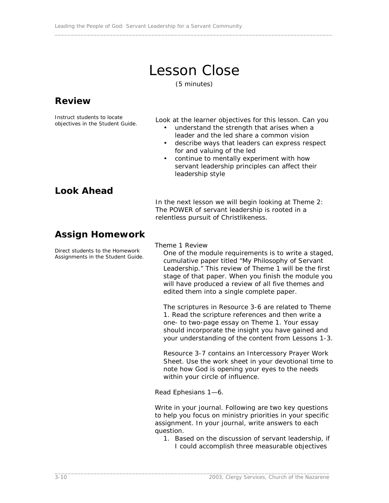# *Lesson Close*

 $\_$  ,  $\_$  ,  $\_$  ,  $\_$  ,  $\_$  ,  $\_$  ,  $\_$  ,  $\_$  ,  $\_$  ,  $\_$  ,  $\_$  ,  $\_$  ,  $\_$  ,  $\_$  ,  $\_$  ,  $\_$  ,  $\_$  ,  $\_$  ,  $\_$  ,  $\_$  ,  $\_$  ,  $\_$  ,  $\_$  ,  $\_$  ,  $\_$  ,  $\_$  ,  $\_$  ,  $\_$  ,  $\_$  ,  $\_$  ,  $\_$  ,  $\_$  ,  $\_$  ,  $\_$  ,  $\_$  ,  $\_$  ,  $\_$  ,

(5 minutes)

### **Review**

*Instruct students to locate*

*objectives in the Student Guide.* Look at the learner objectives for this lesson. Can you

- understand the strength that arises when a leader and the led share a common vision
- describe ways that leaders can express respect for and valuing of the led
- continue to mentally experiment with how servant leadership principles can affect their leadership style

### **Look Ahead**

In the next lesson we will begin looking at Theme 2: The POWER of servant leadership is rooted in a relentless pursuit of Christlikeness.

### **Assign Homework**

*Direct students to the Homework Assignments in the Student Guide.* Theme 1 Review

One of the module requirements is to write a staged, cumulative paper titled "My Philosophy of Servant Leadership." This review of Theme 1 will be the first stage of that paper. When you finish the module you will have produced a review of all five themes and edited them into a single complete paper.

The scriptures in Resource 3-6 are related to Theme 1. Read the scripture references and then write a one- to two-page essay on Theme 1. Your essay should incorporate the insight you have gained and your understanding of the content from Lessons 1-3.

Resource 3-7 contains an Intercessory Prayer Work Sheet. Use the work sheet in your devotional time to note how God is opening your eyes to the needs within your circle of influence.

Read Ephesians 1—6.

Write in your journal. Following are two key questions to help you focus on ministry priorities in your specific assignment. In your journal, write answers to each question.

1. Based on the discussion of servant leadership, if I could accomplish three measurable objectives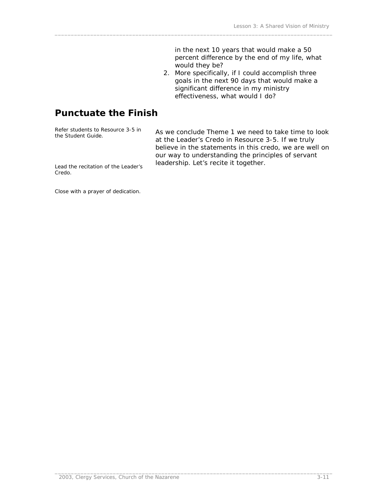in the next 10 years that would make a 50 percent difference by the end of my life, what would they be?

2. More specifically, if I could accomplish three goals in the next 90 days that would make a significant difference in my ministry effectiveness, what would I do?

### **Punctuate the Finish**

| Refer students to Resource 3-5 in<br>the Student Guide. | As we conclude Theme 1 we need to take time to look<br>at the Leader's Credo in Resource 3-5. If we truly<br>believe in the statements in this credo, we are well on |  |
|---------------------------------------------------------|----------------------------------------------------------------------------------------------------------------------------------------------------------------------|--|
| Lead the recitation of the Leader's                     | our way to understanding the principles of servant                                                                                                                   |  |
| Credo.                                                  | leadership. Let's recite it together.                                                                                                                                |  |

 $\_$  ,  $\_$  ,  $\_$  ,  $\_$  ,  $\_$  ,  $\_$  ,  $\_$  ,  $\_$  ,  $\_$  ,  $\_$  ,  $\_$  ,  $\_$  ,  $\_$  ,  $\_$  ,  $\_$  ,  $\_$  ,  $\_$  ,  $\_$  ,  $\_$  ,  $\_$  ,  $\_$  ,  $\_$  ,  $\_$  ,  $\_$  ,  $\_$  ,  $\_$  ,  $\_$  ,  $\_$  ,  $\_$  ,  $\_$  ,  $\_$  ,  $\_$  ,  $\_$  ,  $\_$  ,  $\_$  ,  $\_$  ,  $\_$  ,

 $\_$  ,  $\_$  ,  $\_$  ,  $\_$  ,  $\_$  ,  $\_$  ,  $\_$  ,  $\_$  ,  $\_$  ,  $\_$  ,  $\_$  ,  $\_$  ,  $\_$  ,  $\_$  ,  $\_$  ,  $\_$  ,  $\_$  ,  $\_$  ,  $\_$  ,  $\_$  ,  $\_$  ,  $\_$  ,  $\_$  ,  $\_$  ,  $\_$  ,  $\_$  ,  $\_$  ,  $\_$  ,  $\_$  ,  $\_$  ,  $\_$  ,  $\_$  ,  $\_$  ,  $\_$  ,  $\_$  ,  $\_$  ,  $\_$  ,

*Close with a prayer of dedication.*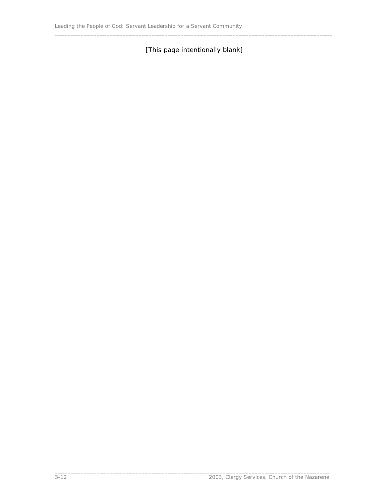[This page intentionally blank]

 $\_$  ,  $\_$  ,  $\_$  ,  $\_$  ,  $\_$  ,  $\_$  ,  $\_$  ,  $\_$  ,  $\_$  ,  $\_$  ,  $\_$  ,  $\_$  ,  $\_$  ,  $\_$  ,  $\_$  ,  $\_$  ,  $\_$  ,  $\_$  ,  $\_$  ,  $\_$  ,  $\_$  ,  $\_$  ,  $\_$  ,  $\_$  ,  $\_$  ,  $\_$  ,  $\_$  ,  $\_$  ,  $\_$  ,  $\_$  ,  $\_$  ,  $\_$  ,  $\_$  ,  $\_$  ,  $\_$  ,  $\_$  ,  $\_$  ,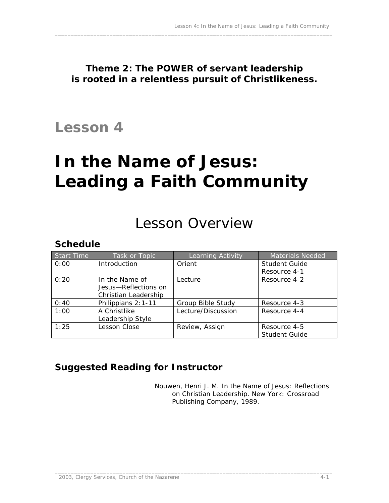## *Theme 2: The POWER of servant leadership is rooted in a relentless pursuit of Christlikeness.*

 $\_$  ,  $\_$  ,  $\_$  ,  $\_$  ,  $\_$  ,  $\_$  ,  $\_$  ,  $\_$  ,  $\_$  ,  $\_$  ,  $\_$  ,  $\_$  ,  $\_$  ,  $\_$  ,  $\_$  ,  $\_$  ,  $\_$  ,  $\_$  ,  $\_$  ,  $\_$  ,  $\_$  ,  $\_$  ,  $\_$  ,  $\_$  ,  $\_$  ,  $\_$  ,  $\_$  ,  $\_$  ,  $\_$  ,  $\_$  ,  $\_$  ,  $\_$  ,  $\_$  ,  $\_$  ,  $\_$  ,  $\_$  ,  $\_$  ,

## *Lesson 4*

# **In the Name of Jesus: Leading a Faith Community**

# *Lesson Overview*

## **Schedule**

| <b>Start Time</b> | Task or Topic        | Learning Activity  | <b>Materials Needed</b> |
|-------------------|----------------------|--------------------|-------------------------|
| 0:00              | Introduction         | Orient             | Student Guide           |
|                   |                      |                    | Resource 4-1            |
| 0:20              | In the Name of       | Lecture            | Resource 4-2            |
|                   | Jesus-Reflections on |                    |                         |
|                   | Christian Leadership |                    |                         |
| 0:40              | Philippians 2:1-11   | Group Bible Study  | Resource 4-3            |
| 1:00              | A Christlike         | Lecture/Discussion | Resource 4-4            |
|                   | Leadership Style     |                    |                         |
| 1:25              | Lesson Close         | Review, Assign     | Resource 4-5            |
|                   |                      |                    | Student Guide           |

## **Suggested Reading for Instructor**

Nouwen, Henri J. M. *In the Name of Jesus: Reflections on Christian Leadership.* New York: Crossroad Publishing Company, 1989.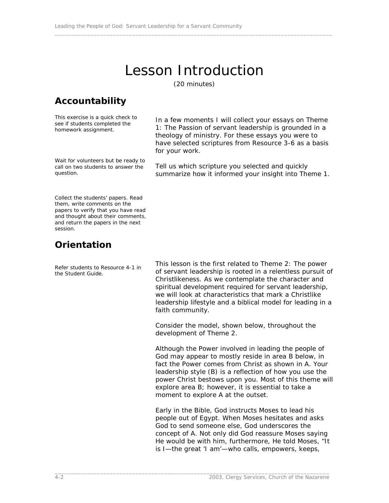# *Lesson Introduction*

 $\_$  ,  $\_$  ,  $\_$  ,  $\_$  ,  $\_$  ,  $\_$  ,  $\_$  ,  $\_$  ,  $\_$  ,  $\_$  ,  $\_$  ,  $\_$  ,  $\_$  ,  $\_$  ,  $\_$  ,  $\_$  ,  $\_$  ,  $\_$  ,  $\_$  ,  $\_$  ,  $\_$  ,  $\_$  ,  $\_$  ,  $\_$  ,  $\_$  ,  $\_$  ,  $\_$  ,  $\_$  ,  $\_$  ,  $\_$  ,  $\_$  ,  $\_$  ,  $\_$  ,  $\_$  ,  $\_$  ,  $\_$  ,  $\_$  ,

(20 minutes)

### **Accountability**

*This exercise is a quick check to see if students completed the homework assignment.*

In a few moments I will collect your essays on Theme 1: The *Passion* of servant leadership is grounded in a theology of ministry. For these essays you were to have selected scriptures from Resource 3-6 as a basis for your work.

*Tell us which scripture you selected and quickly*

*Wait for volunteers but be ready to call on two students to answer the question.*

*summarize how it informed your insight into Theme 1.*

*Collect the students' papers. Read them, write comments on the papers to verify that you have read and thought about their comments, and return the papers in the next session.*

### **Orientation**

*Refer students to Resource 4-1 in the Student Guide.*

This lesson is the first related to Theme 2: The *power* of servant leadership is rooted in a relentless pursuit of Christlikeness. As we contemplate the character and spiritual development required for servant leadership, we will look at characteristics that mark a Christlike leadership lifestyle and a biblical model for leading in a faith community.

Consider the model, shown below, throughout the development of Theme 2.

Although the *Power* involved in leading the people of God may appear to mostly reside in area *B* below, in fact the *Power* comes from Christ as shown in *A.* Your leadership style *(B)* is a reflection of how you use the power Christ bestows upon you. Most of this theme will explore area *B;* however, it is essential to take a moment to explore *A* at the outset.

Early in the Bible, God instructs Moses to lead his people out of Egypt. When Moses hesitates and asks God to send someone else, God underscores the concept of *A.* Not only did God reassure Moses saying He would be with him, furthermore, He told Moses, "It is I—the great 'I am'—who calls, empowers, keeps,

 $\_$  ,  $\_$  ,  $\_$  ,  $\_$  ,  $\_$  ,  $\_$  ,  $\_$  ,  $\_$  ,  $\_$  ,  $\_$  ,  $\_$  ,  $\_$  ,  $\_$  ,  $\_$  ,  $\_$  ,  $\_$  ,  $\_$  ,  $\_$  ,  $\_$  ,  $\_$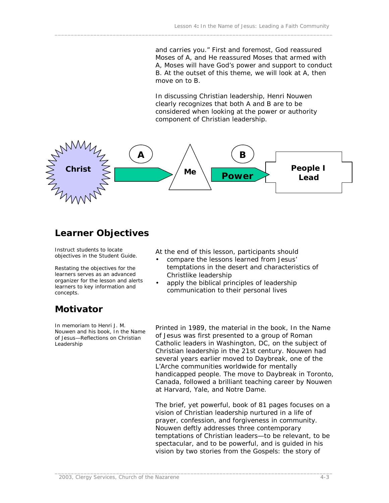and carries you." First and foremost, God reassured Moses of *A,* and He reassured Moses that armed with *A,* Moses will have God's power and support to conduct *B.* At the outset of this theme, we will look at *A,* then move on to *B.*

In discussing Christian leadership, Henri Nouwen clearly recognizes that both *A* and *B* are to be considered when looking at the power or authority component of Christian leadership.



 $\_$  ,  $\_$  ,  $\_$  ,  $\_$  ,  $\_$  ,  $\_$  ,  $\_$  ,  $\_$  ,  $\_$  ,  $\_$  ,  $\_$  ,  $\_$  ,  $\_$  ,  $\_$  ,  $\_$  ,  $\_$  ,  $\_$  ,  $\_$  ,  $\_$  ,  $\_$  ,  $\_$  ,  $\_$  ,  $\_$  ,  $\_$  ,  $\_$  ,  $\_$  ,  $\_$  ,  $\_$  ,  $\_$  ,  $\_$  ,  $\_$  ,  $\_$  ,  $\_$  ,  $\_$  ,  $\_$  ,  $\_$  ,  $\_$  ,

### **Learner Objectives**

*Instruct students to locate objectives in the Student Guide.*

*Restating the objectives for the learners serves as an advanced organizer for the lesson and alerts learners to key information and concepts.*

### **Motivator**

*In memoriam to Henri J. M. Nouwen and his book,* In the Name of Jesus—Reflections on Christian Leadership

At the end of this lesson, participants should

- compare the lessons learned from Jesus' temptations in the desert and characteristics of Christlike leadership
- apply the biblical principles of leadership communication to their personal lives

Printed in 1989, the material in the book, *In the Name of Jesus* was first presented to a group of Roman Catholic leaders in Washington, DC, on the subject of Christian leadership in the 21st century. Nouwen had several years earlier moved to Daybreak, one of the L'Arche communities worldwide for mentally handicapped people. The move to Daybreak in Toronto, Canada, followed a brilliant teaching career by Nouwen at Harvard, Yale, and Notre Dame.

The brief, yet powerful, book of 81 pages focuses on a vision of Christian leadership nurtured in a life of prayer, confession, and forgiveness in community. Nouwen deftly addresses three contemporary temptations of Christian leaders—to be relevant, to be spectacular, and to be powerful, and is guided in his vision by two stories from the Gospels: the story of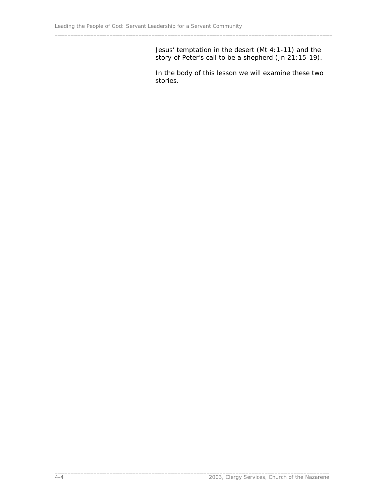$\_$  ,  $\_$  ,  $\_$  ,  $\_$  ,  $\_$  ,  $\_$  ,  $\_$  ,  $\_$  ,  $\_$  ,  $\_$  ,  $\_$  ,  $\_$  ,  $\_$  ,  $\_$  ,  $\_$  ,  $\_$  ,  $\_$  ,  $\_$  ,  $\_$  ,  $\_$  ,  $\_$  ,  $\_$  ,  $\_$  ,  $\_$  ,  $\_$  ,  $\_$  ,  $\_$  ,  $\_$  ,  $\_$  ,  $\_$  ,  $\_$  ,  $\_$  ,  $\_$  ,  $\_$  ,  $\_$  ,  $\_$  ,  $\_$  ,

Jesus' temptation in the desert (Mt 4:1-11) and the story of Peter's call to be a shepherd (Jn 21:15-19).

In the body of this lesson we will examine these two stories.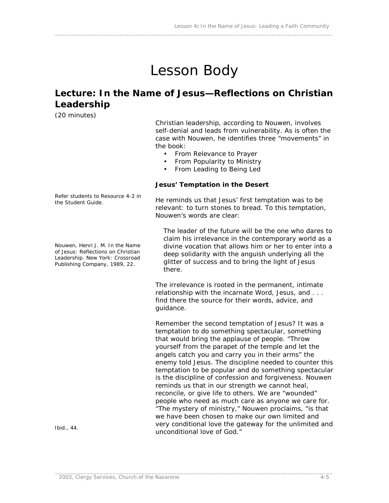## *Lesson Body*

 $\_$  ,  $\_$  ,  $\_$  ,  $\_$  ,  $\_$  ,  $\_$  ,  $\_$  ,  $\_$  ,  $\_$  ,  $\_$  ,  $\_$  ,  $\_$  ,  $\_$  ,  $\_$  ,  $\_$  ,  $\_$  ,  $\_$  ,  $\_$  ,  $\_$  ,  $\_$  ,  $\_$  ,  $\_$  ,  $\_$  ,  $\_$  ,  $\_$  ,  $\_$  ,  $\_$  ,  $\_$  ,  $\_$  ,  $\_$  ,  $\_$  ,  $\_$  ,  $\_$  ,  $\_$  ,  $\_$  ,  $\_$  ,  $\_$  ,

### **Lecture: In the Name of Jesus—Reflections on Christian Leadership**

(20 minutes)

Christian leadership, according to Nouwen, involves self-denial and leads from vulnerability. As is often the case with Nouwen, he identifies three "movements" in the book:

- From Relevance to Prayer
- From Popularity to Ministry
- From Leading to Being Led

### **Jesus' Temptation in the Desert**

He reminds us that Jesus' first temptation was to be relevant: to turn stones to bread. To this temptation, Nouwen's words are clear:

The leader of the future will be the one who dares to claim his irrelevance in the contemporary world as a divine vocation that allows him or her to enter into a deep solidarity with the anguish underlying all the glitter of success and to bring the light of Jesus there.

The irrelevance is rooted in the permanent, intimate relationship with the incarnate Word, Jesus, and . . . find there the source for their words, advice, and guidance.

Remember the second temptation of Jesus? It was a temptation to do something spectacular, something that would bring the applause of people. "Throw yourself from the parapet of the temple and let the angels catch you and carry you in their arms" the enemy told Jesus. The discipline needed to counter this temptation to be popular and do something spectacular is the discipline of confession and forgiveness. Nouwen reminds us that in our strength we cannot heal, reconcile, or give life to others. We are "wounded" people who need as much care as anyone we care for. "The mystery of ministry," Nouwen proclaims, "is that we have been chosen to make our own limited and very conditional love the gateway for the unlimited and unconditional love of God."

*Refer students to Resource 4-2 in the Student Guide.*

*Nouwen, Henri J. M.* In the Name of Jesus: Reflections on Christian Leadership. *New York: Crossroad Publishing Company, 1989, 22.*

*Ibid., 44.*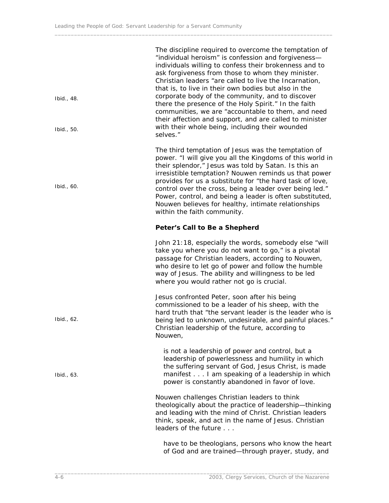| Ibid., 48.<br>Ibid., 50. | The discipline required to overcome the temptation of<br>"individual heroism" is confession and forgiveness-<br>individuals willing to confess their brokenness and to<br>ask forgiveness from those to whom they minister.<br>Christian leaders "are called to live the Incarnation,<br>that is, to live in their own bodies but also in the<br>corporate body of the community, and to discover<br>there the presence of the Holy Spirit." In the faith<br>communities, we are "accountable to them, and need<br>their affection and support, and are called to minister<br>with their whole being, including their wounded<br>selves." |
|--------------------------|-------------------------------------------------------------------------------------------------------------------------------------------------------------------------------------------------------------------------------------------------------------------------------------------------------------------------------------------------------------------------------------------------------------------------------------------------------------------------------------------------------------------------------------------------------------------------------------------------------------------------------------------|
| Ibid., 60.               | The third temptation of Jesus was the temptation of<br>power. "I will give you all the Kingdoms of this world in<br>their splendor," Jesus was told by Satan. Is this an<br>irresistible temptation? Nouwen reminds us that power<br>provides for us a substitute for "the hard task of love,<br>control over the cross, being a leader over being led."<br>Power, control, and being a leader is often substituted,<br>Nouwen believes for healthy, intimate relationships<br>within the faith community.                                                                                                                                |
|                          | Peter's Call to Be a Shepherd                                                                                                                                                                                                                                                                                                                                                                                                                                                                                                                                                                                                             |
|                          | John 21:18, especially the words, somebody else "will<br>take you where you do not want to go," is a pivotal<br>passage for Christian leaders, according to Nouwen,<br>who desire to let go of power and follow the humble<br>way of Jesus. The ability and willingness to be led<br>where you would rather not go is crucial.                                                                                                                                                                                                                                                                                                            |
| Ibid., 62.               | Jesus confronted Peter, soon after his being<br>commissioned to be a leader of his sheep, with the<br>hard truth that "the servant leader is the leader who is<br>being led to unknown, undesirable, and painful places."<br>Christian leadership of the future, according to<br>Nouwen,                                                                                                                                                                                                                                                                                                                                                  |
| Ibid., 63.               | is not a leadership of power and control, but a<br>leadership of powerlessness and humility in which<br>the suffering servant of God, Jesus Christ, is made<br>manifest I am speaking of a leadership in which<br>power is constantly abandoned in favor of love.                                                                                                                                                                                                                                                                                                                                                                         |
|                          | Nouwen challenges Christian leaders to think<br>theologically about the practice of leadership-thinking<br>and leading with the mind of Christ. Christian leaders<br>think, speak, and act in the name of Jesus. Christian<br>leaders of the future                                                                                                                                                                                                                                                                                                                                                                                       |
|                          | have to be theologians, persons who know the heart<br>of God and are trained-through prayer, study, and                                                                                                                                                                                                                                                                                                                                                                                                                                                                                                                                   |

 $\_$  ,  $\_$  ,  $\_$  ,  $\_$  ,  $\_$  ,  $\_$  ,  $\_$  ,  $\_$  ,  $\_$  ,  $\_$  ,  $\_$  ,  $\_$  ,  $\_$  ,  $\_$  ,  $\_$  ,  $\_$  ,  $\_$  ,  $\_$  ,  $\_$  ,  $\_$  ,  $\_$  ,  $\_$  ,  $\_$  ,  $\_$  ,  $\_$  ,  $\_$  ,  $\_$  ,  $\_$  ,  $\_$  ,  $\_$  ,  $\_$  ,  $\_$  ,  $\_$  ,  $\_$  ,  $\_$  ,  $\_$  ,  $\_$  ,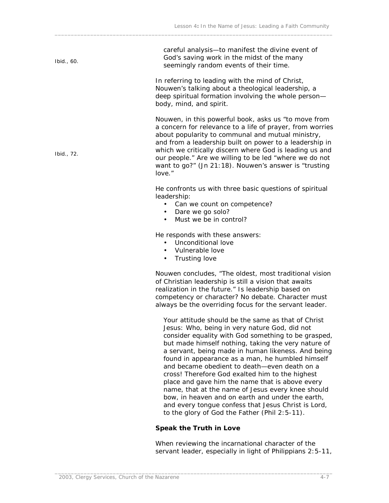careful analysis—to manifest the divine event of God's saving work in the midst of the many seemingly random events of their time.

In referring to leading with the mind of Christ, Nouwen's talking about a theological leadership, a deep spiritual formation involving the whole person body, mind, and spirit.

Nouwen, in this powerful book, asks us "to move from a concern for relevance to a life of prayer, from worries about popularity to communal and mutual ministry, and from a leadership built on power to a leadership in which we critically discern where God is leading us and our people." Are we willing to be led "where we do not want to go?" (Jn 21:18). Nouwen's answer is "trusting love."

He confronts us with three basic questions of spiritual leadership:

- Can we count on competence?
- Dare we go solo?

 $\_$  ,  $\_$  ,  $\_$  ,  $\_$  ,  $\_$  ,  $\_$  ,  $\_$  ,  $\_$  ,  $\_$  ,  $\_$  ,  $\_$  ,  $\_$  ,  $\_$  ,  $\_$  ,  $\_$  ,  $\_$  ,  $\_$  ,  $\_$  ,  $\_$  ,  $\_$  ,  $\_$  ,  $\_$  ,  $\_$  ,  $\_$  ,  $\_$  ,  $\_$  ,  $\_$  ,  $\_$  ,  $\_$  ,  $\_$  ,  $\_$  ,  $\_$  ,  $\_$  ,  $\_$  ,  $\_$  ,  $\_$  ,  $\_$  ,

• Must we be in control?

He responds with these answers:

- Unconditional love
- Vulnerable love
- Trusting love

Nouwen concludes, "The oldest, most traditional vision of Christian leadership is still a vision that awaits realization in the future." Is leadership based on competency or character? No debate. Character must always be the overriding focus for the servant leader.

Your attitude should be the same as that of Christ Jesus: Who, being in very nature God, did not consider equality with God something to be grasped, but made himself nothing, taking the very nature of a servant, being made in human likeness. And being found in appearance as a man, he humbled himself and became obedient to death—even death on a cross! Therefore God exalted him to the highest place and gave him the name that is above every name, that at the name of Jesus every knee should bow, in heaven and on earth and under the earth, and every tongue confess that Jesus Christ is Lord, to the glory of God the Father (Phil 2:5-11).

#### **Speak the Truth in Love**

 $\_$  ,  $\_$  ,  $\_$  ,  $\_$  ,  $\_$  ,  $\_$  ,  $\_$  ,  $\_$  ,  $\_$  ,  $\_$  ,  $\_$  ,  $\_$  ,  $\_$  ,  $\_$  ,  $\_$  ,  $\_$  ,  $\_$  ,  $\_$  ,  $\_$  ,  $\_$  ,  $\_$  ,  $\_$  ,  $\_$  ,  $\_$  ,  $\_$  ,  $\_$  ,  $\_$  ,  $\_$  ,  $\_$  ,  $\_$  ,  $\_$  ,  $\_$  ,  $\_$  ,  $\_$  ,  $\_$  ,  $\_$  ,  $\_$  ,

When reviewing the incarnational character of the servant leader, especially in light of Philippians 2:5-11,

*Ibid., 60.*

*Ibid., 72.*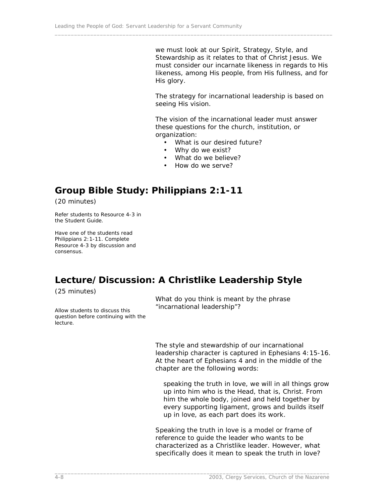we must look at our Spirit, Strategy, Style, and Stewardship as it relates to that of Christ Jesus. We must consider our incarnate likeness in regards to *His* likeness, among *His* people, from *His* fullness, and for *His* glory.

The *strategy* for incarnational leadership is based on seeing *His* vision.

The vision of the incarnational leader must answer these questions for the church, institution, or organization:

- What is our desired future?
- Why do we exist?

 $\_$  ,  $\_$  ,  $\_$  ,  $\_$  ,  $\_$  ,  $\_$  ,  $\_$  ,  $\_$  ,  $\_$  ,  $\_$  ,  $\_$  ,  $\_$  ,  $\_$  ,  $\_$  ,  $\_$  ,  $\_$  ,  $\_$  ,  $\_$  ,  $\_$  ,  $\_$  ,  $\_$  ,  $\_$  ,  $\_$  ,  $\_$  ,  $\_$  ,  $\_$  ,  $\_$  ,  $\_$  ,  $\_$  ,  $\_$  ,  $\_$  ,  $\_$  ,  $\_$  ,  $\_$  ,  $\_$  ,  $\_$  ,  $\_$  ,

- What do we believe?
- How do we serve?

### **Group Bible Study: Philippians 2:1-11**

(20 minutes)

*Refer students to Resource 4-3 in the Student Guide.*

*Have one of the students read Philippians 2:1-11. Complete Resource 4-3 by discussion and consensus.*

### **Lecture/Discussion: A Christlike Leadership Style**

(25 minutes)

*Allow students to discuss this question before continuing with the lecture.*

*What do you think is meant by the phrase "incarnational leadership"?*

The style and stewardship of our incarnational leadership character is captured in Ephesians 4:15-16. At the heart of Ephesians 4 and in the middle of the chapter are the following words:

speaking the truth in love, we will in all things grow up into him who is the Head, that is, Christ. From him the whole body, joined and held together by every supporting ligament, grows and builds itself up in love, as each part does its work.

Speaking the truth in love is a model or frame of reference to guide the leader who wants to be characterized as a Christlike leader. However, what specifically does it mean to speak the truth in love?

 $\_$  ,  $\_$  ,  $\_$  ,  $\_$  ,  $\_$  ,  $\_$  ,  $\_$  ,  $\_$  ,  $\_$  ,  $\_$  ,  $\_$  ,  $\_$  ,  $\_$  ,  $\_$  ,  $\_$  ,  $\_$  ,  $\_$  ,  $\_$  ,  $\_$  ,  $\_$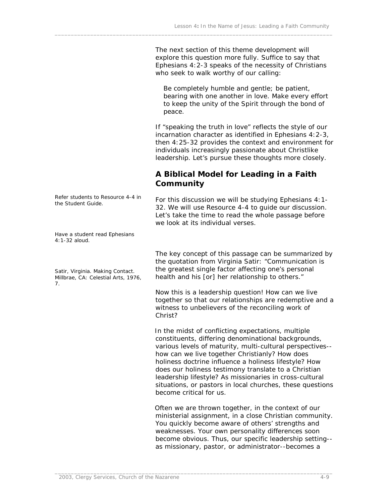The next section of this theme development will explore this question more fully. Suffice to say that Ephesians 4:2-3 speaks of the necessity of Christians who seek to walk worthy of our calling:

 $\_$  ,  $\_$  ,  $\_$  ,  $\_$  ,  $\_$  ,  $\_$  ,  $\_$  ,  $\_$  ,  $\_$  ,  $\_$  ,  $\_$  ,  $\_$  ,  $\_$  ,  $\_$  ,  $\_$  ,  $\_$  ,  $\_$  ,  $\_$  ,  $\_$  ,  $\_$  ,  $\_$  ,  $\_$  ,  $\_$  ,  $\_$  ,  $\_$  ,  $\_$  ,  $\_$  ,  $\_$  ,  $\_$  ,  $\_$  ,  $\_$  ,  $\_$  ,  $\_$  ,  $\_$  ,  $\_$  ,  $\_$  ,  $\_$  ,

Be completely humble and gentle; be patient, bearing with one another in love. Make every effort to keep the unity of the Spirit through the bond of peace.

If "speaking the truth in love" reflects the style of our incarnation character as identified in Ephesians 4:2-3, then 4:25-32 provides the context and environment for individuals increasingly passionate about Christlike leadership. Let's pursue these thoughts more closely.

### **A Biblical Model for Leading in a Faith Community**

For this discussion we will be studying Ephesians 4:1- 32. We will use Resource 4-4 to guide our discussion. Let's take the time to read the whole passage before we look at its individual verses.

*Have a student read Ephesians 4:1-32 aloud.*

*Refer students to Resource 4-4 in*

*the Student Guide.*

*Satir, Virginia.* Making Contact. *Millbrae, CA: Celestial Arts, 1976, 7.*

The key concept of this passage can be summarized by the quotation from Virginia Satir: "Communication is the greatest single factor affecting one's personal health and his [or] her relationship to others."

Now this is a leadership question! How can we live together so that our relationships are redemptive and a witness to unbelievers of the reconciling work of Christ?

In the midst of conflicting expectations, multiple constituents, differing denominational backgrounds, various levels of maturity, multi-cultural perspectives- how can we live together Christianly? How does holiness doctrine influence a holiness lifestyle? How does our holiness testimony translate to a Christian leadership lifestyle? As missionaries in cross-cultural situations, or pastors in local churches, these questions become critical for us.

Often we are thrown together, in the context of our ministerial assignment, in a close Christian community. You quickly become aware of others' strengths and weaknesses. Your own personality differences soon become obvious. Thus, our specific leadership setting- as missionary, pastor, or administrator--becomes a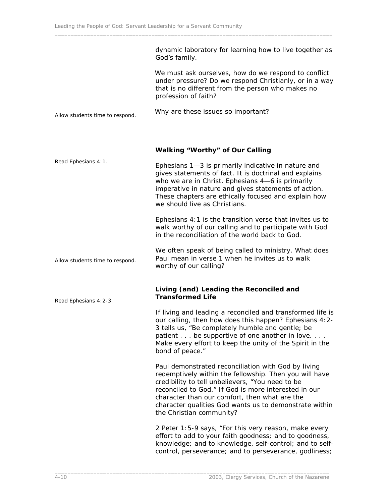|                                 | dynamic laboratory for learning how to live together as<br>God's family.                                                                                                                                                                                                                                                                                         |
|---------------------------------|------------------------------------------------------------------------------------------------------------------------------------------------------------------------------------------------------------------------------------------------------------------------------------------------------------------------------------------------------------------|
|                                 | We must ask ourselves, how do we respond to conflict<br>under pressure? Do we respond Christianly, or in a way<br>that is no different from the person who makes no<br>profession of faith?                                                                                                                                                                      |
| Allow students time to respond. | Why are these issues so important?                                                                                                                                                                                                                                                                                                                               |
|                                 | Walking "Worthy" of Our Calling                                                                                                                                                                                                                                                                                                                                  |
| Read Ephesians 4:1.             | Ephesians 1-3 is primarily indicative in nature and<br>gives statements of fact. It is doctrinal and explains<br>who we are in Christ. Ephesians 4-6 is primarily<br>imperative in nature and gives statements of action.<br>These chapters are ethically focused and explain how<br>we should live as Christians.                                               |
|                                 | Ephesians 4:1 is the transition verse that invites us to<br>walk worthy of our calling and to participate with God<br>in the reconciliation of the world back to God.                                                                                                                                                                                            |
| Allow students time to respond. | We often speak of being called to ministry. What does<br>Paul mean in verse 1 when he invites us to walk<br>worthy of our calling?                                                                                                                                                                                                                               |
| Read Ephesians 4:2-3.           | Living (and) Leading the Reconciled and<br><b>Transformed Life</b>                                                                                                                                                                                                                                                                                               |
|                                 | If living and leading a reconciled and transformed life is<br>our calling, then how does this happen? Ephesians 4:2-<br>3 tells us, "Be completely humble and gentle; be<br>patient be supportive of one another in love.<br>Make every effort to keep the unity of the Spirit in the<br>bond of peace."                                                         |
|                                 | Paul demonstrated reconciliation with God by living<br>redemptively within the fellowship. Then you will have<br>credibility to tell unbelievers, "You need to be<br>reconciled to God." If God is more interested in our<br>character than our comfort, then what are the<br>character qualities God wants us to demonstrate within<br>the Christian community? |
|                                 | 2 Peter 1:5-9 says, "For this very reason, make every<br>effort to add to your faith goodness; and to goodness,<br>knowledge; and to knowledge, self-control; and to self-<br>control, perseverance; and to perseverance, godliness;                                                                                                                             |

 $\_$  ,  $\_$  ,  $\_$  ,  $\_$  ,  $\_$  ,  $\_$  ,  $\_$  ,  $\_$  ,  $\_$  ,  $\_$  ,  $\_$  ,  $\_$  ,  $\_$  ,  $\_$  ,  $\_$  ,  $\_$  ,  $\_$  ,  $\_$  ,  $\_$  ,  $\_$  ,  $\_$  ,  $\_$  ,  $\_$  ,  $\_$  ,  $\_$  ,  $\_$  ,  $\_$  ,  $\_$  ,  $\_$  ,  $\_$  ,  $\_$  ,  $\_$  ,  $\_$  ,  $\_$  ,  $\_$  ,  $\_$  ,  $\_$  ,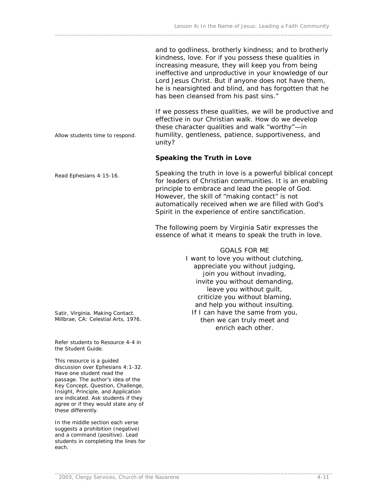and to godliness, brotherly kindness; and to brotherly kindness, love. For if you possess these qualities in increasing measure, they will keep you from being ineffective and unproductive in your knowledge of our Lord Jesus Christ. But if anyone does not have them, he is nearsighted and blind, and has forgotten that he has been cleansed from his past sins." *Allow students time to respond.* If we possess *these qualities,* we will be productive and effective in our Christian walk. *How do we develop these character qualities and walk "worthy"—in humility, gentleness, patience, supportiveness, and unity? Read Ephesians 4:15-16.* **Speaking the Truth in Love** Speaking the truth in love is a powerful biblical concept for leaders of Christian communities. It is an enabling principle to embrace and lead the people of God. However, the skill of "making contact" is not automatically received when we are filled with God's Spirit in the experience of entire sanctification. The following poem by Virginia Satir expresses the essence of what it means to speak the truth in love. GOALS FOR ME I want to love you without clutching, appreciate you without judging, join you without invading, invite you without demanding, leave you without guilt, criticize you without blaming, and help you without insulting. If I can have the same from you, then we can truly meet and enrich each other.

 $\_$  ,  $\_$  ,  $\_$  ,  $\_$  ,  $\_$  ,  $\_$  ,  $\_$  ,  $\_$  ,  $\_$  ,  $\_$  ,  $\_$  ,  $\_$  ,  $\_$  ,  $\_$  ,  $\_$  ,  $\_$  ,  $\_$  ,  $\_$  ,  $\_$  ,  $\_$  ,  $\_$  ,  $\_$  ,  $\_$  ,  $\_$  ,  $\_$  ,  $\_$  ,  $\_$  ,  $\_$  ,  $\_$  ,  $\_$  ,  $\_$  ,  $\_$  ,  $\_$  ,  $\_$  ,  $\_$  ,  $\_$  ,  $\_$  ,

*Satir, Virginia.* Making Contact. *Millbrae, CA: Celestial Arts, 1976.*

*Refer students to Resource 4-4 in the Student Guide.*

*This resource is a guided discussion over Ephesians 4:1-32. Have one student read the passage. The author's idea of the Key Concept, Question, Challenge, Insight, Principle, and Application are indicated. Ask students if they agree or if they would state any of these differently.*

*In the middle section each verse suggests a prohibition (negative) and a command (positive). Lead students in completing the lines for each.*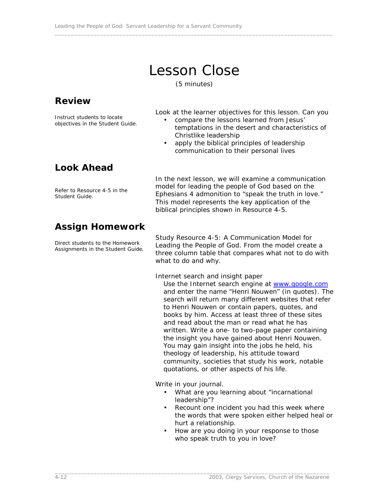# *Lesson Close*

 $\_$  ,  $\_$  ,  $\_$  ,  $\_$  ,  $\_$  ,  $\_$  ,  $\_$  ,  $\_$  ,  $\_$  ,  $\_$  ,  $\_$  ,  $\_$  ,  $\_$  ,  $\_$  ,  $\_$  ,  $\_$  ,  $\_$  ,  $\_$  ,  $\_$  ,  $\_$  ,  $\_$  ,  $\_$  ,  $\_$  ,  $\_$  ,  $\_$  ,  $\_$  ,  $\_$  ,  $\_$  ,  $\_$  ,  $\_$  ,  $\_$  ,  $\_$  ,  $\_$  ,  $\_$  ,  $\_$  ,  $\_$  ,  $\_$  ,

(5 minutes)

### **Review**

*Instruct students to locate objectives in the Student Guide.* Look at the learner objectives for this lesson. Can you

- compare the lessons learned from Jesus' temptations in the desert and characteristics of Christlike leadership
- apply the biblical principles of leadership communication to their personal lives

## **Look Ahead**

*Refer to Resource 4-5 in the Student Guide.*

## **Assign Homework**

*Direct students to the Homework Assignments in the Student Guide.* In the next lesson, we will examine a communication model for leading the people of God based on the Ephesians 4 admonition to "speak the truth in love." This model represents the key application of the biblical principles shown in Resource 4-5.

Study Resource 4-5: A Communication Model for Leading the People of God. From the model create a three column table that compares what not to do with what to do and why.

Internet search and insight paper

Use the Internet search engine at www.google.com and enter the name "Henri Nouwen" (in quotes). The search will return many different websites that refer to Henri Nouwen or contain papers, quotes, and books by him. Access at least three of these sites and read about the man or read what he has written. Write a one- to two-page paper containing the insight you have gained about Henri Nouwen. You may gain insight into the jobs he held, his theology of leadership, his attitude toward community, societies that study his work, notable quotations, or other aspects of his life.

Write in your journal.

- What are you learning about "incarnational leadership"?
- Recount one incident you had this week where the words that were spoken either helped heal or hurt a relationship.
- How are you doing in your response to those who speak truth to you in love?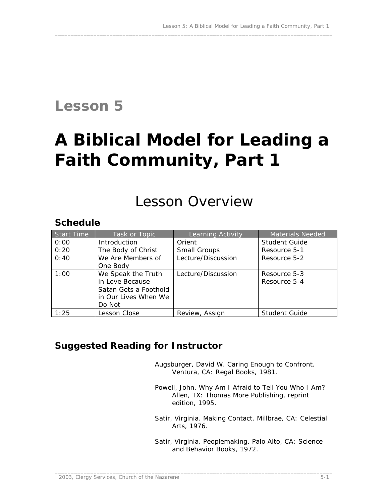## *Lesson 5*

# **A Biblical Model for Leading a Faith Community, Part 1**

 $\_$  ,  $\_$  ,  $\_$  ,  $\_$  ,  $\_$  ,  $\_$  ,  $\_$  ,  $\_$  ,  $\_$  ,  $\_$  ,  $\_$  ,  $\_$  ,  $\_$  ,  $\_$  ,  $\_$  ,  $\_$  ,  $\_$  ,  $\_$  ,  $\_$  ,  $\_$  ,  $\_$  ,  $\_$  ,  $\_$  ,  $\_$  ,  $\_$  ,  $\_$  ,  $\_$  ,  $\_$  ,  $\_$  ,  $\_$  ,  $\_$  ,  $\_$  ,  $\_$  ,  $\_$  ,  $\_$  ,  $\_$  ,  $\_$  ,

## *Lesson Overview*

### **Schedule**

| <b>Start Time</b> | Task or Topic                                                                                    | Learning Activity  | <b>Materials Needed</b>      |
|-------------------|--------------------------------------------------------------------------------------------------|--------------------|------------------------------|
| 0:00              | Introduction                                                                                     | Orient             | Student Guide                |
| 0:20              | The Body of Christ                                                                               | Small Groups       | Resource 5-1                 |
| 0:40              | We Are Members of<br>One Body                                                                    | Lecture/Discussion | Resource 5-2                 |
| 1:00              | We Speak the Truth<br>in Love Because<br>Satan Gets a Foothold<br>in Our Lives When We<br>Do Not | Lecture/Discussion | Resource 5-3<br>Resource 5-4 |
| 1:25              | Lesson Close                                                                                     | Review, Assign     | Student Guide                |

 $\_$  ,  $\_$  ,  $\_$  ,  $\_$  ,  $\_$  ,  $\_$  ,  $\_$  ,  $\_$  ,  $\_$  ,  $\_$  ,  $\_$  ,  $\_$  ,  $\_$  ,  $\_$  ,  $\_$  ,  $\_$  ,  $\_$  ,  $\_$  ,  $\_$  ,  $\_$  ,  $\_$  ,  $\_$  ,  $\_$  ,  $\_$  ,  $\_$  ,  $\_$  ,  $\_$  ,  $\_$  ,  $\_$  ,  $\_$  ,  $\_$  ,  $\_$  ,  $\_$  ,  $\_$  ,  $\_$  ,  $\_$  ,  $\_$  ,

### **Suggested Reading for Instructor**

Augsburger, David W. *Caring Enough to Confront*. Ventura, CA: Regal Books, 1981.

Powell, John. *Why Am I Afraid to Tell You Who I Am?* Allen, TX: Thomas More Publishing, reprint edition, 1995.

Satir, Virginia. *Making Contact.* Millbrae, CA: Celestial Arts, 1976.

Satir, Virginia. *Peoplemaking.* Palo Alto, CA: Science and Behavior Books, 1972.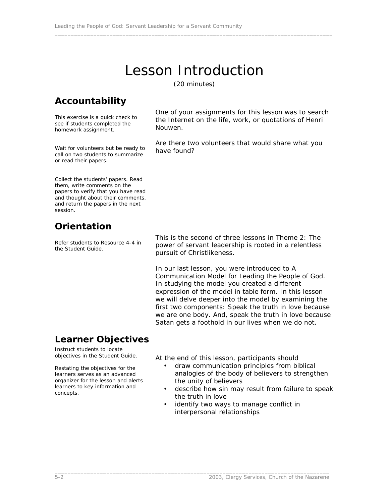## *Lesson Introduction*

 $\_$  ,  $\_$  ,  $\_$  ,  $\_$  ,  $\_$  ,  $\_$  ,  $\_$  ,  $\_$  ,  $\_$  ,  $\_$  ,  $\_$  ,  $\_$  ,  $\_$  ,  $\_$  ,  $\_$  ,  $\_$  ,  $\_$  ,  $\_$  ,  $\_$  ,  $\_$  ,  $\_$  ,  $\_$  ,  $\_$  ,  $\_$  ,  $\_$  ,  $\_$  ,  $\_$  ,  $\_$  ,  $\_$  ,  $\_$  ,  $\_$  ,  $\_$  ,  $\_$  ,  $\_$  ,  $\_$  ,  $\_$  ,  $\_$  ,

(20 minutes)

### **Accountability**

*This exercise is a quick check to see if students completed the homework assignment.*

*Wait for volunteers but be ready to call on two students to summarize or read their papers.*

One of your assignments for this lesson was to search the Internet on the life, work, or quotations of Henri Nouwen.

*Are there two volunteers that would share what you have found?*

*Collect the students' papers. Read them, write comments on the papers to verify that you have read and thought about their comments, and return the papers in the next session.*

### **Orientation**

*Refer students to Resource 4-4 in the Student Guide.*

This is the second of three lessons in Theme 2: The *power* of servant leadership is rooted in a relentless pursuit of Christlikeness.

In our last lesson, you were introduced to A Communication Model for Leading the People of God. In studying the model you created a different expression of the model in table form. In this lesson we will delve deeper into the model by examining the first two components: Speak the truth in love because we are one body. And, speak the truth in love because Satan gets a foothold in our lives when we do not.

### **Learner Objectives**

*Instruct students to locate objectives in the Student Guide.*

*Restating the objectives for the learners serves as an advanced organizer for the lesson and alerts learners to key information and concepts.*

At the end of this lesson, participants should

- draw communication principles from biblical analogies of the body of believers to strengthen the unity of believers
- describe how sin may result from failure to speak the truth in love
- identify two ways to manage conflict in interpersonal relationships

 $\_$  ,  $\_$  ,  $\_$  ,  $\_$  ,  $\_$  ,  $\_$  ,  $\_$  ,  $\_$  ,  $\_$  ,  $\_$  ,  $\_$  ,  $\_$  ,  $\_$  ,  $\_$  ,  $\_$  ,  $\_$  ,  $\_$  ,  $\_$  ,  $\_$  ,  $\_$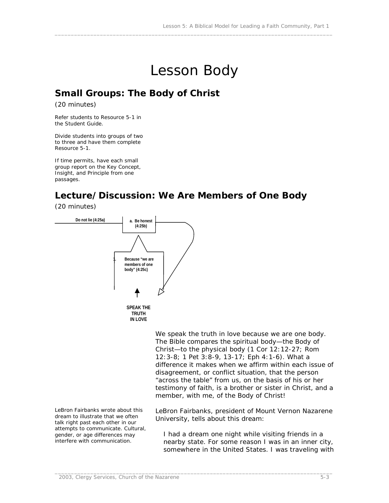## *Lesson Body*

 $\_$  ,  $\_$  ,  $\_$  ,  $\_$  ,  $\_$  ,  $\_$  ,  $\_$  ,  $\_$  ,  $\_$  ,  $\_$  ,  $\_$  ,  $\_$  ,  $\_$  ,  $\_$  ,  $\_$  ,  $\_$  ,  $\_$  ,  $\_$  ,  $\_$  ,  $\_$  ,  $\_$  ,  $\_$  ,  $\_$  ,  $\_$  ,  $\_$  ,  $\_$  ,  $\_$  ,  $\_$  ,  $\_$  ,  $\_$  ,  $\_$  ,  $\_$  ,  $\_$  ,  $\_$  ,  $\_$  ,  $\_$  ,  $\_$  ,

### **Small Groups: The Body of Christ**

(20 minutes)

*Refer students to Resource 5-1 in the Student Guide.*

*Divide students into groups of two to three and have them complete Resource 5-1.*

*If time permits, have each small group report on the Key Concept, Insight, and Principle from one passages.*

### **Lecture/Discussion: We Are Members of One Body**

(20 minutes)



We speak the truth in love because we are one body. The Bible compares the spiritual body—the Body of Christ—to the physical body (1 Cor 12:12-27; Rom 12:3-8; 1 Pet 3:8-9, 13-17; Eph 4:1-6). What a difference it makes when we affirm within each issue of disagreement, or conflict situation, that the person "across the table" from us, on the basis of his or her testimony of faith, is a brother or sister in Christ, and a member, with me, of the Body of Christ!

*LeBron Fairbanks wrote about this dream to illustrate that we often talk right past each other in our attempts to communicate. Cultural, gender, or age differences may interfere with communication.*

LeBron Fairbanks, president of Mount Vernon Nazarene University, tells about this dream:

I had a dream one night while visiting friends in a nearby state. For some reason I was in an inner city, somewhere in the United States. I was traveling with

 $\_$  ,  $\_$  ,  $\_$  ,  $\_$  ,  $\_$  ,  $\_$  ,  $\_$  ,  $\_$  ,  $\_$  ,  $\_$  ,  $\_$  ,  $\_$  ,  $\_$  ,  $\_$  ,  $\_$  ,  $\_$  ,  $\_$  ,  $\_$  ,  $\_$  ,  $\_$  ,  $\_$  ,  $\_$  ,  $\_$  ,  $\_$  ,  $\_$  ,  $\_$  ,  $\_$  ,  $\_$  ,  $\_$  ,  $\_$  ,  $\_$  ,  $\_$  ,  $\_$  ,  $\_$  ,  $\_$  ,  $\_$  ,  $\_$  ,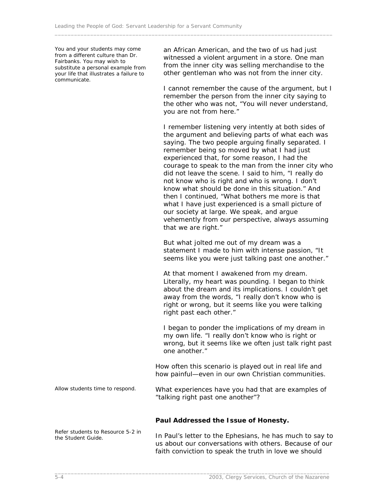*You and your students may come from a different culture than Dr. Fairbanks. You may wish to substitute a personal example from your life that illustrates a failure to communicate.*

an African American, and the two of us had just witnessed a violent argument in a store. One man from the inner city was selling merchandise to the other gentleman who was not from the inner city.

I cannot remember the cause of the argument, but I remember the person from the inner city saying to the other who was not, "You will never understand, you are not from here."

I remember listening very intently at both sides of the argument and believing parts of what each was saying. The two people arguing finally separated. I remember being so moved by what I had just experienced that, for some reason, I had the courage to speak to the man from the inner city who did not leave the scene. I said to him, "I really do not know who is right and who is wrong. I don't know what should be done in this situation." And then I continued, "What bothers me more is that what I have just experienced is a small picture of our society at large. We speak, and argue vehemently from our perspective, always assuming that we are right."

But what jolted me out of my dream was a statement I made to him with intense passion, "It seems like you were *just talking past one another*."

At that moment I awakened from my dream. Literally, my heart was pounding. I began to think about the dream and its implications. I couldn't get away from the words, "I really don't know who is right or wrong, but it seems like you were talking right past each other."

I began to ponder the implications of my dream in my own life. "I really don't know who is right or wrong, but it seems like we often just talk right past one another."

How often this scenario is played out in real life and how painful—even in our own Christian communities.

*Allow students time to respond. What experiences have you had that are examples of "talking right past one another"?*

#### **Paul Addressed the Issue of Honesty.**

*Refer students to Resource 5-2 in the Student Guide.*

In Paul's letter to the Ephesians, he has much to say to us about our conversations with others. Because of our faith conviction to speak the truth in love we should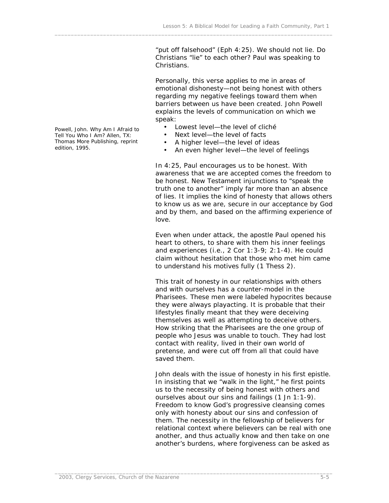"put off falsehood" (Eph 4:25). We should not lie. Do Christians "lie" to each other? Paul was speaking to Christians.

Personally, this verse applies to me in areas of emotional dishonesty—not being honest with others regarding my negative feelings toward them when barriers between us have been created. John Powell explains the levels of communication on which we speak:

- Lowest level—the level of cliché
- Next level—the level of facts

 $\_$  ,  $\_$  ,  $\_$  ,  $\_$  ,  $\_$  ,  $\_$  ,  $\_$  ,  $\_$  ,  $\_$  ,  $\_$  ,  $\_$  ,  $\_$  ,  $\_$  ,  $\_$  ,  $\_$  ,  $\_$  ,  $\_$  ,  $\_$  ,  $\_$  ,  $\_$  ,  $\_$  ,  $\_$  ,  $\_$  ,  $\_$  ,  $\_$  ,  $\_$  ,  $\_$  ,  $\_$  ,  $\_$  ,  $\_$  ,  $\_$  ,  $\_$  ,  $\_$  ,  $\_$  ,  $\_$  ,  $\_$  ,  $\_$  ,

- A higher level—the level of ideas
- An even higher level—the level of feelings

In 4:25, Paul encourages us to be honest. With awareness that we are accepted comes the freedom to be honest. New Testament injunctions to "speak the truth one to another" imply far more than an absence of lies. It implies the kind of honesty that allows others to know us as we are, secure in our acceptance by God and by them, and based on the affirming experience of love.

Even when under attack, the apostle Paul opened his heart to others, to share with them his inner feelings and experiences (i.e., 2 Cor 1:3-9; 2:1-4). He could claim without hesitation that those who met him came to understand his motives fully (1 Thess 2).

This trait of honesty in our relationships with others and with ourselves has a counter-model in the Pharisees. These men were labeled hypocrites because they were always playacting. It is probable that their lifestyles finally meant that they were deceiving themselves as well as attempting to deceive others. How striking that the Pharisees are the one group of people who Jesus was unable to touch. They had lost contact with reality, lived in their own world of pretense, and were cut off from all that could have saved them.

John deals with the issue of honesty in his first epistle. In insisting that we "walk in the light," he first points us to the necessity of being honest with others and ourselves about our sins and failings (1 Jn 1:1-9). Freedom to know God's progressive cleansing comes only with honesty about our sins and confession of them. The necessity in the fellowship of believers for relational context where believers can be real with one another, and thus actually know and then take on one another's burdens, where forgiveness can be asked as

*Powell, John.* Why Am I Afraid to Tell You Who I Am? *Allen, TX: Thomas More Publishing, reprint edition, 1995.*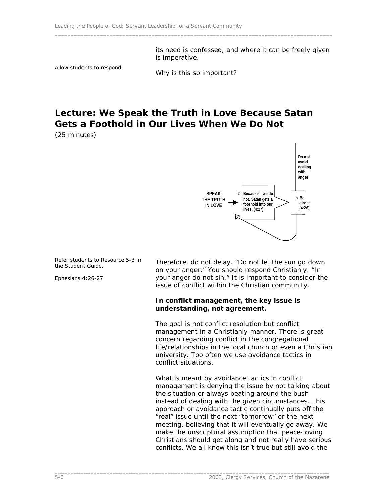its need is confessed, and where it can be freely given is imperative.

*Allow students to respond.*

*Why is this so important?*

 $\_$  ,  $\_$  ,  $\_$  ,  $\_$  ,  $\_$  ,  $\_$  ,  $\_$  ,  $\_$  ,  $\_$  ,  $\_$  ,  $\_$  ,  $\_$  ,  $\_$  ,  $\_$  ,  $\_$  ,  $\_$  ,  $\_$  ,  $\_$  ,  $\_$  ,  $\_$  ,  $\_$  ,  $\_$  ,  $\_$  ,  $\_$  ,  $\_$  ,  $\_$  ,  $\_$  ,  $\_$  ,  $\_$  ,  $\_$  ,  $\_$  ,  $\_$  ,  $\_$  ,  $\_$  ,  $\_$  ,  $\_$  ,  $\_$  ,

### **Lecture: We Speak the Truth in Love Because Satan Gets a Foothold in Our Lives When We Do Not**

(25 minutes)



*Refer students to Resource 5-3 in the Student Guide.*

*Ephesians 4:26-27*

Therefore, do not delay. "Do not let the sun go down on your anger." You should respond Christianly. "In your anger do not sin." It is important to consider the issue of conflict within the Christian community.

#### **In conflict management, the key issue is understanding, not agreement.**

The goal is not conflict resolution but conflict management in a Christianly manner. There is great concern regarding conflict in the congregational life/relationships in the local church or even a Christian university. Too often we use avoidance tactics in conflict situations.

What is meant by avoidance tactics in conflict management is denying the issue by not talking about the situation or always beating around the bush instead of dealing with the given circumstances. This approach or avoidance tactic continually puts off the "real" issue until the next "tomorrow" or the next meeting, believing that it will eventually go away. We make the unscriptural assumption that peace-loving Christians should get along and not really have serious conflicts. We all know this isn't true but still avoid the

 $\_$  ,  $\_$  ,  $\_$  ,  $\_$  ,  $\_$  ,  $\_$  ,  $\_$  ,  $\_$  ,  $\_$  ,  $\_$  ,  $\_$  ,  $\_$  ,  $\_$  ,  $\_$  ,  $\_$  ,  $\_$  ,  $\_$  ,  $\_$  ,  $\_$  ,  $\_$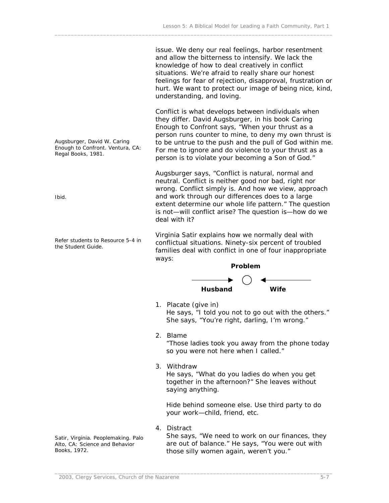issue. We deny our real feelings, harbor resentment and allow the bitterness to intensify. *We lack the knowledge of how to deal creatively in conflict situations.* We're afraid to really share our honest feelings for fear of rejection, disapproval, frustration or hurt. We want to protect our image of being nice, kind, understanding, and loving.

Conflict is what develops between individuals when they differ. David Augsburger, in his book *Caring Enough to Confront* says*,* "When your thrust as a person runs counter to mine, to deny my own thrust is to be untrue to the push and the pull of God within me. For me to ignore and do violence to your thrust as a person is to violate your becoming a Son of God."

Augsburger says, "Conflict is natural, normal and neutral. Conflict is neither good nor bad, right nor wrong. Conflict simply is. And how we view, approach and work through our differences does to a large extent determine our whole life pattern." The question is not—will conflict arise? The question is—how do we deal with it?

Virginia Satir explains how we normally deal with conflictual situations. Ninety-six percent of troubled families deal with conflict in one of four inappropriate ways:



- 1. Placate (give in) He says, "I told you not to go out with the others."
	- She says, "You're right, darling, I'm wrong."
- 2. Blame

"Those ladies took you away from the phone today so you were not here when I called."

3. Withdraw

He says, "What do you ladies do when you get together in the afternoon?" She leaves without saying anything.

Hide behind someone else. Use third party to do your work—child, friend, etc.

4. Distract

 $\_$  ,  $\_$  ,  $\_$  ,  $\_$  ,  $\_$  ,  $\_$  ,  $\_$  ,  $\_$  ,  $\_$  ,  $\_$  ,  $\_$  ,  $\_$  ,  $\_$  ,  $\_$  ,  $\_$  ,  $\_$  ,  $\_$  ,  $\_$  ,  $\_$  ,  $\_$  ,  $\_$  ,  $\_$  ,  $\_$  ,  $\_$  ,  $\_$  ,  $\_$  ,  $\_$  ,  $\_$  ,  $\_$  ,  $\_$  ,  $\_$  ,  $\_$  ,  $\_$  ,  $\_$  ,  $\_$  ,  $\_$  ,  $\_$  ,

*Satir, Virginia.* Peoplemaking. *Palo Alto, CA: Science and Behavior Books, 1972.*

She says, "We need to work on our finances, they are out of balance." He says, "You were out with those silly women again, weren't you."

*Augsburger, David W.* Caring Enough to Confront. *Ventura, CA: Regal Books, 1981.*

*Ibid.*

*Refer students to Resource 5-4 in the Student Guide.*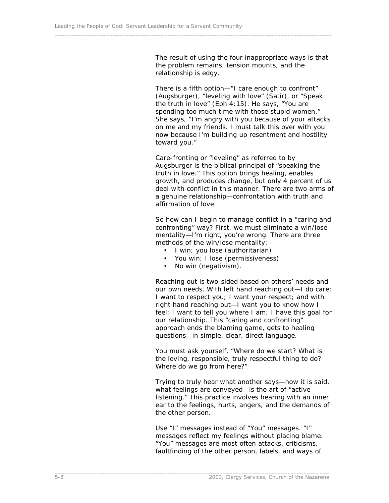The result of using the four inappropriate ways is that the problem remains, tension mounts, and the relationship is edgy.

There is a fifth option—"I care enough to confront" (Augsburger), "leveling with love" (Satir), or "Speak the truth in love" (Eph 4:15). He says, "You are spending too much time with those stupid women." She says, "I'm angry with you because of your attacks on me and my friends. I must talk this over with you now because I'm building up resentment and hostility toward you."

Care-fronting or "leveling" as referred to by Augsburger is the biblical principal of "speaking the truth in love." This option brings healing, enables growth, and produces change, but only 4 percent of us deal with conflict in this manner. There are two arms of a genuine relationship—confrontation with truth and affirmation of love.

So how can I begin to manage conflict in a "caring and confronting" way? First, we must eliminate a win/lose mentality—I'm right, you're wrong. There are three methods of the win/lose mentality:

- I win; you lose (authoritarian)
- You win; I lose (permissiveness)
- No win (negativism).

Reaching out is two-sided based on others' needs and our own needs. With left hand reaching out—I do care; I want to respect you; I want your respect; and with right hand reaching out—I want you to know how I feel; I want to tell you where I am; I have this goal for our relationship. This "caring and confronting" approach ends the blaming game, gets to healing questions—in simple, clear, direct language.

You must ask yourself, "Where do we start? What is the loving, responsible, truly respectful thing to do? Where do we go from here?"

Trying to truly hear what another says—how it is said, what feelings are conveyed—is the art of "active listening." This practice involves hearing with an inner ear to the feelings, hurts, angers, and the demands of the other person.

Use "I" messages instead of "You" messages. "I" messages reflect my feelings without placing blame. "You" messages are most often attacks, criticisms, faultfinding of the other person, labels, and ways of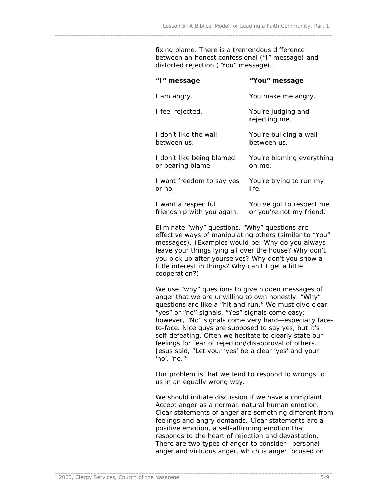fixing blame. There is a tremendous difference between an honest confessional ("I" message) and distorted rejection ("You" message).

 $\_$  ,  $\_$  ,  $\_$  ,  $\_$  ,  $\_$  ,  $\_$  ,  $\_$  ,  $\_$  ,  $\_$  ,  $\_$  ,  $\_$  ,  $\_$  ,  $\_$  ,  $\_$  ,  $\_$  ,  $\_$  ,  $\_$  ,  $\_$  ,  $\_$  ,  $\_$  ,  $\_$  ,  $\_$  ,  $\_$  ,  $\_$  ,  $\_$  ,  $\_$  ,  $\_$  ,  $\_$  ,  $\_$  ,  $\_$  ,  $\_$  ,  $\_$  ,  $\_$  ,  $\_$  ,  $\_$  ,  $\_$  ,  $\_$  ,

| "I" message                | "You" message                       |
|----------------------------|-------------------------------------|
| I am angry.                | You make me angry.                  |
| I feel rejected.           | You're judging and<br>rejecting me. |
| I don't like the wall      | You're building a wall              |
| between us.                | between us.                         |
| I don't like being blamed  | You're blaming everything           |
| or bearing blame.          | on me.                              |
| I want freedom to say yes  | You're trying to run my             |
| or no.                     | life.                               |
| I want a respectful        | You've got to respect me            |
| friendship with you again. | or you're not my friend.            |

Eliminate "why" questions. "Why" questions are effective ways of manipulating others (similar to "You" messages). (Examples would be: Why do you always leave your things lying all over the house? Why don't you pick up after yourselves? Why don't you show a little interest in things? Why can't I get a little cooperation?)

We use "why" questions to give hidden messages of anger that we are unwilling to own honestly. "Why" questions are like a "hit and run." We must give clear "yes" or "no" signals. "Yes" signals come easy; however, "No" signals come very hard—especially faceto-face. Nice guys are supposed to say yes, but it's self-defeating. Often we hesitate to clearly state our feelings for fear of rejection/disapproval of others. Jesus said, "Let your 'yes' be a clear 'yes' and your 'no', 'no.'"

Our problem is that we tend to respond to wrongs to us in an equally wrong way.

We should initiate discussion if we have a complaint. Accept anger as a normal, natural human emotion. Clear statements of anger are something different from feelings and angry demands. Clear statements are a positive emotion, a self-affirming emotion that responds to the heart of rejection and devastation. There are two types of anger to consider—personal anger and virtuous anger, which is anger focused on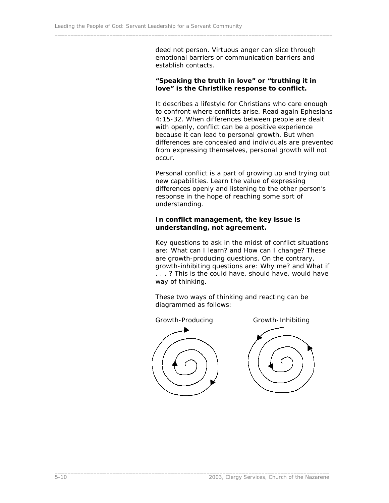deed not person. Virtuous anger can slice through emotional barriers or communication barriers and establish contacts.

#### **"Speaking the truth in love" or "truthing it in love" is the Christlike response to conflict.**

It describes a lifestyle for Christians who care enough to confront where conflicts arise. Read again Ephesians 4:15-32. When differences between people are dealt with openly, conflict can be a positive experience because it can lead to personal growth. But when differences are concealed and individuals are prevented from expressing themselves, personal growth will not occur.

Personal conflict is a part of growing up and trying out new capabilities. Learn the value of expressing differences openly and listening to the other person's response in the hope of reaching some sort of understanding.

#### **In conflict management, the key issue is understanding, not agreement.**

Key questions to ask in the midst of conflict situations are: What can I learn? and How can I change? These are growth-producing questions. On the contrary, growth-inhibiting questions are: Why me? and What if . . . ? This is the could have, should have, would have way of thinking.

These two ways of thinking and reacting can be diagrammed as follows:

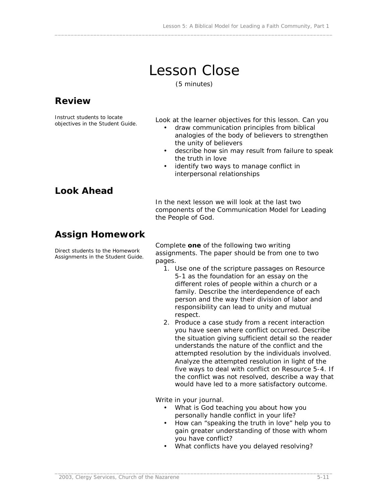## *Lesson Close*

 $\_$  ,  $\_$  ,  $\_$  ,  $\_$  ,  $\_$  ,  $\_$  ,  $\_$  ,  $\_$  ,  $\_$  ,  $\_$  ,  $\_$  ,  $\_$  ,  $\_$  ,  $\_$  ,  $\_$  ,  $\_$  ,  $\_$  ,  $\_$  ,  $\_$  ,  $\_$  ,  $\_$  ,  $\_$  ,  $\_$  ,  $\_$  ,  $\_$  ,  $\_$  ,  $\_$  ,  $\_$  ,  $\_$  ,  $\_$  ,  $\_$  ,  $\_$  ,  $\_$  ,  $\_$  ,  $\_$  ,  $\_$  ,  $\_$  ,

(5 minutes)

### **Review**

*Instruct students to locate*

*objectives in the Student Guide.* Look at the learner objectives for this lesson. Can you

- draw communication principles from biblical analogies of the body of believers to strengthen the unity of believers
- describe how sin may result from failure to speak the truth in love
- identify two ways to manage conflict in interpersonal relationships

### **Look Ahead**

In the next lesson we will look at the last two components of the Communication Model for Leading the People of God.

### **Assign Homework**

*Direct students to the Homework Assignments in the Student Guide.* Complete **one** of the following two writing assignments. The paper should be from one to two pages.

- 1. Use one of the scripture passages on Resource 5-1 as the foundation for an essay on the different roles of people within a church or a family. Describe the interdependence of each person and the way their division of labor and responsibility can lead to unity and mutual respect.
- 2. Produce a case study from a recent interaction you have seen where conflict occurred. Describe the situation giving sufficient detail so the reader understands the nature of the conflict and the attempted resolution by the individuals involved. Analyze the attempted resolution in light of the five ways to deal with conflict on Resource 5-4. If the conflict was not resolved, describe a way that would have led to a more satisfactory outcome.

Write in your journal.

- What is God teaching you about how you personally handle conflict in your life?
- How can "speaking the truth in love" help you to gain greater understanding of those with whom you have conflict?
- What conflicts have you delayed resolving?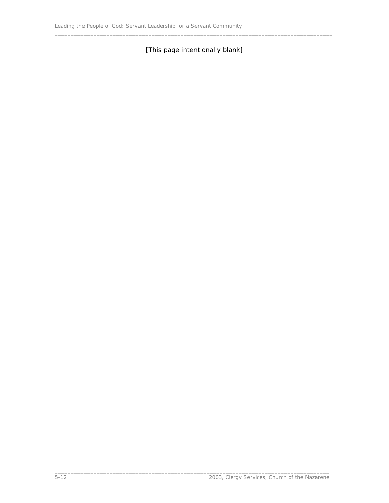[This page intentionally blank]

 $\_$  ,  $\_$  ,  $\_$  ,  $\_$  ,  $\_$  ,  $\_$  ,  $\_$  ,  $\_$  ,  $\_$  ,  $\_$  ,  $\_$  ,  $\_$  ,  $\_$  ,  $\_$  ,  $\_$  ,  $\_$  ,  $\_$  ,  $\_$  ,  $\_$  ,  $\_$  ,  $\_$  ,  $\_$  ,  $\_$  ,  $\_$  ,  $\_$  ,  $\_$  ,  $\_$  ,  $\_$  ,  $\_$  ,  $\_$  ,  $\_$  ,  $\_$  ,  $\_$  ,  $\_$  ,  $\_$  ,  $\_$  ,  $\_$  ,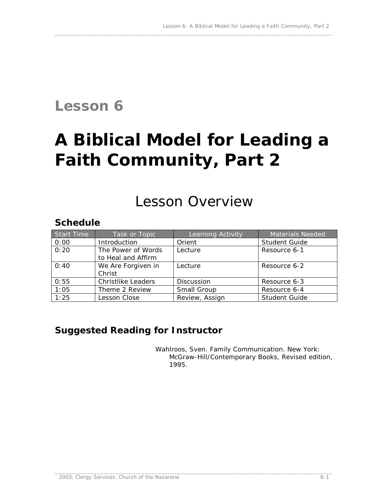## *Lesson 6*

# **A Biblical Model for Leading a Faith Community, Part 2**

 $\_$  ,  $\_$  ,  $\_$  ,  $\_$  ,  $\_$  ,  $\_$  ,  $\_$  ,  $\_$  ,  $\_$  ,  $\_$  ,  $\_$  ,  $\_$  ,  $\_$  ,  $\_$  ,  $\_$  ,  $\_$  ,  $\_$  ,  $\_$  ,  $\_$  ,  $\_$  ,  $\_$  ,  $\_$  ,  $\_$  ,  $\_$  ,  $\_$  ,  $\_$  ,  $\_$  ,  $\_$  ,  $\_$  ,  $\_$  ,  $\_$  ,  $\_$  ,  $\_$  ,  $\_$  ,  $\_$  ,  $\_$  ,  $\_$  ,

## *Lesson Overview*

### **Schedule**

| <b>Start Time</b> | Task or Topic                            | Learning Activity | <b>Materials Needed</b> |
|-------------------|------------------------------------------|-------------------|-------------------------|
| 0:00              | Introduction                             | Orient            | Student Guide           |
| 0:20              | The Power of Words<br>to Heal and Affirm | Lecture           | Resource 6-1            |
| 0:40              | We Are Forgiven in<br>Christ             | Lecture           | Resource 6-2            |
| 0:55              | Christlike Leaders                       | Discussion        | Resource 6-3            |
| 1:05              | Theme 2 Review                           | Small Group       | Resource 6-4            |
| 1:25              | Lesson Close                             | Review, Assign    | Student Guide           |

### **Suggested Reading for Instructor**

Wahlroos, Sven. *Family Communication*. New York: McGraw-Hill/Contemporary Books, Revised edition, 1995.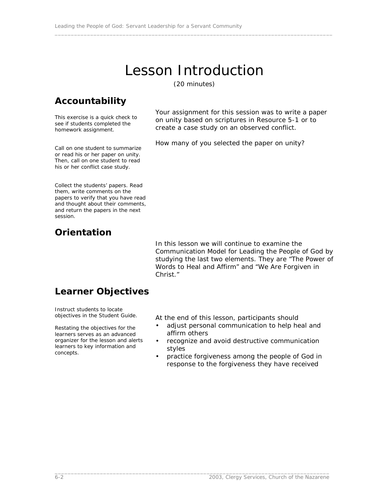# *Lesson Introduction*

 $\_$  ,  $\_$  ,  $\_$  ,  $\_$  ,  $\_$  ,  $\_$  ,  $\_$  ,  $\_$  ,  $\_$  ,  $\_$  ,  $\_$  ,  $\_$  ,  $\_$  ,  $\_$  ,  $\_$  ,  $\_$  ,  $\_$  ,  $\_$  ,  $\_$  ,  $\_$  ,  $\_$  ,  $\_$  ,  $\_$  ,  $\_$  ,  $\_$  ,  $\_$  ,  $\_$  ,  $\_$  ,  $\_$  ,  $\_$  ,  $\_$  ,  $\_$  ,  $\_$  ,  $\_$  ,  $\_$  ,  $\_$  ,  $\_$  ,

(20 minutes)

### **Accountability**

*This exercise is a quick check to see if students completed the homework assignment.*

*Call on one student to summarize or read his or her paper on unity. Then, call on one student to read his or her conflict case study.*

Your assignment for this session was to write a paper on unity based on scriptures in Resource 5-1 or to create a case study on an observed conflict.

*How many of you selected the paper on unity?*

*Collect the students' papers. Read them, write comments on the papers to verify that you have read and thought about their comments, and return the papers in the next session.*

### **Orientation**

In this lesson we will continue to examine the Communication Model for Leading the People of God by studying the last two elements. They are "The Power of Words to Heal and Affirm" and "We Are Forgiven in Christ."

### **Learner Objectives**

*Instruct students to locate objectives in the Student Guide.*

*Restating the objectives for the learners serves as an advanced organizer for the lesson and alerts learners to key information and concepts.*

At the end of this lesson, participants should

- adjust personal communication to help heal and affirm others
- recognize and avoid destructive communication styles
- practice forgiveness among the people of God in response to the forgiveness they have received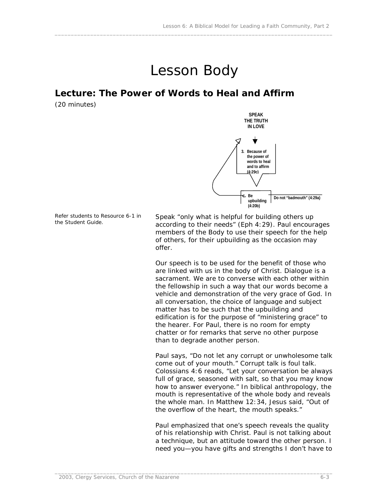### *Lesson Body*

 $\_$  ,  $\_$  ,  $\_$  ,  $\_$  ,  $\_$  ,  $\_$  ,  $\_$  ,  $\_$  ,  $\_$  ,  $\_$  ,  $\_$  ,  $\_$  ,  $\_$  ,  $\_$  ,  $\_$  ,  $\_$  ,  $\_$  ,  $\_$  ,  $\_$  ,  $\_$  ,  $\_$  ,  $\_$  ,  $\_$  ,  $\_$  ,  $\_$  ,  $\_$  ,  $\_$  ,  $\_$  ,  $\_$  ,  $\_$  ,  $\_$  ,  $\_$  ,  $\_$  ,  $\_$  ,  $\_$  ,  $\_$  ,  $\_$  ,

### **Lecture: The Power of Words to Heal and Affirm** (20 minutes)



*Refer students to Resource 6-1 in*

Speak "only what is helpful for building others up according to their needs" (Eph 4:29). Paul encourages members of the Body to use their speech for the help of others, for their upbuilding as the occasion may offer.

Our speech is to be used for the benefit of those who are linked with us in the body of Christ. Dialogue is a sacrament. We are to converse with each other within the fellowship in such a way that our words become a vehicle and demonstration of the very grace of God. In all conversation, the choice of language and subject matter has to be such that the upbuilding and edification is for the purpose of "ministering grace" to the hearer. For Paul, there is no room for empty chatter or for remarks that serve no other purpose than to degrade another person.

Paul says, "Do not let any corrupt or unwholesome talk come out of your mouth." Corrupt talk is foul talk. Colossians 4:6 reads, "Let your conversation be always full of grace, seasoned with salt, so that you may know how to answer everyone." In biblical anthropology, the mouth is representative of the whole body and reveals the whole man. In Matthew 12:34, Jesus said, "Out of the overflow of the heart, the mouth speaks."

Paul emphasized that one's speech reveals the quality of his relationship with Christ. Paul is not talking about a technique, but an attitude toward the other person. I *need* you—you have gifts and strengths I don't have to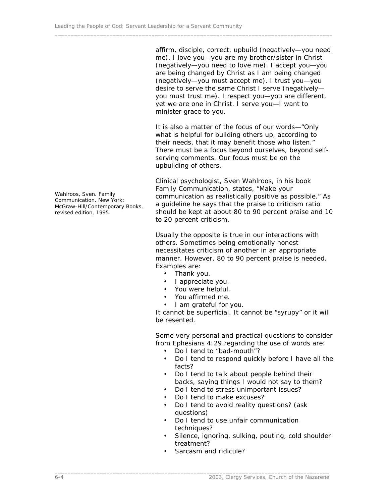affirm, disciple, correct, upbuild (negatively—you need me). I *love* you—you are my brother/sister in Christ (negatively—you need to love me). I *accept* you—you are being changed by Christ as I am being changed (negatively—you must accept me). I *trust* you—you desire to serve the same Christ I serve (negatively you must trust me). I *respect* you—you are different, yet we are one in Christ. I *serve* you—I want to minister grace to you.

It is also a matter of the focus of our words—"Only what is helpful for building others up, according to their needs, that it may benefit those who listen." There must be a focus beyond ourselves, beyond selfserving comments. Our focus must be on the upbuilding of others.

Clinical psychologist, Sven Wahlroos, in his book *Family Communication*, states, "Make your communication as realistically positive as possible." As a guideline he says that the praise to criticism ratio should be kept at about 80 to 90 percent praise and 10 to 20 percent criticism.

Usually the opposite is true in our interactions with others. Sometimes being emotionally honest necessitates criticism of another in an appropriate manner. However, 80 to 90 percent praise is needed. Examples are:

- Thank you.
- I appreciate you.
- You were helpful.
- You affirmed me.
- I am grateful for you.

It cannot be superficial. It cannot be "syrupy" or it will be resented.

Some very personal and practical questions to consider from Ephesians 4:29 regarding the use of words are:

- Do I tend to "bad-mouth"?
- Do I tend to respond quickly before I have all the facts?
- Do I tend to talk about people behind their backs, saying things I would not say to them?
- Do I tend to stress unimportant issues?
- Do I tend to make excuses?
- Do I tend to avoid reality questions? (ask questions)
- Do I tend to use unfair communication techniques?
- Silence, ignoring, sulking, pouting, cold shoulder treatment?
- Sarcasm and ridicule?

*Wahlroos, Sven.* Family Communication. *New York: McGraw-Hill/Contemporary Books, revised edition, 1995.*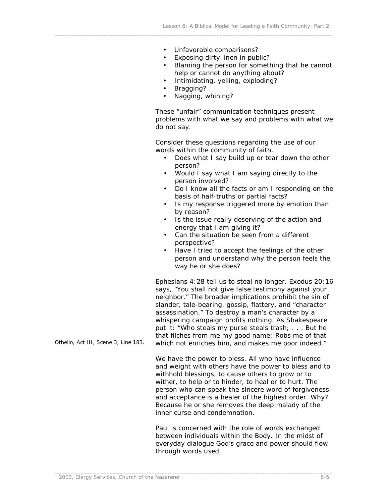- Unfavorable comparisons?
- Exposing dirty linen in public?
- Blaming the person for something that he cannot help or cannot do anything about?
- Intimidating, yelling, exploding?
- Bragging?
- Nagging, whining?

These "unfair" communication techniques present problems with what we say and problems with what we *do not* say.

Consider these questions regarding the use of our words within the community of faith.

- Does what I say build up or tear down the other person?
- Would I say what I am saying directly to the person involved?
- Do I know all the facts or am I responding on the basis of half-truths or partial facts?
- Is my response triggered more by emotion than by reason?
- Is the issue really deserving of the action and energy that I am giving it?
- Can the situation be seen from a different perspective?
- Have I tried to accept the feelings of the other person and understand why the person feels the way he or she does?

Ephesians 4:28 tell us to steal no longer. Exodus 20:16 says, "You shall not give false testimony against your neighbor." The broader implications prohibit the sin of slander, tale-bearing, gossip, flattery, and "character assassination." To destroy a man's character by a whispering campaign profits nothing. As Shakespeare put it: "Who steals my purse steals trash; . . . But he that filches from me my good name; Robs me of that which not enriches him, and makes me poor indeed."

We have the power to bless. All who have influence and weight with others have the power to bless and to withhold blessings, to cause others to grow or to wither, to help or to hinder, to heal or to hurt. The person who can speak the sincere word of forgiveness and acceptance is a healer of the highest order. Why? Because he or she removes the deep malady of the inner curse and condemnation.

Paul is concerned with the role of words exchanged between individuals within the Body. In the midst of everyday dialogue God's grace and power should flow through words used.

 $\_$  ,  $\_$  ,  $\_$  ,  $\_$  ,  $\_$  ,  $\_$  ,  $\_$  ,  $\_$  ,  $\_$  ,  $\_$  ,  $\_$  ,  $\_$  ,  $\_$  ,  $\_$  ,  $\_$  ,  $\_$  ,  $\_$  ,  $\_$  ,  $\_$  ,  $\_$  ,  $\_$  ,  $\_$  ,  $\_$  ,  $\_$  ,  $\_$  ,  $\_$  ,  $\_$  ,  $\_$  ,  $\_$  ,  $\_$  ,  $\_$  ,  $\_$  ,  $\_$  ,  $\_$  ,  $\_$  ,  $\_$  ,  $\_$  ,

Othello, *Act III, Scene 3, Line 183.*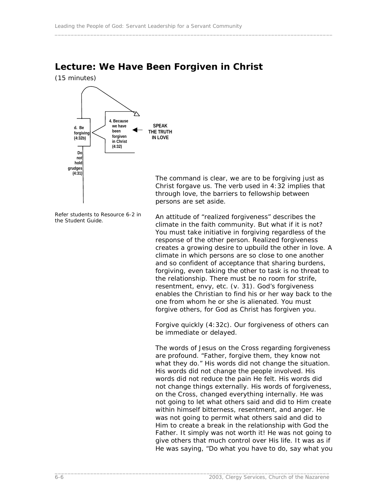(15 minutes) **4. Because we have been forgiven in Christ (4:32) Do not hold grudges (4:31) d. Be forgiving (4:32b) SPEAK THE TRUTH IN LOVE**

**Lecture: We Have Been Forgiven in Christ**

 $\_$  ,  $\_$  ,  $\_$  ,  $\_$  ,  $\_$  ,  $\_$  ,  $\_$  ,  $\_$  ,  $\_$  ,  $\_$  ,  $\_$  ,  $\_$  ,  $\_$  ,  $\_$  ,  $\_$  ,  $\_$  ,  $\_$  ,  $\_$  ,  $\_$  ,  $\_$  ,  $\_$  ,  $\_$  ,  $\_$  ,  $\_$  ,  $\_$  ,  $\_$  ,  $\_$  ,  $\_$  ,  $\_$  ,  $\_$  ,  $\_$  ,  $\_$  ,  $\_$  ,  $\_$  ,  $\_$  ,  $\_$  ,  $\_$  ,

*Refer students to Resource 6-2 in the Student Guide.*

The command is clear, we are to be forgiving just as Christ forgave us. The verb used in 4:32 implies that through love, the barriers to fellowship between persons are set aside.

An attitude of "realized forgiveness" describes the climate in the faith community. But what if it is not? You must take initiative in forgiving regardless of the response of the other person. Realized forgiveness creates a growing desire to upbuild the other in love. A climate in which persons are so close to one another and so confident of acceptance that sharing burdens, forgiving, even taking the other to task is no threat to the relationship. There must be no room for strife, resentment, envy, etc. (v. 31). God's forgiveness enables the Christian to find his or her way back to the one from whom he or she is alienated. You must forgive others, for God as Christ has forgiven you.

Forgive quickly (4:32c). Our forgiveness of others can be immediate or delayed.

The words of Jesus on the Cross regarding forgiveness are profound. "Father, forgive them, they know not what they do." His words did not change the situation. His words did not change the people involved. His words did not reduce the pain He felt. His words did not change things externally. His words of forgiveness, on the Cross, changed everything internally. He was not going to let what others said and did to Him create within himself bitterness, resentment, and anger. He was not going to permit what others said and did to Him to create a break in the relationship with God the Father. It simply was not worth it! He was not going to give *others* that much control over His life. It was as if He was saying, "Do what you have to do, say what you

 $\_$  ,  $\_$  ,  $\_$  ,  $\_$  ,  $\_$  ,  $\_$  ,  $\_$  ,  $\_$  ,  $\_$  ,  $\_$  ,  $\_$  ,  $\_$  ,  $\_$  ,  $\_$  ,  $\_$  ,  $\_$  ,  $\_$  ,  $\_$  ,  $\_$  ,  $\_$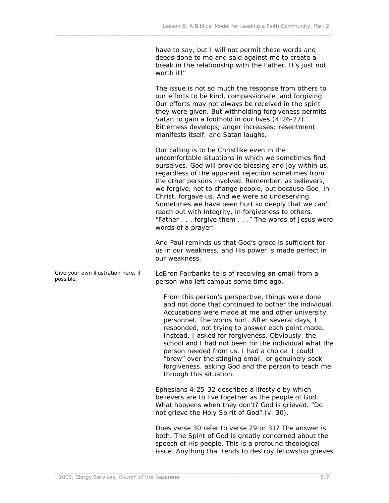have to say, but I will not permit these words and deeds done to me and said against me to create a break in the relationship with the Father. It's just not worth it!"

 $\_$  ,  $\_$  ,  $\_$  ,  $\_$  ,  $\_$  ,  $\_$  ,  $\_$  ,  $\_$  ,  $\_$  ,  $\_$  ,  $\_$  ,  $\_$  ,  $\_$  ,  $\_$  ,  $\_$  ,  $\_$  ,  $\_$  ,  $\_$  ,  $\_$  ,  $\_$  ,  $\_$  ,  $\_$  ,  $\_$  ,  $\_$  ,  $\_$  ,  $\_$  ,  $\_$  ,  $\_$  ,  $\_$  ,  $\_$  ,  $\_$  ,  $\_$  ,  $\_$  ,  $\_$  ,  $\_$  ,  $\_$  ,  $\_$  ,

The issue is not so much the response from others to our efforts to be kind, compassionate, and forgiving. Our efforts may not always be received in the spirit they were given. But withholding forgiveness permits Satan to gain a foothold in our lives  $(4:26-27)$ . Bitterness develops; anger increases; resentment manifests itself; and Satan laughs.

Our calling is to be Christlike even in the uncomfortable situations in which we sometimes find ourselves. God will provide blessing and joy *within* us, regardless of the apparent rejection sometimes from the other persons involved. Remember, as believers, we forgive, not to change people, but because God, in Christ, forgave us. And we were so undeserving. Sometimes we have been hurt so deeply that we can't reach out with integrity, in forgiveness to others. "Father . . . forgive them . . ." The words of Jesus were words of a *prayer*!

And Paul reminds us that God's grace is sufficient for us *in our* weakness, and His power is made perfect *in* our weakness.

*Give your own illustration here, if possible.* LeBron Fairbanks tells of receiving an email from a person who left campus some time ago.

 $\_$  ,  $\_$  ,  $\_$  ,  $\_$  ,  $\_$  ,  $\_$  ,  $\_$  ,  $\_$  ,  $\_$  ,  $\_$  ,  $\_$  ,  $\_$  ,  $\_$  ,  $\_$  ,  $\_$  ,  $\_$  ,  $\_$  ,  $\_$  ,  $\_$  ,  $\_$  ,  $\_$  ,  $\_$  ,  $\_$  ,  $\_$  ,  $\_$  ,  $\_$  ,  $\_$  ,  $\_$  ,  $\_$  ,  $\_$  ,  $\_$  ,  $\_$  ,  $\_$  ,  $\_$  ,  $\_$  ,  $\_$  ,  $\_$  ,

From this person's perspective, things were done and not done that continued to bother the individual. Accusations were made at me and other university personnel. The words hurt. After several days, I responded, not trying to answer each point made. Instead, I asked for forgiveness. Obviously, the school and I had not been for the individual what the person needed from us. I had a choice. I could "brew" over the stinging email; or genuinely seek forgiveness, asking God and the person to teach me through this situation.

Ephesians 4:25-32 describes a lifestyle by which believers are to live together as the people of God. What happens when they don't? God is grieved. "Do not grieve the Holy Spirit of God" (v. 30).

Does verse 30 refer to verse 29 or 31? The answer is both. *The Spirit of God is greatly concerned about the speech of His people.* This is a profound theological issue. Anything that tends to destroy fellowship grieves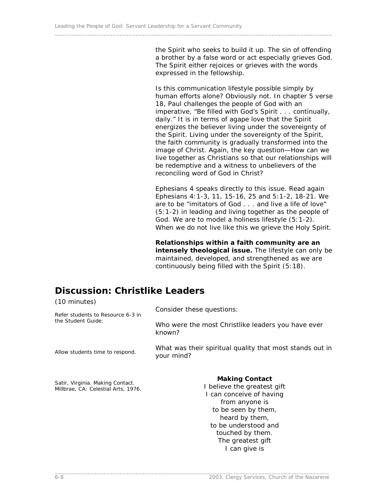the Spirit who seeks to build it up. The sin of offending a brother by a false word or act especially grieves God. The Spirit either rejoices or grieves with the words expressed in the fellowship.

Is this communication lifestyle possible simply by *human* efforts alone? Obviously not. In chapter 5 verse 18, Paul challenges the people of God with an imperative, "Be filled with God's Spirit . . . continually, daily." It is in terms of agape love that the Spirit energizes the believer living under the sovereignty of the Spirit. Living under the sovereignty of the Spirit, the faith community is gradually transformed into the image of Christ. Again, the key question—*How can we live together as Christians so that our relationships will be redemptive and a witness to unbelievers of the reconciling word of God in Christ?*

Ephesians 4 speaks directly to this issue. Read again Ephesians 4:1-3, 11, 15-16, 25 and 5:1-2, 18-21. We are to be "imitators of God . . . and live a life of love" (5:1-2) in leading and living together as the people of God. We are to model a holiness lifestyle (5:1-2). When we do not live like this we grieve the Holy Spirit.

**Relationships within a faith community are an intensely theological issue.** The lifestyle can only be maintained, developed, and strengthened as we are continuously being filled with the Spirit (5:18).

#### **Discussion: Christlike Leaders**  $(10<sup>o</sup>)(10<sup>o</sup>)$

| (TO minutes)                                                            |                                                                                                                                                                                                              |  |
|-------------------------------------------------------------------------|--------------------------------------------------------------------------------------------------------------------------------------------------------------------------------------------------------------|--|
| Refer students to Resource 6-3 in                                       | Consider these questions:                                                                                                                                                                                    |  |
| the Student Guide.                                                      | Who were the most Christlike leaders you have ever<br>known?                                                                                                                                                 |  |
| Allow students time to respond.                                         | What was their spiritual quality that most stands out in<br>your mind?                                                                                                                                       |  |
| Satir, Virginia. Making Contact.<br>Millbrae, CA: Celestial Arts, 1976. | <b>Making Contact</b><br>I believe the greatest gift<br>I can conceive of having<br>from anyone is<br>to be seen by them,<br>heard by them,<br>to be understood and<br>touched by them.<br>The greatest gift |  |

 $\_$  ,  $\_$  ,  $\_$  ,  $\_$  ,  $\_$  ,  $\_$  ,  $\_$  ,  $\_$  ,  $\_$  ,  $\_$  ,  $\_$  ,  $\_$  ,  $\_$  ,  $\_$  ,  $\_$  ,  $\_$  ,  $\_$  ,  $\_$  ,  $\_$  ,  $\_$ 

I can give is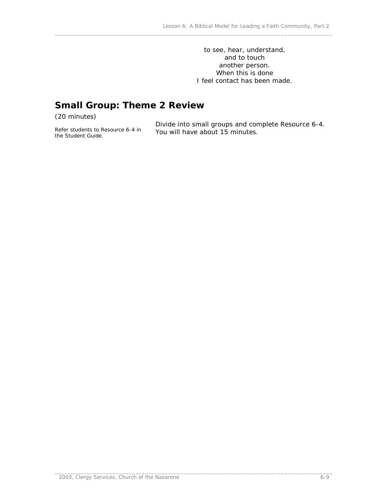to see, hear, understand, and to touch another person. When this is done I feel contact has been made.

### **Small Group: Theme 2 Review**

(20 minutes)

*Refer students to Resource 6-4 in the Student Guide.*

Divide into small groups and complete Resource 6-4. You will have about 15 minutes.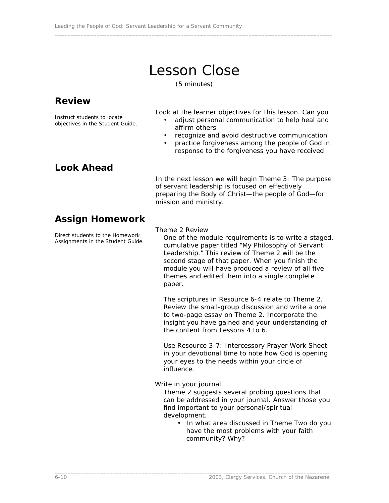## *Lesson Close*

 $\_$  ,  $\_$  ,  $\_$  ,  $\_$  ,  $\_$  ,  $\_$  ,  $\_$  ,  $\_$  ,  $\_$  ,  $\_$  ,  $\_$  ,  $\_$  ,  $\_$  ,  $\_$  ,  $\_$  ,  $\_$  ,  $\_$  ,  $\_$  ,  $\_$  ,  $\_$  ,  $\_$  ,  $\_$  ,  $\_$  ,  $\_$  ,  $\_$  ,  $\_$  ,  $\_$  ,  $\_$  ,  $\_$  ,  $\_$  ,  $\_$  ,  $\_$  ,  $\_$  ,  $\_$  ,  $\_$  ,  $\_$  ,  $\_$  ,

(5 minutes)

### **Review**

*Instruct students to locate objectives in the Student Guide.* Look at the learner objectives for this lesson. Can you

- adjust personal communication to help heal and affirm others
- recognize and avoid destructive communication
- practice forgiveness among the people of God in response to the forgiveness you have received

### **Look Ahead**

In the next lesson we will begin Theme 3: The *purpose* of servant leadership is focused on effectively preparing the Body of Christ—the people of God—for mission and ministry.

### **Assign Homework**

*Direct students to the Homework Assignments in the Student Guide.*

#### Theme 2 Review

One of the module requirements is to write a staged, cumulative paper titled "My Philosophy of Servant Leadership." This review of Theme 2 will be the second stage of that paper. When you finish the module you will have produced a review of all five themes and edited them into a single complete paper.

The scriptures in Resource 6-4 relate to Theme 2. Review the small-group discussion and write a one to two-page essay on Theme 2. Incorporate the insight you have gained and your understanding of the content from Lessons 4 to 6.

Use Resource 3-7: Intercessory Prayer Work Sheet in your devotional time to note how God is opening your eyes to the needs within your circle of influence.

Write in your journal.

Theme 2 suggests several probing questions that can be addressed in your journal. Answer those you find important to your personal/spiritual development.

• In what area discussed in Theme Two do you have the most problems with your faith community? Why?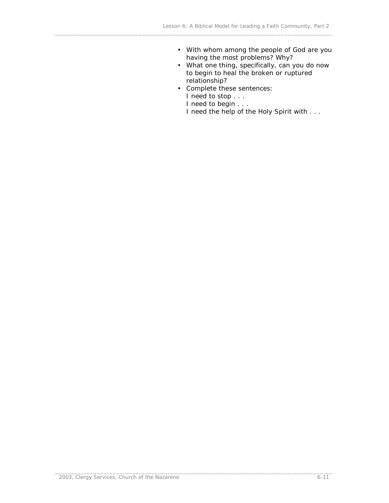- With whom among the people of God are you having the most problems? Why?
- What one thing, specifically, can you do now to begin to heal the broken or ruptured relationship?
- Complete these sentences:
	- I need to stop . . .

I need to begin . . .

I need the help of the Holy Spirit with . . .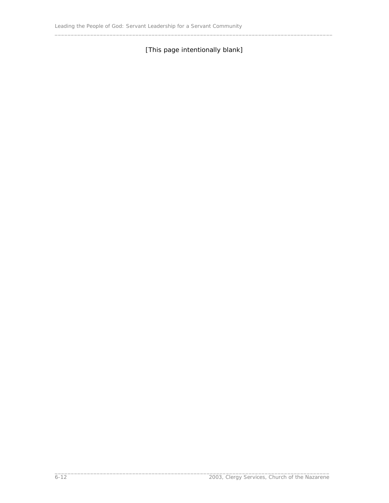[This page intentionally blank]

 $\_$  ,  $\_$  ,  $\_$  ,  $\_$  ,  $\_$  ,  $\_$  ,  $\_$  ,  $\_$  ,  $\_$  ,  $\_$  ,  $\_$  ,  $\_$  ,  $\_$  ,  $\_$  ,  $\_$  ,  $\_$  ,  $\_$  ,  $\_$  ,  $\_$  ,  $\_$  ,  $\_$  ,  $\_$  ,  $\_$  ,  $\_$  ,  $\_$  ,  $\_$  ,  $\_$  ,  $\_$  ,  $\_$  ,  $\_$  ,  $\_$  ,  $\_$  ,  $\_$  ,  $\_$  ,  $\_$  ,  $\_$  ,  $\_$  ,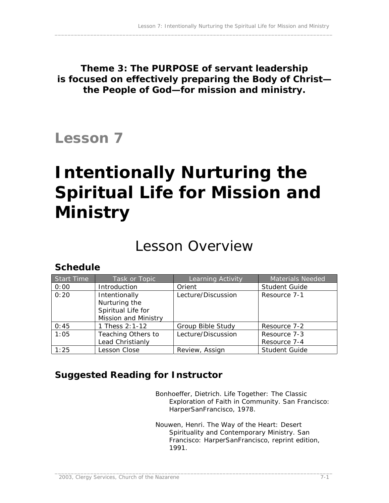*Theme 3: The PURPOSE of servant leadership is focused on effectively preparing the Body of Christ the People of God—for mission and ministry.*

 $\_$  ,  $\_$  ,  $\_$  ,  $\_$  ,  $\_$  ,  $\_$  ,  $\_$  ,  $\_$  ,  $\_$  ,  $\_$  ,  $\_$  ,  $\_$  ,  $\_$  ,  $\_$  ,  $\_$  ,  $\_$  ,  $\_$  ,  $\_$  ,  $\_$  ,  $\_$  ,  $\_$  ,  $\_$  ,  $\_$  ,  $\_$  ,  $\_$  ,  $\_$  ,  $\_$  ,  $\_$  ,  $\_$  ,  $\_$  ,  $\_$  ,  $\_$  ,  $\_$  ,  $\_$  ,  $\_$  ,  $\_$  ,  $\_$  ,

## *Lesson 7*

# **Intentionally Nurturing the Spiritual Life for Mission and Ministry**

## *Lesson Overview*

### **Schedule**

| <b>Start Time</b> | Task or Topic        | Learning Activity  | <b>Materials Needed</b> |
|-------------------|----------------------|--------------------|-------------------------|
| 0:00              | Introduction         | Orient             | Student Guide           |
| 0:20              | Intentionally        | Lecture/Discussion | Resource 7-1            |
|                   | Nurturing the        |                    |                         |
|                   | Spiritual Life for   |                    |                         |
|                   | Mission and Ministry |                    |                         |
| 0:45              | 1 Thess 2:1-12       | Group Bible Study  | Resource 7-2            |
| 1:05              | Teaching Others to   | Lecture/Discussion | Resource 7-3            |
|                   | Lead Christianly     |                    | Resource 7-4            |
| 1:25              | Lesson Close         | Review, Assign     | Student Guide           |

### **Suggested Reading for Instructor**

Bonhoeffer, Dietrich. *Life Together: The Classic Exploration of Faith in Community*. San Francisco: HarperSanFrancisco, 1978.

Nouwen, Henri. *The Way of the Heart: Desert Spirituality and Contemporary Ministry*. San Francisco: HarperSanFrancisco, reprint edition, 1991.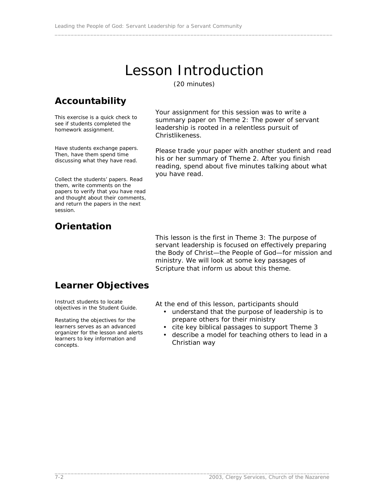# *Lesson Introduction*

 $\_$  ,  $\_$  ,  $\_$  ,  $\_$  ,  $\_$  ,  $\_$  ,  $\_$  ,  $\_$  ,  $\_$  ,  $\_$  ,  $\_$  ,  $\_$  ,  $\_$  ,  $\_$  ,  $\_$  ,  $\_$  ,  $\_$  ,  $\_$  ,  $\_$  ,  $\_$  ,  $\_$  ,  $\_$  ,  $\_$  ,  $\_$  ,  $\_$  ,  $\_$  ,  $\_$  ,  $\_$  ,  $\_$  ,  $\_$  ,  $\_$  ,  $\_$  ,  $\_$  ,  $\_$  ,  $\_$  ,  $\_$  ,  $\_$  ,

(20 minutes)

### **Accountability**

*This exercise is a quick check to see if students completed the homework assignment.*

*Have students exchange papers. Then, have them spend time discussing what they have read.*

*Collect the students' papers. Read them, write comments on the papers to verify that you have read and thought about their comments, and return the papers in the next session.*

### **Orientation**

Your assignment for this session was to write a summary paper on Theme 2: The *power* of servant leadership is rooted in a relentless pursuit of Christlikeness.

Please trade your paper with another student and read his or her summary of Theme 2. After you finish reading, spend about five minutes talking about what you have read.

This lesson is the first in Theme 3: The *purpose* of servant leadership is focused on effectively preparing the Body of Christ—the People of God—for mission and ministry. We will look at some key passages of Scripture that inform us about this theme.

### **Learner Objectives**

*Instruct students to locate objectives in the Student Guide.*

*Restating the objectives for the learners serves as an advanced organizer for the lesson and alerts learners to key information and concepts.*

At the end of this lesson, participants should

- understand that the purpose of leadership is to prepare others for their ministry
- cite key biblical passages to support Theme 3
- describe a model for teaching others to lead in a Christian way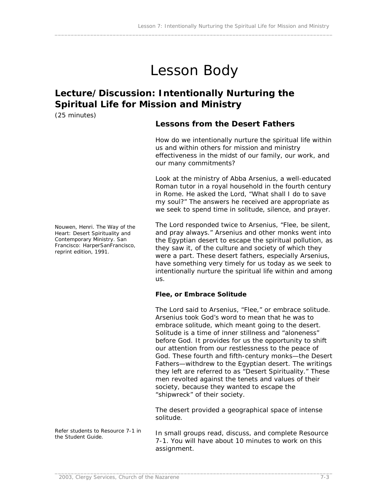## *Lesson Body*

 $\_$  ,  $\_$  ,  $\_$  ,  $\_$  ,  $\_$  ,  $\_$  ,  $\_$  ,  $\_$  ,  $\_$  ,  $\_$  ,  $\_$  ,  $\_$  ,  $\_$  ,  $\_$  ,  $\_$  ,  $\_$  ,  $\_$  ,  $\_$  ,  $\_$  ,  $\_$  ,  $\_$  ,  $\_$  ,  $\_$  ,  $\_$  ,  $\_$  ,  $\_$  ,  $\_$  ,  $\_$  ,  $\_$  ,  $\_$  ,  $\_$  ,  $\_$  ,  $\_$  ,  $\_$  ,  $\_$  ,  $\_$  ,  $\_$  ,

### **Lecture/Discussion: Intentionally Nurturing the Spiritual Life for Mission and Ministry**

(25 minutes)

#### **Lessons from the Desert Fathers**

How do we intentionally nurture the spiritual life within us and within others for mission and ministry effectiveness in the midst of our family, our work, and our many commitments?

Look at the ministry of Abba Arsenius, a well-educated Roman tutor in a royal household in the fourth century in Rome. He asked the Lord, "What shall I do to save my soul?" The answers he received are appropriate as we seek to spend time in solitude, silence, and prayer.

The Lord responded twice to Arsenius, "Flee, be silent, and pray always." Arsenius and other monks went into the Egyptian desert to escape the spiritual pollution, as they saw it, of the culture and society of which they were a part. These desert fathers, especially Arsenius, have something very timely for us today as we seek to intentionally nurture the spiritual life within and among us.

#### **Flee, or Embrace Solitude**

The Lord said to Arsenius, "Flee," or embrace solitude. Arsenius took God's word to mean that he was to embrace solitude, which meant going to the desert. Solitude is a time of inner stillness and "aloneness" before God. It provides for us the opportunity to shift our attention from our restlessness to the peace of God. These fourth and fifth-century monks—the Desert Fathers—withdrew to the Egyptian desert. The writings they left are referred to as "Desert Spirituality." These men revolted against the tenets and values of their society, because they wanted to escape the "shipwreck" of their society.

The desert provided a geographical space of intense solitude.

*Refer students to Resource 7-1 in* In small groups read, discuss, and complete Resource 7-1. You will have about 10 minutes to work on this assignment.

 $\_$  ,  $\_$  ,  $\_$  ,  $\_$  ,  $\_$  ,  $\_$  ,  $\_$  ,  $\_$  ,  $\_$  ,  $\_$  ,  $\_$  ,  $\_$  ,  $\_$  ,  $\_$  ,  $\_$  ,  $\_$  ,  $\_$  ,  $\_$  ,  $\_$  ,  $\_$  ,  $\_$  ,  $\_$  ,  $\_$  ,  $\_$  ,  $\_$  ,  $\_$  ,  $\_$  ,  $\_$  ,  $\_$  ,  $\_$  ,  $\_$  ,  $\_$  ,  $\_$  ,  $\_$  ,  $\_$  ,  $\_$  ,  $\_$  ,

*Nouwen, Henri.* The Way of the Heart: Desert Spirituality and Contemporary Ministry. *San Francisco: HarperSanFrancisco, reprint edition, 1991.*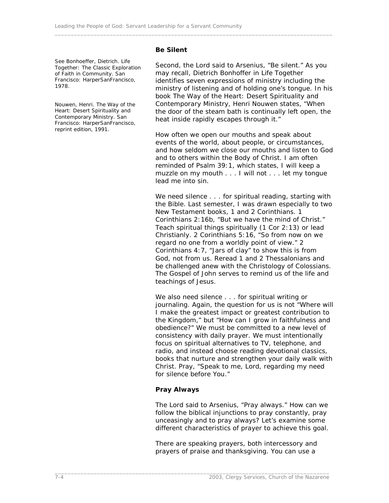*See Bonhoeffer, Dietrich.* Life Together: The Classic Exploration of Faith in Community. *San Francisco: HarperSanFrancisco, 1978.*

*Nouwen, Henri.* The Way of the Heart: Desert Spirituality and Contemporary Ministry. *San Francisco: HarperSanFrancisco, reprint edition, 1991.*

#### **Be Silent**

 $\_$  ,  $\_$  ,  $\_$  ,  $\_$  ,  $\_$  ,  $\_$  ,  $\_$  ,  $\_$  ,  $\_$  ,  $\_$  ,  $\_$  ,  $\_$  ,  $\_$  ,  $\_$  ,  $\_$  ,  $\_$  ,  $\_$  ,  $\_$  ,  $\_$  ,  $\_$  ,  $\_$  ,  $\_$  ,  $\_$  ,  $\_$  ,  $\_$  ,  $\_$  ,  $\_$  ,  $\_$  ,  $\_$  ,  $\_$  ,  $\_$  ,  $\_$  ,  $\_$  ,  $\_$  ,  $\_$  ,  $\_$  ,  $\_$  ,

Second, the Lord said to Arsenius, "Be silent." As you may recall, Dietrich Bonhoffer in *Life Together* identifies seven expressions of ministry including the ministry of listening and of holding one's tongue. In his book *The Way of the Heart: Desert Spirituality and Contemporary Ministry,* Henri Nouwen states, "When the door of the steam bath is continually left open, the heat inside rapidly escapes through it."

How often we open our mouths and speak about events of the world, about people, or circumstances, and how seldom we close our mouths and listen to God and to others within the Body of Christ. I am often reminded of Psalm 39:1, which states, I will keep a muzzle on my mouth . . . I will not . . . let my tongue lead me into sin.

We need silence . . . for spiritual reading, starting with the Bible. Last semester, I was drawn especially to two New Testament books, 1 and 2 Corinthians. 1 Corinthians 2:16b, "But we have the mind of Christ." Teach spiritual things spiritually (1 Cor 2:13) or lead Christianly. 2 Corinthians 5:16, "So from now on we regard no one from a worldly point of view." 2 Corinthians 4:7, "Jars of clay" to show this is from God, not from us. Reread 1 and 2 Thessalonians and be challenged anew with the Christology of Colossians. The Gospel of John serves to remind us of the life and teachings of Jesus.

We also need silence . . . for spiritual writing or journaling. Again, the question for us is not "Where will I make the greatest impact or greatest contribution to the Kingdom," but "How can I grow in faithfulness and obedience?" We must be committed to a new level of consistency with daily prayer. We must intentionally focus on spiritual alternatives to TV, telephone, and radio, and instead choose reading devotional classics, books that nurture and strengthen your daily walk with Christ. Pray, "Speak to me, Lord, regarding my need for silence before You."

#### **Pray Always**

The Lord said to Arsenius, "Pray always." How can we follow the biblical injunctions to pray constantly, pray unceasingly and to pray always? Let's examine some different characteristics of prayer to achieve this goal.

There are speaking prayers, both intercessory and prayers of praise and thanksgiving. You can use a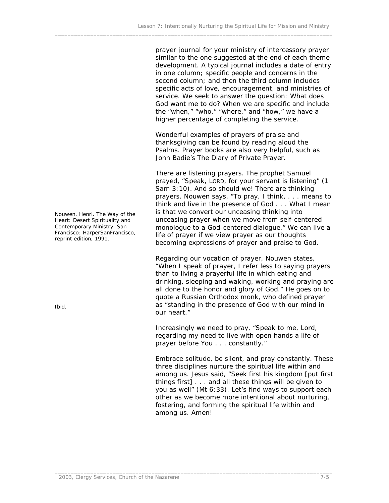prayer journal for your ministry of intercessory prayer similar to the one suggested at the end of each theme development. A typical journal includes a date of entry in one column; specific people and concerns in the second column; and then the third column includes specific acts of love, encouragement, and ministries of service. We seek to answer the question: What does God want me to do? When we are specific and include the "when," "who," "where," and "how," we have a higher percentage of completing the service.

Wonderful examples of prayers of praise and thanksgiving can be found by reading aloud the Psalms. Prayer books are also very helpful, such as John Badie's *The Diary of Private Prayer.*

There are listening prayers. The prophet Samuel prayed, "Speak, LORD, for your servant is listening" (1 Sam 3:10). And so should we! There are thinking prayers. Nouwen says, "To pray, I think, . . . means to think and live in the presence of God . . . What I mean is that we convert our unceasing thinking into unceasing prayer when we move from self-centered monologue to a God-centered dialogue." We can live a life of prayer if we view prayer as our thoughts becoming expressions of prayer and praise to God.

Regarding our vocation of prayer, Nouwen states, "When I speak of prayer, I refer less to saying prayers than to living a prayerful life in which eating and drinking, sleeping and waking, working and praying are all done to the honor and glory of God." He goes on to quote a Russian Orthodox monk, who defined prayer as "standing in the presence of God with our mind in our heart."

Increasingly we need to pray, "Speak to me, Lord, regarding my need to live with open hands a life of prayer before You . . . constantly."

Embrace solitude, be silent, and pray constantly. These three disciplines nurture the spiritual life *within* and *among* us. Jesus said, "Seek first his kingdom [put first things first] . . . and all these things will be given to you as well" (Mt 6:33). Let's find ways to support each other as we become more intentional about nurturing, fostering, and forming the spiritual life within and among us. Amen!

*Nouwen, Henri.* The Way of the Heart: Desert Spirituality and Contemporary Ministry. *San Francisco: HarperSanFrancisco, reprint edition, 1991.*

*Ibid.*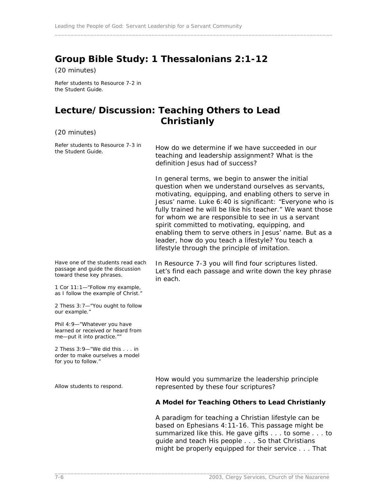### **Group Bible Study: 1 Thessalonians 2:1-12**

 $\_$  ,  $\_$  ,  $\_$  ,  $\_$  ,  $\_$  ,  $\_$  ,  $\_$  ,  $\_$  ,  $\_$  ,  $\_$  ,  $\_$  ,  $\_$  ,  $\_$  ,  $\_$  ,  $\_$  ,  $\_$  ,  $\_$  ,  $\_$  ,  $\_$  ,  $\_$  ,  $\_$  ,  $\_$  ,  $\_$  ,  $\_$  ,  $\_$  ,  $\_$  ,  $\_$  ,  $\_$  ,  $\_$  ,  $\_$  ,  $\_$  ,  $\_$  ,  $\_$  ,  $\_$  ,  $\_$  ,  $\_$  ,  $\_$  ,

(20 minutes)

*Refer students to Resource 7-2 in the Student Guide.*

### **Lecture/Discussion: Teaching Others to Lead Christianly**

#### (20 minutes)

*Refer students to Resource 7-3 in*

*Refer students to Resource 7-3 in*<br>the Student Guide. teaching and leadership assignment? What is the definition Jesus had of success?

> In general terms, we begin to answer the initial question when we understand ourselves as servants, motivating, equipping, and enabling others to serve in Jesus' name. Luke 6:40 is significant: "Everyone who is fully trained he will be like his teacher." We want those for whom we are responsible to see in us a servant spirit committed to motivating, equipping, and enabling them to serve others in Jesus' name. But as a leader, how do you teach a lifestyle? You teach a lifestyle through the principle of imitation.

*Have one of the students read each passage and guide the discussion toward these key phrases.*

*1 Cor 11:1—"Follow my example, as I follow the example of Christ."*

*2 Thess 3:7—"You ought to follow our example."*

*Phil 4:9—"Whatever you have learned or received or heard from me—put it into practice.""*

*2 Thess 3:9—"We did this . . . in order to make ourselves a model for you to follow."*

*Allow students to respond.*

In Resource 7-3 you will find four scriptures listed. Let's find each passage and write down the key phrase in each.

*How would you summarize the leadership principle represented by these four scriptures?*

#### **A Model for Teaching Others to Lead Christianly**

A paradigm for teaching a Christian lifestyle can be based on Ephesians 4:11-16. This passage might be summarized like this. He gave gifts . . . to some . . . to guide and teach His people . . . So that Christians might be properly equipped for their service . . . That

 $\_$  ,  $\_$  ,  $\_$  ,  $\_$  ,  $\_$  ,  $\_$  ,  $\_$  ,  $\_$  ,  $\_$  ,  $\_$  ,  $\_$  ,  $\_$  ,  $\_$  ,  $\_$  ,  $\_$  ,  $\_$  ,  $\_$  ,  $\_$  ,  $\_$  ,  $\_$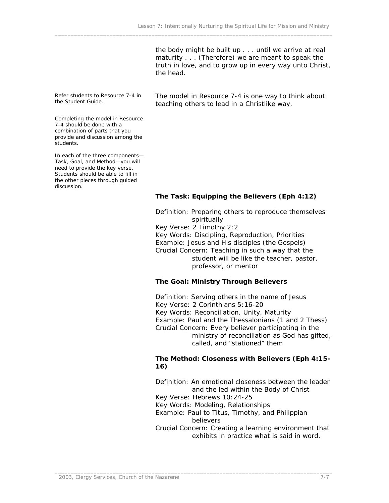the body might be built up . . . until we arrive at real maturity . . . (Therefore) we are meant to speak the truth in love, and to grow up in every way unto Christ, the head.

*Refer students to Resource 7-4 in*

*Completing the model in Resource 7-4 should be done with a combination of parts that you provide and discussion among the students.*

*In each of the three components— Task, Goal, and Method—you will need to provide the key verse. Students should be able to fill in the other pieces through guided discussion.*

The model in Resource 7-4 is one way to think about teaching others to lead in a Christlike way.

#### **The Task: Equipping the Believers (Eph 4:12)**

Definition: Preparing others to reproduce themselves spiritually Key Verse: 2 Timothy 2:2 Key Words: Discipling, Reproduction, Priorities Example: Jesus and His disciples (the Gospels) Crucial Concern: Teaching in such a way that the student will be like the teacher, pastor, professor, or mentor

#### **The Goal: Ministry Through Believers**

Definition: Serving others in the name of Jesus Key Verse: 2 Corinthians 5:16-20 Key Words: Reconciliation, Unity, Maturity Example: Paul and the Thessalonians (1 and 2 Thess) Crucial Concern: Every believer participating in the ministry of reconciliation as God has gifted, called, and "stationed" them

#### **The Method: Closeness with Believers (Eph 4:15- 16)**

Definition: An emotional closeness between the leader and the led within the Body of Christ

Key Verse: Hebrews 10:24-25

 $\_$  ,  $\_$  ,  $\_$  ,  $\_$  ,  $\_$  ,  $\_$  ,  $\_$  ,  $\_$  ,  $\_$  ,  $\_$  ,  $\_$  ,  $\_$  ,  $\_$  ,  $\_$  ,  $\_$  ,  $\_$  ,  $\_$  ,  $\_$  ,  $\_$  ,  $\_$  ,  $\_$  ,  $\_$  ,  $\_$  ,  $\_$  ,  $\_$  ,  $\_$  ,  $\_$  ,  $\_$  ,  $\_$  ,  $\_$  ,  $\_$  ,  $\_$  ,  $\_$  ,  $\_$  ,  $\_$  ,  $\_$  ,  $\_$  ,

Key Words: Modeling, Relationships

Example: Paul to Titus, Timothy, and Philippian believers

Crucial Concern: Creating a learning environment that exhibits in practice what is said in word.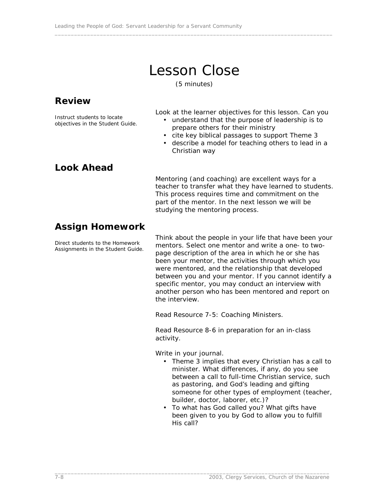## *Lesson Close*

 $\_$  ,  $\_$  ,  $\_$  ,  $\_$  ,  $\_$  ,  $\_$  ,  $\_$  ,  $\_$  ,  $\_$  ,  $\_$  ,  $\_$  ,  $\_$  ,  $\_$  ,  $\_$  ,  $\_$  ,  $\_$  ,  $\_$  ,  $\_$  ,  $\_$  ,  $\_$  ,  $\_$  ,  $\_$  ,  $\_$  ,  $\_$  ,  $\_$  ,  $\_$  ,  $\_$  ,  $\_$  ,  $\_$  ,  $\_$  ,  $\_$  ,  $\_$  ,  $\_$  ,  $\_$  ,  $\_$  ,  $\_$  ,  $\_$  ,

(5 minutes)

### **Review**

*Instruct students to locate objectives in the Student Guide.* Look at the learner objectives for this lesson. Can you

- understand that the purpose of leadership is to prepare others for their ministry
- cite key biblical passages to support Theme 3
- describe a model for teaching others to lead in a Christian way

### **Look Ahead**

Mentoring (and coaching) are excellent ways for a teacher to transfer what they have learned to students. This process requires time and commitment on the part of the mentor. In the next lesson we will be studying the mentoring process.

### **Assign Homework**

*Direct students to the Homework Assignments in the Student Guide.* Think about the people in your life that have been your mentors. Select one mentor and write a one- to twopage description of the area in which he or she has been your mentor, the activities through which you were mentored, and the relationship that developed between you and your mentor. If you cannot identify a specific mentor, you may conduct an interview with another person who has been mentored and report on the interview.

Read Resource 7-5: Coaching Ministers.

Read Resource 8-6 in preparation for an in-class activity.

Write in your journal.

- Theme 3 implies that every Christian has a call to minister. What differences, if any, do you see between a call to full-time Christian service, such as pastoring, and God's leading and gifting someone for other types of employment (teacher, builder, doctor, laborer, etc.)?
- To what has God called you? What gifts have been given to you by God to allow you to fulfill His call?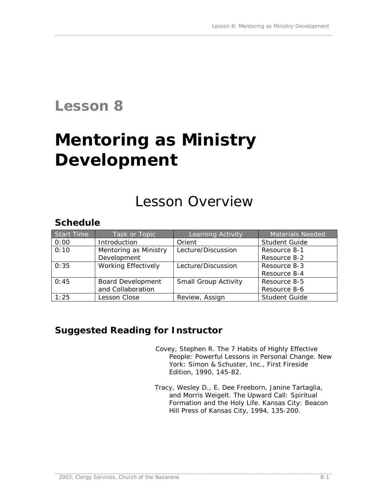## *Lesson 8*

# **Mentoring as Ministry Development**

## *Lesson Overview*

 $\_$  ,  $\_$  ,  $\_$  ,  $\_$  ,  $\_$  ,  $\_$  ,  $\_$  ,  $\_$  ,  $\_$  ,  $\_$  ,  $\_$  ,  $\_$  ,  $\_$  ,  $\_$  ,  $\_$  ,  $\_$  ,  $\_$  ,  $\_$  ,  $\_$  ,  $\_$  ,  $\_$  ,  $\_$  ,  $\_$  ,  $\_$  ,  $\_$  ,  $\_$  ,  $\_$  ,  $\_$  ,  $\_$  ,  $\_$  ,  $\_$  ,  $\_$  ,  $\_$  ,  $\_$  ,  $\_$  ,  $\_$  ,  $\_$  ,

### **Schedule**

| <b>Start Time</b> | Task or Topic            | Learning Activity           | <b>Materials Needed</b> |
|-------------------|--------------------------|-----------------------------|-------------------------|
| 0:00              | Introduction             | Orient                      | Student Guide           |
| 0:10              | Mentoring as Ministry    | Lecture/Discussion          | Resource 8-1            |
|                   | Development              |                             | Resource 8-2            |
| 0:35              | Working Effectively      | Lecture/Discussion          | Resource 8-3            |
|                   |                          |                             | Resource 8-4            |
| 0:45              | <b>Board Development</b> | <b>Small Group Activity</b> | Resource 8-5            |
|                   | and Collaboration        |                             | Resource 8-6            |
| 1:25              | Lesson Close             | Review, Assign              | Student Guide           |

### **Suggested Reading for Instructor**

- Covey, Stephen R. *The 7 Habits of Highly Effective People: Powerful Lessons in Personal Change.* New York: Simon & Schuster, Inc., First Fireside Edition, 1990, 145-82.
- Tracy, Wesley D., E. Dee Freeborn, Janine Tartaglia, and Morris Weigelt*. The Upward Call: Spiritual Formation and the Holy Life*. Kansas City: Beacon Hill Press of Kansas City, 1994, 135-200.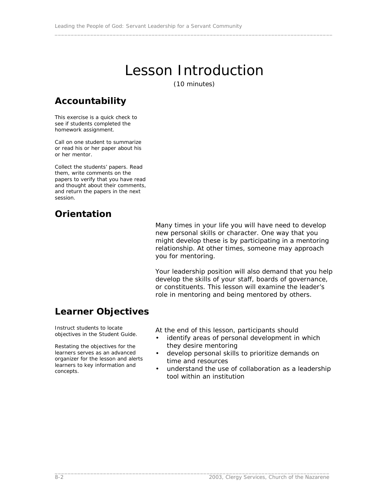# *Lesson Introduction*

 $\_$  ,  $\_$  ,  $\_$  ,  $\_$  ,  $\_$  ,  $\_$  ,  $\_$  ,  $\_$  ,  $\_$  ,  $\_$  ,  $\_$  ,  $\_$  ,  $\_$  ,  $\_$  ,  $\_$  ,  $\_$  ,  $\_$  ,  $\_$  ,  $\_$  ,  $\_$  ,  $\_$  ,  $\_$  ,  $\_$  ,  $\_$  ,  $\_$  ,  $\_$  ,  $\_$  ,  $\_$  ,  $\_$  ,  $\_$  ,  $\_$  ,  $\_$  ,  $\_$  ,  $\_$  ,  $\_$  ,  $\_$  ,  $\_$  ,

(10 minutes)

### **Accountability**

*This exercise is a quick check to see if students completed the homework assignment.*

*Call on one student to summarize or read his or her paper about his or her mentor.*

*Collect the students' papers. Read them, write comments on the papers to verify that you have read and thought about their comments, and return the papers in the next session.*

### **Orientation**

Many times in your life you will have need to develop new personal skills or character. One way that you might develop these is by participating in a mentoring relationship. At other times, someone may approach you for mentoring.

Your leadership position will also demand that you help develop the skills of your staff, boards of governance, or constituents. This lesson will examine the leader's role in mentoring and being mentored by others.

### **Learner Objectives**

*Instruct students to locate objectives in the Student Guide.*

*Restating the objectives for the learners serves as an advanced organizer for the lesson and alerts learners to key information and concepts.*

At the end of this lesson, participants should

 $\_$  ,  $\_$  ,  $\_$  ,  $\_$  ,  $\_$  ,  $\_$  ,  $\_$  ,  $\_$  ,  $\_$  ,  $\_$  ,  $\_$  ,  $\_$  ,  $\_$  ,  $\_$  ,  $\_$  ,  $\_$  ,  $\_$  ,  $\_$  ,  $\_$  ,  $\_$ 

- identify areas of personal development in which they desire mentoring
- develop personal skills to prioritize demands on time and resources
- understand the use of collaboration as a leadership tool within an institution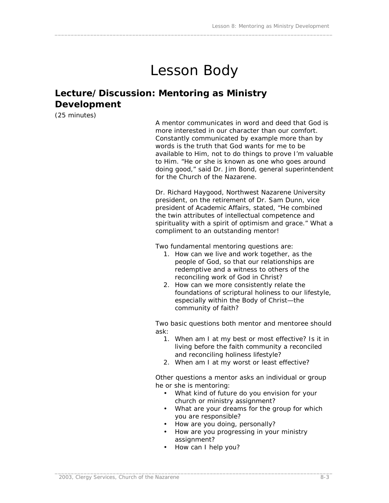## *Lesson Body*

 $\_$  ,  $\_$  ,  $\_$  ,  $\_$  ,  $\_$  ,  $\_$  ,  $\_$  ,  $\_$  ,  $\_$  ,  $\_$  ,  $\_$  ,  $\_$  ,  $\_$  ,  $\_$  ,  $\_$  ,  $\_$  ,  $\_$  ,  $\_$  ,  $\_$  ,  $\_$  ,  $\_$  ,  $\_$  ,  $\_$  ,  $\_$  ,  $\_$  ,  $\_$  ,  $\_$  ,  $\_$  ,  $\_$  ,  $\_$  ,  $\_$  ,  $\_$  ,  $\_$  ,  $\_$  ,  $\_$  ,  $\_$  ,  $\_$  ,

### **Lecture/Discussion: Mentoring as Ministry Development**

(25 minutes)

A mentor communicates in word and deed that God is more interested in our character than our comfort. Constantly communicated by example more than by words is the truth that God wants for me to be *available* to Him, not to do things to prove I'm *valuable* to Him. "He or she is known as one who goes around doing good," said Dr. Jim Bond, general superintendent for the Church of the Nazarene.

Dr. Richard Haygood, Northwest Nazarene University president, on the retirement of Dr. Sam Dunn, vice president of Academic Affairs, stated, "He combined the twin attributes of intellectual competence and spirituality with a spirit of optimism and grace." What a compliment to an outstanding mentor!

Two fundamental mentoring questions are:

- 1. How can we live and work together, as the people of God, so that our relationships are redemptive and a witness to others of the reconciling work of God in Christ?
- 2. How can we more consistently relate the foundations of scriptural holiness to our lifestyle, especially within the Body of Christ—the community of faith?

Two basic questions both mentor and mentoree should ask:

- 1. When am I at my best or most effective? Is it in living before the faith community a reconciled and reconciling holiness lifestyle?
- 2. When am I at my worst or least effective?

Other questions a mentor asks an individual or group he or she is mentoring:

- What kind of future do you envision for your church or ministry assignment?
- What are your dreams for the group for which you are responsible?
- How are you doing, personally?
- How are you progressing in your ministry assignment?
- How can I help you?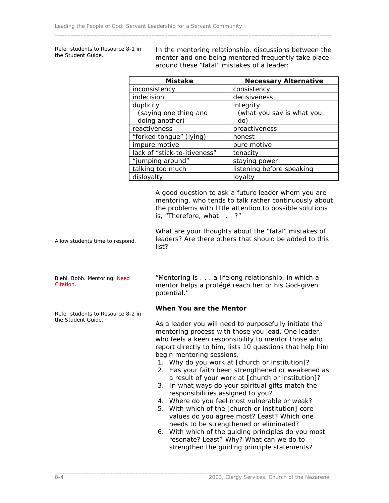*Refer students to Resource 8-1 in*

*Refer students to Resource 8-1 in* In the mentoring relationship, discussions between the *the Student Guide*. mentor and one being mentored frequently take place around these "fatal" mistakes of a leader:

| <b>Mistake</b>               | <b>Necessary Alternative</b> |
|------------------------------|------------------------------|
| inconsistency                | consistency                  |
| indecision                   | decisiveness                 |
| duplicity                    | integrity                    |
| (saying one thing and        | (what you say is what you    |
| doing another)               | do)                          |
| reactiveness                 | proactiveness                |
| "forked tongue" (lying)      | honest                       |
| impure motive                | pure motive                  |
| lack of "stick-to-itiveness" | tenacity                     |
| "jumping around"             | staying power                |
| talking too much             | listening before speaking    |
| disloyalty                   | loyalty                      |

A good question to ask a future leader whom you are mentoring, who tends to talk rather continuously about the problems with little attention to possible solutions is, "Therefore, what . . . ?"

*What are your thoughts about the "fatal" mistakes of leaders? Are there others that should be added to this list?*

*Allow students time to respond.*

*Biehl, Bobb.* Mentoring. Need Citation.

*Refer students to Resource 8-2 in the Student Guide.*

"Mentoring is . . . a lifelong relationship, in which a mentor helps a protégé reach her or his God-given potential."

#### **When You are the Mentor**

As a leader you will need to purposefully initiate the mentoring process with those you lead. One leader, who feels a keen responsibility to mentor those who report directly to him, lists 10 questions that help him begin mentoring sessions.

- 1. Why do you work at [church or institution]?
- 2. Has your faith been strengthened or weakened as a result of your work at [church or institution]?
- 3. In what ways do your spiritual gifts match the responsibilities assigned to you?
- 4. Where do you feel most vulnerable or weak?
- 5. With which of the [church or institution] core values do you agree most? Least? Which one needs to be strengthened or eliminated?
- 6. With which of the guiding principles do you most resonate? Least? Why? What can we do to strengthen the guiding principle statements?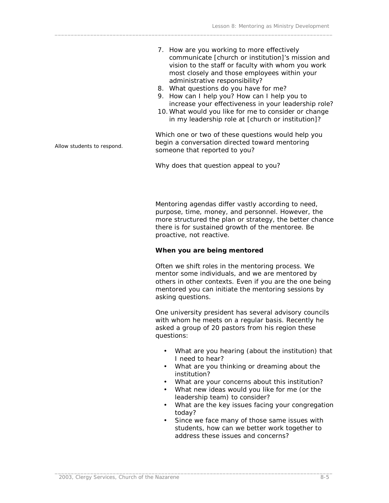- 7. How are you working to more effectively communicate [church or institution]'s mission and vision to the staff or faculty with whom you work most closely and those employees within your administrative responsibility?
- 8. What questions do you have for me?

- 9. How can I help you? How can I help you to increase your effectiveness in your leadership role?
- 10. What would you like for me to consider or change in my leadership role at [church or institution]?

*Which one or two of these questions would help you begin a conversation directed toward mentoring someone that reported to you?*

*Why does that question appeal to you?*

Mentoring agendas differ vastly according to need, purpose, time, money, and personnel. However, the more structured the plan or strategy, the better chance there is for sustained growth of the mentoree. Be proactive, not reactive.

#### **When you are being mentored**

Often we shift roles in the mentoring process. We mentor some individuals, and we are mentored by others in other contexts. Even if you are the one being mentored you can initiate the mentoring sessions by asking questions.

One university president has several advisory councils with whom he meets on a regular basis. Recently he asked a group of 20 pastors from his region these questions:

- What are you hearing (about the institution) that I need to hear?
- What are you thinking or dreaming about the institution?
- What are your concerns about this institution?
- What new ideas would you like for me (or the leadership team) to consider?
- What are the key issues facing your congregation today?
- Since we face many of those same issues with students, how can we better work together to address these issues and concerns?

 $\_$  ,  $\_$  ,  $\_$  ,  $\_$  ,  $\_$  ,  $\_$  ,  $\_$  ,  $\_$  ,  $\_$  ,  $\_$  ,  $\_$  ,  $\_$  ,  $\_$  ,  $\_$  ,  $\_$  ,  $\_$  ,  $\_$  ,  $\_$  ,  $\_$  ,  $\_$  ,  $\_$  ,  $\_$  ,  $\_$  ,  $\_$  ,  $\_$  ,  $\_$  ,  $\_$  ,  $\_$  ,  $\_$  ,  $\_$  ,  $\_$  ,  $\_$  ,  $\_$  ,  $\_$  ,  $\_$  ,  $\_$  ,  $\_$  ,

*Allow students to respond.*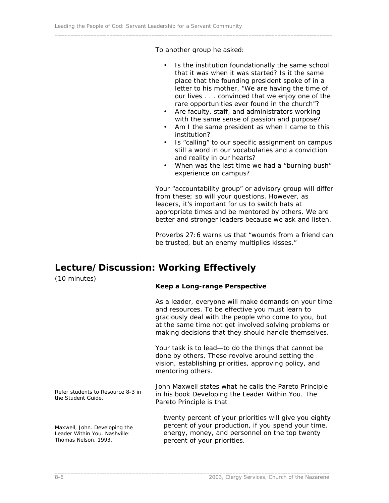To another group he asked:

 $\_$  ,  $\_$  ,  $\_$  ,  $\_$  ,  $\_$  ,  $\_$  ,  $\_$  ,  $\_$  ,  $\_$  ,  $\_$  ,  $\_$  ,  $\_$  ,  $\_$  ,  $\_$  ,  $\_$  ,  $\_$  ,  $\_$  ,  $\_$  ,  $\_$  ,  $\_$  ,  $\_$  ,  $\_$  ,  $\_$  ,  $\_$  ,  $\_$  ,  $\_$  ,  $\_$  ,  $\_$  ,  $\_$  ,  $\_$  ,  $\_$  ,  $\_$  ,  $\_$  ,  $\_$  ,  $\_$  ,  $\_$  ,  $\_$  ,

- Is the institution foundationally the same school that it was when it was started? Is it the same place that the founding president spoke of in a letter to his mother, "We are having the time of our lives . . . convinced that we enjoy one of the rare opportunities ever found in the church"?
- Are faculty, staff, and administrators working with the same sense of passion and purpose?
- Am I the same president as when I came to this institution?
- Is "calling" to our specific assignment on campus still a word in our vocabularies and a conviction and reality in our hearts?
- When was the last time we had a "burning bush" experience on campus?

Your "accountability group" or advisory group will differ from these; so will your questions. However, as leaders, it's important for us to switch hats at appropriate times and be mentored by others. We are better and stronger leaders because we ask and listen.

Proverbs 27:6 warns us that "wounds from a friend can be trusted, but an enemy multiplies kisses."

### **Lecture/Discussion: Working Effectively**

(10 minutes)

#### **Keep a Long-range Perspective**

 $\_$  ,  $\_$  ,  $\_$  ,  $\_$  ,  $\_$  ,  $\_$  ,  $\_$  ,  $\_$  ,  $\_$  ,  $\_$  ,  $\_$  ,  $\_$  ,  $\_$  ,  $\_$  ,  $\_$  ,  $\_$  ,  $\_$  ,  $\_$  ,  $\_$  ,  $\_$ 

As a leader, everyone will make demands on your time and resources. To be effective you must learn to graciously deal with the people who come to you, but at the same time not get involved solving problems or making decisions that they should handle themselves.

Your task is to lead—to do the things that cannot be done by others. These revolve around setting the vision, establishing priorities, approving policy, and mentoring others.

*Refer students to Resource 8-3 in the Student Guide.*

John Maxwell states what he calls the Pareto Principle in his book *Developing the Leader Within You.* The Pareto Principle is that

*Maxwell, John.* Developing the Leader Within You. *Nashville: Thomas Nelson, 1993.*

twenty percent of your priorities will give you eighty percent of your production, if you spend your time, energy, money, and personnel on the top twenty percent of your priorities.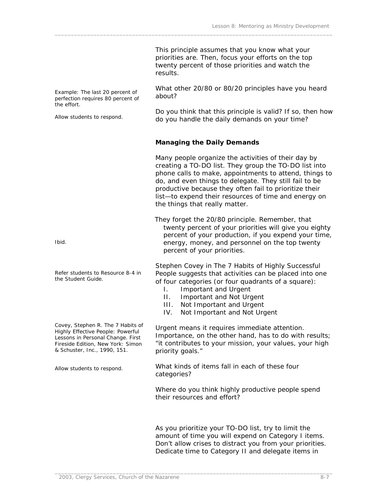This principle assumes that you know what your priorities are. Then, focus your efforts on the top twenty percent of those priorities and watch the results.

*Example: The last 20 percent of perfection requires 80 percent of the effort.*

*Allow students to respond.*

*Do you think that this principle is valid? If so, then how do you handle the daily demands on your time?*

*What other 20/80 or 80/20 principles have you heard*

#### **Managing the Daily Demands**

 $\_$  ,  $\_$  ,  $\_$  ,  $\_$  ,  $\_$  ,  $\_$  ,  $\_$  ,  $\_$  ,  $\_$  ,  $\_$  ,  $\_$  ,  $\_$  ,  $\_$  ,  $\_$  ,  $\_$  ,  $\_$  ,  $\_$  ,  $\_$  ,  $\_$  ,  $\_$  ,  $\_$  ,  $\_$  ,  $\_$  ,  $\_$  ,  $\_$  ,  $\_$  ,  $\_$  ,  $\_$  ,  $\_$  ,  $\_$  ,  $\_$  ,  $\_$  ,  $\_$  ,  $\_$  ,  $\_$  ,  $\_$  ,  $\_$  ,

*about?*

Many people organize the activities of their day by creating a TO-DO list. They group the TO-DO list into phone calls to make, appointments to attend, things to do, and even things to delegate. They still fail to be productive because they often fail to prioritize their list—to expend their resources of time and energy on the things that really matter.

They forget the 20/80 principle. Remember, that twenty percent of your priorities will give you eighty percent of your production, if you expend your time, energy, money, and personnel on the top twenty percent of your priorities.

Stephen Covey in *The 7 Habits of Highly Successful People* suggests that activities can be placed into one of four categories (or four quadrants of a square):

- I. Important and Urgent
- II. Important and Not Urgent
- III. Not Important and Urgent
- IV. Not Important and Not Urgent

Urgent means it requires immediate attention. Importance, on the other hand, has to do with results; "it contributes to your mission, your values, your high priority goals."

*What kinds of items fall in each of these four categories?*

*Where do you think highly productive people spend their resources and effort?*

As you prioritize your TO-DO list, try to limit the amount of time you will expend on Category I items. Don't allow crises to distract you from your priorities. Dedicate time to Category II and delegate items in

*Ibid.*

*Refer students to Resource 8-4 in the Student Guide.*

*Covey, Stephen R.* The 7 Habits of Highly Effective People: Powerful Lessons in Personal Change. *First Fireside Edition, New York: Simon & Schuster, Inc., 1990, 151.*

*Allow students to respond.*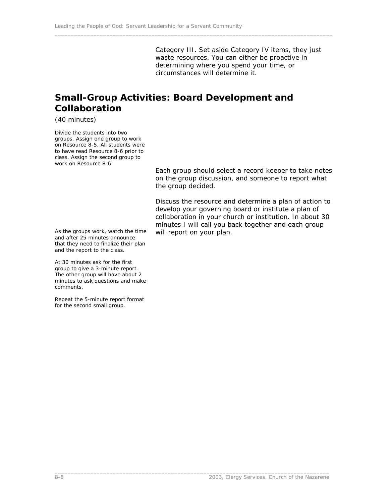Category III. Set aside Category IV items, they just waste resources. You can either be proactive in determining where you spend your time, or circumstances will determine it.

### **Small-Group Activities: Board Development and Collaboration**

 $\_$  ,  $\_$  ,  $\_$  ,  $\_$  ,  $\_$  ,  $\_$  ,  $\_$  ,  $\_$  ,  $\_$  ,  $\_$  ,  $\_$  ,  $\_$  ,  $\_$  ,  $\_$  ,  $\_$  ,  $\_$  ,  $\_$  ,  $\_$  ,  $\_$  ,  $\_$  ,  $\_$  ,  $\_$  ,  $\_$  ,  $\_$  ,  $\_$  ,  $\_$  ,  $\_$  ,  $\_$  ,  $\_$  ,  $\_$  ,  $\_$  ,  $\_$  ,  $\_$  ,  $\_$  ,  $\_$  ,  $\_$  ,  $\_$  ,

(40 minutes)

*Divide the students into two groups. Assign one group to work on Resource 8-5. All students were to have read Resource 8-6 prior to class. Assign the second group to work on Resource 8-6.*

> Each group should select a record keeper to take notes on the group discussion, and someone to report what the group decided.

> Discuss the resource and determine a plan of action to develop your governing board or institute a plan of collaboration in your church or institution. In about 30 minutes I will call you back together and each group will report on your plan.

*As the groups work, watch the time and after 25 minutes announce that they need to finalize their plan and the report to the class.*

*At 30 minutes ask for the first group to give a 3-minute report. The other group will have about 2 minutes to ask questions and make comments.*

*Repeat the 5-minute report format for the second small group.*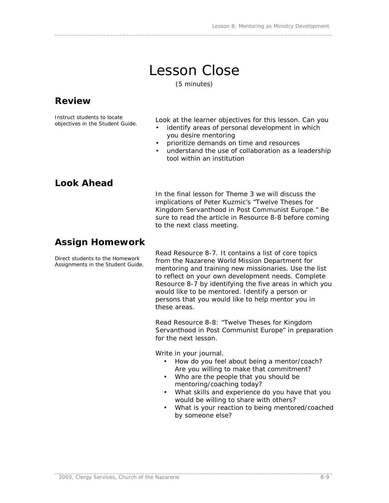## *Lesson Close*

 $\_$  ,  $\_$  ,  $\_$  ,  $\_$  ,  $\_$  ,  $\_$  ,  $\_$  ,  $\_$  ,  $\_$  ,  $\_$  ,  $\_$  ,  $\_$  ,  $\_$  ,  $\_$  ,  $\_$  ,  $\_$  ,  $\_$  ,  $\_$  ,  $\_$  ,  $\_$  ,  $\_$  ,  $\_$  ,  $\_$  ,  $\_$  ,  $\_$  ,  $\_$  ,  $\_$  ,  $\_$  ,  $\_$  ,  $\_$  ,  $\_$  ,  $\_$  ,  $\_$  ,  $\_$  ,  $\_$  ,  $\_$  ,  $\_$  ,

(5 minutes)

### **Review**

*Instruct students to locate*

*objectives in the Student Guide.* Look at the learner objectives for this lesson. Can you

- identify areas of personal development in which you desire mentoring
- prioritize demands on time and resources
- understand the use of collaboration as a leadership tool within an institution

## **Look Ahead**

In the final lesson for Theme 3 we will discuss the implications of Peter Kuzmic's "Twelve Theses for Kingdom Servanthood in Post Communist Europe." Be sure to read the article in Resource 8-8 before coming to the next class meeting.

### **Assign Homework**

*Direct students to the Homework Assignments in the Student Guide.* Read Resource 8-7. It contains a list of core topics from the Nazarene World Mission Department for mentoring and training new missionaries. Use the list to reflect on your own development needs. Complete Resource 8-7 by identifying the five areas in which you would like to be mentored. Identify a person or persons that you would like to help mentor you in these areas.

Read Resource 8-8: "Twelve Theses for Kingdom Servanthood in Post Communist Europe" in preparation for the next lesson.

Write in your journal.

- How do you feel about being a mentor/coach? Are you willing to make that commitment?
- Who are the people that you should be mentoring/coaching today?
- What skills and experience do you have that you would be willing to share with others?
- What is your reaction to being mentored/coached by someone else?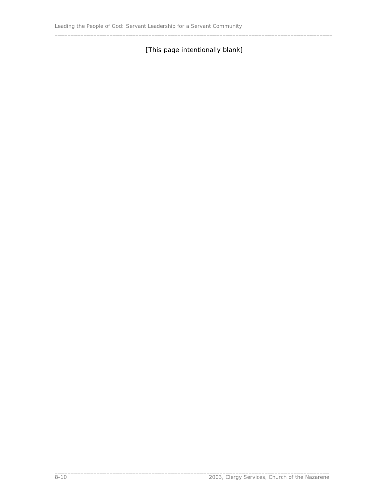[This page intentionally blank]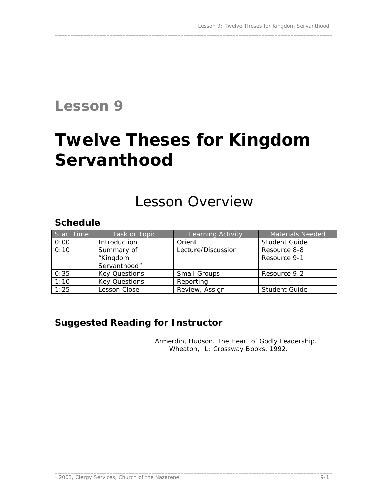## *Lesson 9*

## **Twelve Theses for Kingdom Servanthood**

 $\_$  ,  $\_$  ,  $\_$  ,  $\_$  ,  $\_$  ,  $\_$  ,  $\_$  ,  $\_$  ,  $\_$  ,  $\_$  ,  $\_$  ,  $\_$  ,  $\_$  ,  $\_$  ,  $\_$  ,  $\_$  ,  $\_$  ,  $\_$  ,  $\_$  ,  $\_$  ,  $\_$  ,  $\_$  ,  $\_$  ,  $\_$  ,  $\_$  ,  $\_$  ,  $\_$  ,  $\_$  ,  $\_$  ,  $\_$  ,  $\_$  ,  $\_$  ,  $\_$  ,  $\_$  ,  $\_$  ,  $\_$  ,  $\_$  ,

## *Lesson Overview*

### **Schedule**

| <b>Start Time</b> | Task or Topic        | Learning Activity  | Materials Needed |
|-------------------|----------------------|--------------------|------------------|
| 0:00              | Introduction         | Orient             | Student Guide    |
| 0:10              | Summary of           | Lecture/Discussion | Resource 8-8     |
|                   | "Kingdom             |                    | Resource 9-1     |
|                   | Servanthood"         |                    |                  |
| 0:35              | <b>Key Questions</b> | Small Groups       | Resource 9-2     |
| 1:10              | <b>Key Questions</b> | Reporting          |                  |
| 1:25              | Lesson Close         | Review, Assign     | Student Guide    |

## **Suggested Reading for Instructor**

Armerdin, Hudson. *The Heart of Godly Leadership*. Wheaton, IL: Crossway Books, 1992.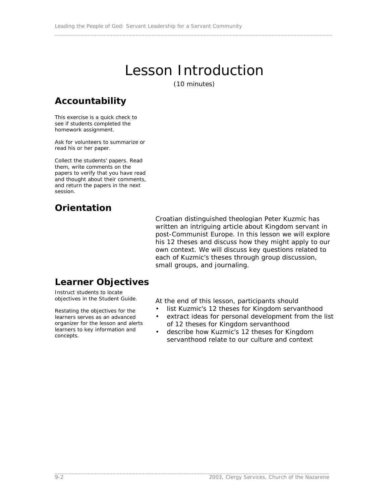# *Lesson Introduction*

 $\_$  ,  $\_$  ,  $\_$  ,  $\_$  ,  $\_$  ,  $\_$  ,  $\_$  ,  $\_$  ,  $\_$  ,  $\_$  ,  $\_$  ,  $\_$  ,  $\_$  ,  $\_$  ,  $\_$  ,  $\_$  ,  $\_$  ,  $\_$  ,  $\_$  ,  $\_$  ,  $\_$  ,  $\_$  ,  $\_$  ,  $\_$  ,  $\_$  ,  $\_$  ,  $\_$  ,  $\_$  ,  $\_$  ,  $\_$  ,  $\_$  ,  $\_$  ,  $\_$  ,  $\_$  ,  $\_$  ,  $\_$  ,  $\_$  ,

(10 minutes)

## **Accountability**

*This exercise is a quick check to see if students completed the homework assignment.*

*Ask for volunteers to summarize or read his or her paper.*

*Collect the students' papers. Read them, write comments on the papers to verify that you have read and thought about their comments, and return the papers in the next session.*

## **Orientation**

Croatian distinguished theologian Peter Kuzmic has written an intriguing article about Kingdom servant in post-Communist Europe. In this lesson we will explore his 12 theses and discuss how they might apply to our own context. We will discuss key questions related to each of Kuzmic's theses through group discussion, small groups, and journaling.

### **Learner Objectives**

*Instruct students to locate objectives in the Student Guide.*

*Restating the objectives for the learners serves as an advanced organizer for the lesson and alerts learners to key information and concepts.*

At the end of this lesson, participants should

- list Kuzmic's 12 theses for Kingdom servanthood
- extract ideas for personal development from the list of 12 theses for Kingdom servanthood
- describe how Kuzmic's 12 theses for Kingdom servanthood relate to our culture and context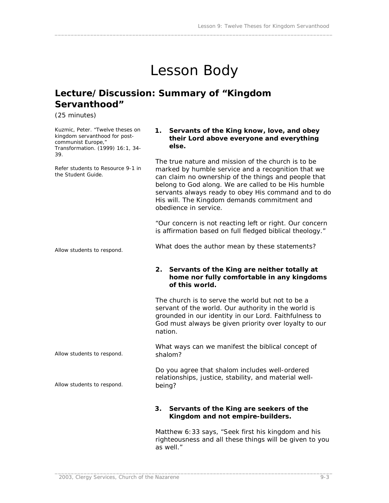## *Lesson Body*

 $\_$  ,  $\_$  ,  $\_$  ,  $\_$  ,  $\_$  ,  $\_$  ,  $\_$  ,  $\_$  ,  $\_$  ,  $\_$  ,  $\_$  ,  $\_$  ,  $\_$  ,  $\_$  ,  $\_$  ,  $\_$  ,  $\_$  ,  $\_$  ,  $\_$  ,  $\_$  ,  $\_$  ,  $\_$  ,  $\_$  ,  $\_$  ,  $\_$  ,  $\_$  ,  $\_$  ,  $\_$  ,  $\_$  ,  $\_$  ,  $\_$  ,  $\_$  ,  $\_$  ,  $\_$  ,  $\_$  ,  $\_$  ,  $\_$  ,

## **Lecture/Discussion: Summary of "Kingdom Servanthood"**

(25 minutes)

| Kuzmic, Peter. "Twelve theses on<br>kingdom servanthood for post-<br>communist Europe,"<br>Transformation. (1999) 16:1, 34-<br>39. | Servants of the King know, love, and obey<br>1.<br>their Lord above everyone and everything<br>else.                                                                                                                                                                                                                                                    |  |
|------------------------------------------------------------------------------------------------------------------------------------|---------------------------------------------------------------------------------------------------------------------------------------------------------------------------------------------------------------------------------------------------------------------------------------------------------------------------------------------------------|--|
| Refer students to Resource 9-1 in<br>the Student Guide.                                                                            | The true nature and mission of the church is to be<br>marked by humble service and a recognition that we<br>can claim no ownership of the things and people that<br>belong to God along. We are called to be His humble<br>servants always ready to obey His command and to do<br>His will. The Kingdom demands commitment and<br>obedience in service. |  |
|                                                                                                                                    | "Our concern is not reacting left or right. Our concern<br>is affirmation based on full fledged biblical theology."                                                                                                                                                                                                                                     |  |
| Allow students to respond.                                                                                                         | What does the author mean by these statements?                                                                                                                                                                                                                                                                                                          |  |
|                                                                                                                                    | Servants of the King are neither totally at<br>2.<br>home nor fully comfortable in any kingdoms<br>of this world.                                                                                                                                                                                                                                       |  |
|                                                                                                                                    | The church is to serve the world but not to be a<br>servant of the world. Our authority in the world is<br>grounded in our identity in our Lord. Faithfulness to<br>God must always be given priority over loyalty to our<br>nation.                                                                                                                    |  |
| Allow students to respond.                                                                                                         | What ways can we manifest the biblical concept of<br>shalom?                                                                                                                                                                                                                                                                                            |  |
| Allow students to respond.                                                                                                         | Do you agree that shalom includes well-ordered<br>relationships, justice, stability, and material well-<br>being?                                                                                                                                                                                                                                       |  |
|                                                                                                                                    | 3.<br>Servants of the King are seekers of the<br>Kingdom and not empire-builders.                                                                                                                                                                                                                                                                       |  |

 $\_$  ,  $\_$  ,  $\_$  ,  $\_$  ,  $\_$  ,  $\_$  ,  $\_$  ,  $\_$  ,  $\_$  ,  $\_$  ,  $\_$  ,  $\_$  ,  $\_$  ,  $\_$  ,  $\_$  ,  $\_$  ,  $\_$  ,  $\_$  ,  $\_$  ,  $\_$  ,  $\_$  ,  $\_$  ,  $\_$  ,  $\_$  ,  $\_$  ,  $\_$  ,  $\_$  ,  $\_$  ,  $\_$  ,  $\_$  ,  $\_$  ,  $\_$  ,  $\_$  ,  $\_$  ,  $\_$  ,  $\_$  ,  $\_$  ,

Matthew 6:33 says, "Seek first his kingdom and his righteousness and all these things will be given to you as well."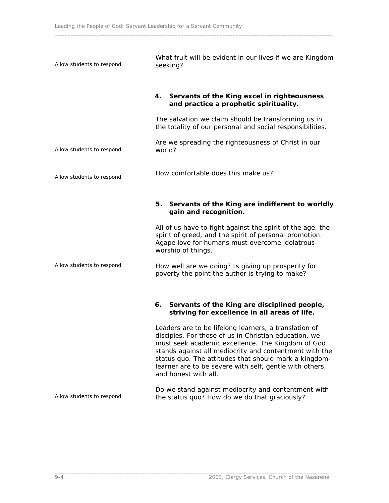| Allow students to respond. | What fruit will be evident in our lives if we are Kingdom<br>seeking?                                                                                                                                                                                                                                                                                                     |
|----------------------------|---------------------------------------------------------------------------------------------------------------------------------------------------------------------------------------------------------------------------------------------------------------------------------------------------------------------------------------------------------------------------|
|                            | 4.<br>Servants of the King excel in righteousness<br>and practice a prophetic spirituality.                                                                                                                                                                                                                                                                               |
|                            | The salvation we claim should be transforming us in<br>the totality of our personal and social responsibilities.                                                                                                                                                                                                                                                          |
| Allow students to respond. | Are we spreading the righteousness of Christ in our<br>world?                                                                                                                                                                                                                                                                                                             |
| Allow students to respond. | How comfortable does this make us?                                                                                                                                                                                                                                                                                                                                        |
|                            | 5. Servants of the King are indifferent to worldly<br>gain and recognition.                                                                                                                                                                                                                                                                                               |
|                            | All of us have to fight against the spirit of the age, the<br>spirit of greed, and the spirit of personal promotion.<br>Agape love for humans must overcome idolatrous<br>worship of things.                                                                                                                                                                              |
| Allow students to respond. | How well are we doing? Is giving up prosperity for<br>poverty the point the author is trying to make?                                                                                                                                                                                                                                                                     |
|                            | Servants of the King are disciplined people,<br>6.<br>striving for excellence in all areas of life.                                                                                                                                                                                                                                                                       |
|                            | Leaders are to be lifelong learners, a translation of<br>disciples. For those of us in Christian education, we<br>must seek academic excellence. The Kingdom of God<br>stands against all mediocrity and contentment with the<br>status quo. The attitudes that should mark a kingdom-<br>learner are to be severe with self, gentle with others,<br>and honest with all. |
| Allow students to respond. | Do we stand against mediocrity and contentment with<br>the status quo? How do we do that graciously?                                                                                                                                                                                                                                                                      |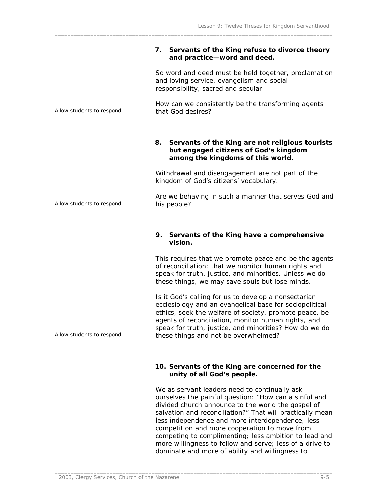#### **7. Servants of the King refuse to divorce theory and practice—word and deed.**

 $\_$  ,  $\_$  ,  $\_$  ,  $\_$  ,  $\_$  ,  $\_$  ,  $\_$  ,  $\_$  ,  $\_$  ,  $\_$  ,  $\_$  ,  $\_$  ,  $\_$  ,  $\_$  ,  $\_$  ,  $\_$  ,  $\_$  ,  $\_$  ,  $\_$  ,  $\_$  ,  $\_$  ,  $\_$  ,  $\_$  ,  $\_$  ,  $\_$  ,  $\_$  ,  $\_$  ,  $\_$  ,  $\_$  ,  $\_$  ,  $\_$  ,  $\_$  ,  $\_$  ,  $\_$  ,  $\_$  ,  $\_$  ,  $\_$  ,

So word and deed must be held together, proclamation and loving service, evangelism and social responsibility, sacred and secular.

*How can we consistently be the transforming agents that God desires?*

#### **8. Servants of the King are not religious tourists but engaged citizens of God's kingdom among the kingdoms of this world.**

Withdrawal and disengagement are not part of the kingdom of God's citizens' vocabulary.

*Are we behaving in such a manner that serves God and his people?*

#### **9. Servants of the King have a comprehensive vision.**

This requires that we promote peace and be the agents of reconciliation; that we monitor human rights and speak for truth, justice, and minorities. Unless we do these things, we may save souls but lose minds.

*Is it God's calling for us to develop a nonsectarian ecclesiology and an evangelical base for sociopolitical ethics, seek the welfare of society, promote peace, be agents of reconciliation, monitor human rights, and speak for truth, justice, and minorities? How do we do these things and not be overwhelmed?*

#### **10. Servants of the King are concerned for the unity of all God's people.**

We as servant leaders need to continually ask ourselves the painful question: "How can a sinful and divided church announce to the world the gospel of salvation and reconciliation?" That will practically mean less independence and more interdependence; less competition and more cooperation to move from competing to complimenting; less ambition to lead and more willingness to follow and serve; less of a drive to dominate and more of ability and willingness to

 $\_$  ,  $\_$  ,  $\_$  ,  $\_$  ,  $\_$  ,  $\_$  ,  $\_$  ,  $\_$  ,  $\_$  ,  $\_$  ,  $\_$  ,  $\_$  ,  $\_$  ,  $\_$  ,  $\_$  ,  $\_$  ,  $\_$  ,  $\_$  ,  $\_$  ,  $\_$  ,  $\_$  ,  $\_$  ,  $\_$  ,  $\_$  ,  $\_$  ,  $\_$  ,  $\_$  ,  $\_$  ,  $\_$  ,  $\_$  ,  $\_$  ,  $\_$  ,  $\_$  ,  $\_$  ,  $\_$  ,  $\_$  ,  $\_$  ,

*Allow students to respond.*

*Allow students to respond.*

*Allow students to respond.*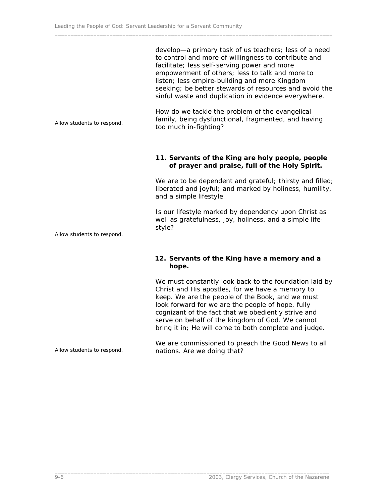develop—a primary task of us teachers; less of a need to control and more of willingness to contribute and facilitate; less self-serving power and more empowerment of others; less to talk and more to listen; less empire-building and more Kingdom seeking; be better stewards of resources and avoid the sinful waste and duplication in evidence everywhere.

*How do we tackle the problem of the evangelical family, being dysfunctional, fragmented, and having too much in-fighting?*

#### **11. Servants of the King are holy people, people of prayer and praise, full of the Holy Spirit.**

We are to be dependent and grateful; thirsty and filled; liberated and joyful; and marked by holiness, humility, and a simple lifestyle.

*Is our lifestyle marked by dependency upon Christ as well as gratefulness, joy, holiness, and a simple lifestyle?*

*Allow students to respond.*

*Allow students to respond.*

#### **12. Servants of the King have a memory and a hope.**

We must constantly look back to the foundation laid by Christ and His apostles, for we have a memory to keep. We are the people of the Book, and we must look forward for we are the people of hope, fully cognizant of the fact that we obediently strive and serve on behalf of the kingdom of God. We cannot bring it in; He will come to both complete and judge.

*Allow students to respond.* We are commissioned to preach the Good News to all nations. *Are we doing that?*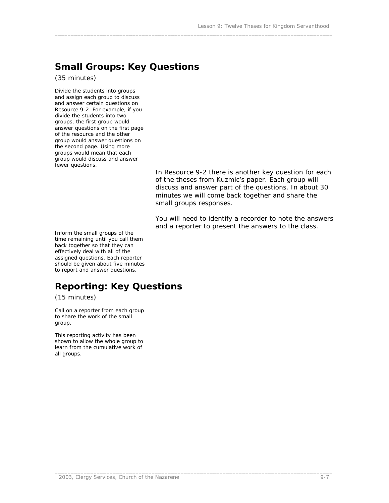## **Small Groups: Key Questions**

(35 minutes)

*Divide the students into groups and assign each group to discuss and answer certain questions on Resource 9-2. For example, if you divide the students into two groups, the first group would answer questions on the first page of the resource and the other group would answer questions on the second page. Using more groups would mean that each group would discuss and answer fewer questions.*

In Resource 9-2 there is another key question for each of the theses from Kuzmic's paper. Each group will discuss and answer part of the questions. In about 30 minutes we will come back together and share the small groups responses.

You will need to identify a recorder to note the answers and a reporter to present the answers to the class.

*Inform the small groups of the time remaining until you call them back together so that they can effectively deal with all of the assigned questions. Each reporter should be given about five minutes to report and answer questions.*

## **Reporting: Key Questions**

(15 minutes)

*Call on a reporter from each group to share the work of the small group.*

*This reporting activity has been shown to allow the whole group to learn from the cumulative work of all groups.*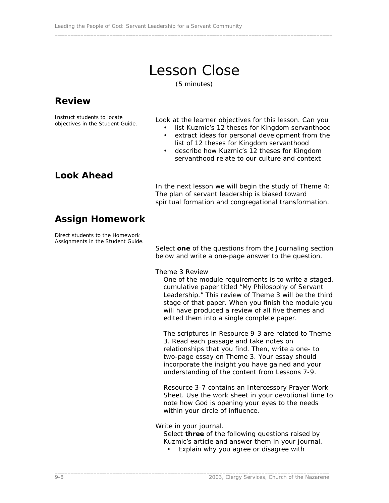## *Lesson Close*

 $\_$  ,  $\_$  ,  $\_$  ,  $\_$  ,  $\_$  ,  $\_$  ,  $\_$  ,  $\_$  ,  $\_$  ,  $\_$  ,  $\_$  ,  $\_$  ,  $\_$  ,  $\_$  ,  $\_$  ,  $\_$  ,  $\_$  ,  $\_$  ,  $\_$  ,  $\_$  ,  $\_$  ,  $\_$  ,  $\_$  ,  $\_$  ,  $\_$  ,  $\_$  ,  $\_$  ,  $\_$  ,  $\_$  ,  $\_$  ,  $\_$  ,  $\_$  ,  $\_$  ,  $\_$  ,  $\_$  ,  $\_$  ,  $\_$  ,

(5 minutes)

## **Review**

*Instruct students to locate*

*objectives in the Student Guide.* Look at the learner objectives for this lesson. Can you

- list Kuzmic's 12 theses for Kingdom servanthood
- extract ideas for personal development from the list of 12 theses for Kingdom servanthood
- describe how Kuzmic's 12 theses for Kingdom servanthood relate to our culture and context

## **Look Ahead**

In the next lesson we will begin the study of Theme 4: The *plan* of servant leadership is biased toward spiritual formation and congregational transformation.

## **Assign Homework**

*Direct students to the Homework Assignments in the Student Guide.*

Select **one** of the questions from the Journaling section below and write a one-page answer to the question.

Theme 3 Review

One of the module requirements is to write a staged, cumulative paper titled "My Philosophy of Servant Leadership." This review of Theme 3 will be the third stage of that paper. When you finish the module you will have produced a review of all five themes and edited them into a single complete paper.

The scriptures in Resource 9-3 are related to Theme 3. Read each passage and take notes on relationships that you find. Then, write a one- to two-page essay on Theme 3. Your essay should incorporate the insight you have gained and your understanding of the content from Lessons 7-9.

Resource 3-7 contains an Intercessory Prayer Work Sheet. Use the work sheet in your devotional time to note how God is opening your eyes to the needs within your circle of influence.

Write in your journal.

Select **three** of the following questions raised by Kuzmic's article and answer them in your journal.

• Explain why you agree or disagree with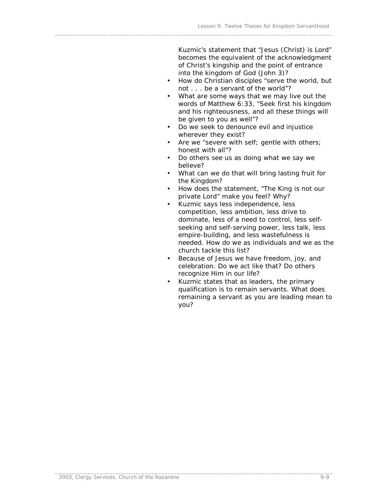Kuzmic's statement that "Jesus (Christ) is Lord" becomes the equivalent of the acknowledgment of Christ's kingship and the point of entrance into the kingdom of God (John 3)?

• How do Christian disciples "serve the world, but not . . . be a servant of the world"?

 $\_$  ,  $\_$  ,  $\_$  ,  $\_$  ,  $\_$  ,  $\_$  ,  $\_$  ,  $\_$  ,  $\_$  ,  $\_$  ,  $\_$  ,  $\_$  ,  $\_$  ,  $\_$  ,  $\_$  ,  $\_$  ,  $\_$  ,  $\_$  ,  $\_$  ,  $\_$  ,  $\_$  ,  $\_$  ,  $\_$  ,  $\_$  ,  $\_$  ,  $\_$  ,  $\_$  ,  $\_$  ,  $\_$  ,  $\_$  ,  $\_$  ,  $\_$  ,  $\_$  ,  $\_$  ,  $\_$  ,  $\_$  ,  $\_$  ,

- What are some ways that we may live out the words of Matthew 6:33, "Seek first his kingdom and his righteousness, and all these things will be given to you as well"?
- Do we seek to denounce evil and injustice wherever they exist?
- Are we "severe with self; gentle with others; honest with all"?
- Do others see us as doing what we say we believe?
- What can we do that will bring lasting fruit for the Kingdom?
- How does the statement, "The King is not our private Lord" make you feel? Why?
- Kuzmic says less independence, less competition, less ambition, less drive to dominate, less of a need to control, less selfseeking and self-serving power, less talk, less empire-building, and less wastefulness is needed. How do we as individuals and we as the church tackle this list?
- Because of Jesus we have freedom, joy, and celebration. Do we act like that? Do others recognize Him in our life?
- Kuzmic states that as leaders, the primary qualification is to remain servants. What does remaining a servant as you are leading mean to you?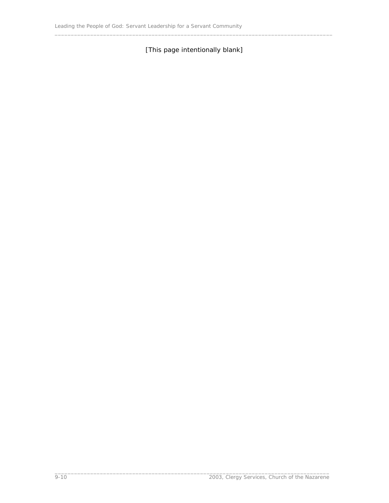[This page intentionally blank]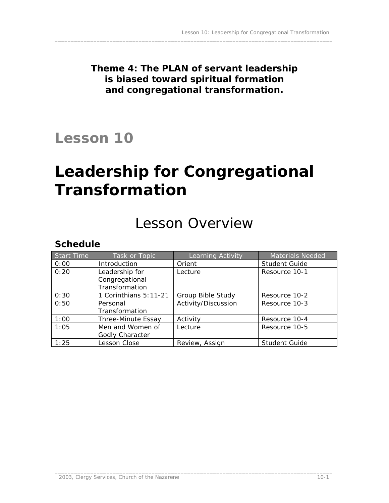*Theme 4: The PLAN of servant leadership is biased toward spiritual formation and congregational transformation.*

 $\_$  ,  $\_$  ,  $\_$  ,  $\_$  ,  $\_$  ,  $\_$  ,  $\_$  ,  $\_$  ,  $\_$  ,  $\_$  ,  $\_$  ,  $\_$  ,  $\_$  ,  $\_$  ,  $\_$  ,  $\_$  ,  $\_$  ,  $\_$  ,  $\_$  ,  $\_$  ,  $\_$  ,  $\_$  ,  $\_$  ,  $\_$  ,  $\_$  ,  $\_$  ,  $\_$  ,  $\_$  ,  $\_$  ,  $\_$  ,  $\_$  ,  $\_$  ,  $\_$  ,  $\_$  ,  $\_$  ,  $\_$  ,  $\_$  ,

## *Lesson 10*

## **Leadership for Congregational Transformation**

## *Lesson Overview*

## **Schedule**

| <b>Start Time</b> | Task or Topic         | Learning Activity   | <b>Materials Needed</b> |
|-------------------|-----------------------|---------------------|-------------------------|
| 0:00              | Introduction          | Orient              | Student Guide           |
| 0:20              | Leadership for        | Lecture             | Resource 10-1           |
|                   | Congregational        |                     |                         |
|                   | Transformation        |                     |                         |
| 0:30              | 1 Corinthians 5:11-21 | Group Bible Study   | Resource 10-2           |
| 0:50              | Personal              | Activity/Discussion | Resource 10-3           |
|                   | Transformation        |                     |                         |
| 1:00              | Three-Minute Essay    | Activity            | Resource 10-4           |
| 1:05              | Men and Women of      | Lecture             | Resource 10-5           |
|                   | Godly Character       |                     |                         |
| 1:25              | Lesson Close          | Review, Assign      | Student Guide           |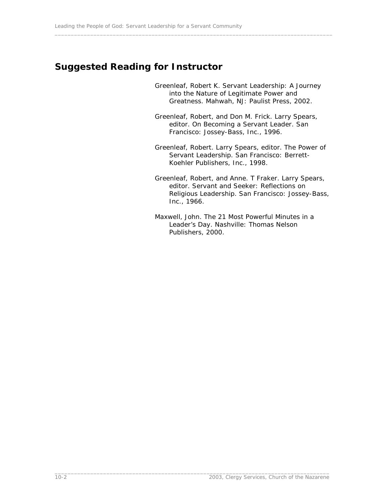## **Suggested Reading for Instructor**

- Greenleaf, Robert K. *Servant Leadership: A Journey into the Nature of Legitimate Power and Greatness.* Mahwah, NJ: Paulist Press, 2002.
- Greenleaf, Robert, and Don M. Frick. Larry Spears, editor. *On Becoming a Servant Leader*. San Francisco: Jossey-Bass, Inc., 1996.
- Greenleaf, Robert. Larry Spears, editor. *The Power of Servant Leadership*. San Francisco: Berrett-Koehler Publishers, Inc., 1998.
- Greenleaf, Robert, and Anne. T Fraker. Larry Spears, editor. *Servant and Seeker: Reflections on Religious Leadership*. San Francisco: Jossey-Bass, Inc., 1966.
- Maxwell, John. *The 21 Most Powerful Minutes in a Leader's Day.* Nashville: Thomas Nelson Publishers, 2000.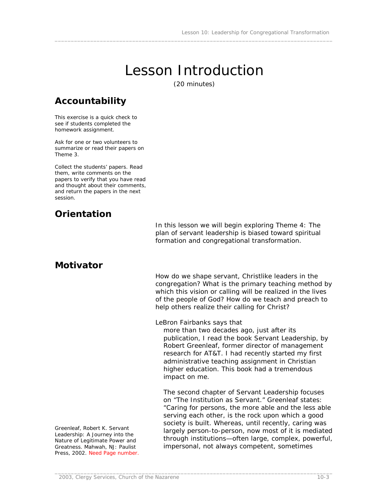## *Lesson Introduction*

 $\_$  ,  $\_$  ,  $\_$  ,  $\_$  ,  $\_$  ,  $\_$  ,  $\_$  ,  $\_$  ,  $\_$  ,  $\_$  ,  $\_$  ,  $\_$  ,  $\_$  ,  $\_$  ,  $\_$  ,  $\_$  ,  $\_$  ,  $\_$  ,  $\_$  ,  $\_$  ,  $\_$  ,  $\_$  ,  $\_$  ,  $\_$  ,  $\_$  ,  $\_$  ,  $\_$  ,  $\_$  ,  $\_$  ,  $\_$  ,  $\_$  ,  $\_$  ,  $\_$  ,  $\_$  ,  $\_$  ,  $\_$  ,  $\_$  ,

(20 minutes)

## **Accountability**

*This exercise is a quick check to see if students completed the homework assignment.*

*Ask for one or two volunteers to summarize or read their papers on Theme 3.*

*Collect the students' papers. Read them, write comments on the papers to verify that you have read and thought about their comments, and return the papers in the next session.*

## **Orientation**

In this lesson we will begin exploring Theme 4: The *plan* of servant leadership is biased toward spiritual formation and congregational transformation.

### **Motivator**

How do we shape servant, Christlike leaders in the congregation? What is the primary teaching method by which this vision or calling will be realized in the lives of the people of God? How do we teach and preach to help others realize their calling for Christ?

#### LeBron Fairbanks says that

 $\_$  ,  $\_$  ,  $\_$  ,  $\_$  ,  $\_$  ,  $\_$  ,  $\_$  ,  $\_$  ,  $\_$  ,  $\_$  ,  $\_$  ,  $\_$  ,  $\_$  ,  $\_$  ,  $\_$  ,  $\_$  ,  $\_$  ,  $\_$  ,  $\_$  ,  $\_$  ,  $\_$  ,  $\_$  ,  $\_$  ,  $\_$  ,  $\_$  ,  $\_$  ,  $\_$  ,  $\_$  ,  $\_$  ,  $\_$  ,  $\_$  ,  $\_$  ,  $\_$  ,  $\_$  ,  $\_$  ,  $\_$  ,  $\_$  ,

more than two decades ago, just after its publication, I read the book *Servant Leadership,* by Robert Greenleaf, former director of management research for AT&T. I had recently started my first administrative teaching assignment in Christian higher education. This book had a tremendous impact on me.

The second chapter of *Servant Leadership* focuses on "The Institution as Servant." Greenleaf states: "Caring for persons, the more able and the less able serving each other, is the rock upon which a good society is built. Whereas, until recently, caring was largely person-to-person, now most of it is mediated through institutions—often large, complex, powerful, impersonal, not always competent, sometimes

*Greenleaf, Robert K.* Servant Leadership: A Journey into the Nature of Legitimate Power and Greatness. *Mahwah, NJ: Paulist Press, 2002. Need Page number.*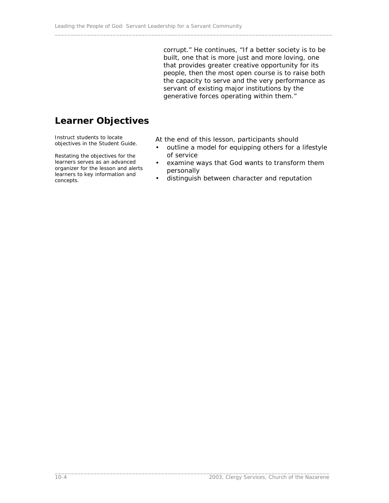corrupt." He continues, "If a better society is to be built, one that is more just and more loving, one that provides greater creative opportunity for its people, then the most open course is to *raise both the capacity to serve* and the *very performance as servant* of existing major institutions by the generative forces operating within them."

## **Learner Objectives**

*Instruct students to locate objectives in the Student Guide.*

*Restating the objectives for the learners serves as an advanced organizer for the lesson and alerts learners to key information and concepts.*

At the end of this lesson, participants should

- outline a model for equipping others for a lifestyle of service
- examine ways that God wants to transform them personally
- distinguish between character and reputation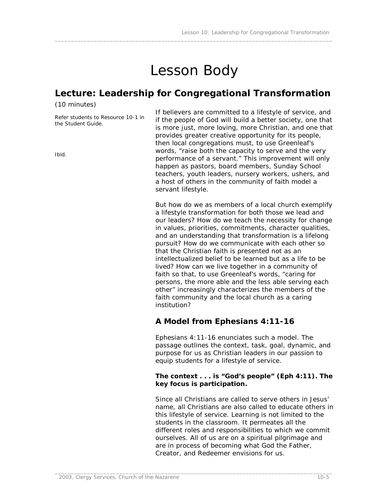## *Lesson Body*

 $\_$  ,  $\_$  ,  $\_$  ,  $\_$  ,  $\_$  ,  $\_$  ,  $\_$  ,  $\_$  ,  $\_$  ,  $\_$  ,  $\_$  ,  $\_$  ,  $\_$  ,  $\_$  ,  $\_$  ,  $\_$  ,  $\_$  ,  $\_$  ,  $\_$  ,  $\_$  ,  $\_$  ,  $\_$  ,  $\_$  ,  $\_$  ,  $\_$  ,  $\_$  ,  $\_$  ,  $\_$  ,  $\_$  ,  $\_$  ,  $\_$  ,  $\_$  ,  $\_$  ,  $\_$  ,  $\_$  ,  $\_$  ,  $\_$  ,

## **Lecture: Leadership for Congregational Transformation**

(10 minutes)

*Refer students to Resource 10-1 in the Student Guide.*

*Ibid.*

If believers are committed to a lifestyle of service, and if the people of God will build a better society, one that is more just, more loving, more Christian, and one that provides greater creative opportunity for its people, then local congregations must, to use Greenleaf's words, "raise both the capacity to serve and the very performance of a servant." This improvement will only happen as pastors, board members, Sunday School teachers, youth leaders, nursery workers, ushers, and a host of others in the community of faith model a servant lifestyle.

But how do we as members of a local church exemplify a lifestyle transformation for both those we lead and our leaders? How do we teach the necessity for change in values, priorities, commitments, character qualities, and an understanding that transformation is a lifelong pursuit? How do we communicate with each other so that the Christian faith is presented not as an intellectualized belief to be learned but as a life to be lived? How can we live together in a community of faith so that, to use Greenleaf's words, "caring for persons, the more able and the less able serving each other" increasingly characterizes the members of the faith community and the local church as a caring institution?

### **A Model from Ephesians 4:11-16**

Ephesians 4:11-16 enunciates such a model. The passage outlines the context, task, goal, dynamic, and purpose for us as Christian leaders in our passion to equip students for a lifestyle of service.

#### *The context . . .* **is "God's people" (Eph 4:11). The key focus is participation.**

Since all Christians are called to serve others in Jesus' name, all Christians are also called to educate others in this lifestyle of service. Learning is not limited to the students in the classroom. It permeates all the different roles and responsibilities to which we commit ourselves. All of us are on a spiritual pilgrimage and are in process of becoming what God the Father, Creator, and Redeemer envisions for us.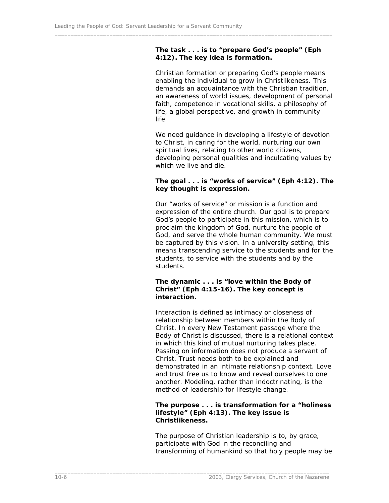#### *The task . . .* **is to "prepare God's people" (Eph 4:12). The key idea is formation.**

Christian formation or preparing God's people means enabling the individual to grow in Christlikeness. This demands an acquaintance with the Christian tradition, an awareness of world issues, development of personal faith, competence in vocational skills, a philosophy of life, a global perspective, and growth in community life.

We need guidance in developing a lifestyle of devotion to Christ, in caring for the world, nurturing our own spiritual lives, relating to other world citizens, developing personal qualities and inculcating values by which we live and die.

#### *The goal . . .* **is "works of service" (Eph 4:12). The key thought is expression.**

Our "works of service" or mission is a function and expression of the entire church. Our goal is to prepare God's people to participate in this mission, which is to proclaim the kingdom of God, nurture the people of God, and serve the whole human community. We must be captured by this vision. In a university setting, this means transcending service *to* the students and *for* the students, to service *with* the students and *by* the students.

#### *The dynamic . . .* **is "love within the Body of Christ" (Eph 4:15-16). The key concept is interaction.**

Interaction is defined as intimacy or closeness of relationship between members within the Body of Christ. In every New Testament passage where the Body of Christ is discussed, there is a relational context in which this kind of mutual nurturing takes place. Passing on information does not produce a servant of Christ. Trust needs both to be explained and demonstrated in an intimate relationship context. Love and trust free us to know and reveal ourselves to one another. Modeling, rather than indoctrinating, is the method of leadership for lifestyle change.

#### *The purpose . . .* **is transformation for a "holiness lifestyle" (Eph 4:13). The key issue is Christlikeness.**

The purpose of Christian leadership is to, by grace, participate with God in the reconciling and transforming of humankind so that holy people may be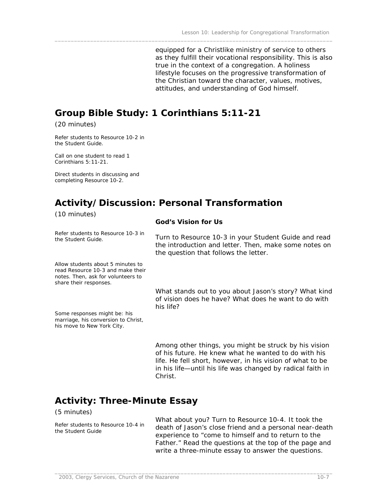equipped for a Christlike ministry of service to others as they fulfill their vocational responsibility. This is also true in the context of a congregation. A holiness lifestyle focuses on the progressive transformation of the Christian toward the character, values, motives, attitudes, and understanding of God himself.

## **Group Bible Study: 1 Corinthians 5:11-21**

(20 minutes)

*Refer students to Resource 10-2 in the Student Guide.*

*Call on one student to read 1 Corinthians 5:11-21.*

*Direct students in discussing and completing Resource 10-2.*

## **Activity/Discussion: Personal Transformation**

(10 minutes)

#### **God's Vision for Us**

 $\_$  ,  $\_$  ,  $\_$  ,  $\_$  ,  $\_$  ,  $\_$  ,  $\_$  ,  $\_$  ,  $\_$  ,  $\_$  ,  $\_$  ,  $\_$  ,  $\_$  ,  $\_$  ,  $\_$  ,  $\_$  ,  $\_$  ,  $\_$  ,  $\_$  ,  $\_$  ,  $\_$  ,  $\_$  ,  $\_$  ,  $\_$  ,  $\_$  ,  $\_$  ,  $\_$  ,  $\_$  ,  $\_$  ,  $\_$  ,  $\_$  ,  $\_$  ,  $\_$  ,  $\_$  ,  $\_$  ,  $\_$  ,  $\_$  ,

 $\_$  ,  $\_$  ,  $\_$  ,  $\_$  ,  $\_$  ,  $\_$  ,  $\_$  ,  $\_$  ,  $\_$  ,  $\_$  ,  $\_$  ,  $\_$  ,  $\_$  ,  $\_$  ,  $\_$  ,  $\_$  ,  $\_$  ,  $\_$  ,  $\_$  ,  $\_$  ,  $\_$  ,  $\_$  ,  $\_$  ,  $\_$  ,  $\_$  ,  $\_$  ,  $\_$  ,  $\_$  ,  $\_$  ,  $\_$  ,  $\_$  ,  $\_$  ,  $\_$  ,  $\_$  ,  $\_$  ,  $\_$  ,  $\_$  ,

*Refer students to Resource 10-3 in the Student Guide.*

*Allow students about 5 minutes to read Resource 10-3 and make their notes. Then, ask for volunteers to share their responses.*

*Some responses might be: his marriage, his conversion to Christ, his move to New York City.*

Turn to Resource 10-3 in your Student Guide and read the introduction and letter. Then, make some notes on the question that follows the letter.

*What stands out to you about Jason's story? What kind of vision does he have? What does he want to do with his life?*

Among other things, you might be struck by his vision of his future. He knew what he wanted to do with his life. He fell short, however, in his vision of what to be in his life—until his life was changed by radical faith in Christ.

### **Activity: Three-Minute Essay**

#### (5 minutes)

*Refer students to Resource 10-4 in the Student Guide*

What about you? Turn to Resource 10-4. It took the death of Jason's close friend and a personal near-death experience to "come to himself and to return to the Father." Read the questions at the top of the page and write a three-minute essay to answer the questions.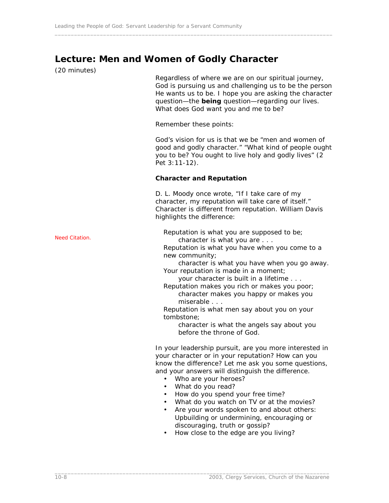## **Lecture: Men and Women of Godly Character**

(20 minutes)

Regardless of where we are on our spiritual journey, God is pursuing us and challenging us to be the person He wants us to be. I hope you are asking the character question—the **being** question—regarding our lives. What does God want you and me to *be*?

Remember these points:

 $\_$  ,  $\_$  ,  $\_$  ,  $\_$  ,  $\_$  ,  $\_$  ,  $\_$  ,  $\_$  ,  $\_$  ,  $\_$  ,  $\_$  ,  $\_$  ,  $\_$  ,  $\_$  ,  $\_$  ,  $\_$  ,  $\_$  ,  $\_$  ,  $\_$  ,  $\_$  ,  $\_$  ,  $\_$  ,  $\_$  ,  $\_$  ,  $\_$  ,  $\_$  ,  $\_$  ,  $\_$  ,  $\_$  ,  $\_$  ,  $\_$  ,  $\_$  ,  $\_$  ,  $\_$  ,  $\_$  ,  $\_$  ,  $\_$  ,

God's vision for us is that we be "men and women of good and godly character." "What kind of people ought you to be? You ought to live holy and godly lives" (2 Pet 3:11-12).

#### **Character and Reputation**

D. L. Moody once wrote, "If I take care of my character, my reputation will take care of itself." Character is different from reputation. William Davis highlights the difference:

Reputation is what you are supposed to be; character is what you are . . .

Reputation is what you have when you come to a new community;

character is what you have when you go away. Your reputation is made in a moment;

your character is built in a lifetime . . .

Reputation makes you rich or makes you poor; character makes you happy or makes you miserable . . .

Reputation is what men say about you on your tombstone;

character is what the angels say about you before the throne of God.

In your leadership pursuit, are you more interested in your character or in your reputation? How can you know the difference? Let me ask you some questions, and your answers will distinguish the difference.

- Who are your heroes?
- What do you read?
- How do you spend your free time?
- What do you watch on TV or at the movies?
- Are your words spoken to and about others: Upbuilding or undermining, encouraging or discouraging, truth or gossip?
- How close to the edge are you living?

*Need Citation.*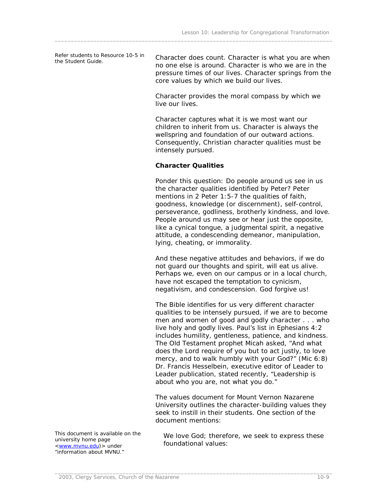*Refer students to Resource 10-5 in*

*Refer students to Resource 10-5 in* Character does count. Character is what you are when<br>the Student Guide no one else is around. Character is who we are in the pressure times of our lives. Character springs from the core values by which we build our lives.

> Character provides the moral compass by which we live our lives.

> Character captures what it is we most want our children to inherit from us. Character is always the wellspring and foundation of our outward actions. Consequently, Christian character qualities must be intensely pursued.

#### **Character Qualities**

 $\_$  ,  $\_$  ,  $\_$  ,  $\_$  ,  $\_$  ,  $\_$  ,  $\_$  ,  $\_$  ,  $\_$  ,  $\_$  ,  $\_$  ,  $\_$  ,  $\_$  ,  $\_$  ,  $\_$  ,  $\_$  ,  $\_$  ,  $\_$  ,  $\_$  ,  $\_$  ,  $\_$  ,  $\_$  ,  $\_$  ,  $\_$  ,  $\_$  ,  $\_$  ,  $\_$  ,  $\_$  ,  $\_$  ,  $\_$  ,  $\_$  ,  $\_$  ,  $\_$  ,  $\_$  ,  $\_$  ,  $\_$  ,  $\_$  ,

Ponder this question: Do people around us see in us the character qualities identified by Peter? Peter mentions in 2 Peter 1:5-7 the qualities of faith, goodness, knowledge (or discernment), self-control, perseverance, godliness, brotherly kindness, and love. People around us may see or hear just the opposite, like a cynical tongue, a judgmental spirit, a negative attitude, a condescending demeanor, manipulation, lying, cheating, or immorality.

And these negative attitudes and behaviors, if we do not guard our thoughts and spirit, will eat us alive. Perhaps we, even on our campus or in a local church, have not escaped the temptation to cynicism, negativism, and condescension. God forgive us!

The Bible identifies for us very different character qualities to be intensely pursued, if we are to become men and women of good and godly character . . . who live holy and godly lives. Paul's list in Ephesians 4:2 includes humility, gentleness, patience, and kindness. The Old Testament prophet Micah asked, "And what does the Lord require of you but to act justly, to love mercy, and to walk humbly with your God?" (Mic 6:8) Dr. Francis Hesselbein, executive editor of *Leader to Leader* publication, stated recently, "Leadership is about who you are, not what you do."

The values document for Mount Vernon Nazarene University outlines the character-building values they seek to instill in their students. One section of the document mentions:

*This document is available on the university home page <www.mvnu.edu)> under "information about MVNU."*

We love God; therefore, we seek to express these foundational values: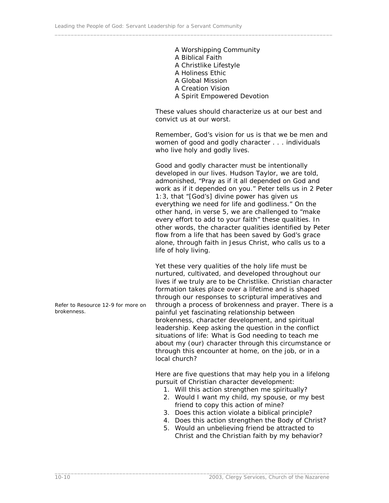A Worshipping Community

- A Biblical Faith
- A Christlike Lifestyle
- A Holiness Ethic

 $\_$  ,  $\_$  ,  $\_$  ,  $\_$  ,  $\_$  ,  $\_$  ,  $\_$  ,  $\_$  ,  $\_$  ,  $\_$  ,  $\_$  ,  $\_$  ,  $\_$  ,  $\_$  ,  $\_$  ,  $\_$  ,  $\_$  ,  $\_$  ,  $\_$  ,  $\_$  ,  $\_$  ,  $\_$  ,  $\_$  ,  $\_$  ,  $\_$  ,  $\_$  ,  $\_$  ,  $\_$  ,  $\_$  ,  $\_$  ,  $\_$  ,  $\_$  ,  $\_$  ,  $\_$  ,  $\_$  ,  $\_$  ,  $\_$  ,

- A Global Mission
- A Creation Vision
- A Spirit Empowered Devotion

These values should characterize us at our best and convict us at our worst.

Remember, God's vision for us is that we be men and women of good and godly character . . . individuals who live holy and godly lives.

Good and godly character must be intentionally developed in our lives. Hudson Taylor, we are told, admonished, "Pray as if it all depended on God and work as if it depended on you." Peter tells us in 2 Peter 1:3, that "[God's] divine power has given us everything we need for life and godliness." On the other hand, in verse 5, we are challenged to "make every effort to add to your faith" these qualities. In other words, the character qualities identified by Peter flow from a life that has been saved by God's grace alone, through faith in Jesus Christ, who calls us to a life of holy living.

Yet these very qualities of the holy life must be nurtured, cultivated, and developed throughout our lives if we truly are to be Christlike. Christian character formation takes place over a lifetime and is shaped through our responses to scriptural imperatives and through a process of brokenness and prayer. There is a painful yet fascinating relationship between brokenness, character development, and spiritual leadership. Keep asking the question in the conflict situations of life: What is God needing to teach me about my (our) character through this circumstance or through this encounter at home, on the job, or in a local church?

Here are five questions that may help you in a lifelong pursuit of Christian character development:

- 1. Will this action strengthen me spiritually?
- 2. Would I want my child, my spouse, or my best friend to copy this action of mine?
- 3. Does this action violate a biblical principle?
- 4. Does this action strengthen the Body of Christ?
- 5. Would an unbelieving friend be attracted to Christ and the Christian faith by my behavior?

*Refer to Resource 12-9 for more on brokenness.*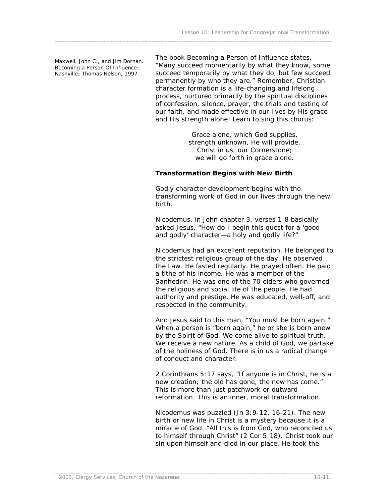*Maxwell, John C., and Jim Dornan.* Becoming a Person Of Influence. *Nashville: Thomas Nelson, 1997.*

The book *Becoming a Person of Influence* states, "Many succeed momentarily by what they know, some succeed temporarily by what they do, but few succeed permanently by who they are." Remember, Christian character formation is a life-changing and lifelong process, nurtured primarily by the spiritual disciplines of confession, silence, prayer, the trials and testing of our faith, and made effective in our lives by His grace and His strength alone! Learn to sing this chorus:

> *Grace alone, which God supplies, strength unknown, He will provide, Christ in us, our Cornerstone; we will go forth in grace alone.*

#### **Transformation Begins with New Birth**

 $\_$  ,  $\_$  ,  $\_$  ,  $\_$  ,  $\_$  ,  $\_$  ,  $\_$  ,  $\_$  ,  $\_$  ,  $\_$  ,  $\_$  ,  $\_$  ,  $\_$  ,  $\_$  ,  $\_$  ,  $\_$  ,  $\_$  ,  $\_$  ,  $\_$  ,  $\_$  ,  $\_$  ,  $\_$  ,  $\_$  ,  $\_$  ,  $\_$  ,  $\_$  ,  $\_$  ,  $\_$  ,  $\_$  ,  $\_$  ,  $\_$  ,  $\_$  ,  $\_$  ,  $\_$  ,  $\_$  ,  $\_$  ,  $\_$  ,

Godly character development begins with the transforming work of God in our lives through the new birth.

Nicodemus, in John chapter 3, verses 1-8 basically asked Jesus, "How do I begin this quest for a 'good and godly' character—a holy and godly life?"

Nicodemus had an excellent *reputation*. He belonged to the strictest religious group of the day. He observed the Law. He fasted regularly. He prayed often. He paid a tithe of his income. He was a member of the Sanhedrin. He was one of the 70 elders who governed the religious and social life of the people. He had authority and prestige. He was educated, well-off, and respected in the community.

And Jesus said to this man, "You must be born again." When a person is "born again," he or she is born anew by the Spirit of God. We come alive to spiritual truth. We receive a new nature. As a child of God, we partake of the holiness of God. There is in us a radical change of conduct and character.

2 Corinthians 5:17 says, "If anyone is in Christ, he is a new creation; the old has gone, the new has come." This is more than just patchwork or outward reformation. This is an inner, moral transformation.

Nicodemus was puzzled (Jn 3:9-12, 16-21). The new birth or new life in Christ is a mystery because it is a miracle of God. "All this is from God, who reconciled us to himself through Christ" (2 Cor 5:18). Christ took our sin upon himself and died in our place. He took the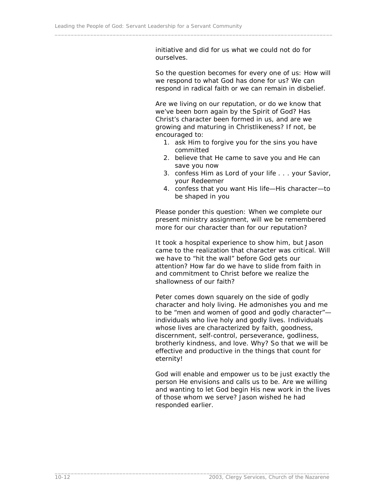initiative and did for us what we could not do for ourselves.

 $\_$  ,  $\_$  ,  $\_$  ,  $\_$  ,  $\_$  ,  $\_$  ,  $\_$  ,  $\_$  ,  $\_$  ,  $\_$  ,  $\_$  ,  $\_$  ,  $\_$  ,  $\_$  ,  $\_$  ,  $\_$  ,  $\_$  ,  $\_$  ,  $\_$  ,  $\_$  ,  $\_$  ,  $\_$  ,  $\_$  ,  $\_$  ,  $\_$  ,  $\_$  ,  $\_$  ,  $\_$  ,  $\_$  ,  $\_$  ,  $\_$  ,  $\_$  ,  $\_$  ,  $\_$  ,  $\_$  ,  $\_$  ,  $\_$  ,

So the question becomes for every one of us: How will we respond to what God has done for us? We can respond in radical faith or we can remain in disbelief.

Are we living on our *reputation*, or do we know that we've been born again by the Spirit of God? Has Christ's *character* been formed in us, and are we growing and maturing in Christlikeness? If not, be encouraged to:

- 1. ask Him to forgive you for the sins you have committed
- 2. believe that He came to save you and He can save you now
- 3. confess Him as Lord of your life . . . your Savior, your Redeemer
- 4. confess that you want His life—His character—to be shaped in you

Please ponder this question: When we complete our present ministry assignment, will we be remembered more for our character than for our reputation?

It took a hospital experience to show him, but Jason came to the realization that character was critical. Will we have to "hit the wall" before God gets our attention? How far do we have to slide from faith in and commitment to Christ before we realize the shallowness of our faith?

Peter comes down squarely on the side of godly character and holy living. He admonishes you and me to be "men and women of good and godly character" individuals who live holy and godly lives. Individuals whose lives are characterized by faith, goodness, discernment, self-control, perseverance, godliness, brotherly kindness, and love. Why? So that we will be effective and productive in the things that count for eternity!

God will enable and empower us to be just exactly the person He envisions and calls us to be. Are we willing and wanting to let God begin His new work in the lives of those whom we serve? Jason wished he had responded earlier.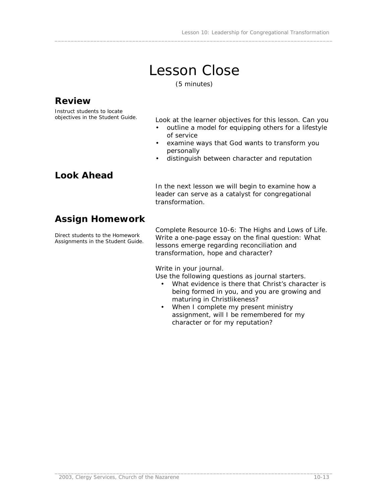Lesson 10: Leadership for Congregational Transformation

## *Lesson Close*

 $\_$  ,  $\_$  ,  $\_$  ,  $\_$  ,  $\_$  ,  $\_$  ,  $\_$  ,  $\_$  ,  $\_$  ,  $\_$  ,  $\_$  ,  $\_$  ,  $\_$  ,  $\_$  ,  $\_$  ,  $\_$  ,  $\_$  ,  $\_$  ,  $\_$  ,  $\_$  ,  $\_$  ,  $\_$  ,  $\_$  ,  $\_$  ,  $\_$  ,  $\_$  ,  $\_$  ,  $\_$  ,  $\_$  ,  $\_$  ,  $\_$  ,  $\_$  ,  $\_$  ,  $\_$  ,  $\_$  ,  $\_$  ,  $\_$  ,

(5 minutes)

## **Review**

*Instruct students to locate*

*objectives in the Student Guide.* Look at the learner objectives for this lesson. Can you

- outline a model for equipping others for a lifestyle of service
- examine ways that God wants to transform you personally
- distinguish between character and reputation

## **Look Ahead**

In the next lesson we will begin to examine how a leader can serve as a catalyst for congregational transformation.

## **Assign Homework**

*Direct students to the Homework Assignments in the Student Guide.* Complete Resource 10-6: The Highs and Lows of Life. Write a one-page essay on the final question: What lessons emerge regarding reconciliation and transformation, hope and character?

#### Write in your journal.

Use the following questions as journal starters.

- What evidence is there that Christ's character is being formed in you, and you are growing and maturing in Christlikeness?
- When I complete my present ministry assignment, will I be remembered for my character or for my reputation?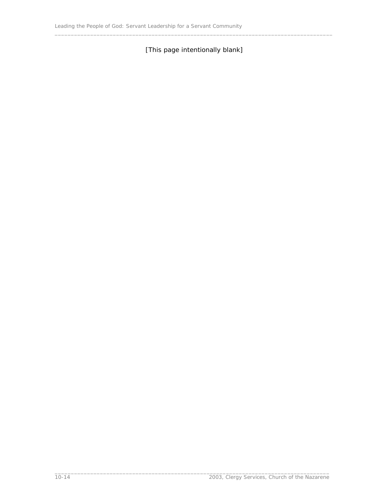[This page intentionally blank]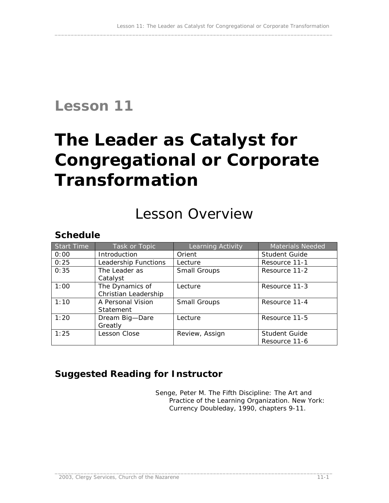## *Lesson 11*

# **The Leader as Catalyst for Congregational or Corporate Transformation**

## *Lesson Overview*

### **Schedule**

| <b>Start Time</b> | Task or Topic                           | Learning Activity | <b>Materials Needed</b>        |
|-------------------|-----------------------------------------|-------------------|--------------------------------|
| 0:00              | Introduction                            | Orient            | Student Guide                  |
| 0:25              | Leadership Functions                    | Lecture           | Resource 11-1                  |
| 0:35              | The Leader as<br>Catalyst               | Small Groups      | Resource 11-2                  |
| 1:00              | The Dynamics of<br>Christian Leadership | Lecture           | Resource 11-3                  |
| 1:10              | A Personal Vision<br>Statement          | Small Groups      | Resource 11-4                  |
| 1:20              | Dream Big-Dare<br>Greatly               | Lecture           | Resource 11-5                  |
| 1:25              | Lesson Close                            | Review, Assign    | Student Guide<br>Resource 11-6 |

## **Suggested Reading for Instructor**

Senge, Peter M. *The Fifth Discipline: The Art and Practice of the Learning Organization.* New York: Currency Doubleday, 1990, chapters 9-11.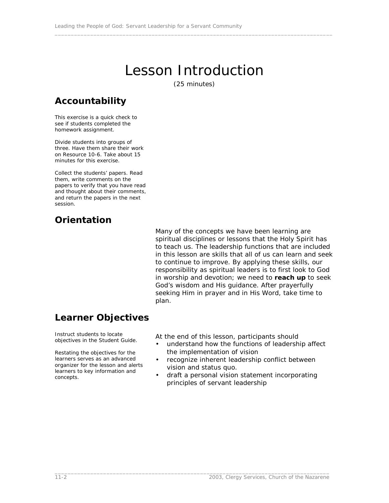## *Lesson Introduction*

 $\_$  ,  $\_$  ,  $\_$  ,  $\_$  ,  $\_$  ,  $\_$  ,  $\_$  ,  $\_$  ,  $\_$  ,  $\_$  ,  $\_$  ,  $\_$  ,  $\_$  ,  $\_$  ,  $\_$  ,  $\_$  ,  $\_$  ,  $\_$  ,  $\_$  ,  $\_$  ,  $\_$  ,  $\_$  ,  $\_$  ,  $\_$  ,  $\_$  ,  $\_$  ,  $\_$  ,  $\_$  ,  $\_$  ,  $\_$  ,  $\_$  ,  $\_$  ,  $\_$  ,  $\_$  ,  $\_$  ,  $\_$  ,  $\_$  ,

(25 minutes)

## **Accountability**

*This exercise is a quick check to see if students completed the homework assignment.*

*Divide students into groups of three. Have them share their work on Resource 10-6. Take about 15 minutes for this exercise.*

*Collect the students' papers. Read them, write comments on the papers to verify that you have read and thought about their comments, and return the papers in the next session.*

## **Orientation**

Many of the concepts we have been learning are spiritual disciplines or lessons that the Holy Spirit has to teach us. The leadership functions that are included in this lesson are skills that all of us can learn and seek to continue to improve. By applying these skills, our responsibility as spiritual leaders is to first look to God in worship and devotion; we need to **reach up** to seek God's wisdom and His guidance. After prayerfully seeking Him in prayer and in His Word, take time to plan.

### **Learner Objectives**

*Instruct students to locate objectives in the Student Guide.*

*Restating the objectives for the learners serves as an advanced organizer for the lesson and alerts learners to key information and concepts.*

At the end of this lesson, participants should

- understand how the functions of leadership affect the implementation of vision
- recognize inherent leadership conflict between vision and *status quo.*
- draft a personal vision statement incorporating principles of servant leadership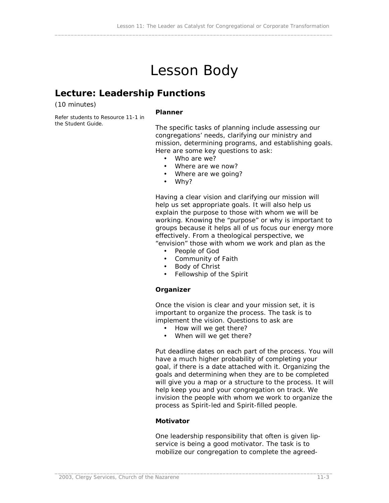## *Lesson Body*

 $\_$  ,  $\_$  ,  $\_$  ,  $\_$  ,  $\_$  ,  $\_$  ,  $\_$  ,  $\_$  ,  $\_$  ,  $\_$  ,  $\_$  ,  $\_$  ,  $\_$  ,  $\_$  ,  $\_$  ,  $\_$  ,  $\_$  ,  $\_$  ,  $\_$  ,  $\_$  ,  $\_$  ,  $\_$  ,  $\_$  ,  $\_$  ,  $\_$  ,  $\_$  ,  $\_$  ,  $\_$  ,  $\_$  ,  $\_$  ,  $\_$  ,  $\_$  ,  $\_$  ,  $\_$  ,  $\_$  ,  $\_$  ,  $\_$  ,

### **Lecture: Leadership Functions**

(10 minutes)

#### **Planner**

*Refer students to Resource 11-1 in the Student Guide.*

The specific tasks of planning include assessing our congregations' needs, clarifying our ministry and mission, determining programs, and establishing goals. Here are some key questions to ask:

- Who are we?
- Where are we now?
- Where are we going?
- Why?

Having a clear vision and clarifying our mission will help us set appropriate goals. It will also help us explain the purpose to those with whom we will be working. Knowing the "purpose" or why is important to groups because it helps all of us focus our energy more effectively. From a theological perspective, we "envision" those with whom we work and plan as the

- People of God
- Community of Faith
- Body of Christ
- Fellowship of the Spirit

#### **Organizer**

Once the vision is clear and your mission set, it is important to organize the process. The task is to implement the vision. Questions to ask are

- How will we get there?
- When will we get there?

Put deadline dates on each part of the process. You will have a much higher probability of completing your goal, if there is a date attached with it. Organizing the goals and determining when they are to be completed will give you a map or a structure to the process. It will help keep you and your congregation on track. We invision the people with whom we work to organize the process as Spirit-led and Spirit-filled people.

#### **Motivator**

 $\_$  ,  $\_$  ,  $\_$  ,  $\_$  ,  $\_$  ,  $\_$  ,  $\_$  ,  $\_$  ,  $\_$  ,  $\_$  ,  $\_$  ,  $\_$  ,  $\_$  ,  $\_$  ,  $\_$  ,  $\_$  ,  $\_$  ,  $\_$  ,  $\_$  ,  $\_$  ,  $\_$  ,  $\_$  ,  $\_$  ,  $\_$  ,  $\_$  ,  $\_$  ,  $\_$  ,  $\_$  ,  $\_$  ,  $\_$  ,  $\_$  ,  $\_$  ,  $\_$  ,  $\_$  ,  $\_$  ,  $\_$  ,  $\_$  ,

One leadership responsibility that often is given lipservice is being a good motivator. The task is to mobilize our congregation to complete the agreed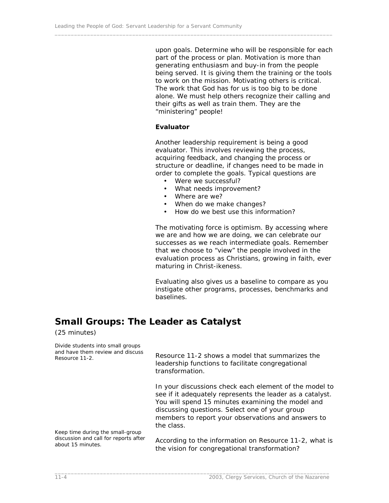upon goals. Determine who will be responsible for each part of the process or plan. Motivation is more than generating enthusiasm and buy-in from the people being served. It is giving them the training or the tools to work on the mission. Motivating others is critical. The work that God has for us is too big to be done alone. We must help others recognize their calling and their gifts as well as train them. They are the "ministering" people!

#### **Evaluator**

Another leadership requirement is being a good evaluator. This involves reviewing the process, acquiring feedback, and changing the process or structure or deadline, if changes need to be made in order to complete the goals. Typical questions are

- Were we successful?
- What needs improvement?
- Where are we?

 $\_$  ,  $\_$  ,  $\_$  ,  $\_$  ,  $\_$  ,  $\_$  ,  $\_$  ,  $\_$  ,  $\_$  ,  $\_$  ,  $\_$  ,  $\_$  ,  $\_$  ,  $\_$  ,  $\_$  ,  $\_$  ,  $\_$  ,  $\_$  ,  $\_$  ,  $\_$  ,  $\_$  ,  $\_$  ,  $\_$  ,  $\_$  ,  $\_$  ,  $\_$  ,  $\_$  ,  $\_$  ,  $\_$  ,  $\_$  ,  $\_$  ,  $\_$  ,  $\_$  ,  $\_$  ,  $\_$  ,  $\_$  ,  $\_$  ,

- When do we make changes?
- How do we best use this information?

The motivating force is optimism. By accessing where we are and how we are doing, we can celebrate our successes as we reach intermediate goals. Remember that we choose to "view" the people involved in the evaluation process as Christians, growing in faith, ever maturing in Christ-ikeness.

Evaluating also gives us a baseline to compare as you instigate other programs, processes, benchmarks and baselines.

### **Small Groups: The Leader as Catalyst**

(25 minutes)

*Divide students into small groups and have them review and discuss Resource 11-2.*

Resource 11-2 shows a model that summarizes the leadership functions to facilitate congregational transformation.

In your discussions check each element of the model to see if it adequately represents the leader as a catalyst. You will spend 15 minutes examining the model and discussing questions. Select one of your group members to report your observations and answers to the class.

*Keep time during the small-group discussion and call for reports after about 15 minutes.*

*According to the information on Resource 11-2, what is the vision for congregational transformation?*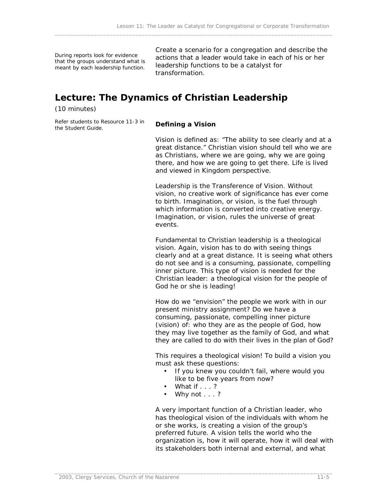*During reports look for evidence that the groups understand what is meant by each leadership function.*

Create a scenario for a congregation and describe the actions that a leader would take in each of his or her leadership functions to be a catalyst for transformation.

### **Lecture: The Dynamics of Christian Leadership**

(10 minutes)

*Refer students to Resource 11-3 in the Student Guide.* **Defining a Vision**

 $\_$  ,  $\_$  ,  $\_$  ,  $\_$  ,  $\_$  ,  $\_$  ,  $\_$  ,  $\_$  ,  $\_$  ,  $\_$  ,  $\_$  ,  $\_$  ,  $\_$  ,  $\_$  ,  $\_$  ,  $\_$  ,  $\_$  ,  $\_$  ,  $\_$  ,  $\_$  ,  $\_$  ,  $\_$  ,  $\_$  ,  $\_$  ,  $\_$  ,  $\_$  ,  $\_$  ,  $\_$  ,  $\_$  ,  $\_$  ,  $\_$  ,  $\_$  ,  $\_$  ,  $\_$  ,  $\_$  ,  $\_$  ,  $\_$  ,

Vision is defined as: "The ability to see clearly and at a great distance." Christian vision should tell who we are as Christians, where we are going, why we are going there, and how we are going to get there. Life is lived and viewed in Kingdom perspective.

Leadership is the Transference of Vision. Without vision, no creative work of significance has ever come to birth. Imagination, or vision, is the fuel through which information is converted into creative energy. Imagination, or vision, rules the universe of great events.

Fundamental to Christian leadership is a theological vision. Again, vision has to do with seeing things clearly and at a great distance. It is seeing what others do not see and is a consuming, passionate, compelling inner picture. This type of vision is needed for the Christian leader: a theological vision for the people of God he or she is leading!

How do we "envision" the people we work with in our present ministry assignment? Do we have a consuming, passionate, compelling inner picture (vision) of: who they are as the people of God, how they may live together as the family of God, and what they are called to do with their lives in the plan of God?

This requires a theological vision! To build a vision you must ask these questions:

- If you knew you couldn't fail, where would you like to be five years from now?
- $\bullet$  What if . . . ?
- Why not . . . ?

A very important function of a Christian leader, who has theological vision of the individuals with whom he or she works, is creating a vision of the group's preferred future. A vision tells the world who the organization is, how it will operate, how it will deal with its stakeholders both internal and external, and what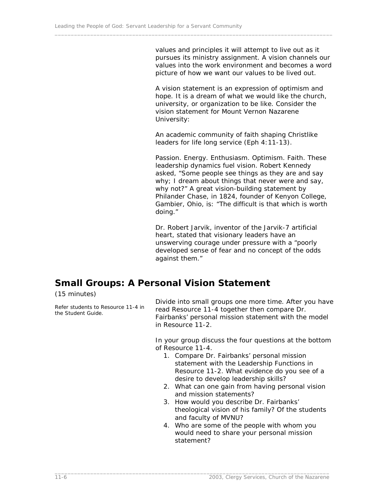values and principles it will attempt to live out as it pursues its ministry assignment. A vision channels our values into the work environment and becomes a word picture of how we want our values to be lived out.

A vision statement is an expression of optimism and hope. It is a dream of what we would like the church, university, or organization to be like. Consider the vision statement for Mount Vernon Nazarene University:

An academic community of faith shaping Christlike leaders for life long service (Eph 4:11-13).

Passion. Energy. Enthusiasm. Optimism. Faith. These leadership dynamics fuel vision. Robert Kennedy asked, "Some people see things as they are and say why; I dream about things that never were and say, why not?" A great vision-building statement by Philander Chase, in 1824, founder of Kenyon College, Gambier, Ohio, is: "The difficult is that which is worth doing."

Dr. Robert Jarvik, inventor of the Jarvik-7 artificial heart, stated that visionary leaders have an unswerving courage under pressure with a "poorly developed sense of fear and no concept of the odds against them."

# **Small Groups: A Personal Vision Statement**

(15 minutes)

*Refer students to Resource 11-4 in the Student Guide.*

Divide into small groups one more time. After you have read Resource 11-4 together then compare Dr. Fairbanks' personal mission statement with the model in Resource 11-2.

In your group discuss the four questions at the bottom of Resource 11-4.

- 1. Compare Dr. Fairbanks' *personal mission statement* with the Leadership Functions in Resource 11-2. What evidence do you see of a desire to develop leadership skills?
- 2. What can one gain from having personal vision and mission statements?
- 3. How would you describe Dr. Fairbanks' theological vision of his family? Of the students and faculty of MVNU?
- 4. Who are some of the people with whom you would need to share your personal mission statement?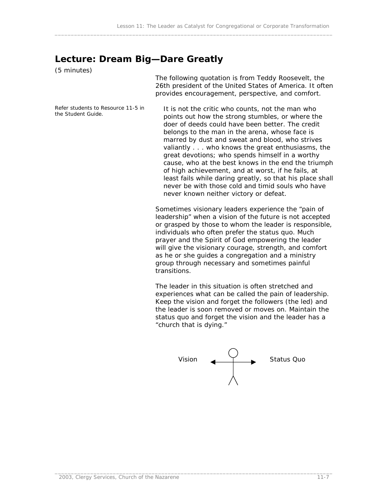### **Lecture: Dream Big—Dare Greatly**

(5 minutes)

The following quotation is from Teddy Roosevelt, the 26th president of the United States of America. It often provides encouragement, perspective, and comfort.

*Refer students to Resource 11-5 in the Student Guide.*

It is not the critic who counts, not the man who points out how the strong stumbles, or where the doer of deeds could have been better. The credit belongs to the man in the arena, whose face is marred by dust and sweat and blood, who strives valiantly . . . who knows the great enthusiasms, the great devotions; who spends himself in a worthy cause, who at the best knows in the end the triumph of high achievement, and at worst, if he fails, at least fails while daring greatly, so that his place shall never be with those cold and timid souls who have never known neither victory or defeat.

Sometimes visionary leaders experience the "pain of leadership" when a vision of the future is not accepted or grasped by those to whom the leader is responsible, individuals who often prefer the *status quo.* Much prayer and the Spirit of God empowering the leader will give the visionary courage, strength, and comfort as he or she guides a congregation and a ministry group through necessary and sometimes painful transitions.

The leader in this situation is often stretched and experiences what can be called the pain of leadership. Keep the vision and forget the followers (the led) and the leader is soon removed or moves on. Maintain the status quo and forget the vision and the leader has a "church that is dying."

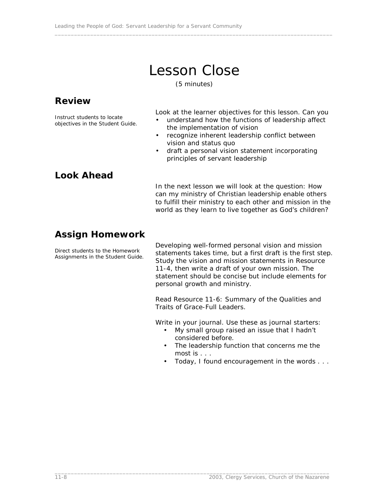# *Lesson Close*

 $\_$  ,  $\_$  ,  $\_$  ,  $\_$  ,  $\_$  ,  $\_$  ,  $\_$  ,  $\_$  ,  $\_$  ,  $\_$  ,  $\_$  ,  $\_$  ,  $\_$  ,  $\_$  ,  $\_$  ,  $\_$  ,  $\_$  ,  $\_$  ,  $\_$  ,  $\_$  ,  $\_$  ,  $\_$  ,  $\_$  ,  $\_$  ,  $\_$  ,  $\_$  ,  $\_$  ,  $\_$  ,  $\_$  ,  $\_$  ,  $\_$  ,  $\_$  ,  $\_$  ,  $\_$  ,  $\_$  ,  $\_$  ,  $\_$  ,

(5 minutes)

# **Review**

*Instruct students to locate objectives in the Student Guide.* Look at the learner objectives for this lesson. Can you

- understand how the functions of leadership affect the implementation of vision
- recognize inherent leadership conflict between vision and *status quo*
- draft a personal vision statement incorporating principles of servant leadership

# **Look Ahead**

In the next lesson we will look at the question: How can my ministry of Christian leadership enable others to fulfill their ministry to each other and mission in the world as they learn to live together as God's children?

# **Assign Homework**

*Direct students to the Homework Assignments in the Student Guide.* Developing well-formed personal vision and mission statements takes time, but a first draft is the first step. Study the vision and mission statements in Resource 11-4, then write a draft of your own mission. The statement should be concise but include elements for personal growth and ministry.

Read Resource 11-6: Summary of the Qualities and Traits of Grace-Full Leaders.

Write in your journal. Use these as journal starters:

- My small group raised an issue that I hadn't considered before.
- The leadership function that concerns me the most is . . .
- Today, I found encouragement in the words . . .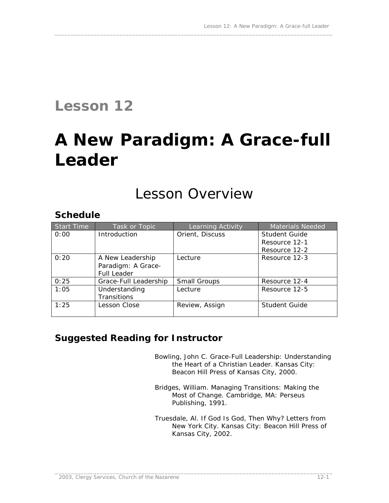# *Lesson 12*

# **A New Paradigm: A Grace-full Leader**

 $\_$  ,  $\_$  ,  $\_$  ,  $\_$  ,  $\_$  ,  $\_$  ,  $\_$  ,  $\_$  ,  $\_$  ,  $\_$  ,  $\_$  ,  $\_$  ,  $\_$  ,  $\_$  ,  $\_$  ,  $\_$  ,  $\_$  ,  $\_$  ,  $\_$  ,  $\_$  ,  $\_$  ,  $\_$  ,  $\_$  ,  $\_$  ,  $\_$  ,  $\_$  ,  $\_$  ,  $\_$  ,  $\_$  ,  $\_$  ,  $\_$  ,  $\_$  ,  $\_$  ,  $\_$  ,  $\_$  ,  $\_$  ,  $\_$  ,

# *Lesson Overview*

### **Schedule**

| <b>Start Time</b> | Task or Topic                                                | Learning Activity | <b>Materials Needed</b> |
|-------------------|--------------------------------------------------------------|-------------------|-------------------------|
| 0:00              | Introduction                                                 | Orient, Discuss   | Student Guide           |
|                   |                                                              |                   | Resource 12-1           |
|                   |                                                              |                   | Resource 12-2           |
| 0:20              | A New Leadership<br>Paradigm: A Grace-<br><b>Full Leader</b> | Lecture           | Resource 12-3           |
| 0:25              | Grace-Full Leadership                                        | Small Groups      | Resource 12-4           |
| 1:05              | Understanding<br>Transitions                                 | Lecture           | Resource 12-5           |
| 1:25              | Lesson Close                                                 | Review, Assign    | Student Guide           |

# **Suggested Reading for Instructor**

Bowling, John C. *Grace-Full Leadership: Understanding the Heart of a Christian Leader.* Kansas City: Beacon Hill Press of Kansas City, 2000.

Bridges, William. *Managing Transitions: Making the Most of Change*. Cambridge, MA: Perseus Publishing, 1991.

Truesdale, Al. *If God Is God, Then Why? Letters from New York City.* Kansas City: Beacon Hill Press of Kansas City, 2002.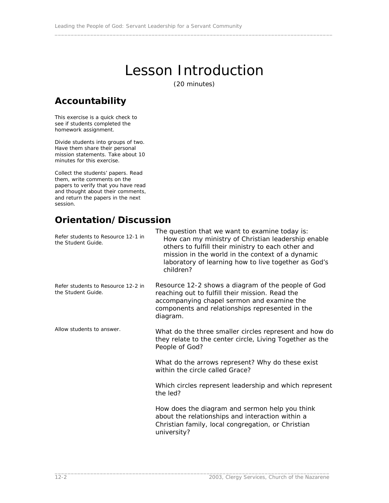# *Lesson Introduction*

 $\_$  ,  $\_$  ,  $\_$  ,  $\_$  ,  $\_$  ,  $\_$  ,  $\_$  ,  $\_$  ,  $\_$  ,  $\_$  ,  $\_$  ,  $\_$  ,  $\_$  ,  $\_$  ,  $\_$  ,  $\_$  ,  $\_$  ,  $\_$  ,  $\_$  ,  $\_$  ,  $\_$  ,  $\_$  ,  $\_$  ,  $\_$  ,  $\_$  ,  $\_$  ,  $\_$  ,  $\_$  ,  $\_$  ,  $\_$  ,  $\_$  ,  $\_$  ,  $\_$  ,  $\_$  ,  $\_$  ,  $\_$  ,  $\_$  ,

(20 minutes)

# **Accountability**

*This exercise is a quick check to see if students completed the homework assignment.*

*Divide students into groups of two. Have them share their personal mission statements. Take about 10 minutes for this exercise.*

*Collect the students' papers. Read them, write comments on the papers to verify that you have read and thought about their comments, and return the papers in the next session.*

# **Orientation/Discussion**

| Refer students to Resource 12-1 in<br>the Student Guide. | The question that we want to examine today is:<br>How can my ministry of Christian leadership enable<br>others to fulfill their ministry to each other and<br>mission in the world in the context of a dynamic<br>laboratory of learning how to live together as God's<br>children? |
|----------------------------------------------------------|-------------------------------------------------------------------------------------------------------------------------------------------------------------------------------------------------------------------------------------------------------------------------------------|
| Refer students to Resource 12-2 in<br>the Student Guide. | Resource 12-2 shows a diagram of the people of God<br>reaching out to fulfill their mission. Read the<br>accompanying chapel sermon and examine the<br>components and relationships represented in the<br>diagram.                                                                  |
| Allow students to answer.                                | What do the three smaller circles represent and how do<br>they relate to the center circle, Living Together as the<br>People of God?                                                                                                                                                |
|                                                          | What do the arrows represent? Why do these exist<br>within the circle called Grace?                                                                                                                                                                                                 |
|                                                          | Which circles represent leadership and which represent<br>the led?                                                                                                                                                                                                                  |
|                                                          | How does the diagram and sermon help you think<br>about the relationships and interaction within a<br>Christian family, local congregation, or Christian<br>university?                                                                                                             |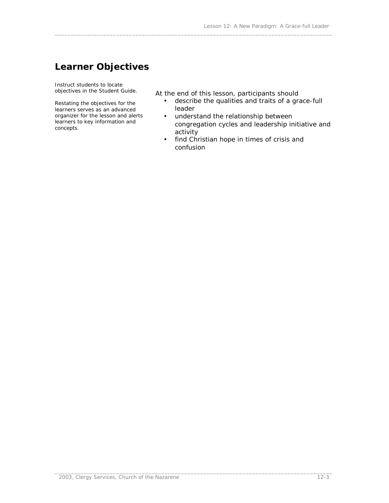# **Learner Objectives**

*Instruct students to locate objectives in the Student Guide.*

*Restating the objectives for the learners serves as an advanced organizer for the lesson and alerts learners to key information and concepts.*

At the end of this lesson, participants should

- describe the qualities and traits of a grace-full leader
- understand the relationship between congregation cycles and leadership initiative and activity
- find Christian hope in times of crisis and confusion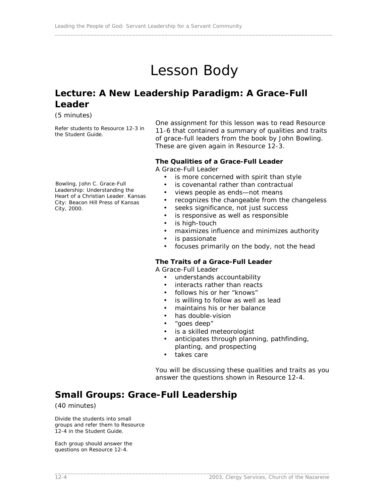# *Lesson Body*

 $\_$  ,  $\_$  ,  $\_$  ,  $\_$  ,  $\_$  ,  $\_$  ,  $\_$  ,  $\_$  ,  $\_$  ,  $\_$  ,  $\_$  ,  $\_$  ,  $\_$  ,  $\_$  ,  $\_$  ,  $\_$  ,  $\_$  ,  $\_$  ,  $\_$  ,  $\_$  ,  $\_$  ,  $\_$  ,  $\_$  ,  $\_$  ,  $\_$  ,  $\_$  ,  $\_$  ,  $\_$  ,  $\_$  ,  $\_$  ,  $\_$  ,  $\_$  ,  $\_$  ,  $\_$  ,  $\_$  ,  $\_$  ,  $\_$  ,

### **Lecture: A New Leadership Paradigm: A Grace-Full Leader**

(5 minutes)

*City, 2000.*

*Refer students to Resource 12-3 in the Student Guide.*

*Bowling, John C.* Grace-Full Leadership: Understanding the Heart of a Christian Leader. *Kansas City: Beacon Hill Press of Kansas*

One assignment for this lesson was to read Resource 11-6 that contained a summary of qualities and traits of grace-full leaders from the book by John Bowling. These are given again in Resource 12-3.

#### **The Qualities of a Grace-Full Leader**

A Grace-Full Leader

- is more concerned with spirit than style
- is covenantal rather than contractual
- views people as ends-not means
- recognizes the changeable from the changeless
- seeks significance, not just success
- is responsive as well as responsible
- is high-touch
- maximizes influence and minimizes authority
- is passionate
- focuses primarily on the body, not the head

#### **The Traits of a Grace-Full Leader**

A Grace-Full Leader

- understands accountability
- interacts rather than reacts
- follows his or her "knows"
- is willing to follow as well as lead
- maintains his or her balance
- has double-vision
- "goes deep"
- is a skilled meteorologist
- anticipates through planning, pathfinding, planting, and prospecting
- takes care

 $\_$  ,  $\_$  ,  $\_$  ,  $\_$  ,  $\_$  ,  $\_$  ,  $\_$  ,  $\_$  ,  $\_$  ,  $\_$  ,  $\_$  ,  $\_$  ,  $\_$  ,  $\_$  ,  $\_$  ,  $\_$  ,  $\_$  ,  $\_$  ,  $\_$  ,  $\_$ 

You will be discussing these qualities and traits as you answer the questions shown in Resource 12-4.

### **Small Groups: Grace-Full Leadership**

(40 minutes)

*Divide the students into small groups and refer them to Resource 12-4 in the Student Guide.*

*Each group should answer the questions on Resource 12-4.*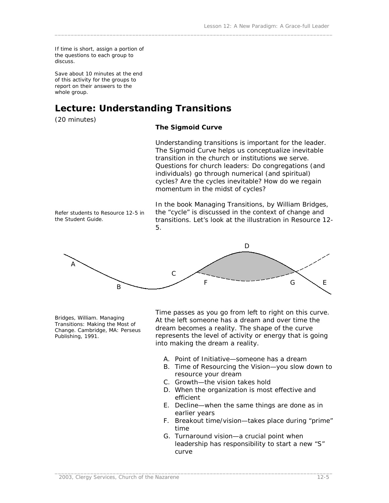*If time is short, assign a portion of the questions to each group to discuss.*

*Save about 10 minutes at the end of this activity for the groups to report on their answers to the whole group.*

# **Lecture: Understanding Transitions**

(20 minutes)

#### **The Sigmoid Curve**

 $\_$  ,  $\_$  ,  $\_$  ,  $\_$  ,  $\_$  ,  $\_$  ,  $\_$  ,  $\_$  ,  $\_$  ,  $\_$  ,  $\_$  ,  $\_$  ,  $\_$  ,  $\_$  ,  $\_$  ,  $\_$  ,  $\_$  ,  $\_$  ,  $\_$  ,  $\_$  ,  $\_$  ,  $\_$  ,  $\_$  ,  $\_$  ,  $\_$  ,  $\_$  ,  $\_$  ,  $\_$  ,  $\_$  ,  $\_$  ,  $\_$  ,  $\_$  ,  $\_$  ,  $\_$  ,  $\_$  ,  $\_$  ,  $\_$  ,

Understanding transitions is important for the leader. The Sigmoid Curve helps us conceptualize inevitable transition in the church or institutions we serve. Questions for church leaders: Do congregations (and individuals) go through numerical (and spiritual) cycles? Are the cycles inevitable? How do we regain momentum in the midst of cycles?

*Refer students to Resource 12-5 in the Student Guide.*

In the book *Managing Transitions,* by William Bridges, the "cycle" is discussed in the context of change and transitions. Let's look at the illustration in Resource 12- 5.



*Bridges, William.* Managing Transitions: Making the Most of Change. *Cambridge, MA: Perseus Publishing, 1991.*

Time passes as you go from left to right on this curve. At the left someone has a dream and over time the dream becomes a reality. The shape of the curve represents the level of activity or energy that is going into making the dream a reality.

- A. Point of Initiative—someone has a dream
- B. Time of Resourcing the Vision—you slow down to resource your dream
- C. Growth—the vision takes hold
- D. When the organization is most effective and efficient
- E. Decline—when the same things are done as in earlier years
- F. Breakout time/vision—takes place during "prime" time
- G. Turnaround vision—a crucial point when leadership has responsibility to start a new "S" curve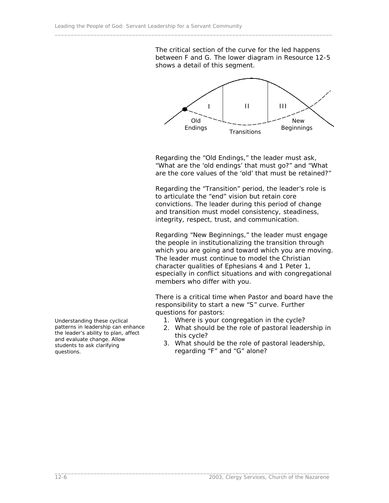The critical section of the curve for the led happens between F and G. The lower diagram in Resource 12-5 shows a detail of this segment.



Regarding the "Old Endings," the leader must ask, "What are the 'old endings' that must go?" and "What are the core values of the 'old' that must be retained?"

Regarding the "Transition" period, the leader's role is to articulate the "end" vision but retain core convictions. The leader during this period of change and transition must model consistency, steadiness, integrity, respect, trust, and communication.

Regarding "New Beginnings," the leader must engage the people in institutionalizing the transition through which you are going and toward which you are moving. The leader must continue to model the Christian character qualities of Ephesians 4 and 1 Peter 1, especially in conflict situations and with congregational members who differ with you.

There is a critical time when Pastor and board have the responsibility to start a new "S" curve. Further questions for pastors:

- 1. Where is your congregation in the cycle?
- 2. What should be the role of pastoral leadership in this cycle?
- 3. What should be the role of pastoral leadership, regarding "F" and "G" alone?

*Understanding these cyclical patterns in leadership can enhance the leader's ability to plan, affect and evaluate change. Allow students to ask clarifying questions.*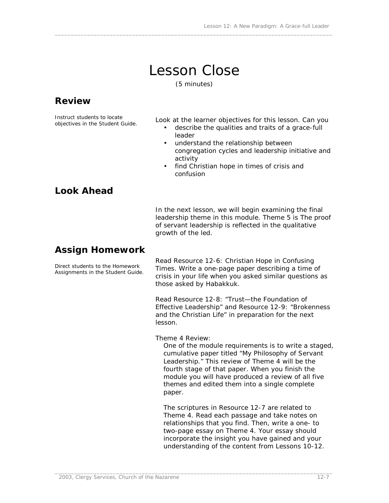# *Lesson Close*

 $\_$  ,  $\_$  ,  $\_$  ,  $\_$  ,  $\_$  ,  $\_$  ,  $\_$  ,  $\_$  ,  $\_$  ,  $\_$  ,  $\_$  ,  $\_$  ,  $\_$  ,  $\_$  ,  $\_$  ,  $\_$  ,  $\_$  ,  $\_$  ,  $\_$  ,  $\_$  ,  $\_$  ,  $\_$  ,  $\_$  ,  $\_$  ,  $\_$  ,  $\_$  ,  $\_$  ,  $\_$  ,  $\_$  ,  $\_$  ,  $\_$  ,  $\_$  ,  $\_$  ,  $\_$  ,  $\_$  ,  $\_$  ,  $\_$  ,

(5 minutes)

#### **Review**

*Instruct students to locate*

*objectives in the Student Guide.* Look at the learner objectives for this lesson. Can you

- describe the qualities and traits of a grace-full leader
- understand the relationship between congregation cycles and leadership initiative and activity
- find Christian hope in times of crisis and confusion

### **Look Ahead**

In the next lesson, we will begin examining the final leadership theme in this module. Theme 5 is The *proof* of servant leadership is reflected in the qualitative growth of the led.

### **Assign Homework**

*Direct students to the Homework Assignments in the Student Guide.* Read Resource 12-6: Christian Hope in Confusing Times. Write a one-page paper describing a time of crisis in your life when you asked similar questions as those asked by Habakkuk.

Read Resource 12-8: "Trust—the Foundation of Effective Leadership" and Resource 12-9: "Brokenness and the Christian Life" in preparation for the next lesson.

Theme 4 Review:

One of the module requirements is to write a staged, cumulative paper titled "My Philosophy of Servant Leadership." This review of Theme 4 will be the fourth stage of that paper. When you finish the module you will have produced a review of all five themes and edited them into a single complete paper.

The scriptures in Resource 12-7 are related to Theme 4. Read each passage and take notes on relationships that you find. Then, write a one- to two-page essay on Theme 4. Your essay should incorporate the insight you have gained and your understanding of the content from Lessons 10-12.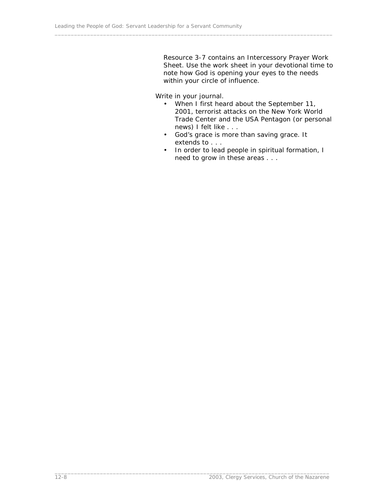Resource 3-7 contains an Intercessory Prayer Work Sheet. Use the work sheet in your devotional time to note how God is opening your eyes to the needs within your circle of influence.

Write in your journal.

- When I first heard about the September 11, 2001, terrorist attacks on the New York World Trade Center and the USA Pentagon (or personal news) I felt like . . .
- God's grace is more than saving grace. It extends to . . .
- In order to lead people in spiritual formation, I need to grow in these areas . . .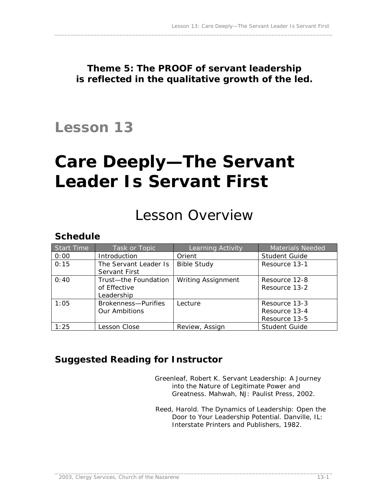# *Theme 5: The PROOF of servant leadership is reflected in the qualitative growth of the led.*

 $\_$  ,  $\_$  ,  $\_$  ,  $\_$  ,  $\_$  ,  $\_$  ,  $\_$  ,  $\_$  ,  $\_$  ,  $\_$  ,  $\_$  ,  $\_$  ,  $\_$  ,  $\_$  ,  $\_$  ,  $\_$  ,  $\_$  ,  $\_$  ,  $\_$  ,  $\_$  ,  $\_$  ,  $\_$  ,  $\_$  ,  $\_$  ,  $\_$  ,  $\_$  ,  $\_$  ,  $\_$  ,  $\_$  ,  $\_$  ,  $\_$  ,  $\_$  ,  $\_$  ,  $\_$  ,  $\_$  ,  $\_$  ,  $\_$  ,

# *Lesson 13*

# **Care Deeply—The Servant Leader Is Servant First**

# *Lesson Overview*

#### **Schedule**

| <b>Start Time</b> | Task or Topic                                      | Learning Activity  | <b>Materials Needed</b>                         |
|-------------------|----------------------------------------------------|--------------------|-------------------------------------------------|
| 0:00              | Introduction                                       | Orient             | Student Guide                                   |
| 0:15              | The Servant Leader Is<br>Servant First             | <b>Bible Study</b> | Resource 13-1                                   |
| 0:40              | Trust-the Foundation<br>of Effective<br>Leadership | Writing Assignment | Resource 12-8<br>Resource 13-2                  |
| 1:05              | Brokenness-Purifies<br><b>Our Ambitions</b>        | Lecture            | Resource 13-3<br>Resource 13-4<br>Resource 13-5 |
| 1:25              | Lesson Close                                       | Review, Assign     | Student Guide                                   |

# **Suggested Reading for Instructor**

Greenleaf, Robert K. *Servant Leadership: A Journey into the Nature of Legitimate Power and Greatness.* Mahwah, NJ: Paulist Press, 2002.

Reed, Harold. *The Dynamics of Leadership: Open the Door to Your Leadership Potential*. Danville, IL: Interstate Printers and Publishers, 1982.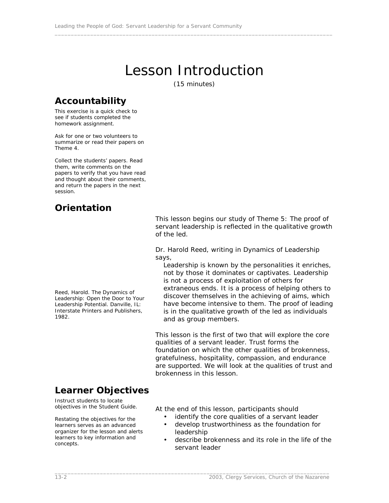# *Lesson Introduction*

 $\_$  ,  $\_$  ,  $\_$  ,  $\_$  ,  $\_$  ,  $\_$  ,  $\_$  ,  $\_$  ,  $\_$  ,  $\_$  ,  $\_$  ,  $\_$  ,  $\_$  ,  $\_$  ,  $\_$  ,  $\_$  ,  $\_$  ,  $\_$  ,  $\_$  ,  $\_$  ,  $\_$  ,  $\_$  ,  $\_$  ,  $\_$  ,  $\_$  ,  $\_$  ,  $\_$  ,  $\_$  ,  $\_$  ,  $\_$  ,  $\_$  ,  $\_$  ,  $\_$  ,  $\_$  ,  $\_$  ,  $\_$  ,  $\_$  ,

(15 minutes)

# **Accountability**

*This exercise is a quick check to see if students completed the homework assignment.*

*Ask for one or two volunteers to summarize or read their papers on Theme 4.*

*Collect the students' papers. Read them, write comments on the papers to verify that you have read and thought about their comments, and return the papers in the next session.*

### **Orientation**

This lesson begins our study of Theme 5: The *proof* of servant leadership is reflected in the qualitative growth of the led.

Dr. Harold Reed, writing in *Dynamics of Leadership* says,

Leadership is known by the personalities it enriches, not by those it dominates or captivates. Leadership is not a process of exploitation of others for extraneous ends. It is a process of helping others to discover themselves in the achieving of aims, which have become intensive to them. The proof of leading is in the qualitative growth of the led as individuals and as group members.

This lesson is the first of two that will explore the core qualities of a servant leader. Trust forms the foundation on which the other qualities of brokenness, gratefulness, hospitality, compassion, and endurance are supported. We will look at the qualities of trust and brokenness in this lesson.

*Reed, Harold.* The Dynamics of Leadership: Open the Door to Your Leadership Potential. *Danville, IL: Interstate Printers and Publishers,*

# **Learner Objectives**

*Instruct students to locate objectives in the Student Guide.*

*Restating the objectives for the learners serves as an advanced organizer for the lesson and alerts learners to key information and concepts.*

At the end of this lesson, participants should

- identify the core qualities of a servant leader
- develop trustworthiness as the foundation for leadership
- describe brokenness and its role in the life of the servant leader

*1982.*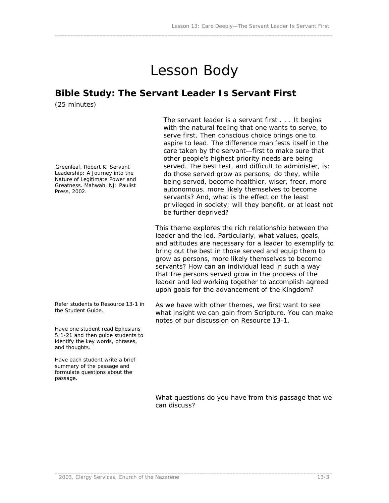# *Lesson Body*

 $\_$  ,  $\_$  ,  $\_$  ,  $\_$  ,  $\_$  ,  $\_$  ,  $\_$  ,  $\_$  ,  $\_$  ,  $\_$  ,  $\_$  ,  $\_$  ,  $\_$  ,  $\_$  ,  $\_$  ,  $\_$  ,  $\_$  ,  $\_$  ,  $\_$  ,  $\_$  ,  $\_$  ,  $\_$  ,  $\_$  ,  $\_$  ,  $\_$  ,  $\_$  ,  $\_$  ,  $\_$  ,  $\_$  ,  $\_$  ,  $\_$  ,  $\_$  ,  $\_$  ,  $\_$  ,  $\_$  ,  $\_$  ,  $\_$  ,

#### **Bible Study: The Servant Leader Is Servant First** (25 minutes)

*Greenleaf, Robert K.* Servant Leadership: A Journey into the Nature of Legitimate Power and Greatness. *Mahwah, NJ: Paulist Press, 2002.*

*Refer students to Resource 13-1 in the Student Guide.*

*Have one student read Ephesians 5:1-21 and then guide students to identify the key words, phrases, and thoughts.*

*Have each student write a brief summary of the passage and formulate questions about the passage.*

The servant leader is a servant first . . . It begins with the natural feeling that one wants to serve, to serve first. Then conscious choice brings one to aspire to lead. The difference manifests itself in the care taken by the servant—first to make sure that other people's highest priority needs are being served. *The best test, and difficult to administer, is: do those served grow as persons; do they, while being served, become healthier, wiser, freer, more autonomous, more likely themselves to become servants?* And, what is the effect on the least privileged in society; will they benefit, or at least not be further deprived?

This theme explores the rich relationship between the leader and the led. Particularly, what values, goals, and attitudes are necessary for a leader to exemplify to bring out the best in those served and equip them to grow as persons, more likely themselves to become servants? How can an individual lead in such a way that the persons served grow in the process of the leader and led working together to accomplish agreed upon goals for the advancement of the Kingdom?

As we have with other themes, we first want to see what insight we can gain from Scripture. You can make notes of our discussion on Resource 13-1.

*What questions do you have from this passage that we can discuss?*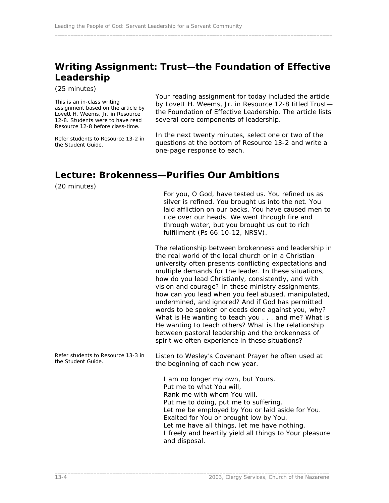### **Writing Assignment: Trust—the Foundation of Effective Leadership**

 $\_$  ,  $\_$  ,  $\_$  ,  $\_$  ,  $\_$  ,  $\_$  ,  $\_$  ,  $\_$  ,  $\_$  ,  $\_$  ,  $\_$  ,  $\_$  ,  $\_$  ,  $\_$  ,  $\_$  ,  $\_$  ,  $\_$  ,  $\_$  ,  $\_$  ,  $\_$  ,  $\_$  ,  $\_$  ,  $\_$  ,  $\_$  ,  $\_$  ,  $\_$  ,  $\_$  ,  $\_$  ,  $\_$  ,  $\_$  ,  $\_$  ,  $\_$  ,  $\_$  ,  $\_$  ,  $\_$  ,  $\_$  ,  $\_$  ,

(25 minutes)

*This is an in-class writing assignment based on the article by Lovett H. Weems, Jr. in Resource 12-8. Students were to have read Resource 12-8 before class-time.*

*Refer students to Resource 13-2 in the Student Guide.*

Your reading assignment for today included the article by Lovett H. Weems, Jr. in Resource 12-8 titled Trust the Foundation of Effective Leadership. The article lists several core components of leadership.

In the next twenty minutes, select one or two of the questions at the bottom of Resource 13-2 and write a one-page response to each.

#### **Lecture: Brokenness—Purifies Our Ambitions**

(20 minutes)

For you, O God, have tested us. You refined us as silver is refined. You brought us into the net. You laid affliction on our backs. You have caused men to ride over our heads. We went through fire and through water, but you brought us out to rich fulfillment (Ps 66:10-12, NRSV).

The relationship between brokenness and leadership in the real world of the local church or in a Christian university often presents conflicting expectations and multiple demands for the leader. In these situations, how do you lead Christianly, consistently, and with vision and courage? In these ministry assignments, how can you lead when you feel abused, manipulated, undermined, and ignored? And if God has permitted words to be spoken or deeds done against you, why? What is He wanting to teach you . . . and me? What is He wanting to teach others? What is the relationship between pastoral leadership and the brokenness of spirit we often experience in these situations?

*Refer students to Resource 13-3 in the Student Guide.* Listen to Wesley's Covenant Prayer he often used at the beginning of each new year.

 $\_$  ,  $\_$  ,  $\_$  ,  $\_$  ,  $\_$  ,  $\_$  ,  $\_$  ,  $\_$  ,  $\_$  ,  $\_$  ,  $\_$  ,  $\_$  ,  $\_$  ,  $\_$  ,  $\_$  ,  $\_$  ,  $\_$  ,  $\_$  ,  $\_$  ,  $\_$ 

I am no longer my own, but Yours. Put me to what You will, Rank me with whom You will. Put me to doing, put me to suffering. Let me be employed by You or laid aside for You. Exalted for You or brought low by You. Let me have all things, let me have nothing. I freely and heartily yield all things to Your pleasure and disposal.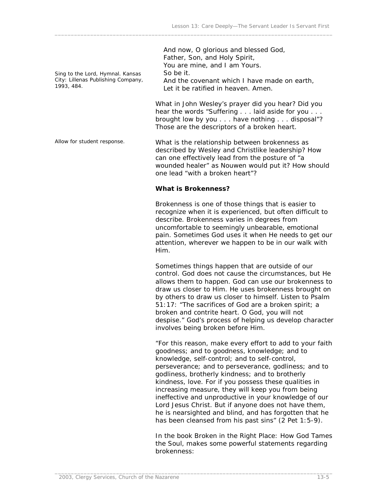Sing to the Lord, Hymnal. *Kansas City: Lillenas Publishing Company, 1993, 484.*

And now, O glorious and blessed God, Father, Son, and Holy Spirit, You are mine, and I am Yours. So be it. And the covenant which I have made on earth, Let it be ratified in heaven. Amen.

What in John Wesley's prayer did you hear? Did you hear the words "Suffering . . . laid aside for you . . . brought low by you . . . have nothing . . . disposal"? Those are the descriptors of a broken heart.

*Allow for student response. What is the relationship between brokenness as described by Wesley and Christlike leadership? How can one effectively lead from the posture of "a wounded healer" as Nouwen would put it? How should one lead "with a broken heart"?*

 $\_$  ,  $\_$  ,  $\_$  ,  $\_$  ,  $\_$  ,  $\_$  ,  $\_$  ,  $\_$  ,  $\_$  ,  $\_$  ,  $\_$  ,  $\_$  ,  $\_$  ,  $\_$  ,  $\_$  ,  $\_$  ,  $\_$  ,  $\_$  ,  $\_$  ,  $\_$  ,  $\_$  ,  $\_$  ,  $\_$  ,  $\_$  ,  $\_$  ,  $\_$  ,  $\_$  ,  $\_$  ,  $\_$  ,  $\_$  ,  $\_$  ,  $\_$  ,  $\_$  ,  $\_$  ,  $\_$  ,  $\_$  ,  $\_$  ,

#### **What is Brokenness?**

Brokenness is one of those things that is easier to recognize when it is experienced, but often difficult to describe. Brokenness varies in degrees from uncomfortable to seemingly unbearable, emotional pain. Sometimes God uses it when He needs to get our attention, wherever we happen to be in our walk with Him.

Sometimes things happen that are outside of our control. God does not cause the circumstances, but He allows them to happen. God can use our brokenness to draw us closer to Him. He uses brokenness brought on by others to draw us closer to himself. Listen to Psalm 51:17: "The sacrifices of God are a broken spirit; a broken and contrite heart. O God, you will not despise." God's process of helping us develop character involves being broken before Him.

"For this reason, make every effort to add to your faith goodness; and to goodness, knowledge; and to knowledge, self-control; and to self-control, perseverance; and to perseverance, godliness; and to godliness, brotherly kindness; and to brotherly kindness, love. For if you possess these qualities in increasing measure, they will keep you from being ineffective and unproductive in your knowledge of our Lord Jesus Christ. But if anyone does not have them, he is nearsighted and blind, and has forgotten that he has been cleansed from his past sins" (2 Pet 1:5-9).

In the book *Broken in the Right Place: How God Tames the Soul,* makes some powerful statements regarding brokenness: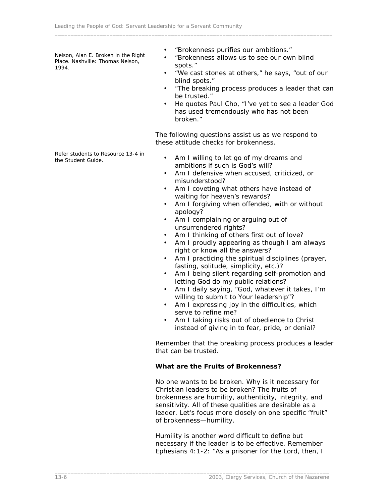*Nelson, Alan E.* Broken in the Right Place. *Nashville: Thomas Nelson, 1994.*

• "Brokenness purifies our ambitions."

 $\_$  ,  $\_$  ,  $\_$  ,  $\_$  ,  $\_$  ,  $\_$  ,  $\_$  ,  $\_$  ,  $\_$  ,  $\_$  ,  $\_$  ,  $\_$  ,  $\_$  ,  $\_$  ,  $\_$  ,  $\_$  ,  $\_$  ,  $\_$  ,  $\_$  ,  $\_$  ,  $\_$  ,  $\_$  ,  $\_$  ,  $\_$  ,  $\_$  ,  $\_$  ,  $\_$  ,  $\_$  ,  $\_$  ,  $\_$  ,  $\_$  ,  $\_$  ,  $\_$  ,  $\_$  ,  $\_$  ,  $\_$  ,  $\_$  ,

- "Brokenness allows us to see our own blind spots."
- "We cast stones at others," he says, "out of our blind spots."
- "The breaking process produces a leader that can be trusted."
- He quotes Paul Cho, "I've yet to see a leader God has used tremendously who has not been broken."

The following questions assist us as we respond to these attitude checks for brokenness.

*Refer students to Resource 13-4 in the Student Guide.*

- Am I willing to let go of my dreams and ambitions if such is God's will?
- Am I defensive when accused, criticized, or misunderstood?
- Am I coveting what others have instead of waiting for heaven's rewards?
- Am I forgiving when offended, with or without apology?
- Am I complaining or arguing out of unsurrendered rights?
- Am I thinking of others first out of love?
- Am I proudly appearing as though I am always right or know all the answers?
- Am I practicing the spiritual disciplines (prayer, fasting, solitude, simplicity, etc.)?
- Am I being silent regarding self-promotion and letting God do my public relations?
- Am I daily saying, "God, whatever it takes, I'm willing to submit to Your leadership"?
- Am I expressing joy in the difficulties, which serve to refine me?
- Am I taking risks out of obedience to Christ instead of giving in to fear, pride, or denial?

Remember that the breaking process produces a leader that can be trusted.

#### **What are the Fruits of Brokenness?**

No one wants to be broken. Why is it necessary for Christian leaders to be broken? The fruits of brokenness are humility, authenticity, integrity, and sensitivity. All of these qualities are desirable as a leader. Let's focus more closely on one specific "fruit" of brokenness—humility.

Humility is another word difficult to define but necessary if the leader is to be effective. Remember Ephesians 4:1-2: "As a prisoner for the Lord, then, I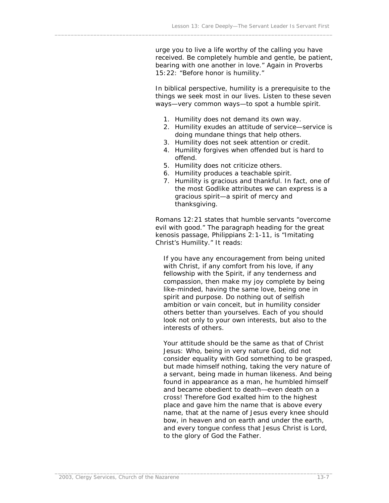urge you to live a life worthy of the calling you have received. Be completely humble and gentle, be patient, bearing with one another in love." Again in Proverbs 15:22: "Before honor is humility."

 $\_$  ,  $\_$  ,  $\_$  ,  $\_$  ,  $\_$  ,  $\_$  ,  $\_$  ,  $\_$  ,  $\_$  ,  $\_$  ,  $\_$  ,  $\_$  ,  $\_$  ,  $\_$  ,  $\_$  ,  $\_$  ,  $\_$  ,  $\_$  ,  $\_$  ,  $\_$  ,  $\_$  ,  $\_$  ,  $\_$  ,  $\_$  ,  $\_$  ,  $\_$  ,  $\_$  ,  $\_$  ,  $\_$  ,  $\_$  ,  $\_$  ,  $\_$  ,  $\_$  ,  $\_$  ,  $\_$  ,  $\_$  ,  $\_$  ,

In biblical perspective, humility is a prerequisite to the things we seek most in our lives. Listen to these seven ways—very common ways—to spot a humble spirit.

- 1. Humility does not demand its own way.
- 2. Humility exudes an attitude of service—service is doing mundane things that help others.
- 3. Humility does not seek attention or credit.
- 4. Humility forgives when offended but is hard to offend.
- 5. Humility does not criticize others.
- 6. Humility produces a teachable spirit.
- 7. Humility is gracious and thankful. In fact, one of the most Godlike attributes we can express is a gracious spirit—a spirit of mercy and thanksgiving.

Romans 12:21 states that humble servants "overcome evil with good." The paragraph heading for the great *kenosis* passage, Philippians 2:1-11, is "Imitating Christ's Humility." It reads:

If you have any encouragement from being united with Christ, if any comfort from his love, if any fellowship with the Spirit, if any tenderness and compassion, then make my joy complete by being like-minded, having the same love, being one in spirit and purpose. Do nothing out of selfish ambition or vain conceit, but in humility consider others better than yourselves. Each of you should look not only to your own interests, but also to the interests of others.

Your attitude should be the same as that of Christ Jesus: Who, being in very nature God, did not consider equality with God something to be grasped, but made himself nothing, taking the very nature of a servant, being made in human likeness. And being found in appearance as a man, he humbled himself and became obedient to death—even death on a cross! Therefore God exalted him to the highest place and gave him the name that is above every name, that at the name of Jesus every knee should bow, in heaven and on earth and under the earth, and every tongue confess that Jesus Christ is Lord, to the glory of God the Father.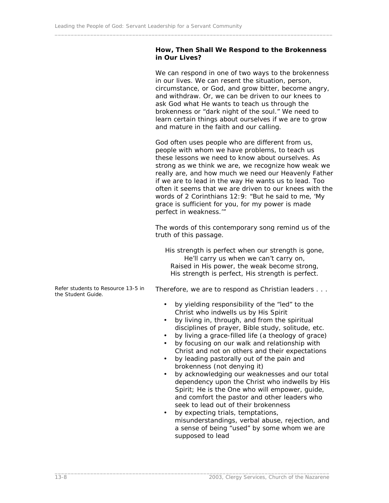#### **How, Then Shall We Respond to the Brokenness in Our Lives?**

We can respond in one of two ways to the brokenness in our lives. We can resent the situation, person, circumstance, or God, and grow bitter, become angry, and withdraw. Or, we can be driven to our knees to ask God what He wants to teach us through the brokenness or "dark night of the soul." We need to learn certain things about ourselves if we are to grow and mature in the faith and our calling.

God often uses people who are different from us, people with whom we have problems, to teach us these lessons we need to know about ourselves. As strong as we think we are, we recognize how weak we really are, and how much we need our Heavenly Father if we are to lead in the way He wants us to lead. Too often it seems that we are driven to our knees with the words of 2 Corinthians 12:9: "But he said to me, 'My grace is sufficient for you, for my power is made perfect in weakness.'"

The words of this contemporary song remind us of the truth of this passage.

*His strength is perfect when our strength is gone, He'll carry us when we can't carry on, Raised in His power, the weak become strong, His strength is perfect, His strength is perfect.*

*Therefore, we are to respond as Christian leaders . . .* 

- by yielding responsibility of the "led" to the Christ who indwells us by His Spirit
- by living in, through, and from the spiritual disciplines of prayer, Bible study, solitude, etc.
- by living a grace-filled life (a theology of grace)
- by focusing on our walk and relationship with Christ and not on others and their expectations
- by leading pastorally out of the pain and brokenness (not denying it)
- by acknowledging our weaknesses and our total dependency upon the Christ who indwells by His Spirit; He is the One who will empower, guide, and comfort the pastor and other leaders who seek to lead out of their brokenness
- by expecting trials, temptations, misunderstandings, verbal abuse, rejection, and a sense of being "used" by some whom we are supposed to lead

*Refer students to Resource 13-5 in*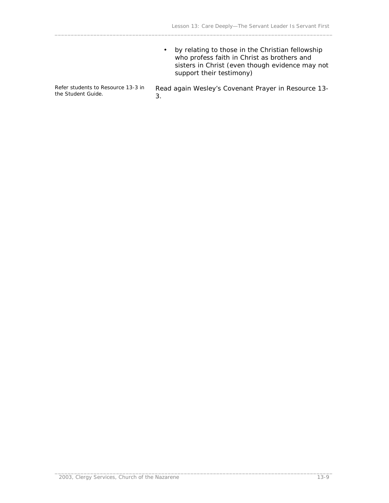• by relating to those in the Christian fellowship who profess faith in Christ as brothers and sisters in Christ (even though evidence may not support their testimony)

*Refer students to Resource 13-3 in the Student Guide.* Read again Wesley's Covenant Prayer in Resource 13- 3.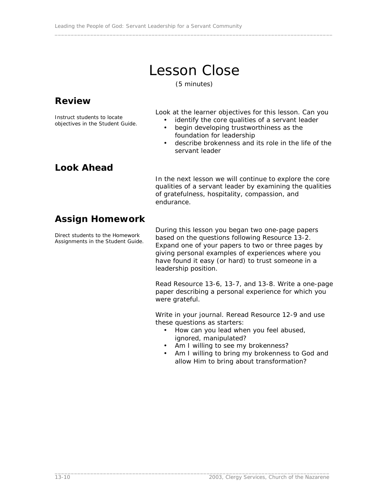# *Lesson Close*

 $\_$  ,  $\_$  ,  $\_$  ,  $\_$  ,  $\_$  ,  $\_$  ,  $\_$  ,  $\_$  ,  $\_$  ,  $\_$  ,  $\_$  ,  $\_$  ,  $\_$  ,  $\_$  ,  $\_$  ,  $\_$  ,  $\_$  ,  $\_$  ,  $\_$  ,  $\_$  ,  $\_$  ,  $\_$  ,  $\_$  ,  $\_$  ,  $\_$  ,  $\_$  ,  $\_$  ,  $\_$  ,  $\_$  ,  $\_$  ,  $\_$  ,  $\_$  ,  $\_$  ,  $\_$  ,  $\_$  ,  $\_$  ,  $\_$  ,

(5 minutes)

### **Review**

*Instruct students to locate objectives in the Student Guide.* Look at the learner objectives for this lesson. Can you

- identify the core qualities of a servant leader
- begin developing trustworthiness as the foundation for leadership
- describe brokenness and its role in the life of the servant leader

# **Look Ahead**

In the next lesson we will continue to explore the core qualities of a servant leader by examining the qualities of gratefulness, hospitality, compassion, and endurance.

# **Assign Homework**

*Direct students to the Homework Assignments in the Student Guide.* During this lesson you began two one-page papers based on the questions following Resource 13-2. Expand one of your papers to two or three pages by giving personal examples of experiences where you have found it easy (or hard) to trust someone in a leadership position.

Read Resource 13-6, 13-7, and 13-8. Write a one-page paper describing a personal experience for which you were grateful.

Write in your journal. Reread Resource 12-9 and use these questions as starters:

- How can you lead when you feel abused, ignored, manipulated?
- Am I willing to see my brokenness?
- Am I willing to bring my brokenness to God and allow Him to bring about transformation?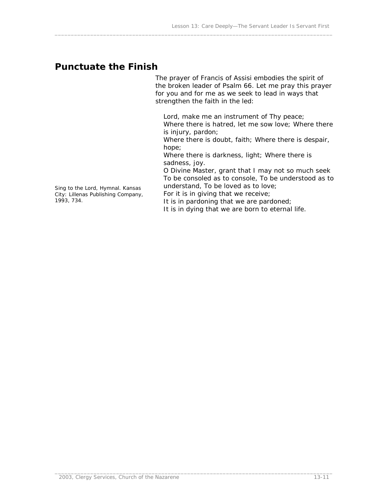#### **Punctuate the Finish**

The prayer of Francis of Assisi embodies the *spirit* of the broken leader of Psalm 66. Let me pray this prayer for you and for me as we seek to lead in ways that strengthen the faith in the led:

*Lord, make me an instrument of Thy peace; Where there is hatred, let me sow love; Where there is injury, pardon; Where there is doubt, faith; Where there is despair, hope; Where there is darkness, light; Where there is sadness, joy. O Divine Master, grant that I may not so much seek To be consoled as to console, To be understood as to understand, To be loved as to love; For it is in giving that we receive; It is in pardoning that we are pardoned; It is in dying that we are born to eternal life.*

Sing to the Lord, Hymnal. *Kansas City: Lillenas Publishing Company, 1993, 734.*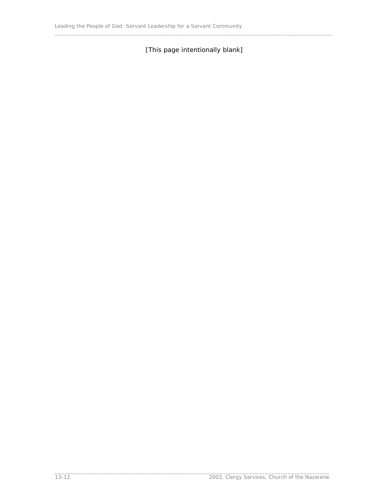[This page intentionally blank]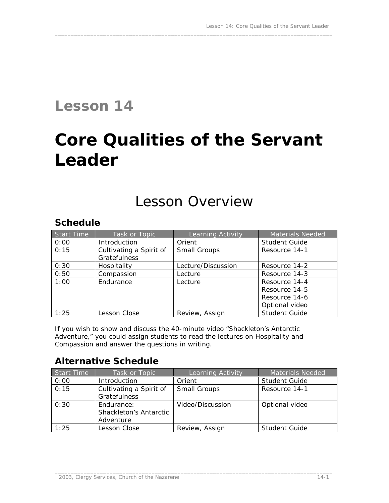# *Lesson 14*

# **Core Qualities of the Servant Leader**

 $\_$  ,  $\_$  ,  $\_$  ,  $\_$  ,  $\_$  ,  $\_$  ,  $\_$  ,  $\_$  ,  $\_$  ,  $\_$  ,  $\_$  ,  $\_$  ,  $\_$  ,  $\_$  ,  $\_$  ,  $\_$  ,  $\_$  ,  $\_$  ,  $\_$  ,  $\_$  ,  $\_$  ,  $\_$  ,  $\_$  ,  $\_$  ,  $\_$  ,  $\_$  ,  $\_$  ,  $\_$  ,  $\_$  ,  $\_$  ,  $\_$  ,  $\_$  ,  $\_$  ,  $\_$  ,  $\_$  ,  $\_$  ,  $\_$  ,

# *Lesson Overview*

#### **Schedule**

| <b>Start Time</b> | Task or Topic                           | Learning Activity  | <b>Materials Needed</b>                         |
|-------------------|-----------------------------------------|--------------------|-------------------------------------------------|
| 0:00              | Introduction                            | Orient             | Student Guide                                   |
| 0:15              | Cultivating a Spirit of<br>Gratefulness | Small Groups       | Resource 14-1                                   |
| 0:30              | Hospitality                             | Lecture/Discussion | Resource 14-2                                   |
| 0:50              | Compassion                              | Lecture            | Resource 14-3                                   |
| 1:00              | Endurance                               | Lecture            | Resource 14-4<br>Resource 14-5<br>Resource 14-6 |
|                   |                                         |                    | Optional video                                  |
| 1:25              | Lesson Close                            | Review, Assign     | Student Guide                                   |

If you wish to show and discuss the 40-minute video "Shackleton's Antarctic Adventure," you could assign students to read the lectures on Hospitality and Compassion and answer the questions in writing.

# **Alternative Schedule**

| <b>Start Time</b> | Task or Topic           | Learning Activity | <b>Materials Needed</b> |
|-------------------|-------------------------|-------------------|-------------------------|
| 0:00              | Introduction            | Orient            | Student Guide           |
| 0:15              | Cultivating a Spirit of | Small Groups      | Resource 14-1           |
|                   | Gratefulness            |                   |                         |
| 0:30              | Fndurance:              | Video/Discussion  | Optional video          |
|                   | Shackleton's Antarctic  |                   |                         |
|                   | Adventure               |                   |                         |
| 1:25              | Lesson Close            | Review, Assign    | Student Guide           |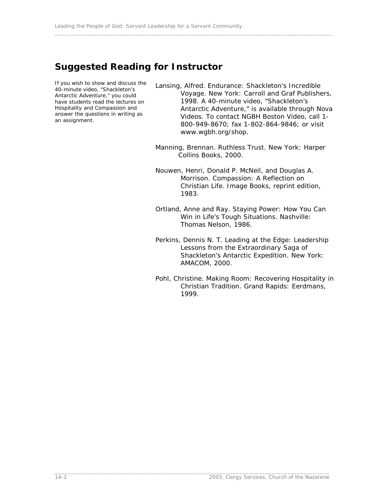# **Suggested Reading for Instructor**

*If you wish to show and discuss the 40-minute video, "Shackleton's Antarctic Adventure," you could have students read the lectures on Hospitality and Compassion and answer the questions in writing as an assignment.*

Lansing, Alfred. *Endurance: Shackleton's Incredible Voyage.* New York: Carroll and Graf Publishers, 1998. A 40-minute video, "Shackleton's Antarctic Adventure," is available through Nova Videos. To contact NGBH Boston Video, call 1- 800-949-8670; fax 1-802-864-9846; or visit *www.wgbh.org/shop*.

Manning, Brennan. *Ruthless Trust.* New York: Harper Collins Books, 2000.

Nouwen, Henri, Donald P. McNeil, and Douglas A. Morrison. *Compassion: A Reflection on Christian Life.* Image Books, reprint edition, 1983.

Ortland, Anne and Ray. *Staying Power: How You Can Win in Life's Tough Situations.* Nashville: Thomas Nelson, 1986*.*

Perkins, Dennis N. T. *Leading at the Edge: Leadership Lessons from the Extraordinary Saga of Shackleton's Antarctic Expedition.* New York: AMACOM, 2000.

Pohl, Christine. *Making Room: Recovering Hospitality in Christian Tradition.* Grand Rapids: Eerdmans, 1999.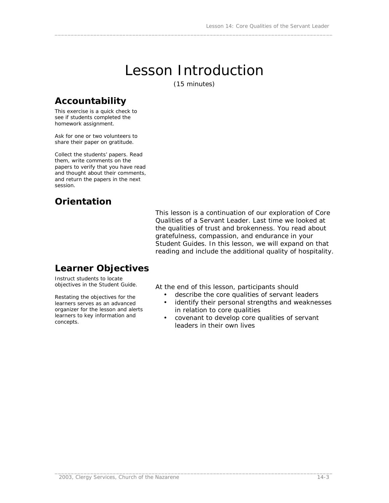# *Lesson Introduction*

 $\_$  ,  $\_$  ,  $\_$  ,  $\_$  ,  $\_$  ,  $\_$  ,  $\_$  ,  $\_$  ,  $\_$  ,  $\_$  ,  $\_$  ,  $\_$  ,  $\_$  ,  $\_$  ,  $\_$  ,  $\_$  ,  $\_$  ,  $\_$  ,  $\_$  ,  $\_$  ,  $\_$  ,  $\_$  ,  $\_$  ,  $\_$  ,  $\_$  ,  $\_$  ,  $\_$  ,  $\_$  ,  $\_$  ,  $\_$  ,  $\_$  ,  $\_$  ,  $\_$  ,  $\_$  ,  $\_$  ,  $\_$  ,  $\_$  ,

(15 minutes)

# **Accountability**

*This exercise is a quick check to see if students completed the homework assignment.*

*Ask for one or two volunteers to share their paper on gratitude.*

*Collect the students' papers. Read them, write comments on the papers to verify that you have read and thought about their comments, and return the papers in the next session.*

# **Orientation**

This lesson is a continuation of our exploration of Core Qualities of a Servant Leader. Last time we looked at the qualities of trust and brokenness. You read about gratefulness, compassion, and endurance in your Student Guides. In this lesson, we will expand on that reading and include the additional quality of hospitality.

# **Learner Objectives**

*Instruct students to locate objectives in the Student Guide.*

*Restating the objectives for the learners serves as an advanced organizer for the lesson and alerts learners to key information and concepts.*

At the end of this lesson, participants should

- describe the core qualities of servant leaders
- identify their personal strengths and weaknesses in relation to core qualities
- covenant to develop core qualities of servant leaders in their own lives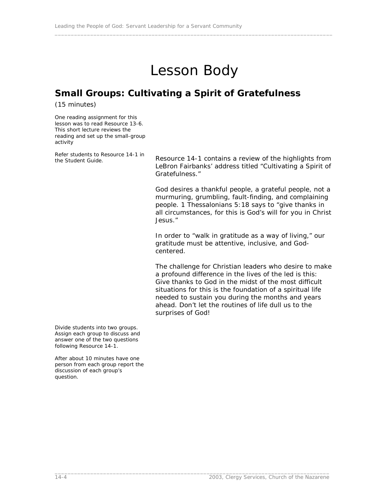# *Lesson Body*

 $\_$  ,  $\_$  ,  $\_$  ,  $\_$  ,  $\_$  ,  $\_$  ,  $\_$  ,  $\_$  ,  $\_$  ,  $\_$  ,  $\_$  ,  $\_$  ,  $\_$  ,  $\_$  ,  $\_$  ,  $\_$  ,  $\_$  ,  $\_$  ,  $\_$  ,  $\_$  ,  $\_$  ,  $\_$  ,  $\_$  ,  $\_$  ,  $\_$  ,  $\_$  ,  $\_$  ,  $\_$  ,  $\_$  ,  $\_$  ,  $\_$  ,  $\_$  ,  $\_$  ,  $\_$  ,  $\_$  ,  $\_$  ,  $\_$  ,

# **Small Groups: Cultivating a Spirit of Gratefulness**

(15 minutes)

*One reading assignment for this lesson was to read Resource 13-6. This short lecture reviews the reading and set up the small-group activity*

*Refer students to Resource 14-1 in*

*the Student Guide.* Resource 14-1 contains a review of the highlights from LeBron Fairbanks' address titled "Cultivating a Spirit of Gratefulness."

> God desires a thankful people, a grateful people, not a murmuring, grumbling, fault-finding, and complaining people. 1 Thessalonians 5:18 says to "give thanks in all circumstances, for this is God's will for you in Christ Jesus."

In order to "walk in gratitude as a way of living," our gratitude must be attentive, inclusive, and Godcentered.

The challenge for Christian leaders who desire to make a profound difference in the lives of the led is this: Give thanks to God in the midst of the most difficult situations for this is the foundation of a spiritual life needed to sustain you during the months and years ahead. Don't let the routines of life dull us to the surprises of God!

*Divide students into two groups. Assign each group to discuss and answer one of the two questions following Resource 14-1.*

*After about 10 minutes have one person from each group report the discussion of each group's question.*

 $\_$  ,  $\_$  ,  $\_$  ,  $\_$  ,  $\_$  ,  $\_$  ,  $\_$  ,  $\_$  ,  $\_$  ,  $\_$  ,  $\_$  ,  $\_$  ,  $\_$  ,  $\_$  ,  $\_$  ,  $\_$  ,  $\_$  ,  $\_$  ,  $\_$  ,  $\_$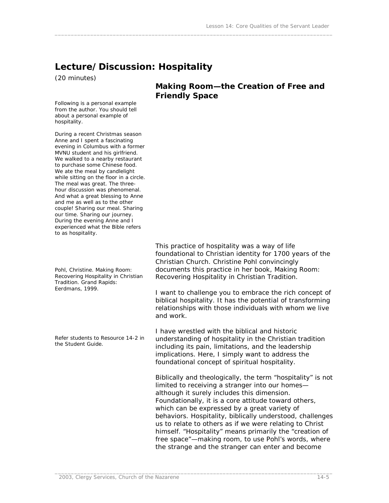# **Lecture/Discussion: Hospitality**

(20 minutes)

*Following is a personal example from the author. You should tell about a personal example of hospitality.*

*During a recent Christmas season Anne and I spent a fascinating evening in Columbus with a former MVNU student and his girlfriend. We walked to a nearby restaurant to purchase some Chinese food. We ate the meal by candlelight while sitting on the floor in a circle. The meal was great. The threehour discussion was phenomenal. And what a great blessing to Anne and me as well as to the other couple! Sharing our meal. Sharing our time. Sharing our journey. During the evening Anne and I experienced what the Bible refers to as hospitality.*

*Pohl, Christine.* Making Room: Recovering Hospitality in Christian Tradition. *Grand Rapids: Eerdmans, 1999.*

*Refer students to Resource 14-2 in the Student Guide.*

**Making Room—the Creation of Free and Friendly Space**

 $\_$  ,  $\_$  ,  $\_$  ,  $\_$  ,  $\_$  ,  $\_$  ,  $\_$  ,  $\_$  ,  $\_$  ,  $\_$  ,  $\_$  ,  $\_$  ,  $\_$  ,  $\_$  ,  $\_$  ,  $\_$  ,  $\_$  ,  $\_$  ,  $\_$  ,  $\_$  ,  $\_$  ,  $\_$  ,  $\_$  ,  $\_$  ,  $\_$  ,  $\_$  ,  $\_$  ,  $\_$  ,  $\_$  ,  $\_$  ,  $\_$  ,  $\_$  ,  $\_$  ,  $\_$  ,  $\_$  ,  $\_$  ,  $\_$  ,

This practice of hospitality was a way of life foundational to Christian identity for 1700 years of the Christian Church. Christine Pohl convincingly documents this practice in her book, *Making Room: Recovering Hospitality in Christian Tradition.*

I want to challenge you to embrace the rich concept of biblical hospitality. It has the potential of transforming relationships with those individuals with whom we live and work.

I have wrestled with the biblical and historic understanding of hospitality in the Christian tradition including its pain, limitations, and the leadership implications. Here, I simply want to address the foundational concept of spiritual hospitality.

Biblically and theologically, the term "hospitality" is not limited to receiving a stranger into our homes although it surely includes this dimension. Foundationally, it is a core *attitude* toward others, which can be expressed by a great variety of behaviors. Hospitality, biblically understood, challenges us to relate to others *as if* we were relating to Christ himself. "Hospitality" means primarily the "creation of free space"—making room, to use Pohl's words, where the strange and the stranger can enter and become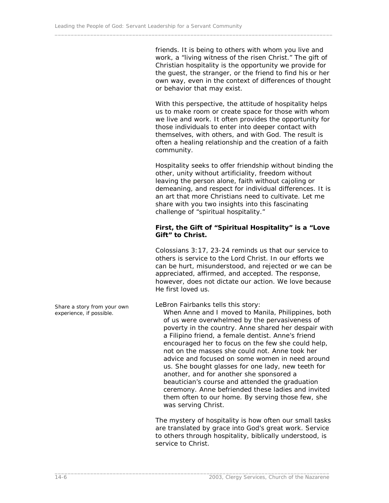friends. It is being to others with whom you live and work, a "living witness of the risen Christ." The gift of Christian hospitality is the opportunity we provide for the guest, the stranger, or the friend to find his or her own way, even in the context of differences of thought or behavior that may exist.

With this perspective, the attitude of hospitality helps us to make room or create space for those with whom we live and work. It often provides the opportunity for those individuals to enter into deeper contact with themselves, with others, and with God. The result is often a healing relationship and the creation of a faith *community*.

Hospitality seeks to offer friendship without binding the other, unity without artificiality, freedom without leaving the person alone, faith without cajoling or demeaning, and respect for individual differences. It is an art that more Christians need to cultivate. Let me share with you two insights into this fascinating challenge of "spiritual hospitality."

#### **First, the Gift of "Spiritual Hospitality" is a "Love Gift"** *to* **Christ.**

Colossians 3:17, 23-24 reminds us that our service to others is service to the Lord Christ. In our efforts we can be hurt, misunderstood, and rejected or we can be appreciated, affirmed, and accepted. The response, however, does not dictate our action. We love because He first loved us.

LeBron Fairbanks tells this story:

When Anne and I moved to Manila, Philippines, both of us were overwhelmed by the pervasiveness of poverty in the country. Anne shared her despair with a Filipino friend, a female dentist. Anne's friend encouraged her to focus on the few she could help, not on the masses she could not. Anne took her advice and focused on some women in need around us. She bought glasses for one lady, new teeth for another, and for another she sponsored a beautician's course and attended the graduation ceremony. Anne befriended these ladies and invited them often to our home. By serving those few, she was serving Christ.

The mystery of hospitality is how often our small tasks are translated by grace into God's great work. Service to others through hospitality, biblically understood, is service to Christ.

*Share a story from your own experience, if possible.*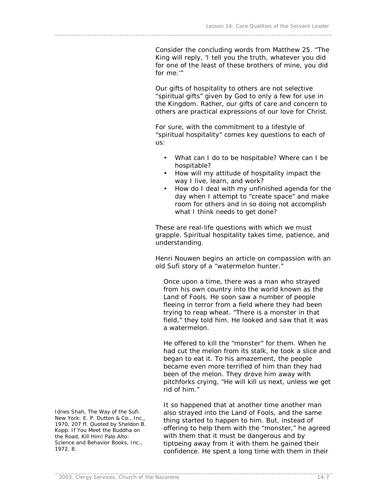Consider the concluding words from Matthew 25. "The King will reply, 'I tell you the truth, whatever you did for one of the least of these brothers of mine, you did for me.'"

 $\_$  ,  $\_$  ,  $\_$  ,  $\_$  ,  $\_$  ,  $\_$  ,  $\_$  ,  $\_$  ,  $\_$  ,  $\_$  ,  $\_$  ,  $\_$  ,  $\_$  ,  $\_$  ,  $\_$  ,  $\_$  ,  $\_$  ,  $\_$  ,  $\_$  ,  $\_$  ,  $\_$  ,  $\_$  ,  $\_$  ,  $\_$  ,  $\_$  ,  $\_$  ,  $\_$  ,  $\_$  ,  $\_$  ,  $\_$  ,  $\_$  ,  $\_$  ,  $\_$  ,  $\_$  ,  $\_$  ,  $\_$  ,  $\_$  ,

Our gifts of hospitality to others are not selective "spiritual gifts" given by God to only a few for use in the Kingdom. Rather, our gifts of care and concern to others are practical expressions of our love for Christ.

For sure, with the commitment to a lifestyle of "spiritual hospitality" comes key questions to each of us:

- What can I do to be hospitable? Where can I be hospitable?
- How will my attitude of hospitality impact the way I live, learn, and work?
- How do I deal with my unfinished agenda for the day when I attempt to "create space" and make room for others and in so doing not accomplish what I think needs to get done?

These are real-life questions with which we must grapple. Spiritual hospitality takes time, patience, and understanding.

Henri Nouwen begins an article on compassion with an old Sufi story of a "watermelon hunter."

Once upon a time, there was a man who strayed from his own country into the world known as the Land of Fools. He soon saw a number of people fleeing in terror from a field where they had been trying to reap wheat. "There is a monster in that field," they told him. He looked and saw that it was a watermelon.

He offered to kill the "monster" for them. When he had cut the melon from its stalk, he took a slice and began to eat it. To his amazement, the people became even more terrified of him than they had been of the melon. They drove him away with pitchforks crying, "He will kill us next, unless we get rid of him."

It so happened that at another time another man also strayed into the Land of Fools, and the same thing started to happen to him. But, instead of offering to help them with the "monster," he agreed with them that it must be dangerous and by tiptoeing away from it with them he gained their confidence. He spent a long time with them in their

*Idries Shah,* The Way of the Sufi. *New York: E. P. Dutton & Co., Inc., 1970, 207 ff. Quoted by Sheldon B. Kopp.* If You Meet the Buddha on the Road, Kill Him! *Palo Alto: Science and Behavior Books, Inc., 1972, 8.*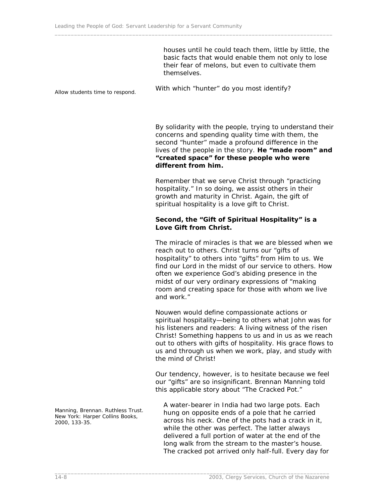houses until he could teach them, little by little, the basic facts that would enable them not only to lose their fear of melons, but even to cultivate them themselves.

*Allow students time to respond.*

*With which "hunter" do you most identify?*

 $\_$  ,  $\_$  ,  $\_$  ,  $\_$  ,  $\_$  ,  $\_$  ,  $\_$  ,  $\_$  ,  $\_$  ,  $\_$  ,  $\_$  ,  $\_$  ,  $\_$  ,  $\_$  ,  $\_$  ,  $\_$  ,  $\_$  ,  $\_$  ,  $\_$  ,  $\_$  ,  $\_$  ,  $\_$  ,  $\_$  ,  $\_$  ,  $\_$  ,  $\_$  ,  $\_$  ,  $\_$  ,  $\_$  ,  $\_$  ,  $\_$  ,  $\_$  ,  $\_$  ,  $\_$  ,  $\_$  ,  $\_$  ,  $\_$  ,

By solidarity with the people, trying to understand their concerns and spending quality time with them, the second "hunter" made a profound difference in the lives of the people in the story. *He "made room" and "created space" for these people who were different from him.*

Remember that we serve Christ through "practicing hospitality." In so doing, we assist others in *their* growth and maturity in Christ. Again, the gift of spiritual hospitality is a love gift *to* Christ.

#### **Second, the "Gift of Spiritual Hospitality" is a Love Gift** *from* **Christ.**

The miracle of miracles is that *we* are blessed when we reach out to others. Christ turns our "gifts of hospitality" to others into "gifts" from Him to us. We find our Lord in the midst of our service to others. How often we experience God's abiding presence in the midst of our very ordinary expressions of "making room and creating space for those with whom we live and work."

Nouwen would define compassionate actions or spiritual hospitality—being to others what John was for his listeners and readers: A living *witness* of the risen Christ! Something happens *to us* and *in us* as we reach out to others with gifts of hospitality. His grace flows to us and through us when we work, play, and study with the mind of Christ!

Our tendency, however, is to hesitate because we feel our "gifts" are so insignificant. Brennan Manning told this applicable story about "The Cracked Pot."

A water-bearer in India had two large pots. Each hung on opposite ends of a pole that he carried across his neck. One of the pots had a crack in it, while the other was perfect. The latter always delivered a full portion of water at the end of the long walk from the stream to the master's house. The cracked pot arrived only half-full. Every day for

 $\_$  ,  $\_$  ,  $\_$  ,  $\_$  ,  $\_$  ,  $\_$  ,  $\_$  ,  $\_$  ,  $\_$  ,  $\_$  ,  $\_$  ,  $\_$  ,  $\_$  ,  $\_$  ,  $\_$  ,  $\_$  ,  $\_$  ,  $\_$  ,  $\_$  ,  $\_$ 

*Manning, Brennan.* Ruthless Trust. *New York: Harper Collins Books, 2000, 133-35.*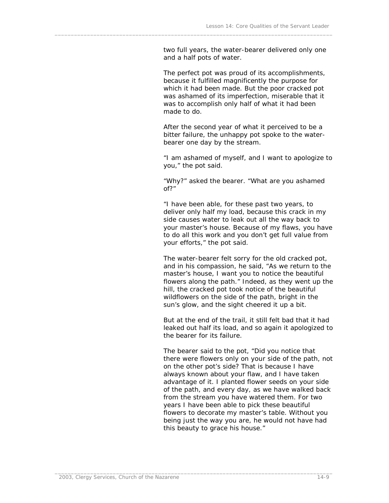two full years, the water-bearer delivered only one and a half pots of water.

 $\_$  ,  $\_$  ,  $\_$  ,  $\_$  ,  $\_$  ,  $\_$  ,  $\_$  ,  $\_$  ,  $\_$  ,  $\_$  ,  $\_$  ,  $\_$  ,  $\_$  ,  $\_$  ,  $\_$  ,  $\_$  ,  $\_$  ,  $\_$  ,  $\_$  ,  $\_$  ,  $\_$  ,  $\_$  ,  $\_$  ,  $\_$  ,  $\_$  ,  $\_$  ,  $\_$  ,  $\_$  ,  $\_$  ,  $\_$  ,  $\_$  ,  $\_$  ,  $\_$  ,  $\_$  ,  $\_$  ,  $\_$  ,  $\_$  ,

The perfect pot was proud of its accomplishments, because it fulfilled magnificently the purpose for which it had been made. But the poor cracked pot was ashamed of its imperfection, miserable that it was to accomplish only half of what it had been made to do.

After the second year of what it perceived to be a bitter failure, the unhappy pot spoke to the waterbearer one day by the stream.

"I am ashamed of myself, and I want to apologize to you," the pot said.

"Why?" asked the bearer. "What are you ashamed of?"

"I have been able, for these past two years, to deliver only half my load, because this crack in my side causes water to leak out all the way back to your master's house. Because of my flaws, you have to do all this work and you don't get full value from your efforts," the pot said.

The water-bearer felt sorry for the old cracked pot, and in his compassion, he said, "As we return to the master's house, I want you to notice the beautiful flowers along the path." Indeed, as they went up the hill, the cracked pot took notice of the beautiful wildflowers on the side of the path, bright in the sun's glow, and the sight cheered it up a bit.

But at the end of the trail, it still felt bad that it had leaked out half its load, and so again it apologized to the bearer for its failure.

The bearer said to the pot, "Did you notice that there were flowers only on your side of the path, not on the other pot's side? That is because I have always known about your flaw, and I have taken advantage of it. I planted flower seeds on your side of the path, and every day, as we have walked back from the stream you have watered them. For two years I have been able to pick these beautiful flowers to decorate my master's table. Without you being just the way you are, he would not have had this beauty to grace his house."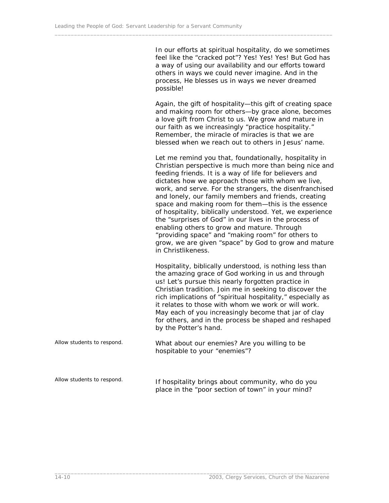In our efforts at spiritual hospitality, do we sometimes feel like the "cracked pot"? Yes! Yes! Yes! But God has a way of using our availability and our efforts toward others in ways we could never imagine. And in the process, He blesses us in ways we never dreamed possible!

Again, the gift of hospitality—this gift of creating space and making room for others—by grace alone, becomes a love gift *from* Christ to *us*. *We* grow and mature in our faith as we increasingly "practice hospitality." Remember, the miracle of miracles is that *we* are blessed when we reach out to others in Jesus' name.

Let me remind you that, foundationally, hospitality in Christian perspective is much more than being nice and feeding friends. It is a *way* of *life* for believers and dictates how we approach those with whom we live, work, and serve. For the strangers, the disenfranchised and lonely, our family members and friends, creating space and making room for them—this is the essence of hospitality, biblically understood. Yet, *we* experience the "surprises of God" in *our* lives in the process of enabling *others* to grow and mature. Through "providing space" and "making room" for others to grow, *we* are given "space" by God to grow and mature in Christlikeness.

Hospitality, biblically understood, is nothing less than the amazing grace of God working *in* us and *through* us! Let's pursue this nearly forgotten practice in Christian tradition. Join me in seeking to discover the rich implications of "spiritual hospitality," especially as it relates to those with whom we work or will work. May each of you increasingly become that jar of clay for others, and in the process be shaped and reshaped by the Potter's hand.

*Allow students to respond. What about our enemies? Are you willing to be hospitable to your "enemies"?*

*Allow students to respond. If hospitality brings about community, who do you place in the "poor section of town" in your mind?*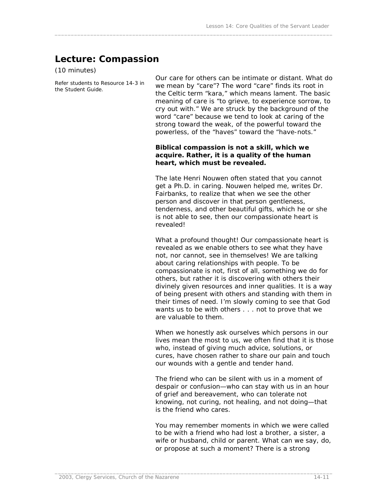### **Lecture: Compassion**

(10 minutes)

*Refer students to Resource 14-3 in the Student Guide.*

Our care for others can be intimate or distant. What do we mean by "care"? The word "care" finds its root in the Celtic term "*kara,*" which means lament. The basic meaning of care is "to grieve, to experience sorrow, to cry out with." We are struck by the background of the word "care" because we tend to look at caring of the strong toward the weak, of the powerful toward the powerless, of the "haves" toward the "have-nots."

#### **Biblical compassion is not a skill, which we acquire. Rather, it is a quality of the human heart, which must be revealed.**

 $\_$  ,  $\_$  ,  $\_$  ,  $\_$  ,  $\_$  ,  $\_$  ,  $\_$  ,  $\_$  ,  $\_$  ,  $\_$  ,  $\_$  ,  $\_$  ,  $\_$  ,  $\_$  ,  $\_$  ,  $\_$  ,  $\_$  ,  $\_$  ,  $\_$  ,  $\_$  ,  $\_$  ,  $\_$  ,  $\_$  ,  $\_$  ,  $\_$  ,  $\_$  ,  $\_$  ,  $\_$  ,  $\_$  ,  $\_$  ,  $\_$  ,  $\_$  ,  $\_$  ,  $\_$  ,  $\_$  ,  $\_$  ,  $\_$  ,

The late Henri Nouwen often stated that you cannot get a Ph.D. in caring. Nouwen helped me, writes Dr. Fairbanks, to realize that when we see the other person and discover in that person gentleness, tenderness, and other beautiful gifts, which he or she is not able to see, then our compassionate heart is revealed!

What a profound thought! Our compassionate heart is revealed as we enable others to see what they have not, nor cannot, see in themselves! We are talking about caring relationships with people. To be compassionate is not, first of all, something we do for others, but rather it is discovering with others their divinely given resources and inner qualities. It is a way of being present with others and standing with them in their times of need. I'm slowly coming to see that God wants us to be with others . . . not to prove that we are valuable to them.

When we honestly ask ourselves which persons in our lives mean the most to us, we often find that it is those who, instead of giving much advice, solutions, or cures, have chosen rather to share our pain and touch our wounds with a gentle and tender hand.

The friend who can be silent with us in a moment of despair or confusion—who can stay with us in an hour of grief and bereavement, who can tolerate not knowing, not curing, not healing, and not doing—that is the friend who cares.

You may remember moments in which we were called to be with a friend who had lost a brother, a sister, a wife or husband, child or parent. What can we say, do, or propose at such a moment? There is a strong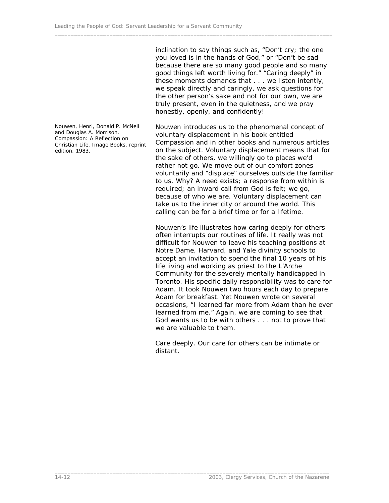inclination to say things such as, "Don't cry; the one you loved is in the hands of God," or "Don't be sad because there are so many good people and so many good things left worth living for." "Caring deeply" in these moments demands that . . . we listen intently, we speak directly and caringly, we ask questions for the other person's sake and not for our own, we are truly present, even in the quietness, and we pray honestly, openly, and confidently!

Nouwen introduces us to the phenomenal concept of voluntary displacement in his book entitled *Compassion* and in other books and numerous articles on the subject. Voluntary displacement means that for the sake of others, we willingly go to places we'd rather not go. We move out of our comfort zones voluntarily and "displace" ourselves outside the familiar to us. Why? A need exists; a response from within is required; an inward call from God is felt; we go, because of who we are. Voluntary displacement can take us to the inner city or around the world. This calling can be for a brief time or for a lifetime.

Nouwen's life illustrates how caring deeply for others often interrupts our routines of life. It really was not difficult for Nouwen to leave his teaching positions at Notre Dame, Harvard, and Yale divinity schools to accept an invitation to spend the final 10 years of his life living and working as priest to the L'Arche Community for the severely mentally handicapped in Toronto. His specific daily responsibility was to care for Adam. It took Nouwen two hours each day to prepare Adam for breakfast. Yet Nouwen wrote on several occasions, "I learned far more from Adam than he ever learned from me." Again, we are coming to see that God wants us to be with others . . . not to prove that we are valuable to them.

Care deeply. Our care for others can be intimate or distant.

*Nouwen, Henri, Donald P. McNeil and Douglas A. Morrison.* Compassion: A Reflection on Christian Life. *Image Books, reprint edition, 1983.*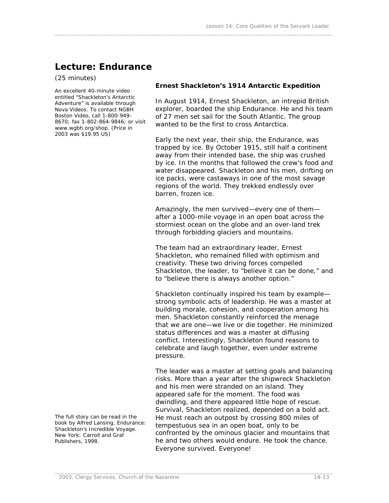### **Lecture: Endurance**

(25 minutes)

*An excellent 40-minute video entitled "Shackleton's Antarctic Adventure" is available through Nova Videos. To contact NGBH Boston Video, call 1-800-949- 8670; fax 1-802-864-9846; or visit* www.wgbh.org/shop. (Price in 2003 was \$19.95 US)

#### **Ernest Shackleton's 1914 Antarctic Expedition**

 $\_$  ,  $\_$  ,  $\_$  ,  $\_$  ,  $\_$  ,  $\_$  ,  $\_$  ,  $\_$  ,  $\_$  ,  $\_$  ,  $\_$  ,  $\_$  ,  $\_$  ,  $\_$  ,  $\_$  ,  $\_$  ,  $\_$  ,  $\_$  ,  $\_$  ,  $\_$  ,  $\_$  ,  $\_$  ,  $\_$  ,  $\_$  ,  $\_$  ,  $\_$  ,  $\_$  ,  $\_$  ,  $\_$  ,  $\_$  ,  $\_$  ,  $\_$  ,  $\_$  ,  $\_$  ,  $\_$  ,  $\_$  ,  $\_$  ,

In August 1914, Ernest Shackleton, an intrepid British explorer, boarded the ship *Endurance.* He and his team of 27 men set sail for the South Atlantic. The group wanted to be the first to cross Antarctica.

Early the next year, their ship, the *Endurance,* was trapped by ice. By October 1915, still half a continent away from their intended base, the ship was crushed by ice. In the months that followed the crew's food and water disappeared. Shackleton and his men, drifting on ice packs, were castaways in one of the most savage regions of the world. They trekked endlessly over barren, frozen ice.

Amazingly, the men survived—every one of them after a 1000-mile voyage in an open boat across the stormiest ocean on the globe and an over-land trek through forbidding glaciers and mountains.

The team had an extraordinary leader, Ernest Shackleton, who remained filled with optimism and creativity. These two driving forces compelled Shackleton, the leader, to "believe it can be done," and to "believe there is always another option."

Shackleton continually inspired his team by example strong symbolic acts of leadership. He was a master at building morale, cohesion, and cooperation among his men. Shackleton constantly reinforced the menage that we are one—we live or die together. He minimized status differences and was a master at diffusing conflict. Interestingly, Shackleton found reasons to celebrate and laugh together, even under extreme pressure.

The leader was a master at setting goals and balancing risks. More than a year after the shipwreck Shackleton and his men were stranded on an island. They appeared safe for the moment. The food was dwindling, and there appeared little hope of rescue. Survival, Shackleton realized, depended on a bold act. He must reach an outpost by crossing 800 miles of tempestuous sea in an open boat, only to be confronted by the ominous glacier and mountains that he and two others would endure. He took the chance. Everyone survived. Everyone!

 $\_$  ,  $\_$  ,  $\_$  ,  $\_$  ,  $\_$  ,  $\_$  ,  $\_$  ,  $\_$  ,  $\_$  ,  $\_$  ,  $\_$  ,  $\_$  ,  $\_$  ,  $\_$  ,  $\_$  ,  $\_$  ,  $\_$  ,  $\_$  ,  $\_$  ,  $\_$  ,  $\_$  ,  $\_$  ,  $\_$  ,  $\_$  ,  $\_$  ,  $\_$  ,  $\_$  ,  $\_$  ,  $\_$  ,  $\_$  ,  $\_$  ,  $\_$  ,  $\_$  ,  $\_$  ,  $\_$  ,  $\_$  ,  $\_$  ,

*The full story can be read in the book by Alfred Lansing,* Endurance: Shackleton's Incredible Voyage. *New York: Carroll and Graf Publishers, 1998.*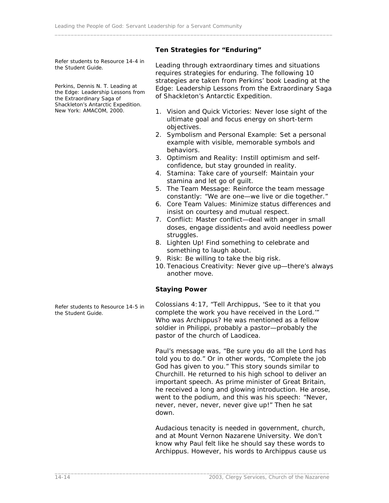#### **Ten Strategies for "Enduring"**

 $\_$  ,  $\_$  ,  $\_$  ,  $\_$  ,  $\_$  ,  $\_$  ,  $\_$  ,  $\_$  ,  $\_$  ,  $\_$  ,  $\_$  ,  $\_$  ,  $\_$  ,  $\_$  ,  $\_$  ,  $\_$  ,  $\_$  ,  $\_$  ,  $\_$  ,  $\_$  ,  $\_$  ,  $\_$  ,  $\_$  ,  $\_$  ,  $\_$  ,  $\_$  ,  $\_$  ,  $\_$  ,  $\_$  ,  $\_$  ,  $\_$  ,  $\_$  ,  $\_$  ,  $\_$  ,  $\_$  ,  $\_$  ,  $\_$  ,

*Refer students to Resource 14-4 in the Student Guide.*

*Perkins, Dennis N. T.* Leading at the Edge: Leadership Lessons from the Extraordinary Saga of Shackleton's Antarctic Expedition. *New York: AMACOM, 2000.*

Leading through extraordinary times and situations requires strategies for enduring. The following 10 strategies are taken from Perkins' book *Leading at the Edge: Leadership Lessons from the Extraordinary Saga of Shackleton's Antarctic Expedition*.

- 1. Vision and Quick Victories: Never lose sight of the ultimate goal and focus energy on short-term objectives.
- 2. Symbolism and Personal Example: Set a personal example with visible, memorable symbols and behaviors.
- 3. Optimism and Reality: Instill optimism and selfconfidence, but stay grounded in reality.
- 4. Stamina: Take care of yourself: Maintain your stamina and let go of guilt.
- 5. The Team Message: Reinforce the team message constantly: "We are one—we live or die together."
- 6. Core Team Values: Minimize status differences and insist on courtesy and mutual respect.
- 7. Conflict: Master conflict—deal with anger in small doses, engage dissidents and avoid needless power struggles.
- 8. Lighten Up! Find something to celebrate and something to laugh about.
- 9. Risk: Be willing to take the big risk.
- 10. Tenacious Creativity: Never give up—there's always another move.

#### **Staying Power**

Colossians 4:17, "Tell Archippus, 'See to it that you complete the work you have received in the Lord.'" Who was Archippus? He was mentioned as a fellow soldier in Philippi, probably a pastor—probably the pastor of the church of Laodicea.

> Paul's message was, "Be sure you do all the Lord has told you to do." Or in other words, "Complete the job God has given to you." This story sounds similar to Churchill. He returned to his high school to deliver an important speech. As prime minister of Great Britain, he received a long and glowing introduction. He arose, went to the podium, and this was his speech: "Never, never, never, never, never give up!" Then he sat down.

Audacious tenacity is needed in government, church, and at Mount Vernon Nazarene University. We don't know why Paul felt like he should say these words to Archippus. However, his words to Archippus cause us

*Refer students to Resource 14-5 in the Student Guide.*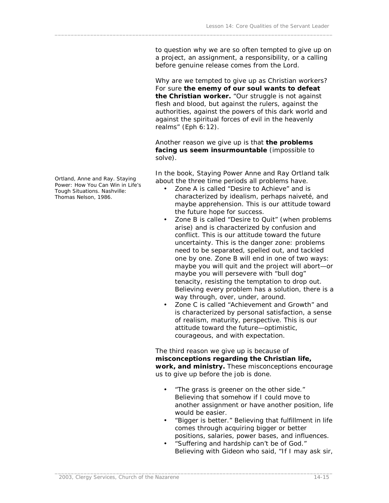to question why we are so often tempted to give up on a project, an assignment, a responsibility, or a calling before genuine release comes from the Lord.

 $\_$  ,  $\_$  ,  $\_$  ,  $\_$  ,  $\_$  ,  $\_$  ,  $\_$  ,  $\_$  ,  $\_$  ,  $\_$  ,  $\_$  ,  $\_$  ,  $\_$  ,  $\_$  ,  $\_$  ,  $\_$  ,  $\_$  ,  $\_$  ,  $\_$  ,  $\_$  ,  $\_$  ,  $\_$  ,  $\_$  ,  $\_$  ,  $\_$  ,  $\_$  ,  $\_$  ,  $\_$  ,  $\_$  ,  $\_$  ,  $\_$  ,  $\_$  ,  $\_$  ,  $\_$  ,  $\_$  ,  $\_$  ,  $\_$  ,

Why are we tempted to give up as Christian workers? For sure **the enemy of our soul wants to defeat the Christian worker.** "Our struggle is not against flesh and blood, but against the rulers, against the authorities, against the powers of this dark world and against the spiritual forces of evil in the heavenly realms" (Eph 6:12).

Another reason we give up is that **the problems facing us seem insurmountable** (impossible to solve).

In the book, *Staying Power* Anne and Ray Ortland talk about the three time periods all problems have.

- Zone A is called "Desire to Achieve" and is characterized by idealism, perhaps naiveté, and maybe apprehension. This is our attitude toward the future hope for success.
- Zone B is called "Desire to Quit" (when problems arise) and is characterized by confusion and conflict. This is our attitude toward the future uncertainty. This is the danger zone: problems need to be separated, spelled out, and tackled one by one. Zone B will end in one of two ways: maybe you will quit and the project will abort—or maybe you will persevere with "bull dog" tenacity, resisting the temptation to drop out. Believing every problem has a solution, there is a way through, over, under, around.
- Zone C is called "Achievement and Growth" and is characterized by personal satisfaction, a sense of realism, maturity, perspective. This is our attitude toward the future—optimistic, courageous, and with expectation.

The third reason we give up is because of **misconceptions regarding the Christian life, work, and ministry.** These misconceptions encourage us to give up before the job is done.

- "The grass is greener on the other side." Believing that somehow if I could move to another assignment or have another position, life would be easier.
- "Bigger is better." Believing that fulfillment in life comes through acquiring bigger or better positions, salaries, power bases, and influences.
- "Suffering and hardship can't be of God." Believing with Gideon who said, "If I may ask sir,

*Ortland, Anne and Ray.* Staying Power: How You Can Win in Life's Tough Situations. *Nashville: Thomas Nelson, 1986.*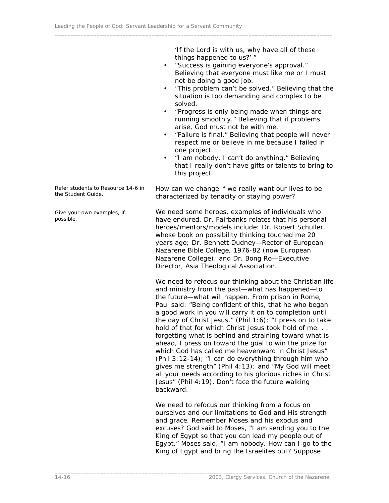'If the Lord is with us, why have all of these things happened to us?' "

- "Success is gaining everyone's approval." Believing that everyone must like me or I must not be doing a good job.
- "This problem can't be solved." Believing that the situation is too demanding and complex to be solved.
- "Progress is only being made when things are running smoothly." Believing that if problems arise, God must not be with me.
- "Failure is final." Believing that people will never respect me or believe in me because I failed in one project.
- "I am nobody, I can't do anything." Believing that I really don't have gifts or talents to bring to this project.

*Refer students to Resource 14-6 in* How can we change if we really want our lives to be characterized by tenacity or staying power?

 $\_$  ,  $\_$  ,  $\_$  ,  $\_$  ,  $\_$  ,  $\_$  ,  $\_$  ,  $\_$  ,  $\_$  ,  $\_$  ,  $\_$  ,  $\_$  ,  $\_$  ,  $\_$  ,  $\_$  ,  $\_$  ,  $\_$  ,  $\_$  ,  $\_$  ,  $\_$  ,  $\_$  ,  $\_$  ,  $\_$  ,  $\_$  ,  $\_$  ,  $\_$  ,  $\_$  ,  $\_$  ,  $\_$  ,  $\_$  ,  $\_$  ,  $\_$  ,  $\_$  ,  $\_$  ,  $\_$  ,  $\_$  ,  $\_$  ,

We need some heroes, examples of individuals who have endured. Dr. Fairbanks relates that his personal heroes/mentors/models include: Dr. Robert Schuller, whose book on possibility thinking touched me 20 years ago; Dr. Bennett Dudney—Rector of European Nazarene Bible College, 1976-82 (now European Nazarene College); and Dr. Bong Ro—Executive Director, Asia Theological Association.

> We need to refocus our thinking about the Christian life and ministry from the past—what has happened—to the future—what will happen. From prison in Rome, Paul said: "Being confident of this, that he who began a good work in you will carry it on to completion until the day of Christ Jesus." (Phil  $1:6$ ); "I press on to take hold of that for which Christ Jesus took hold of me. . . forgetting what is behind and straining toward what is ahead, I press on toward the goal to win the prize for which God has called me heavenward in Christ Jesus" (Phil 3:12-14); "I can do everything through him who gives me strength" (Phil 4:13); and "My God will meet all your needs according to his glorious riches in Christ Jesus" (Phil 4:19). Don't face the future walking backward.

We need to refocus our thinking from a focus on ourselves and our limitations to God and His strength and grace. Remember Moses and his exodus and excuses? God said to Moses, "I am sending you to the King of Egypt so that you can lead my people out of Egypt." Moses said, "I am nobody. How can I go to the King of Egypt and bring the Israelites out? Suppose

*the Student Guide.*

*Give your own examples, if possible.*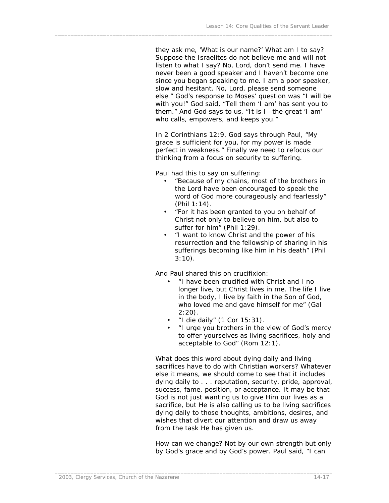they ask me, 'What is our name?' What am I to say? Suppose the Israelites do not believe me and will not listen to what I say? No, Lord, don't send me. I have never been a good speaker and I haven't become one since you began speaking to me. I am a poor speaker, slow and hesitant. No, Lord, please send someone else." God's response to Moses' question was "I will be with you!" God said, "Tell them 'I am' has sent you to them." And God says to us, "It is I—the great 'I am' who calls, empowers, and keeps you."

In 2 Corinthians 12:9, God says through Paul, "My grace is sufficient for you, for my power is made perfect in weakness." Finally we need to refocus our thinking from a focus on security to suffering.

Paul had this to say on suffering:

 $\_$  ,  $\_$  ,  $\_$  ,  $\_$  ,  $\_$  ,  $\_$  ,  $\_$  ,  $\_$  ,  $\_$  ,  $\_$  ,  $\_$  ,  $\_$  ,  $\_$  ,  $\_$  ,  $\_$  ,  $\_$  ,  $\_$  ,  $\_$  ,  $\_$  ,  $\_$  ,  $\_$  ,  $\_$  ,  $\_$  ,  $\_$  ,  $\_$  ,  $\_$  ,  $\_$  ,  $\_$  ,  $\_$  ,  $\_$  ,  $\_$  ,  $\_$  ,  $\_$  ,  $\_$  ,  $\_$  ,  $\_$  ,  $\_$  ,

- "Because of my chains, most of the brothers in the Lord have been encouraged to speak the word of God more courageously and fearlessly" (Phil 1:14).
- "For it has been granted to you on behalf of Christ not only to believe on him, but also to suffer for him" (Phil 1:29).
- "I want to know Christ and the power of his resurrection and the fellowship of sharing in his sufferings becoming like him in his death" (Phil 3:10).

And Paul shared this on crucifixion:

- "I have been crucified with Christ and I no longer live, but Christ lives in me. The life I live in the body, I live by faith in the Son of God, who loved me and gave himself for me" (Gal  $2:20$ ).
- $\bullet$  "I die daily" (1 Cor 15:31).
- "I urge you brothers in the view of God's mercy to offer yourselves as living sacrifices, holy and acceptable to God" (Rom 12:1).

What does this word about dying daily and living sacrifices have to do with Christian workers? Whatever else it means, we should come to see that it includes dying daily to . . . reputation, security, pride, approval, success, fame, position, or acceptance. It may be that God is not just wanting us to give Him our lives as a sacrifice, but He is also calling us to be living sacrifices dying daily to those thoughts, ambitions, desires, and wishes that divert our attention and draw us away from the task He has given us.

How can we change? Not by our own strength but only by God's grace and by God's power. Paul said, "I can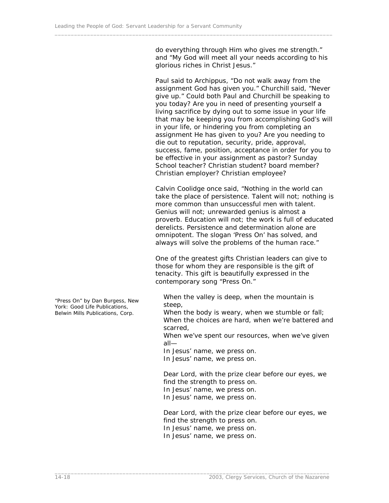$\_$  ,  $\_$  ,  $\_$  ,  $\_$  ,  $\_$  ,  $\_$  ,  $\_$  ,  $\_$  ,  $\_$  ,  $\_$  ,  $\_$  ,  $\_$  ,  $\_$  ,  $\_$  ,  $\_$  ,  $\_$  ,  $\_$  ,  $\_$  ,  $\_$  ,  $\_$  ,  $\_$  ,  $\_$  ,  $\_$  ,  $\_$  ,  $\_$  ,  $\_$  ,  $\_$  ,  $\_$  ,  $\_$  ,  $\_$  ,  $\_$  ,  $\_$  ,  $\_$  ,  $\_$  ,  $\_$  ,  $\_$  ,  $\_$  ,

do everything through Him who gives me strength." and "My God will meet all your needs according to his glorious riches in Christ Jesus."

Paul said to Archippus, "Do not walk away from the assignment God has given you." Churchill said, "Never give up." Could both Paul and Churchill be speaking to you today? Are you in need of presenting yourself a living sacrifice by dying out to some issue in your life that may be keeping you from accomplishing God's will in your life, or hindering you from completing an assignment He has given to you? Are you needing to die out to reputation, security, pride, approval, success, fame, position, acceptance in order for you to be effective in your assignment as pastor? Sunday School teacher? Christian student? board member? Christian employer? Christian employee?

Calvin Coolidge once said, "Nothing in the world can take the place of persistence. Talent will not; nothing is more common than unsuccessful men with talent. Genius will not; unrewarded genius is almost a proverb. Education will not; the work is full of educated derelicts. Persistence and determination alone are omnipotent. The slogan 'Press On' has solved, and always will solve the problems of the human race."

One of the greatest gifts Christian leaders can give to those for whom they are responsible is the gift of tenacity. This gift is beautifully expressed in the contemporary song "Press On."

*When the valley is deep, when the mountain is steep,*

*When the body is weary, when we stumble or fall; When the choices are hard, when we're battered and scarred,*

*When we've spent our resources, when we've given all—*

*In Jesus' name, we press on. In Jesus' name, we press on.*

*Dear Lord, with the prize clear before our eyes, we find the strength to press on. In Jesus' name, we press on. In Jesus' name, we press on.*

*Dear Lord, with the prize clear before our eyes, we find the strength to press on. In Jesus' name, we press on. In Jesus' name, we press on.*

*"Press On" by Dan Burgess, New York: Good Life Publications, Belwin Mills Publications, Corp.*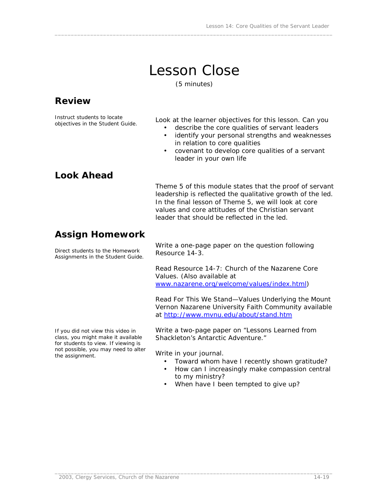## *Lesson Close*

 $\_$  ,  $\_$  ,  $\_$  ,  $\_$  ,  $\_$  ,  $\_$  ,  $\_$  ,  $\_$  ,  $\_$  ,  $\_$  ,  $\_$  ,  $\_$  ,  $\_$  ,  $\_$  ,  $\_$  ,  $\_$  ,  $\_$  ,  $\_$  ,  $\_$  ,  $\_$  ,  $\_$  ,  $\_$  ,  $\_$  ,  $\_$  ,  $\_$  ,  $\_$  ,  $\_$  ,  $\_$  ,  $\_$  ,  $\_$  ,  $\_$  ,  $\_$  ,  $\_$  ,  $\_$  ,  $\_$  ,  $\_$  ,  $\_$  ,

(5 minutes)

## **Review**

*Instruct students to locate*

*objectives in the Student Guide.* Look at the learner objectives for this lesson. Can you

- describe the core qualities of servant leaders
- identify your personal strengths and weaknesses in relation to core qualities
- covenant to develop core qualities of a servant leader in your own life

## **Look Ahead**

Theme 5 of this module states that the *proof* of servant leadership is reflected the qualitative growth of the led. In the final lesson of Theme 5, we will look at core values and core attitudes of the Christian servant leader that should be reflected in the led.

## **Assign Homework**

*Direct students to the Homework Assignments in the Student Guide.* Write a one-page paper on the question following Resource 14-3.

Read Resource 14-7: *Church of the Nazarene Core Values.* (Also available at www.nazarene.org/welcome/values/index.html)

Read *For This We Stand—Values Underlying the Mount Vernon Nazarene University Faith Community* available at http://www.mvnu.edu/about/stand.htm

*If you did not view this video in class, you might make it available for students to view. If viewing is not possible, you may need to alter the assignment.*

Write a two-page paper on "Lessons Learned from Shackleton's Antarctic Adventure."

Write in your journal.

- Toward whom have I recently shown gratitude?
- How can I increasingly make compassion central to my ministry?
- When have I been tempted to give up?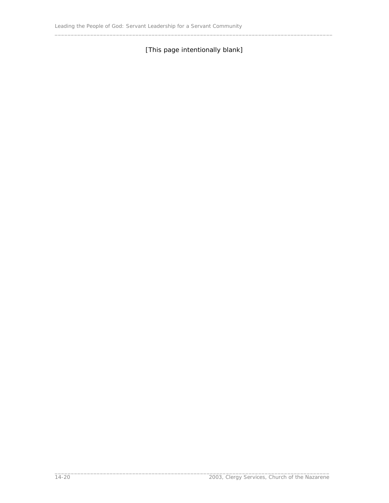[This page intentionally blank]

 $\_$  ,  $\_$  ,  $\_$  ,  $\_$  ,  $\_$  ,  $\_$  ,  $\_$  ,  $\_$  ,  $\_$  ,  $\_$  ,  $\_$  ,  $\_$  ,  $\_$  ,  $\_$  ,  $\_$  ,  $\_$  ,  $\_$  ,  $\_$  ,  $\_$  ,  $\_$  ,  $\_$  ,  $\_$  ,  $\_$  ,  $\_$  ,  $\_$  ,  $\_$  ,  $\_$  ,  $\_$  ,  $\_$  ,  $\_$  ,  $\_$  ,  $\_$  ,  $\_$  ,  $\_$  ,  $\_$  ,  $\_$  ,  $\_$  ,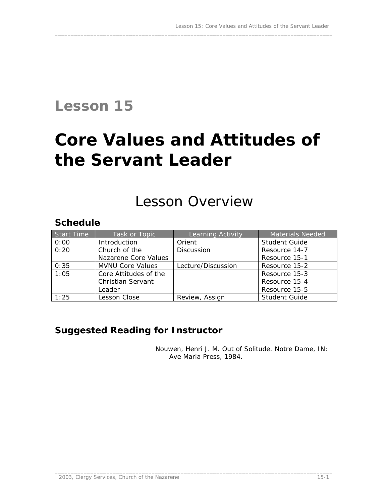## *Lesson 15*

# **Core Values and Attitudes of the Servant Leader**

 $\_$  ,  $\_$  ,  $\_$  ,  $\_$  ,  $\_$  ,  $\_$  ,  $\_$  ,  $\_$  ,  $\_$  ,  $\_$  ,  $\_$  ,  $\_$  ,  $\_$  ,  $\_$  ,  $\_$  ,  $\_$  ,  $\_$  ,  $\_$  ,  $\_$  ,  $\_$  ,  $\_$  ,  $\_$  ,  $\_$  ,  $\_$  ,  $\_$  ,  $\_$  ,  $\_$  ,  $\_$  ,  $\_$  ,  $\_$  ,  $\_$  ,  $\_$  ,  $\_$  ,  $\_$  ,  $\_$  ,  $\_$  ,  $\_$  ,

## *Lesson Overview*

## **Schedule**

| <b>Start Time</b> | Task or Topic           | Learning Activity  | <b>Materials Needed</b> |
|-------------------|-------------------------|--------------------|-------------------------|
| 0:00              | Introduction            | Orient             | Student Guide           |
| 0:20              | Church of the           | <b>Discussion</b>  | Resource 14-7           |
|                   | Nazarene Core Values    |                    | Resource 15-1           |
| 0:35              | <b>MVNU Core Values</b> | Lecture/Discussion | Resource 15-2           |
| 1:05              | Core Attitudes of the   |                    | Resource 15-3           |
|                   | Christian Servant       |                    | Resource 15-4           |
|                   | Leader                  |                    | Resource 15-5           |
| 1:25              | Lesson Close            | Review, Assign     | Student Guide           |

## **Suggested Reading for Instructor**

Nouwen, Henri J. M. *Out of Solitude*. Notre Dame, IN: Ave Maria Press, 1984.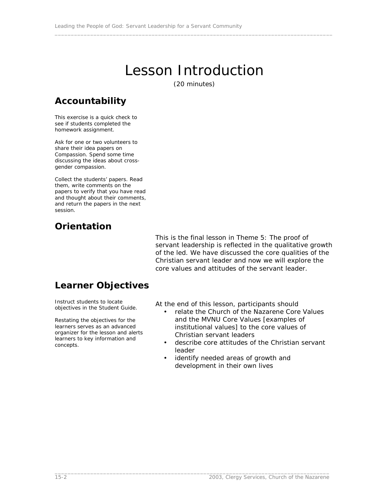# *Lesson Introduction*

 $\_$  ,  $\_$  ,  $\_$  ,  $\_$  ,  $\_$  ,  $\_$  ,  $\_$  ,  $\_$  ,  $\_$  ,  $\_$  ,  $\_$  ,  $\_$  ,  $\_$  ,  $\_$  ,  $\_$  ,  $\_$  ,  $\_$  ,  $\_$  ,  $\_$  ,  $\_$  ,  $\_$  ,  $\_$  ,  $\_$  ,  $\_$  ,  $\_$  ,  $\_$  ,  $\_$  ,  $\_$  ,  $\_$  ,  $\_$  ,  $\_$  ,  $\_$  ,  $\_$  ,  $\_$  ,  $\_$  ,  $\_$  ,  $\_$  ,

(20 minutes)

## **Accountability**

*This exercise is a quick check to see if students completed the homework assignment.*

*Ask for one or two volunteers to share their idea papers on Compassion. Spend some time discussing the ideas about crossgender compassion.*

*Collect the students' papers. Read them, write comments on the papers to verify that you have read and thought about their comments, and return the papers in the next session.*

## **Orientation**

This is the final lesson in Theme 5: The *proof* of servant leadership is reflected in the qualitative growth of the led. We have discussed the core qualities of the Christian servant leader and now we will explore the core values and attitudes of the servant leader.

## **Learner Objectives**

*Instruct students to locate objectives in the Student Guide.*

*Restating the objectives for the learners serves as an advanced organizer for the lesson and alerts learners to key information and concepts.*

At the end of this lesson, participants should

- relate the Church of the Nazarene Core Values and the MVNU Core Values [examples of institutional values] to the core values of Christian servant leaders
- describe core attitudes of the Christian servant leader
- identify needed areas of growth and development in their own lives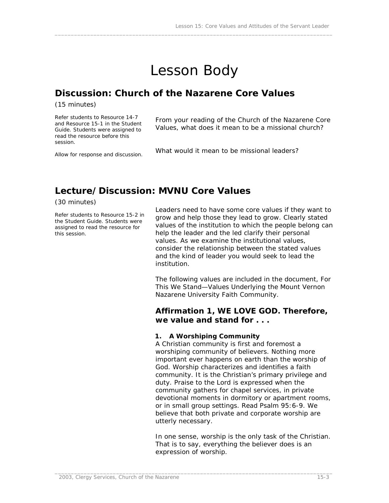## *Lesson Body*

 $\_$  ,  $\_$  ,  $\_$  ,  $\_$  ,  $\_$  ,  $\_$  ,  $\_$  ,  $\_$  ,  $\_$  ,  $\_$  ,  $\_$  ,  $\_$  ,  $\_$  ,  $\_$  ,  $\_$  ,  $\_$  ,  $\_$  ,  $\_$  ,  $\_$  ,  $\_$  ,  $\_$  ,  $\_$  ,  $\_$  ,  $\_$  ,  $\_$  ,  $\_$  ,  $\_$  ,  $\_$  ,  $\_$  ,  $\_$  ,  $\_$  ,  $\_$  ,  $\_$  ,  $\_$  ,  $\_$  ,  $\_$  ,  $\_$  ,

## **Discussion: Church of the Nazarene Core Values**

(15 minutes)

*Refer students to Resource 14-7 and Resource 15-1 in the Student Guide. Students were assigned to read the resource before this session.*

*From your reading of the Church of the Nazarene Core Values, what does it mean to be a missional church?*

*Allow for response and discussion.*

*What would it mean to be missional leaders?*

### **Lecture/Discussion: MVNU Core Values**

(30 minutes)

*Refer students to Resource 15-2 in the Student Guide. Students were assigned to read the resource for this session.*

Leaders need to have some core values if they want to grow and help those they lead to grow. Clearly stated values of the institution to which the people belong can help the leader and the led clarify their personal values. As we examine the institutional values, consider the relationship between the stated values and the kind of leader you would seek to lead the institution.

The following values are included in the document, *For This We Stand—Values Underlying the Mount Vernon Nazarene University Faith Community*.

#### **Affirmation 1, WE LOVE GOD. Therefore, we value and stand for . . .**

#### **1. A Worshiping Community**

 $\_$  ,  $\_$  ,  $\_$  ,  $\_$  ,  $\_$  ,  $\_$  ,  $\_$  ,  $\_$  ,  $\_$  ,  $\_$  ,  $\_$  ,  $\_$  ,  $\_$  ,  $\_$  ,  $\_$  ,  $\_$  ,  $\_$  ,  $\_$  ,  $\_$  ,  $\_$  ,  $\_$  ,  $\_$  ,  $\_$  ,  $\_$  ,  $\_$  ,  $\_$  ,  $\_$  ,  $\_$  ,  $\_$  ,  $\_$  ,  $\_$  ,  $\_$  ,  $\_$  ,  $\_$  ,  $\_$  ,  $\_$  ,  $\_$  ,

A Christian community is first and foremost a worshiping community of believers. Nothing more important ever happens on earth than the worship of God. Worship characterizes and identifies a faith community. It is the Christian's primary privilege and duty. Praise to the Lord is expressed when the community gathers for chapel services, in private devotional moments in dormitory or apartment rooms, or in small group settings. Read Psalm 95:6-9. We believe that both private and corporate worship are utterly necessary.

In one sense, worship is the only task of the Christian. That is to say, everything the believer does is an expression of worship.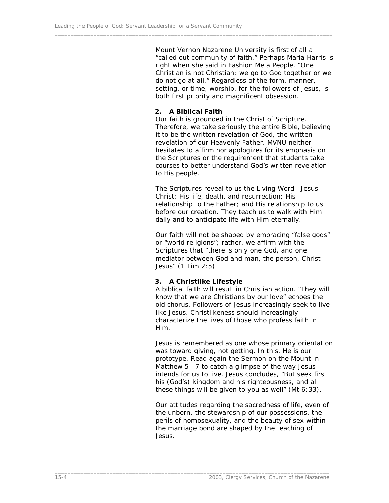Mount Vernon Nazarene University is first of all a "called out community of faith." Perhaps Maria Harris is right when she said in *Fashion Me a People,* "One Christian is not Christian; we go to God together or we do not go at all." Regardless of the form, manner, setting, or time, worship, for the followers of Jesus, is both first priority and magnificent obsession.

#### **2. A Biblical Faith**

 $\_$  ,  $\_$  ,  $\_$  ,  $\_$  ,  $\_$  ,  $\_$  ,  $\_$  ,  $\_$  ,  $\_$  ,  $\_$  ,  $\_$  ,  $\_$  ,  $\_$  ,  $\_$  ,  $\_$  ,  $\_$  ,  $\_$  ,  $\_$  ,  $\_$  ,  $\_$  ,  $\_$  ,  $\_$  ,  $\_$  ,  $\_$  ,  $\_$  ,  $\_$  ,  $\_$  ,  $\_$  ,  $\_$  ,  $\_$  ,  $\_$  ,  $\_$  ,  $\_$  ,  $\_$  ,  $\_$  ,  $\_$  ,  $\_$  ,

Our faith is grounded in the Christ of Scripture. Therefore, we take seriously the entire Bible, believing it to be the written revelation of God, the written revelation of our Heavenly Father. MVNU neither hesitates to affirm nor apologizes for its emphasis on the Scriptures or the requirement that students take courses to better understand God's written revelation to His people.

The Scriptures reveal to us the Living Word—Jesus Christ: His life, death, and resurrection; His relationship to the Father; and His relationship to us before our creation. They teach us to walk with Him daily and to anticipate life with Him eternally.

Our faith will not be shaped by embracing "false gods" or "world religions"; rather, we affirm with the Scriptures that "there is only one God, and one mediator between God and man, the person, Christ Jesus" (1 Tim 2:5).

#### **3. A Christlike Lifestyle**

A biblical faith will result in Christian action. "They will know that we are Christians by our love" echoes the old chorus. Followers of Jesus increasingly seek to live like Jesus. Christlikeness should increasingly characterize the lives of those who profess faith in Him.

Jesus is remembered as one whose primary orientation was toward giving, not getting. In this, He is our prototype. Read again the Sermon on the Mount in Matthew 5—7 to catch a glimpse of the way Jesus intends for us to live. Jesus concludes, "But seek first his (God's) kingdom and his righteousness, and all these things will be given to you as well" (Mt 6:33).

Our attitudes regarding the sacredness of life, even of the unborn, the stewardship of our possessions, the perils of homosexuality, and the beauty of sex within the marriage bond are shaped by the teaching of Jesus.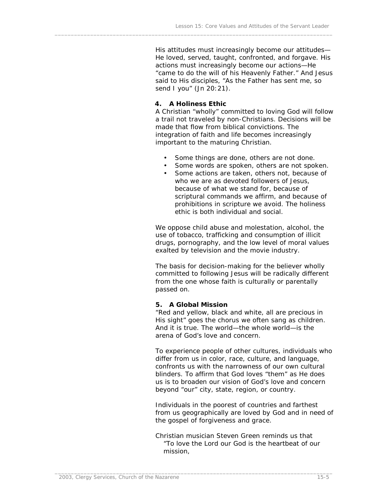His attitudes must increasingly become our attitudes— He loved, served, taught, confronted, and forgave. His actions must increasingly become our actions—He "came to do the will of his Heavenly Father." And Jesus said to His disciples, "As the Father has sent me, so send I you" (Jn 20:21).

#### **4. A Holiness Ethic**

 $\_$  ,  $\_$  ,  $\_$  ,  $\_$  ,  $\_$  ,  $\_$  ,  $\_$  ,  $\_$  ,  $\_$  ,  $\_$  ,  $\_$  ,  $\_$  ,  $\_$  ,  $\_$  ,  $\_$  ,  $\_$  ,  $\_$  ,  $\_$  ,  $\_$  ,  $\_$  ,  $\_$  ,  $\_$  ,  $\_$  ,  $\_$  ,  $\_$  ,  $\_$  ,  $\_$  ,  $\_$  ,  $\_$  ,  $\_$  ,  $\_$  ,  $\_$  ,  $\_$  ,  $\_$  ,  $\_$  ,  $\_$  ,  $\_$  ,

A Christian "wholly" committed to loving God will follow a trail not traveled by non-Christians. Decisions will be made that flow from biblical convictions. The integration of faith and life becomes increasingly important to the maturing Christian.

- Some things are done, others are not done.
- Some words are spoken, others are not spoken.
- Some actions are taken, others not, because of who we are as devoted followers of Jesus, because of what we stand for, because of scriptural commands we affirm, and because of prohibitions in scripture we avoid. The holiness ethic is both individual and social.

We oppose child abuse and molestation, alcohol, the use of tobacco, trafficking and consumption of illicit drugs, pornography, and the low level of moral values exalted by television and the movie industry.

The basis for decision-making for the believer wholly committed to following Jesus will be radically different from the one whose faith is culturally or parentally passed on.

#### **5. A Global Mission**

 $\_$  ,  $\_$  ,  $\_$  ,  $\_$  ,  $\_$  ,  $\_$  ,  $\_$  ,  $\_$  ,  $\_$  ,  $\_$  ,  $\_$  ,  $\_$  ,  $\_$  ,  $\_$  ,  $\_$  ,  $\_$  ,  $\_$  ,  $\_$  ,  $\_$  ,  $\_$  ,  $\_$  ,  $\_$  ,  $\_$  ,  $\_$  ,  $\_$  ,  $\_$  ,  $\_$  ,  $\_$  ,  $\_$  ,  $\_$  ,  $\_$  ,  $\_$  ,  $\_$  ,  $\_$  ,  $\_$  ,  $\_$  ,  $\_$  ,

"Red and yellow, black and white, all are precious in His sight" goes the chorus we often sang as children. And it is true. The world—the whole world—is the arena of God's love and concern.

To experience people of other cultures, individuals who differ from us in color, race, culture, and language, confronts us with the narrowness of our own cultural blinders. To affirm that God loves "them" as He does us is to broaden our vision of God's love and concern beyond "our" city, state, region, or country.

Individuals in the poorest of countries and farthest from us geographically are loved by God and in need of the gospel of forgiveness and grace.

Christian musician Steven Green reminds us that *"To love the Lord our God is the heartbeat of our mission,*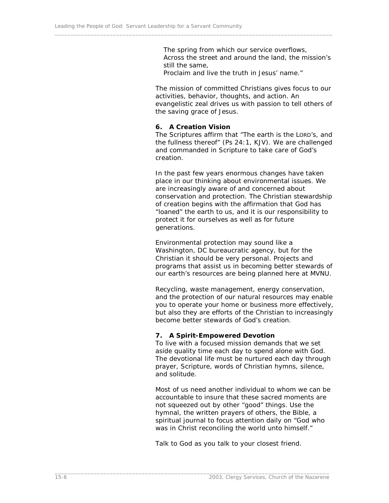*The spring from which our service overflows, Across the street and around the land, the mission's still the same, Proclaim and live the truth in Jesus' name."*

The mission of committed Christians gives focus to our activities, behavior, thoughts, and action. An evangelistic zeal drives us with passion to tell others of the saving grace of Jesus.

#### **6. A Creation Vision**

 $\_$  ,  $\_$  ,  $\_$  ,  $\_$  ,  $\_$  ,  $\_$  ,  $\_$  ,  $\_$  ,  $\_$  ,  $\_$  ,  $\_$  ,  $\_$  ,  $\_$  ,  $\_$  ,  $\_$  ,  $\_$  ,  $\_$  ,  $\_$  ,  $\_$  ,  $\_$  ,  $\_$  ,  $\_$  ,  $\_$  ,  $\_$  ,  $\_$  ,  $\_$  ,  $\_$  ,  $\_$  ,  $\_$  ,  $\_$  ,  $\_$  ,  $\_$  ,  $\_$  ,  $\_$  ,  $\_$  ,  $\_$  ,  $\_$  ,

The Scriptures affirm that "The earth *is* the LORD's, and the fullness thereof" (Ps 24:1, KJV). We are challenged and commanded in Scripture to take care of God's creation.

In the past few years enormous changes have taken place in our thinking about environmental issues. We are increasingly aware of and concerned about conservation and protection. The Christian stewardship of creation begins with the affirmation that God has "loaned" the earth to us, and it is our responsibility to protect it for ourselves as well as for future generations.

Environmental protection may sound like a Washington, DC bureaucratic agency, but for the Christian it should be very personal. Projects and programs that assist us in becoming better stewards of our earth's resources are being planned here at MVNU.

Recycling, waste management, energy conservation, and the protection of our natural resources may enable you to operate your home or business more effectively, but also they are efforts of the Christian to increasingly become better stewards of God's creation.

#### **7. A Spirit-Empowered Devotion**

To live with a focused mission demands that we set aside quality time each day to spend alone with God. The devotional life must be nurtured each day through prayer, Scripture, words of Christian hymns, silence, and solitude.

Most of us need another individual to whom we can be accountable to insure that these sacred moments are not squeezed out by other "good" things. Use the hymnal, the written prayers of others, the Bible, a spiritual journal to focus attention daily on "God who was in Christ reconciling the world unto himself."

Talk to God as you talk to your closest friend.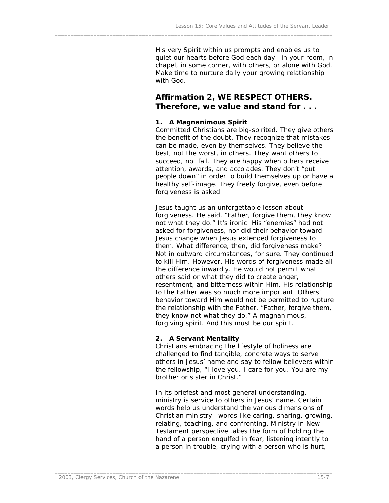His very Spirit within us prompts and enables us to quiet our hearts before God each day—in your room, in chapel, in some corner, with others, or alone with God. Make time to nurture daily your growing relationship with God.

### **Affirmation 2, WE RESPECT OTHERS. Therefore, we value and stand for . . .**

#### **1. A Magnanimous Spirit**

 $\_$  ,  $\_$  ,  $\_$  ,  $\_$  ,  $\_$  ,  $\_$  ,  $\_$  ,  $\_$  ,  $\_$  ,  $\_$  ,  $\_$  ,  $\_$  ,  $\_$  ,  $\_$  ,  $\_$  ,  $\_$  ,  $\_$  ,  $\_$  ,  $\_$  ,  $\_$  ,  $\_$  ,  $\_$  ,  $\_$  ,  $\_$  ,  $\_$  ,  $\_$  ,  $\_$  ,  $\_$  ,  $\_$  ,  $\_$  ,  $\_$  ,  $\_$  ,  $\_$  ,  $\_$  ,  $\_$  ,  $\_$  ,  $\_$  ,

Committed Christians are big-spirited. They give others the benefit of the doubt. They recognize that mistakes can be made, even by themselves. They believe the best, not the worst, in others. They want others to succeed, not fail. They are happy when others receive attention, awards, and accolades. They don't "put people down" in order to build themselves up or have a healthy self-image. They freely forgive, even before forgiveness is asked.

Jesus taught us an unforgettable lesson about forgiveness. He said, "Father, forgive them, they know not what they do." It's ironic. His "enemies" had not asked for forgiveness, nor did their behavior toward Jesus change when Jesus extended forgiveness to them. What difference, then, did forgiveness make? Not in outward circumstances, for sure. They continued to kill Him. However, His words of forgiveness made all the difference inwardly. He would not permit what others said or what they did to create anger, resentment, and bitterness within Him. His relationship to the Father was so much more important. Others' behavior toward Him would not be permitted to rupture the relationship with the Father. "Father, forgive them, they know not what they do." A magnanimous, forgiving spirit. And this must be our spirit.

#### **2. A Servant Mentality**

Christians embracing the lifestyle of holiness are challenged to find tangible, concrete ways to serve others in Jesus' name and say to fellow believers within the fellowship, "I love you. I care for you. You are my brother or sister in Christ."

In its briefest and most general understanding, ministry is service to others in Jesus' name. Certain words help us understand the various dimensions of Christian ministry—words like caring, sharing, growing, relating, teaching, and confronting. Ministry in New Testament perspective takes the form of holding the hand of a person engulfed in fear, listening intently to a person in trouble, crying with a person who is hurt,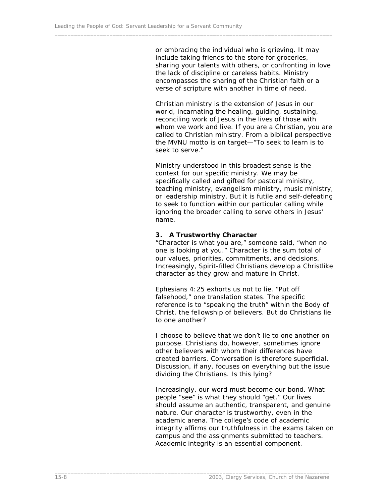$\_$  ,  $\_$  ,  $\_$  ,  $\_$  ,  $\_$  ,  $\_$  ,  $\_$  ,  $\_$  ,  $\_$  ,  $\_$  ,  $\_$  ,  $\_$  ,  $\_$  ,  $\_$  ,  $\_$  ,  $\_$  ,  $\_$  ,  $\_$  ,  $\_$  ,  $\_$  ,  $\_$  ,  $\_$  ,  $\_$  ,  $\_$  ,  $\_$  ,  $\_$  ,  $\_$  ,  $\_$  ,  $\_$  ,  $\_$  ,  $\_$  ,  $\_$  ,  $\_$  ,  $\_$  ,  $\_$  ,  $\_$  ,  $\_$  ,

or embracing the individual who is grieving. It may include taking friends to the store for groceries, sharing your talents with others, or confronting in love the lack of discipline or careless habits. Ministry encompasses the sharing of the Christian faith or a verse of scripture with another in time of need.

Christian ministry is the extension of Jesus in our world, incarnating the healing, guiding, sustaining, reconciling work of Jesus in the lives of those with whom we work and live. If you are a Christian, you are called to Christian ministry. From a biblical perspective the MVNU motto is on target—"To seek to learn is to seek to serve."

Ministry understood in this broadest sense is the context for our specific ministry. We may be specifically called and gifted for pastoral ministry, teaching ministry, evangelism ministry, music ministry, or leadership ministry. But it is futile and self-defeating to seek to function within our particular calling while ignoring the broader calling to serve others in Jesus' name.

#### **3. A Trustworthy Character**

"Character is what you are," someone said, "when no one is looking at you." Character is the sum total of our values, priorities, commitments, and decisions. Increasingly, Spirit-filled Christians develop a Christlike character as they grow and mature in Christ.

Ephesians 4:25 exhorts us not to lie. "Put off falsehood," one translation states. The specific reference is to "speaking the truth" within the Body of Christ, the fellowship of believers. But do Christians lie to one another?

I choose to believe that we don't lie to one another on purpose. Christians do, however, sometimes ignore other believers with whom their differences have created barriers. Conversation is therefore superficial. Discussion, if any, focuses on everything but the issue dividing the Christians. Is this lying?

Increasingly, our *word* must become our *bond*. What people "see" is what they should "get." Our lives should assume an authentic, transparent, and genuine nature. Our character is trustworthy, even in the academic arena. The college's code of academic integrity affirms our truthfulness in the exams taken on campus and the assignments submitted to teachers. Academic integrity is an essential component.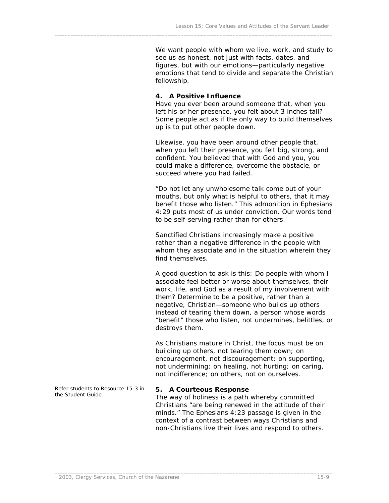We want people with whom we live, work, and study to see us as honest, not just with facts, dates, and figures, but with our emotions—particularly negative emotions that tend to divide and separate the Christian fellowship.

#### **4. A Positive Influence**

 $\_$  ,  $\_$  ,  $\_$  ,  $\_$  ,  $\_$  ,  $\_$  ,  $\_$  ,  $\_$  ,  $\_$  ,  $\_$  ,  $\_$  ,  $\_$  ,  $\_$  ,  $\_$  ,  $\_$  ,  $\_$  ,  $\_$  ,  $\_$  ,  $\_$  ,  $\_$  ,  $\_$  ,  $\_$  ,  $\_$  ,  $\_$  ,  $\_$  ,  $\_$  ,  $\_$  ,  $\_$  ,  $\_$  ,  $\_$  ,  $\_$  ,  $\_$  ,  $\_$  ,  $\_$  ,  $\_$  ,  $\_$  ,  $\_$  ,

Have you ever been around someone that, when you left his or her presence, you felt about 3 inches tall? Some people act as if the only way to build themselves up is to put other people down.

Likewise, you have been around other people that, when you left *their* presence, you felt big, strong, and confident. You believed that with God and you, you could make a difference, overcome the obstacle, or succeed where you had failed.

"Do not let any unwholesome talk come out of your mouths, but only what is helpful to others, that it may benefit those who listen." This admonition in Ephesians 4:29 puts most of us under conviction. Our words tend to be self-serving rather than for others.

Sanctified Christians increasingly make a positive rather than a negative difference in the people with whom they associate and in the situation wherein they find themselves.

A good question to ask is this: Do people with whom I associate feel better or worse about themselves, their work, life, and God as a result of my involvement with them? Determine to be a positive, rather than a negative, Christian—someone who builds up others instead of tearing them down, a person whose words "benefit" those who listen, not undermines, belittles, or destroys them.

As Christians mature in Christ, the focus must be on building up others, not tearing them down; on encouragement, not discouragement; on supporting, not undermining; on healing, not hurting; on caring, not indifference; on others, not on ourselves.

*Refer students to Resource 15-3 in the Student Guide.*

#### **5. A Courteous Response**

The way of holiness is a path whereby committed Christians "are being renewed in the attitude of their minds." The Ephesians 4:23 passage is given in the context of a contrast between ways Christians and non-Christians live their lives and respond to others.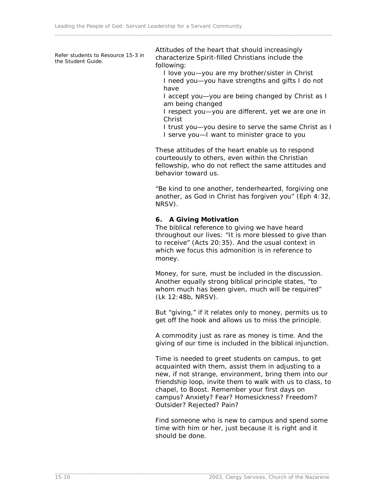*Refer students to Resource 15-3 in the Student Guide.*

Attitudes of the heart that should increasingly characterize Spirit-filled Christians include the following:

I love you—you are my brother/sister in Christ I need you—you have strengths and gifts I do not have

I accept you—you are being changed by Christ as I am being changed

I respect you—you are different, yet we are one in Christ

I trust you—you desire to serve the same Christ as I I serve you—I want to minister grace to you

These attitudes of the heart enable us to respond courteously to others, even within the Christian fellowship, who do not reflect the same attitudes and behavior toward us.

"Be kind to one another, tenderhearted, forgiving one another, as God in Christ has forgiven you" (Eph 4:32, NRSV).

#### **6. A Giving Motivation**

 $\_$  ,  $\_$  ,  $\_$  ,  $\_$  ,  $\_$  ,  $\_$  ,  $\_$  ,  $\_$  ,  $\_$  ,  $\_$  ,  $\_$  ,  $\_$  ,  $\_$  ,  $\_$  ,  $\_$  ,  $\_$  ,  $\_$  ,  $\_$  ,  $\_$  ,  $\_$  ,  $\_$  ,  $\_$  ,  $\_$  ,  $\_$  ,  $\_$  ,  $\_$  ,  $\_$  ,  $\_$  ,  $\_$  ,  $\_$  ,  $\_$  ,  $\_$  ,  $\_$  ,  $\_$  ,  $\_$  ,  $\_$  ,  $\_$  ,

The biblical reference to giving we have heard throughout our lives: "It is more blessed to give than to receive" (Acts 20:35). And the usual context in which we focus this admonition is in reference to money.

Money, for sure, must be included in the discussion. Another equally strong biblical principle states, "to whom much has been given, much will be required" (Lk 12:48b, NRSV).

But "giving," if it relates only to money, permits us to get off the hook and allows us to miss the principle.

A commodity just as rare as money is time. And the giving of our time is included in the biblical injunction.

Time is needed to greet students on campus, to get acquainted with them, assist them in adjusting to a new, if not strange, environment, bring them into our friendship loop, invite them to walk with us to class, to chapel, to Boost. Remember your first days on campus? Anxiety? Fear? Homesickness? Freedom? Outsider? Rejected? Pain?

Find someone who is new to campus and spend some time with him or her, just because it is right and it should be done.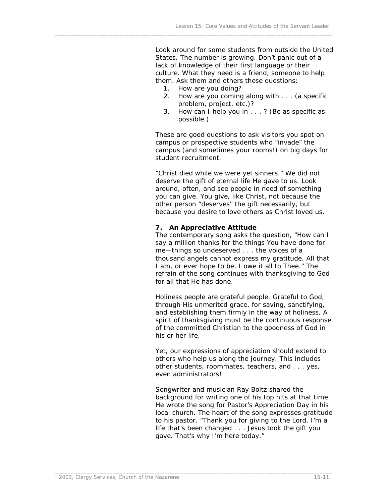Look around for some students from outside the United States. The number is growing. Don't panic out of a lack of knowledge of their first language or their culture. What they need is a friend, someone to help them. Ask them and others these questions:

1. How are you doing?

 $\_$  ,  $\_$  ,  $\_$  ,  $\_$  ,  $\_$  ,  $\_$  ,  $\_$  ,  $\_$  ,  $\_$  ,  $\_$  ,  $\_$  ,  $\_$  ,  $\_$  ,  $\_$  ,  $\_$  ,  $\_$  ,  $\_$  ,  $\_$  ,  $\_$  ,  $\_$  ,  $\_$  ,  $\_$  ,  $\_$  ,  $\_$  ,  $\_$  ,  $\_$  ,  $\_$  ,  $\_$  ,  $\_$  ,  $\_$  ,  $\_$  ,  $\_$  ,  $\_$  ,  $\_$  ,  $\_$  ,  $\_$  ,  $\_$  ,

- 2. How are you coming along with . . . (a specific problem, project, etc.)?
- 3. How can I help you in . . . ? (Be as specific as possible.)

These are good questions to ask visitors you spot on campus or prospective students who "invade" the campus (and sometimes your rooms!) on big days for student recruitment.

"Christ died while we were yet sinners." We did not deserve the gift of eternal life He gave to us. Look around, often, and see people in need of something you can give. You give, like Christ, not because the other person "deserves" the gift necessarily, but because you desire to love others as Christ loved us.

#### **7. An Appreciative Attitude**

The contemporary song asks the question, "How can I say a million thanks for the things You have done for me—things so undeserved . . . the voices of a thousand angels cannot express my gratitude. All that I am, or ever hope to be, I owe it all to Thee." The refrain of the song continues with thanksgiving to God for all that He has done.

Holiness people are grateful people. Grateful to God, through His unmerited grace, for saving, sanctifying, and establishing them firmly in the way of holiness. A spirit of thanksgiving must be the continuous response of the committed Christian to the goodness of God in his or her life.

Yet, our expressions of appreciation should extend to others who help us along the journey. This includes other students, roommates, teachers, and . . . yes, even administrators!

Songwriter and musician Ray Boltz shared the background for writing one of his top hits at that time. He wrote the song for Pastor's Appreciation Day in his local church. The heart of the song expresses gratitude to his pastor. "Thank you for giving to the Lord, I'm a life that's been changed . . . Jesus took the gift you gave. That's why I'm here today."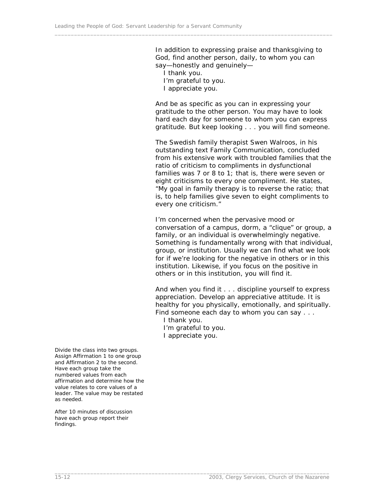In addition to expressing praise and thanksgiving to God, find another person, daily, to whom you can say—honestly and genuinely—

I thank you. I'm grateful to you.

I appreciate you.

 $\_$  ,  $\_$  ,  $\_$  ,  $\_$  ,  $\_$  ,  $\_$  ,  $\_$  ,  $\_$  ,  $\_$  ,  $\_$  ,  $\_$  ,  $\_$  ,  $\_$  ,  $\_$  ,  $\_$  ,  $\_$  ,  $\_$  ,  $\_$  ,  $\_$  ,  $\_$  ,  $\_$  ,  $\_$  ,  $\_$  ,  $\_$  ,  $\_$  ,  $\_$  ,  $\_$  ,  $\_$  ,  $\_$  ,  $\_$  ,  $\_$  ,  $\_$  ,  $\_$  ,  $\_$  ,  $\_$  ,  $\_$  ,  $\_$  ,

And be as specific as you can in expressing your gratitude to the other person. You may have to look hard each day for someone to whom you can express gratitude. But keep looking . . . you will find someone.

The Swedish family therapist Swen Walroos, in his outstanding text *Family Communication,* concluded from his extensive work with troubled families that the ratio of criticism to compliments in dysfunctional families was 7 or 8 to 1; that is, there were seven or eight criticisms to every one compliment. He states, "My goal in family therapy is to reverse the ratio; that is, to help families give seven to eight compliments to every one criticism."

I'm concerned when the pervasive mood or conversation of a campus, dorm, a "clique" or group, a family, or an individual is overwhelmingly negative. Something is fundamentally wrong with that individual, group, or institution. Usually we can find what we look for if we're looking for the negative in others or in this institution. Likewise, if you focus on the positive in others or in this institution, you will find it.

And when you find it . . . discipline yourself to express appreciation. Develop an appreciative attitude. It is healthy for you physically, emotionally, and spiritually. Find someone each day to whom you can say . . .

I thank you. I'm grateful to you. I appreciate you.

*Divide the class into two groups. Assign Affirmation 1 to one group and Affirmation 2 to the second. Have each group take the numbered values from each affirmation and determine how the value relates to core values of a leader. The value may be restated as needed.*

*After 10 minutes of discussion have each group report their findings.*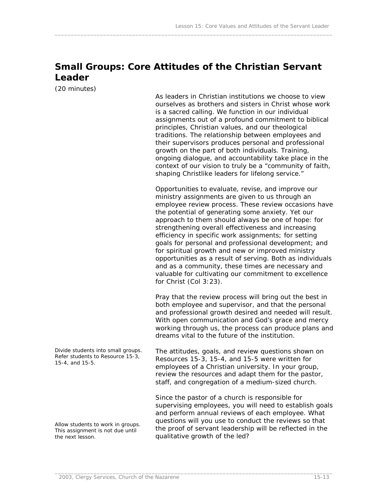## **Small Groups: Core Attitudes of the Christian Servant Leader**

 $\_$  ,  $\_$  ,  $\_$  ,  $\_$  ,  $\_$  ,  $\_$  ,  $\_$  ,  $\_$  ,  $\_$  ,  $\_$  ,  $\_$  ,  $\_$  ,  $\_$  ,  $\_$  ,  $\_$  ,  $\_$  ,  $\_$  ,  $\_$  ,  $\_$  ,  $\_$  ,  $\_$  ,  $\_$  ,  $\_$  ,  $\_$  ,  $\_$  ,  $\_$  ,  $\_$  ,  $\_$  ,  $\_$  ,  $\_$  ,  $\_$  ,  $\_$  ,  $\_$  ,  $\_$  ,  $\_$  ,  $\_$  ,  $\_$  ,

(20 minutes)

As leaders in Christian institutions we choose to view ourselves as brothers and sisters in Christ whose work is a sacred calling. We function in our individual assignments out of a profound commitment to biblical principles, Christian values, and our theological traditions. The relationship between employees and their supervisors produces personal and professional growth on the part of both individuals. Training, ongoing dialogue, and accountability take place in the context of our vision to truly be a "community of faith, shaping Christlike leaders for lifelong service."

Opportunities to evaluate, revise, and improve our ministry assignments are given to us through an employee review process. These review occasions have the potential of generating some anxiety. Yet our approach to them should always be one of hope: for strengthening overall effectiveness and increasing efficiency in specific work assignments; for setting goals for personal and professional development; and for spiritual growth and new or improved ministry opportunities as a result of serving. Both as individuals and as a community, these times are necessary and valuable for cultivating our commitment to excellence for Christ (Col 3:23).

Pray that the review process will bring out the best in both employee and supervisor, and that the personal and professional growth desired and needed will result. With open communication and God's grace and mercy working through us, the process can produce plans and dreams vital to the future of the institution.

*Divide students into small groups. Refer students to Resource 15-3, 15-4, and 15-5.* The attitudes, goals, and review questions shown on Resources 15-3, 15-4, and 15-5 were written for employees of a Christian university. In your group, review the resources and adapt them for the pastor, staff, and congregation of a medium-sized church.

 $\_$  ,  $\_$  ,  $\_$  ,  $\_$  ,  $\_$  ,  $\_$  ,  $\_$  ,  $\_$  ,  $\_$  ,  $\_$  ,  $\_$  ,  $\_$  ,  $\_$  ,  $\_$  ,  $\_$  ,  $\_$  ,  $\_$  ,  $\_$  ,  $\_$  ,  $\_$  ,  $\_$  ,  $\_$  ,  $\_$  ,  $\_$  ,  $\_$  ,  $\_$  ,  $\_$  ,  $\_$  ,  $\_$  ,  $\_$  ,  $\_$  ,  $\_$  ,  $\_$  ,  $\_$  ,  $\_$  ,  $\_$  ,  $\_$  ,

Since the pastor of a church is responsible for supervising employees, you will need to establish goals and perform annual reviews of each employee. What questions will you use to conduct the reviews so that the *proof* of servant leadership will be reflected in the qualitative growth of the led?

*Allow students to work in groups. This assignment is not due until the next lesson.*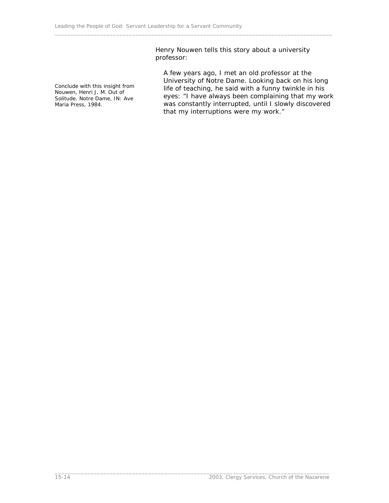Henry Nouwen tells this story about a university professor:

 $\_$  ,  $\_$  ,  $\_$  ,  $\_$  ,  $\_$  ,  $\_$  ,  $\_$  ,  $\_$  ,  $\_$  ,  $\_$  ,  $\_$  ,  $\_$  ,  $\_$  ,  $\_$  ,  $\_$  ,  $\_$  ,  $\_$  ,  $\_$  ,  $\_$  ,  $\_$  ,  $\_$  ,  $\_$  ,  $\_$  ,  $\_$  ,  $\_$  ,  $\_$  ,  $\_$  ,  $\_$  ,  $\_$  ,  $\_$  ,  $\_$  ,  $\_$  ,  $\_$  ,  $\_$  ,  $\_$  ,  $\_$  ,  $\_$  ,

*Conclude with this insight from Nouwen, Henri J. M.* Out of Solitude. *Notre Dame, IN: Ave Maria Press, 1984.*

A few years ago, I met an old professor at the University of Notre Dame. Looking back on his long life of teaching, he said with a funny twinkle in his eyes: "I have always been complaining that my work was constantly interrupted, until I slowly discovered that my interruptions were my work."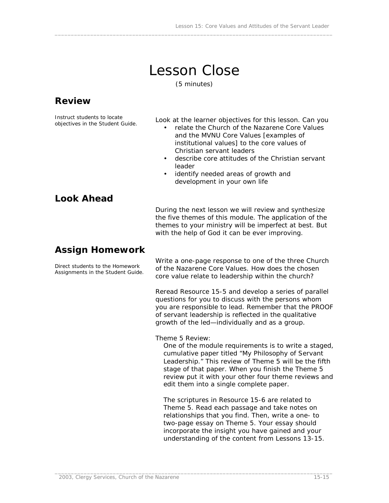## *Lesson Close*

 $\_$  ,  $\_$  ,  $\_$  ,  $\_$  ,  $\_$  ,  $\_$  ,  $\_$  ,  $\_$  ,  $\_$  ,  $\_$  ,  $\_$  ,  $\_$  ,  $\_$  ,  $\_$  ,  $\_$  ,  $\_$  ,  $\_$  ,  $\_$  ,  $\_$  ,  $\_$  ,  $\_$  ,  $\_$  ,  $\_$  ,  $\_$  ,  $\_$  ,  $\_$  ,  $\_$  ,  $\_$  ,  $\_$  ,  $\_$  ,  $\_$  ,  $\_$  ,  $\_$  ,  $\_$  ,  $\_$  ,  $\_$  ,  $\_$  ,

(5 minutes)

## **Review**

*Instruct students to locate*

*objectives in the Student Guide.* Look at the learner objectives for this lesson. Can you

- relate the Church of the Nazarene Core Values and the MVNU Core Values [examples of institutional values] to the core values of Christian servant leaders
- describe core attitudes of the Christian servant leader
- identify needed areas of growth and development in your own life

## **Look Ahead**

During the next lesson we will review and synthesize the five themes of this module. The application of the themes to your ministry will be imperfect at best. But with the help of God it can be ever improving.

## **Assign Homework**

*Direct students to the Homework Assignments in the Student Guide.* Write a one-page response to one of the three Church of the Nazarene Core Values. How does the chosen core value relate to leadership within the church?

Reread Resource 15-5 and develop a series of parallel questions for you to discuss with the persons whom you are responsible to lead. Remember that the PROOF of servant leadership is reflected in the qualitative growth of the led—individually and as a group.

Theme 5 Review:

One of the module requirements is to write a staged, cumulative paper titled "My Philosophy of Servant Leadership." This review of Theme 5 will be the fifth stage of that paper. When you finish the Theme 5 review put it with your other four theme reviews and edit them into a single complete paper.

The scriptures in Resource 15-6 are related to Theme 5. Read each passage and take notes on relationships that you find. Then, write a one- to two-page essay on Theme 5. Your essay should incorporate the insight you have gained and your understanding of the content from Lessons 13-15.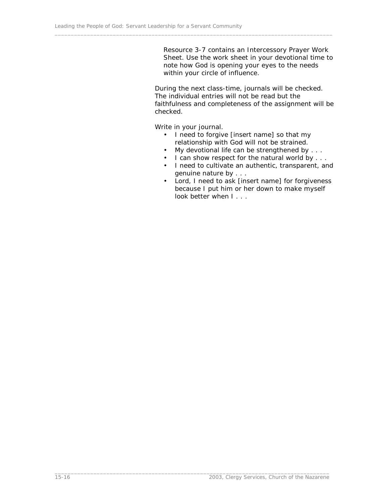Resource 3-7 contains an Intercessory Prayer Work Sheet. Use the work sheet in your devotional time to note how God is opening your eyes to the needs within your circle of influence.

During the next class-time, journals will be checked. The individual entries will not be read but the faithfulness and completeness of the assignment will be checked.

Write in your journal.

 $\_$  ,  $\_$  ,  $\_$  ,  $\_$  ,  $\_$  ,  $\_$  ,  $\_$  ,  $\_$  ,  $\_$  ,  $\_$  ,  $\_$  ,  $\_$  ,  $\_$  ,  $\_$  ,  $\_$  ,  $\_$  ,  $\_$  ,  $\_$  ,  $\_$  ,  $\_$  ,  $\_$  ,  $\_$  ,  $\_$  ,  $\_$  ,  $\_$  ,  $\_$  ,  $\_$  ,  $\_$  ,  $\_$  ,  $\_$  ,  $\_$  ,  $\_$  ,  $\_$  ,  $\_$  ,  $\_$  ,  $\_$  ,  $\_$  ,

- I need to forgive [insert name] so that my relationship with God will not be strained.
- My devotional life can be strengthened by . . .
- I can show respect for the natural world by . . .
- I need to cultivate an authentic, transparent, and genuine nature by . . .
- Lord, I need to ask [insert name] for forgiveness because I put him or her down to make myself look better when I...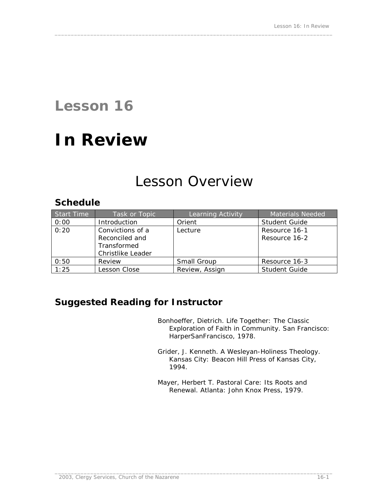## *Lesson 16*

# **In Review**

## *Lesson Overview*

 $\_$  ,  $\_$  ,  $\_$  ,  $\_$  ,  $\_$  ,  $\_$  ,  $\_$  ,  $\_$  ,  $\_$  ,  $\_$  ,  $\_$  ,  $\_$  ,  $\_$  ,  $\_$  ,  $\_$  ,  $\_$  ,  $\_$  ,  $\_$  ,  $\_$  ,  $\_$  ,  $\_$  ,  $\_$  ,  $\_$  ,  $\_$  ,  $\_$  ,  $\_$  ,  $\_$  ,  $\_$  ,  $\_$  ,  $\_$  ,  $\_$  ,  $\_$  ,  $\_$  ,  $\_$  ,  $\_$  ,  $\_$  ,  $\_$  ,

## **Schedule**

| <b>Start Time</b> | Task or Topic     | Learning Activity | <b>Materials Needed</b> |
|-------------------|-------------------|-------------------|-------------------------|
| 0:00              | Introduction      | Orient            | Student Guide           |
| 0:20              | Convictions of a  | Lecture           | Resource 16-1           |
|                   | Reconciled and    |                   | Resource 16-2           |
|                   | Transformed       |                   |                         |
|                   | Christlike Leader |                   |                         |
| 0:50              | Review            | Small Group       | Resource 16-3           |
| 1:25              | Lesson Close      | Review, Assign    | Student Guide           |

## **Suggested Reading for Instructor**

- Bonhoeffer, Dietrich. *Life Together: The Classic Exploration of Faith in Community.* San Francisco: HarperSanFrancisco, 1978.
- Grider, J. Kenneth. *A Wesleyan-Holiness Theology.* Kansas City: Beacon Hill Press of Kansas City, 1994.
- Mayer, Herbert T. *Pastoral Care: Its Roots and Renewal.* Atlanta: John Knox Press, 1979.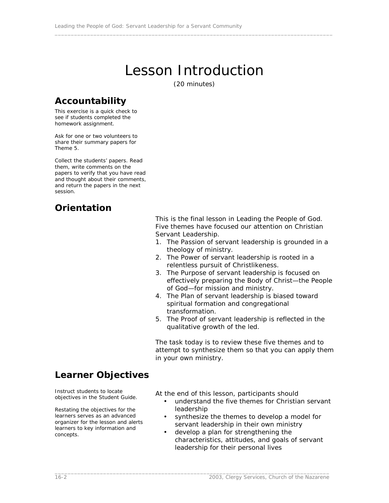# *Lesson Introduction*

 $\_$  ,  $\_$  ,  $\_$  ,  $\_$  ,  $\_$  ,  $\_$  ,  $\_$  ,  $\_$  ,  $\_$  ,  $\_$  ,  $\_$  ,  $\_$  ,  $\_$  ,  $\_$  ,  $\_$  ,  $\_$  ,  $\_$  ,  $\_$  ,  $\_$  ,  $\_$  ,  $\_$  ,  $\_$  ,  $\_$  ,  $\_$  ,  $\_$  ,  $\_$  ,  $\_$  ,  $\_$  ,  $\_$  ,  $\_$  ,  $\_$  ,  $\_$  ,  $\_$  ,  $\_$  ,  $\_$  ,  $\_$  ,  $\_$  ,

(20 minutes)

## **Accountability**

*This exercise is a quick check to see if students completed the homework assignment.*

*Ask for one or two volunteers to share their summary papers for Theme 5.*

*Collect the students' papers. Read them, write comments on the papers to verify that you have read and thought about their comments, and return the papers in the next session.*

## **Orientation**

This is the final lesson in Leading the People of God. Five themes have focused our attention on Christian Servant Leadership.

- 1. The Passion of servant leadership is grounded in a theology of ministry.
- 2. The Power of servant leadership is rooted in a relentless pursuit of Christlikeness.
- 3. The Purpose of servant leadership is focused on effectively preparing the Body of Christ—the People of God—for mission and ministry.
- 4. The Plan of servant leadership is biased toward spiritual formation and congregational transformation.
- 5. The Proof of servant leadership is reflected in the qualitative growth of the led.

The task today is to review these five themes and to attempt to synthesize them so that you can apply them in your own ministry.

### **Learner Objectives**

*Instruct students to locate objectives in the Student Guide.*

*Restating the objectives for the learners serves as an advanced organizer for the lesson and alerts learners to key information and concepts.*

At the end of this lesson, participants should

 $\_$  ,  $\_$  ,  $\_$  ,  $\_$  ,  $\_$  ,  $\_$  ,  $\_$  ,  $\_$  ,  $\_$  ,  $\_$  ,  $\_$  ,  $\_$  ,  $\_$  ,  $\_$  ,  $\_$  ,  $\_$  ,  $\_$  ,  $\_$  ,  $\_$  ,  $\_$ 

- understand the five themes for Christian servant leadership
- synthesize the themes to develop a model for servant leadership in their own ministry
- develop a plan for strengthening the characteristics, attitudes, and goals of servant leadership for their personal lives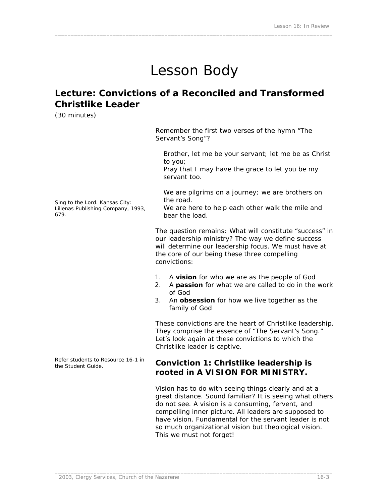## *Lesson Body*

 $\_$  ,  $\_$  ,  $\_$  ,  $\_$  ,  $\_$  ,  $\_$  ,  $\_$  ,  $\_$  ,  $\_$  ,  $\_$  ,  $\_$  ,  $\_$  ,  $\_$  ,  $\_$  ,  $\_$  ,  $\_$  ,  $\_$  ,  $\_$  ,  $\_$  ,  $\_$  ,  $\_$  ,  $\_$  ,  $\_$  ,  $\_$  ,  $\_$  ,  $\_$  ,  $\_$  ,  $\_$  ,  $\_$  ,  $\_$  ,  $\_$  ,  $\_$  ,  $\_$  ,  $\_$  ,  $\_$  ,  $\_$  ,  $\_$  ,

## **Lecture: Convictions of a Reconciled and Transformed Christlike Leader**

(30 minutes)

|                                                                              | Remember the first two verses of the hymn "The<br>Servant's Song"?                                                                                                                                                                    |  |
|------------------------------------------------------------------------------|---------------------------------------------------------------------------------------------------------------------------------------------------------------------------------------------------------------------------------------|--|
|                                                                              | Brother, let me be your servant; let me be as Christ<br>to you;<br>Pray that I may have the grace to let you be my<br>servant too.                                                                                                    |  |
| Sing to the Lord. Kansas City:<br>Lillenas Publishing Company, 1993,<br>679. | We are pilgrims on a journey; we are brothers on<br>the road.<br>We are here to help each other walk the mile and<br>bear the load.                                                                                                   |  |
|                                                                              | The question remains: What will constitute "success" in<br>our leadership ministry? The way we define success<br>will determine our leadership focus. We must have at<br>the core of our being these three compelling<br>convictions: |  |
|                                                                              | A vision for who we are as the people of God<br>1.<br>2.<br>A passion for what we are called to do in the work<br>of God<br>3.<br>An obsession for how we live together as the<br>family of God                                       |  |
|                                                                              | These convictions are the heart of Christlike leadership.<br>They comprise the essence of "The Servant's Song."<br>Let's look again at these convictions to which the<br>Christlike leader is captive.                                |  |
| Refer students to Resource 16-1 in<br>the Student Guide.                     | Conviction 1: Christlike leadership is<br>rooted in A VISION FOR MINISTRY.                                                                                                                                                            |  |
|                                                                              | Vision has to do with seeing things clearly and at a<br>great distance. Sound familiar? It is seeing what others<br>do not see. A vision is a consuming, fervent, and<br>unan ollin alian anni atura. All leedere ere europeed te     |  |

compelling inner picture. All leaders are supposed to have *vision*. Fundamental for the servant leader is not so much *organizational vision* but *theological vision*. This we must not forget!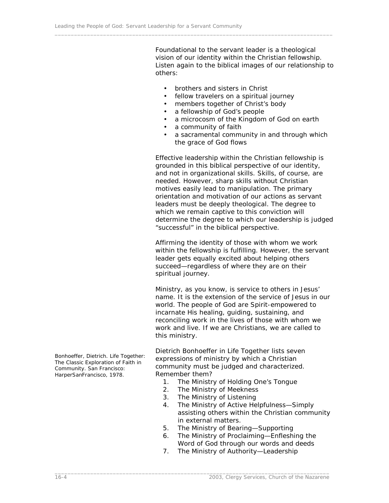Foundational to the servant leader is a theological vision of our identity within the Christian fellowship. Listen again to the biblical images of our relationship to others:

- brothers and sisters in Christ
- fellow travelers on a spiritual journey
- members together of Christ's body
- a fellowship of God's people
- a microcosm of the Kingdom of God on earth
- a community of faith

 $\_$  ,  $\_$  ,  $\_$  ,  $\_$  ,  $\_$  ,  $\_$  ,  $\_$  ,  $\_$  ,  $\_$  ,  $\_$  ,  $\_$  ,  $\_$  ,  $\_$  ,  $\_$  ,  $\_$  ,  $\_$  ,  $\_$  ,  $\_$  ,  $\_$  ,  $\_$  ,  $\_$  ,  $\_$  ,  $\_$  ,  $\_$  ,  $\_$  ,  $\_$  ,  $\_$  ,  $\_$  ,  $\_$  ,  $\_$  ,  $\_$  ,  $\_$  ,  $\_$  ,  $\_$  ,  $\_$  ,  $\_$  ,  $\_$  ,

• a sacramental community in and through which the grace of God flows

Effective leadership within the Christian fellowship is grounded in this biblical perspective of our identity, and not in organizational skills. Skills, of course, are needed. However, sharp skills without Christian motives easily lead to manipulation. The primary orientation and motivation of our actions as servant leaders must be deeply theological. The degree to which we remain captive to this conviction will determine the degree to which our leadership is judged "successful" in the biblical perspective.

Affirming the identity of those with whom we work within the fellowship is fulfilling. However, the servant leader gets equally excited about helping others succeed—regardless of where they are on their spiritual journey.

Ministry, as you know, is service to others in Jesus' name. It is the extension of the service of Jesus in our world. The people of God are Spirit-empowered to incarnate *His* healing, guiding, sustaining, and reconciling work in the lives of those with whom we work and live. If we are Christians, we are called to this ministry.

Dietrich Bonhoeffer in *Life Together* lists seven expressions of ministry by which a Christian community must be judged and characterized. Remember them?

- 1. The Ministry of Holding One's Tongue
- 2. The Ministry of Meekness
- 3. The Ministry of Listening
- 4. The Ministry of Active Helpfulness—Simply assisting others within the Christian community in external matters.
- 5. The Ministry of Bearing—Supporting
- 6. The Ministry of Proclaiming—Enfleshing the Word of God through our words and deeds
- 7. The Ministry of Authority—Leadership

*Bonhoeffer, Dietrich.* Life Together: The Classic Exploration of Faith in Community. *San Francisco: HarperSanFrancisco, 1978.*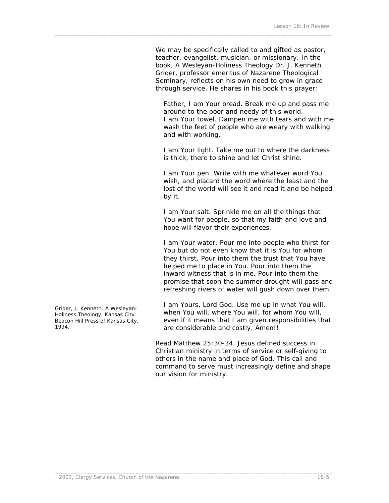We may be specifically called to and gifted as pastor, teacher, evangelist, musician, or missionary. In the book, *A Wesleyan-Holiness Theology* Dr. J. Kenneth Grider, professor emeritus of Nazarene Theological Seminary, reflects on his own need to grow in *grace* through *service*. He shares in his book this prayer:

 $\_$  ,  $\_$  ,  $\_$  ,  $\_$  ,  $\_$  ,  $\_$  ,  $\_$  ,  $\_$  ,  $\_$  ,  $\_$  ,  $\_$  ,  $\_$  ,  $\_$  ,  $\_$  ,  $\_$  ,  $\_$  ,  $\_$  ,  $\_$  ,  $\_$  ,  $\_$  ,  $\_$  ,  $\_$  ,  $\_$  ,  $\_$  ,  $\_$  ,  $\_$  ,  $\_$  ,  $\_$  ,  $\_$  ,  $\_$  ,  $\_$  ,  $\_$  ,  $\_$  ,  $\_$  ,  $\_$  ,  $\_$  ,  $\_$  ,

Father, I am Your bread. Break me up and pass me around to the poor and needy of this world. I am Your towel. Dampen me with tears and with me wash the feet of people who are weary with walking and with working.

I am Your light. Take me out to where the darkness is thick, there to shine and let Christ shine.

I am Your pen. Write with me whatever word You wish, and placard the word where the least and the lost of the world will see it and read it and be helped by it.

I am Your salt. Sprinkle me on all the things that You want for people, so that *my* faith and love and hope will *flavor* their experiences.

I am Your water. Pour me into people who thirst for You but do not even know that it is You for whom they thirst. Pour into them the trust that You have helped me to place in You. Pour into them the inward witness that is in me. Pour into them the promise that soon the summer drought will pass and refreshing rivers of water will gush down over them.

I am Yours, Lord God. Use me up in what You will, when You will, where You will, for whom You will, even if it means that I am given responsibilities that are considerable and costly. Amen!!

Read Matthew 25:30-34. Jesus defined success in Christian ministry in terms of service or self-giving to others in the name and place of God. This call and command to serve must increasingly define and shape our *vision* for *ministry*.

*Grider, J. Kenneth.* A Wesleyan-Holiness Theology. *Kansas City: Beacon Hill Press of Kansas City, 1994.*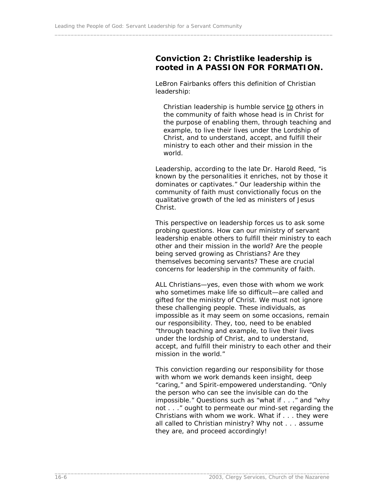$\_$  ,  $\_$  ,  $\_$  ,  $\_$  ,  $\_$  ,  $\_$  ,  $\_$  ,  $\_$  ,  $\_$  ,  $\_$  ,  $\_$  ,  $\_$  ,  $\_$  ,  $\_$  ,  $\_$  ,  $\_$  ,  $\_$  ,  $\_$  ,  $\_$  ,  $\_$  ,  $\_$  ,  $\_$  ,  $\_$  ,  $\_$  ,  $\_$  ,  $\_$  ,  $\_$  ,  $\_$  ,  $\_$  ,  $\_$  ,  $\_$  ,  $\_$  ,  $\_$  ,  $\_$  ,  $\_$  ,  $\_$  ,  $\_$  ,

### **Conviction 2: Christlike leadership is rooted in A PASSION FOR FORMATION.**

LeBron Fairbanks offers this definition of Christian leadership:

Christian leadership is humble service to *others* in the community of faith whose head is in Christ for the purpose of enabling *them,* through teaching and example, to live *their* lives under the Lordship of Christ, and to understand, accept, and fulfill *their* ministry to each other and *their* mission in the world.

Leadership, according to the late Dr. Harold Reed, "is known by the personalities it enriches, not by those it dominates or captivates." Our leadership within the community of faith must convictionally focus on the qualitative growth of the led as ministers of Jesus Christ.

This perspective on leadership forces us to ask some probing questions. How can *our* ministry of servant leadership enable *others* to fulfill *their* ministry to each other and *their* mission in the world? Are the people being served growing as Christians? Are they themselves becoming servants? These are crucial concerns for leadership in the community of faith.

ALL Christians—yes, even those with whom we work who sometimes make life so difficult—are *called* and gifted for the ministry of Christ. We must not ignore these challenging people. These individuals, as impossible as it may seem on some occasions, remain our responsibility. They, too, need to be enabled "through teaching and example, to live their lives under the lordship of Christ, and to understand, accept, and fulfill *their* ministry to each other and *their* mission in the world."

This conviction regarding *our* responsibility for those with whom we work demands keen insight, deep "caring," and Spirit-empowered understanding. "Only the person who can see the invisible can do the impossible." Questions such as "what if . . ." and "why not . . ." ought to permeate our mind-set regarding the Christians with whom we work. What if . . . they were all called to Christian ministry? Why not . . . assume they are, and proceed accordingly!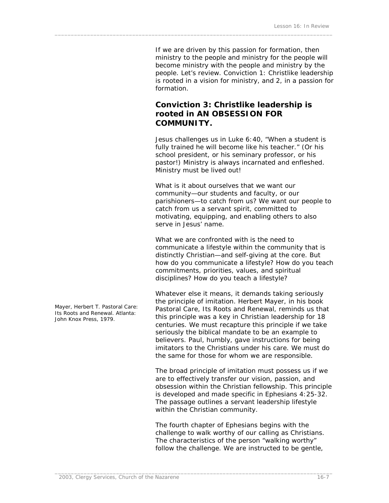If we are driven by this passion for formation, then ministry *to* the people and ministry *for* the people will become ministry *with* the people and ministry *by* the people. Let's review. Conviction 1: Christlike leadership is rooted in a vision for ministry, and 2, in a passion for formation.

### **Conviction 3: Christlike leadership is rooted in AN OBSESSION FOR COMMUNITY.**

 $\_$  ,  $\_$  ,  $\_$  ,  $\_$  ,  $\_$  ,  $\_$  ,  $\_$  ,  $\_$  ,  $\_$  ,  $\_$  ,  $\_$  ,  $\_$  ,  $\_$  ,  $\_$  ,  $\_$  ,  $\_$  ,  $\_$  ,  $\_$  ,  $\_$  ,  $\_$  ,  $\_$  ,  $\_$  ,  $\_$  ,  $\_$  ,  $\_$  ,  $\_$  ,  $\_$  ,  $\_$  ,  $\_$  ,  $\_$  ,  $\_$  ,  $\_$  ,  $\_$  ,  $\_$  ,  $\_$  ,  $\_$  ,  $\_$  ,

Jesus challenges us in Luke 6:40, "When a student is fully trained he will become like his teacher." (Or his school president, or his seminary professor, or his pastor!) Ministry is always incarnated and enfleshed. Ministry must be lived out!

What is it about ourselves that we want our community—our students and faculty, or our parishioners—to catch from us? We want our people to catch from us a servant spirit, committed to *motivating*, *equipping,* and *enabling* others *to also serve in Jesus' name*.

What we are confronted with is the need to communicate a lifestyle within the community that is distinctly Christian—and self-giving at the core. But *how* do you communicate a *lifestyle*? How do you teach commitments, priorities, values, and spiritual disciplines? How do you teach a lifestyle?

Whatever else it means, it demands taking seriously the principle of imitation. Herbert Mayer, in his book *Pastoral Care, Its Roots and Renewal,* reminds us that this principle was a key in Christian leadership for 18 centuries. We must recapture this principle if we take seriously the biblical mandate to be an example to believers. Paul, humbly, gave instructions for being imitators to the Christians under his care. We must do the same for those for whom we are responsible.

The broad principle of imitation must *possess* us if we are to effectively *transfer* our vision, passion, and obsession within the Christian fellowship. This principle is developed and made specific in Ephesians 4:25-32. The passage outlines a servant leadership lifestyle within the Christian community.

The fourth chapter of Ephesians begins with the challenge to walk worthy of our calling as Christians. The characteristics of the person "walking worthy" follow the challenge. We are instructed to be gentle,

*Mayer, Herbert T.* Pastoral Care: Its Roots and Renewal. *Atlanta: John Knox Press, 1979.*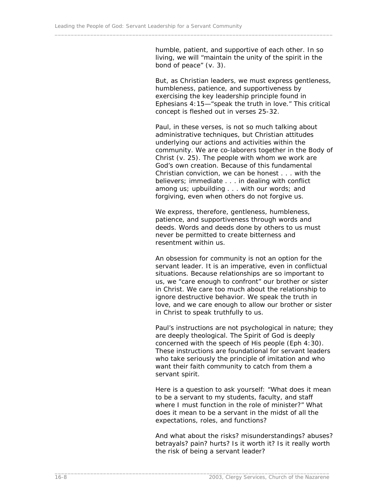$\_$  ,  $\_$  ,  $\_$  ,  $\_$  ,  $\_$  ,  $\_$  ,  $\_$  ,  $\_$  ,  $\_$  ,  $\_$  ,  $\_$  ,  $\_$  ,  $\_$  ,  $\_$  ,  $\_$  ,  $\_$  ,  $\_$  ,  $\_$  ,  $\_$  ,  $\_$  ,  $\_$  ,  $\_$  ,  $\_$  ,  $\_$  ,  $\_$  ,  $\_$  ,  $\_$  ,  $\_$  ,  $\_$  ,  $\_$  ,  $\_$  ,  $\_$  ,  $\_$  ,  $\_$  ,  $\_$  ,  $\_$  ,  $\_$  ,

humble, patient, and supportive of each other. In so living, we will "maintain the unity of the spirit in the bond of peace" (v. 3).

But, as Christian leaders, we must express *gentleness, humbleness, patience,* and *supportiveness* by exercising the key leadership principle found in Ephesians 4:15—"speak the truth in love." This critical concept is fleshed out in verses 25-32.

Paul, in these verses, is not so much talking about administrative techniques, but Christian attitudes underlying our actions and activities within the community. We are co-laborers together in the Body of Christ (v. 25). The people with whom we work are God's own creation. Because of this fundamental Christian conviction, we can *be honest* . . . with the believers; *immediate* . . . in dealing with conflict among us; *upbuilding* . . . with our words; and *forgiving,* even when others do not forgive us.

We express, therefore, gentleness, humbleness, patience, and supportiveness through words and deeds*.* Words and deeds done by others *to* us must never be permitted to create bitterness and resentment *within* us.

An obsession for community is not an option for the servant leader. It is an imperative, even in conflictual situations. Because relationships are so important to us, we "care enough to confront" our brother or sister in Christ. We care too much about the relationship to ignore destructive behavior. We speak the truth in love, and we care enough to allow our brother or sister in Christ to speak truthfully to us.

Paul's instructions are not psychological in nature; they are deeply theological. The *Spirit* of God is deeply concerned with the *speech* of His people (Eph 4:30). These instructions are *foundational* for servant leaders who take seriously the principle of imitation and who want their faith community to catch from them a servant spirit.

Here is a question to ask yourself: "What does it mean to be a servant to my students, faculty, and staff where I must function in the role of minister?" What does it mean to be a servant in the midst of *all* the expectations, roles, and functions?

And what about the risks? misunderstandings? abuses? betrayals? pain? hurts? Is it worth it? Is it really worth the risk of being a servant leader?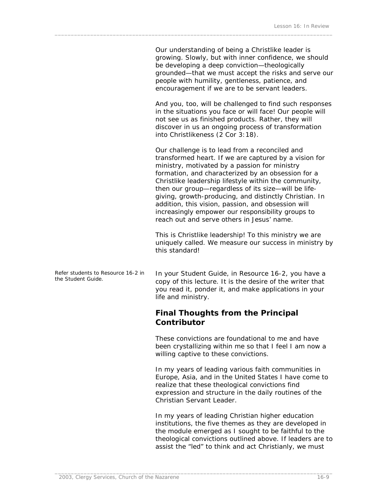Our understanding of being a Christlike leader is growing. Slowly, but with inner confidence, we should be developing a deep conviction—theologically grounded—that we must accept the risks and serve our people with humility, gentleness, patience, and encouragement if we are to be servant leaders.

 $\_$  ,  $\_$  ,  $\_$  ,  $\_$  ,  $\_$  ,  $\_$  ,  $\_$  ,  $\_$  ,  $\_$  ,  $\_$  ,  $\_$  ,  $\_$  ,  $\_$  ,  $\_$  ,  $\_$  ,  $\_$  ,  $\_$  ,  $\_$  ,  $\_$  ,  $\_$  ,  $\_$  ,  $\_$  ,  $\_$  ,  $\_$  ,  $\_$  ,  $\_$  ,  $\_$  ,  $\_$  ,  $\_$  ,  $\_$  ,  $\_$  ,  $\_$  ,  $\_$  ,  $\_$  ,  $\_$  ,  $\_$  ,  $\_$  ,

And you, too, will be challenged to find such responses in the situations you face or will face! Our people will not see us as finished products. Rather, they will discover in us an ongoing process of transformation into Christlikeness (2 Cor 3:18).

Our challenge is to lead from a reconciled and transformed heart. If we are captured by a vision for ministry, motivated by a passion for ministry formation, and characterized by an obsession for a Christlike leadership lifestyle within the community, then our group—regardless of its size—will be lifegiving, growth-producing, and *distinctly Christian*. In addition, this vision, passion, and obsession will increasingly *empower our* responsibility groups to reach out and serve *others* in Jesus' name.

*This* is Christlike leadership! To *this* ministry we are uniquely called. We measure *our* success in ministry by *this* standard!

*Refer students to Resource 16-2 in the Student Guide.*

In your Student Guide, in Resource 16-2, you have a copy of this lecture. It is the desire of the writer that you read it, ponder it, and make applications in your life and ministry.

#### **Final Thoughts from the Principal Contributor**

These convictions are foundational to me and have been crystallizing within me so that I feel I am now a willing captive to these convictions.

In my years of leading various faith communities in Europe, Asia, and in the United States I have come to realize that these theological convictions find expression and structure in the daily routines of the Christian Servant Leader.

In my years of leading Christian higher education institutions, the five themes as they are developed in the module emerged as I sought to be faithful to the theological convictions outlined above. If leaders are to assist the "led" to think and act Christianly, we must

 $\_$  ,  $\_$  ,  $\_$  ,  $\_$  ,  $\_$  ,  $\_$  ,  $\_$  ,  $\_$  ,  $\_$  ,  $\_$  ,  $\_$  ,  $\_$  ,  $\_$  ,  $\_$  ,  $\_$  ,  $\_$  ,  $\_$  ,  $\_$  ,  $\_$  ,  $\_$  ,  $\_$  ,  $\_$  ,  $\_$  ,  $\_$  ,  $\_$  ,  $\_$  ,  $\_$  ,  $\_$  ,  $\_$  ,  $\_$  ,  $\_$  ,  $\_$  ,  $\_$  ,  $\_$  ,  $\_$  ,  $\_$  ,  $\_$  ,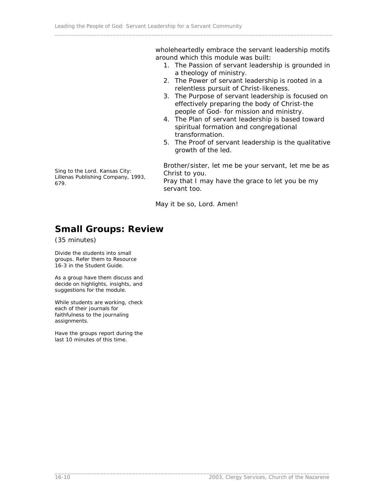wholeheartedly embrace the servant leadership motifs around which this module was built:

- 1. The *Passion* of servant leadership is grounded in a theology of ministry.
- 2. The *Power* of servant leadership is rooted in a relentless pursuit of Christ-likeness.
- 3. The *Purpose* of servant leadership is focused on effectively preparing the body of Christ-the people of God- for mission and ministry.
- 4. The *Plan* of servant leadership is based toward spiritual formation and congregational transformation.
- 5. The *Proof* of servant leadership is the qualitative growth of the led.

*Brother/sister, let me be your servant, let me be as Christ to you. Pray that I may have the grace to let you be my servant too.*

*Lillenas Publishing Company, 1993, 679.*

Sing to the Lord. *Kansas City:*

May it be so, Lord. Amen!

 $\_$  ,  $\_$  ,  $\_$  ,  $\_$  ,  $\_$  ,  $\_$  ,  $\_$  ,  $\_$  ,  $\_$  ,  $\_$  ,  $\_$  ,  $\_$  ,  $\_$  ,  $\_$  ,  $\_$  ,  $\_$  ,  $\_$  ,  $\_$  ,  $\_$  ,  $\_$  ,  $\_$  ,  $\_$  ,  $\_$  ,  $\_$  ,  $\_$  ,  $\_$  ,  $\_$  ,  $\_$  ,  $\_$  ,  $\_$  ,  $\_$  ,  $\_$  ,  $\_$  ,  $\_$  ,  $\_$  ,  $\_$  ,  $\_$  ,

## **Small Groups: Review**

(35 minutes)

*Divide the students into small groups. Refer them to Resource 16-3 in the Student Guide.*

*As a group have them discuss and decide on highlights, insights, and suggestions for the module.*

*While students are working, check each of their journals for faithfulness to the journaling assignments.*

*Have the groups report during the last 10 minutes of this time.*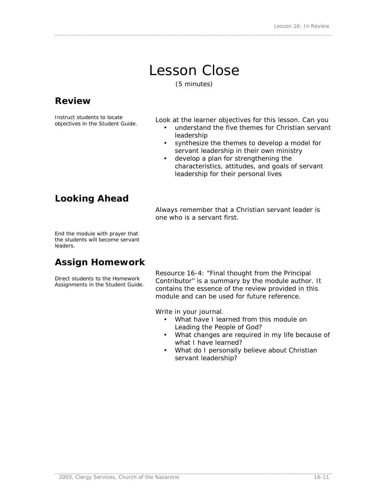## *Lesson Close*

 $\_$  ,  $\_$  ,  $\_$  ,  $\_$  ,  $\_$  ,  $\_$  ,  $\_$  ,  $\_$  ,  $\_$  ,  $\_$  ,  $\_$  ,  $\_$  ,  $\_$  ,  $\_$  ,  $\_$  ,  $\_$  ,  $\_$  ,  $\_$  ,  $\_$  ,  $\_$  ,  $\_$  ,  $\_$  ,  $\_$  ,  $\_$  ,  $\_$  ,  $\_$  ,  $\_$  ,  $\_$  ,  $\_$  ,  $\_$  ,  $\_$  ,  $\_$  ,  $\_$  ,  $\_$  ,  $\_$  ,  $\_$  ,  $\_$  ,

(5 minutes)

### **Review**

*Instruct students to locate*

*objectives in the Student Guide.* Look at the learner objectives for this lesson. Can you

- understand the five themes for Christian servant leadership
- synthesize the themes to develop a model for servant leadership in their own ministry
- develop a plan for strengthening the characteristics, attitudes, and goals of servant leadership for their personal lives

## **Looking Ahead**

Always remember that a Christian servant leader is one who is a servant first.

*End the module with prayer that the students will become servant leaders.*

## **Assign Homework**

*Direct students to the Homework Assignments in the Student Guide.* Resource 16-4: "Final thought from the Principal Contributor" is a summary by the module author. It contains the essence of the review provided in this module and can be used for future reference.

Write in your journal.

- What have I learned from this module on Leading the People of God?
- What changes are required in my life because of what I have learned?
- What do I personally believe about Christian servant leadership?